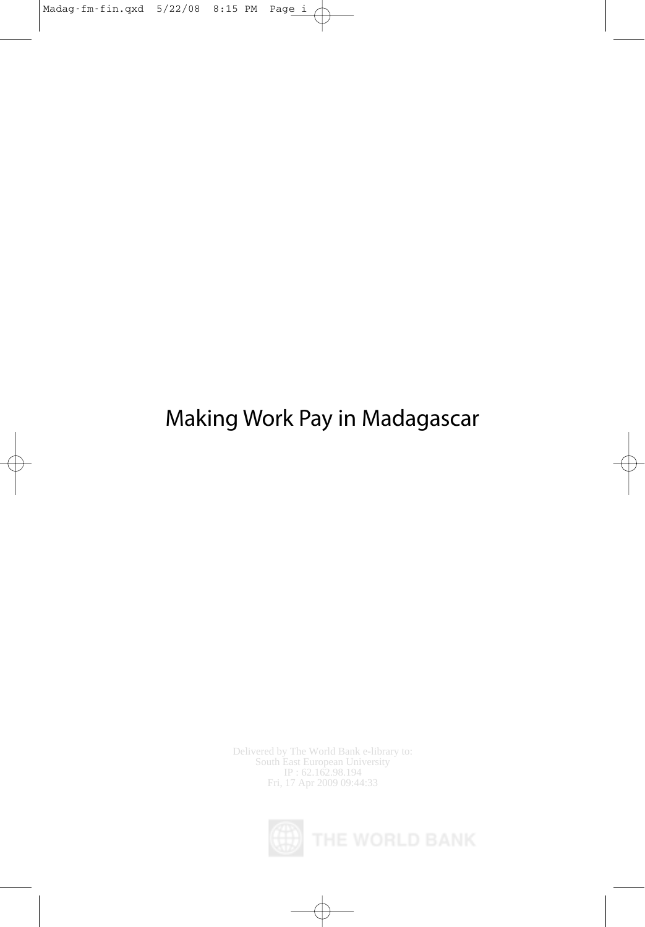# Making Work Pay in Madagascar

Delivered by The World Bank e-library to: South East European University IP : 62.162.98.194

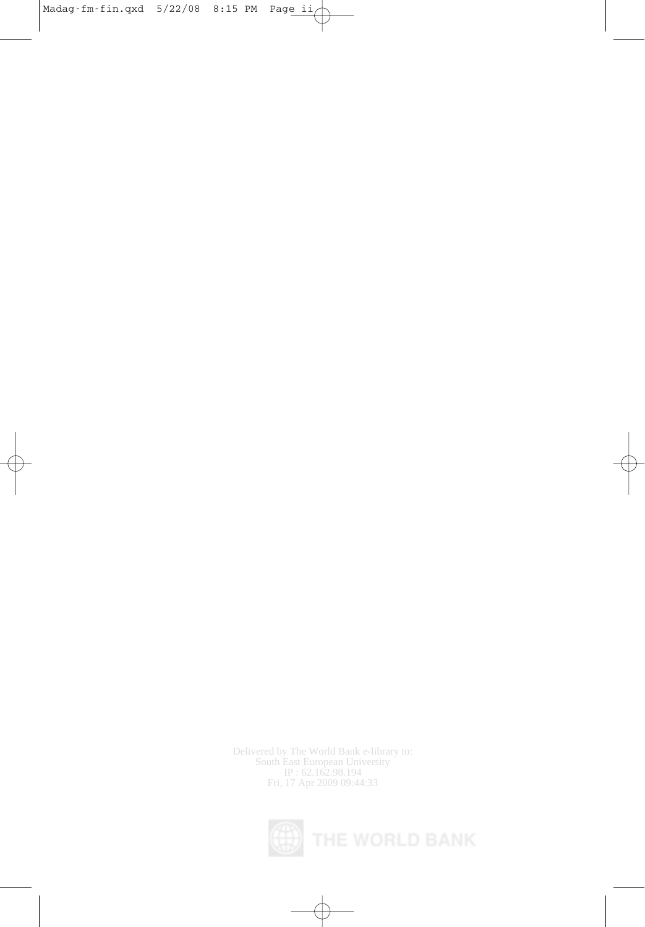Delivered by The World Bank e-library to: IP : 62.162.98.194

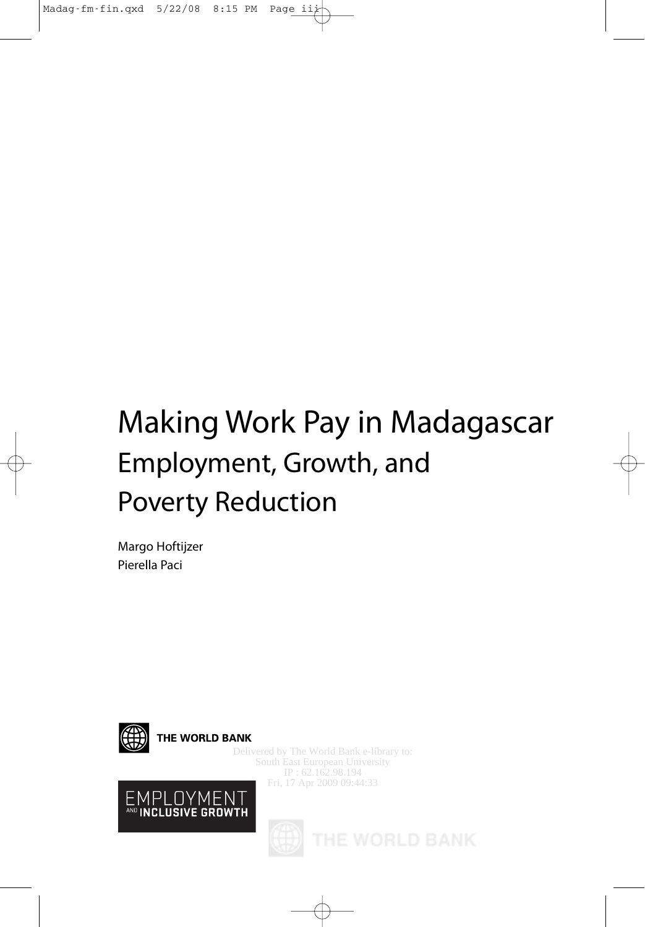Margo Hoftijzer Pierella Paci



IP : 62.162.98.194



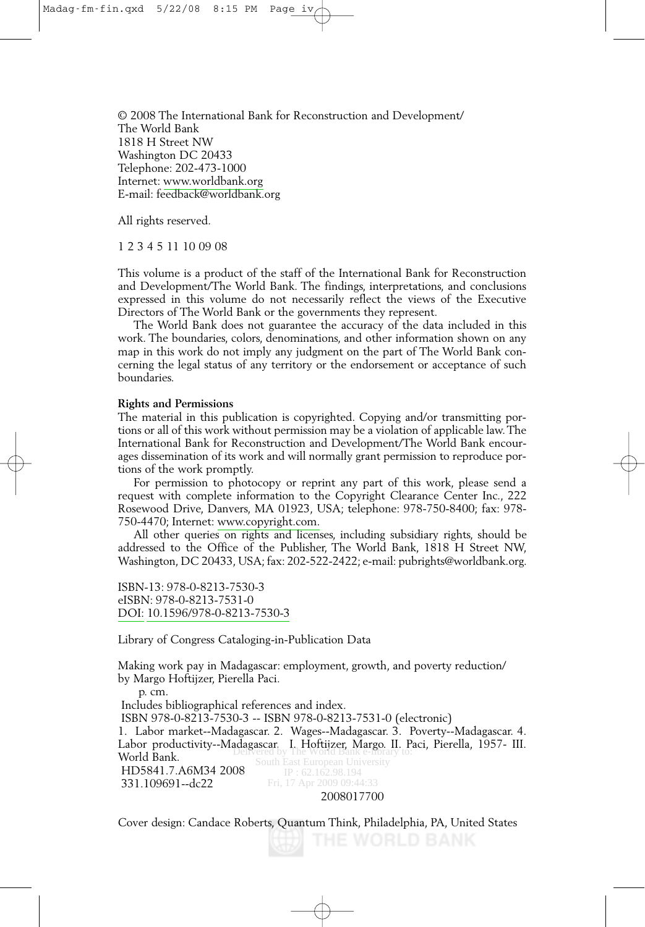© 2008 The International Bank for Reconstruction and Development/ The World Bank 1818 H Street NW Washington DC 20433 Telephone: 202-473-1000 Internet: [www.worldbank.org](http://www.worldbank.org) E-mail: feedback@worldbank.org

All rights reserved.

1 2 3 4 5 11 10 09 08

This volume is a product of the staff of the International Bank for Reconstruction and Development/The World Bank. The findings, interpretations, and conclusions expressed in this volume do not necessarily reflect the views of the Executive Directors of The World Bank or the governments they represent.

The World Bank does not guarantee the accuracy of the data included in this work. The boundaries, colors, denominations, and other information shown on any map in this work do not imply any judgment on the part of The World Bank concerning the legal status of any territory or the endorsement or acceptance of such boundaries.

#### **Rights and Permissions**

The material in this publication is copyrighted. Copying and/or transmitting portions or all of this work without permission may be a violation of applicable law.The International Bank for Reconstruction and Development/The World Bank encourages dissemination of its work and will normally grant permission to reproduce portions of the work promptly.

For permission to photocopy or reprint any part of this work, please send a request with complete information to the Copyright Clearance Center Inc., 222 Rosewood Drive, Danvers, MA 01923, USA; telephone: 978-750-8400; fax: 978- 750-4470; Internet: [www.copyright.com.](http://www.copyright.com)

All other queries on rights and licenses, including subsidiary rights, should be addressed to the Office of the Publisher, The World Bank, 1818 H Street NW, Washington, DC 20433, USA; fax: 202-522-2422; e-mail: pubrights@worldbank.org.

ISBN-13: 978-0-8213-7530-3 eISBN: 978-0-8213-7531-0 [DOI:](http://dx.doi.org/10.1596/978-0-8213-7530-3) [10.1596/978-0-8213-7530-3](http://dx.doi.org/10.1596/978-0-8213-7530-3)

Library of Congress Cataloging-in-Publication Data

Making work pay in Madagascar: employment, growth, and poverty reduction/ by Margo Hoftijzer, Pierella Paci.

p. cm. Includes bibliographical references and index. ISBN 978-0-8213-7530-3 -- ISBN 978-0-8213-7531-0 (electronic) 1. Labor market--Madagascar. 2. Wages--Madagascar. 3. Poverty--Madagascar. 4. Labor productivity--Madagascar. I. Hoftijzer, Margo. II. Paci, Pierella, 1957- III. Delivered by The World Bank e-library to: World Bank. HD5841.7.A6M34 2008 331.109691--dc22 South East European University IP : 62.162.98.194 Fri, 17 Apr 2009 09:44:33

#### 2008017700

Cover design: Candace Roberts, Quantum Think, Philadelphia, PA, United States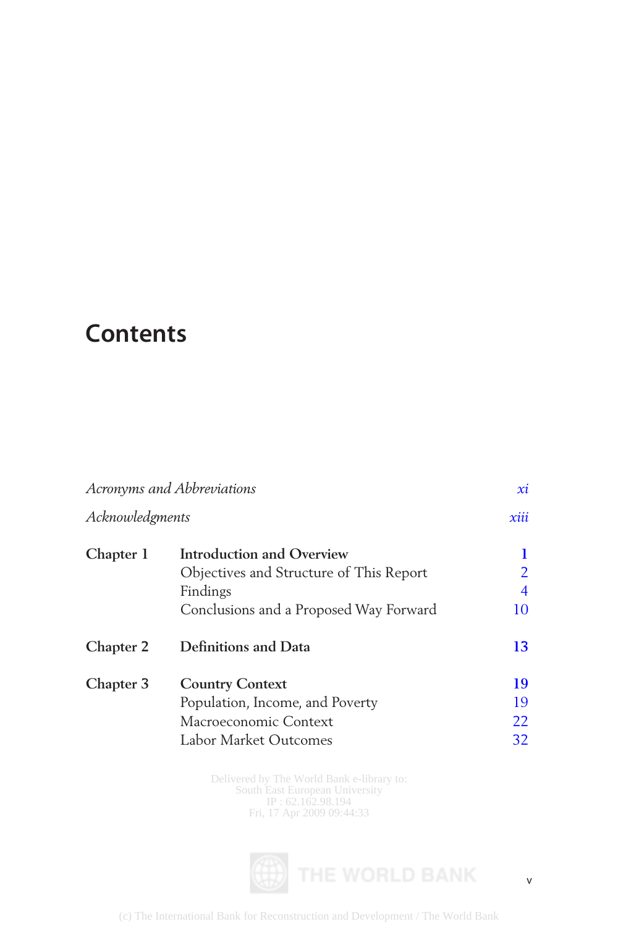## **Contents**

| Acronyms and Abbreviations |                                         |                |
|----------------------------|-----------------------------------------|----------------|
| Acknowledgments            |                                         | xiii           |
| Chapter 1                  | <b>Introduction and Overview</b>        |                |
|                            | Objectives and Structure of This Report | $\overline{2}$ |
|                            | Findings                                | 4              |
|                            | Conclusions and a Proposed Way Forward  | 10             |
| Chapter 2                  | <b>Definitions and Data</b>             | 13             |
| Chapter 3                  | <b>Country Context</b>                  | 19             |
|                            | Population, Income, and Poverty         | 19             |
|                            | Macroeconomic Context                   | 22             |
|                            | Labor Market Outcomes                   | 32             |

Delivered by The World Bank e-library to: IP : 62.162.98.194 Fri, 17 Apr 2009 09:44:33



(c) The International Bank for Reconstruction and Development / The World Bank

v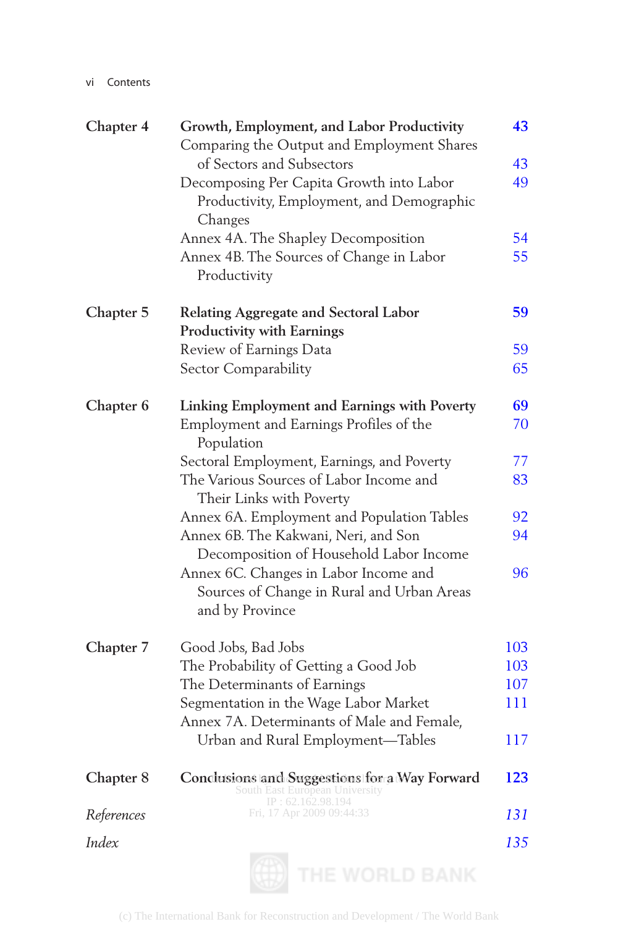| Chapter 4        | Growth, Employment, and Labor Productivity<br>Comparing the Output and Employment Shares                   | 43  |
|------------------|------------------------------------------------------------------------------------------------------------|-----|
|                  | of Sectors and Subsectors                                                                                  | 43  |
|                  | Decomposing Per Capita Growth into Labor<br>Productivity, Employment, and Demographic<br>Changes           | 49  |
|                  | Annex 4A. The Shapley Decomposition                                                                        | 54  |
|                  | Annex 4B. The Sources of Change in Labor<br>Productivity                                                   | 55  |
| Chapter 5        | Relating Aggregate and Sectoral Labor<br><b>Productivity with Earnings</b>                                 | 59  |
|                  | Review of Earnings Data                                                                                    | 59  |
|                  | Sector Comparability                                                                                       | 65  |
| Chapter 6        | Linking Employment and Earnings with Poverty                                                               | 69  |
|                  | Employment and Earnings Profiles of the<br>Population                                                      | 70  |
|                  | Sectoral Employment, Earnings, and Poverty                                                                 | 77  |
|                  | The Various Sources of Labor Income and<br>Their Links with Poverty                                        | 83  |
|                  | Annex 6A. Employment and Population Tables                                                                 | 92  |
|                  | Annex 6B. The Kakwani, Neri, and Son<br>Decomposition of Household Labor Income                            | 94  |
|                  | Annex 6C. Changes in Labor Income and<br>Sources of Change in Rural and Urban Areas<br>and by Province     | 96  |
| <b>Chapter 7</b> | Good Jobs, Bad Jobs                                                                                        | 103 |
|                  | The Probability of Getting a Good Job                                                                      | 103 |
|                  | The Determinants of Earnings                                                                               | 107 |
|                  | Segmentation in the Wage Labor Market<br>Annex 7A. Determinants of Male and Female,                        | 111 |
|                  | Urban and Rural Employment-Tables                                                                          | 117 |
| Chapter 8        | Condusions and Suggestions for a Way Forward<br><b>South East European University</b><br>IP: 62.162.98.194 | 123 |
| References       | Fri, 17 Apr 2009 09:44:33                                                                                  | 131 |
| Index            |                                                                                                            | 135 |
|                  |                                                                                                            |     |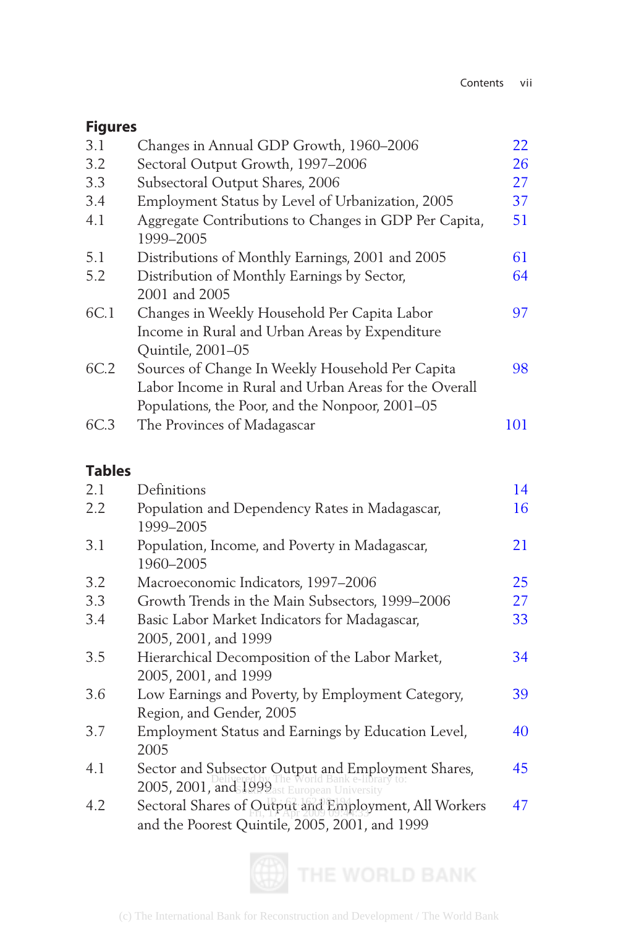### **Figures**

| 3.1  | Changes in Annual GDP Growth, 1960-2006                            | 22  |
|------|--------------------------------------------------------------------|-----|
| 3.2  | Sectoral Output Growth, 1997-2006                                  | 26  |
| 3.3  | Subsectoral Output Shares, 2006                                    | 27  |
| 3.4  | Employment Status by Level of Urbanization, 2005                   | 37  |
| 4.1  | Aggregate Contributions to Changes in GDP Per Capita,<br>1999-2005 | 51  |
| 5.1  | Distributions of Monthly Earnings, 2001 and 2005                   | 61  |
| 5.2  | Distribution of Monthly Earnings by Sector,                        | 64  |
|      | 2001 and 2005                                                      |     |
| 6C.1 | Changes in Weekly Household Per Capita Labor                       | 97  |
|      | Income in Rural and Urban Areas by Expenditure                     |     |
|      | Quintile, 2001-05                                                  |     |
| 6C.2 | Sources of Change In Weekly Household Per Capita                   | 98  |
|      | Labor Income in Rural and Urban Areas for the Overall              |     |
|      | Populations, the Poor, and the Nonpoor, 2001–05                    |     |
| 6C.3 | The Provinces of Madagascar                                        | 101 |

| 2.1 | Definitions                                                                                             | 14 |
|-----|---------------------------------------------------------------------------------------------------------|----|
| 2.2 | Population and Dependency Rates in Madagascar,<br>1999-2005                                             | 16 |
| 3.1 | Population, Income, and Poverty in Madagascar,<br>1960-2005                                             | 21 |
| 3.2 | Macroeconomic Indicators, 1997-2006                                                                     | 25 |
| 3.3 | Growth Trends in the Main Subsectors, 1999-2006                                                         | 27 |
| 3.4 | Basic Labor Market Indicators for Madagascar,<br>2005, 2001, and 1999                                   | 33 |
| 3.5 | Hierarchical Decomposition of the Labor Market,<br>2005, 2001, and 1999                                 | 34 |
| 3.6 | Low Earnings and Poverty, by Employment Category,<br>Region, and Gender, 2005                           | 39 |
| 3.7 | Employment Status and Earnings by Education Level,<br>2005                                              | 40 |
| 4.1 | Sector and Subsector Output and Employment Shares,<br>2005, 2001, and 1999 ast European University      | 45 |
| 4.2 | Sectoral Shares of Output and Employment, All Workers<br>and the Poorest Quintile, 2005, 2001, and 1999 | 47 |
|     |                                                                                                         |    |

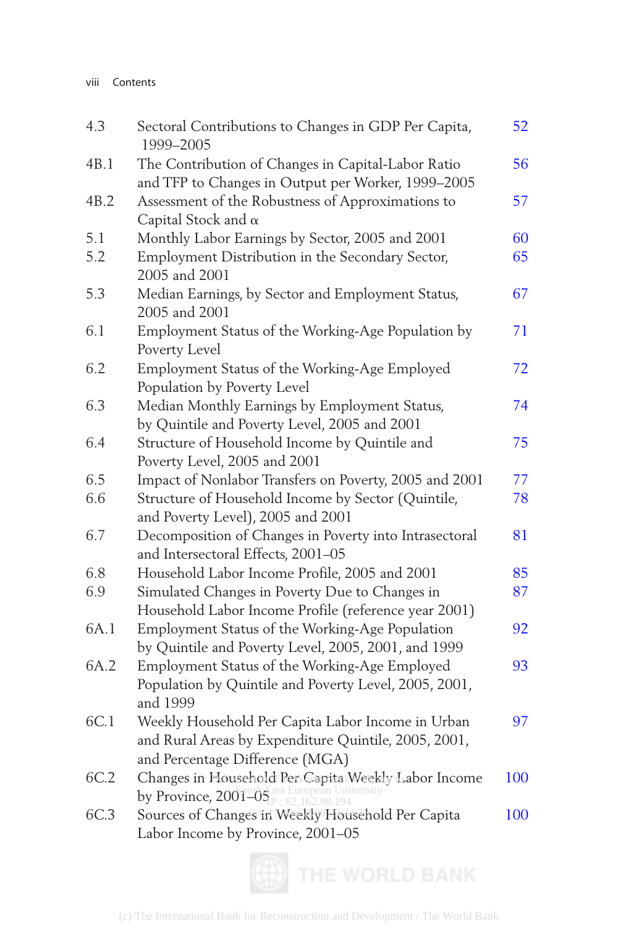| 4.3  | Sectoral Contributions to Changes in GDP Per Capita,<br>1999-2005                                                                            | 52  |
|------|----------------------------------------------------------------------------------------------------------------------------------------------|-----|
| 4B.1 | The Contribution of Changes in Capital-Labor Ratio<br>and TFP to Changes in Output per Worker, 1999-2005                                     | 56  |
| 4B.2 | Assessment of the Robustness of Approximations to<br>Capital Stock and $\alpha$                                                              | 57  |
| 5.1  | Monthly Labor Earnings by Sector, 2005 and 2001                                                                                              | 60  |
| 5.2  | Employment Distribution in the Secondary Sector,<br>2005 and 2001                                                                            | 65  |
| 5.3  | Median Earnings, by Sector and Employment Status,<br>2005 and 2001                                                                           | 67  |
| 6.1  | Employment Status of the Working-Age Population by<br>Poverty Level                                                                          | 71  |
| 6.2  | Employment Status of the Working-Age Employed<br>Population by Poverty Level                                                                 | 72  |
| 6.3  | Median Monthly Earnings by Employment Status,<br>by Quintile and Poverty Level, 2005 and 2001                                                | 74  |
| 6.4  | Structure of Household Income by Quintile and<br>Poverty Level, 2005 and 2001                                                                | 75  |
| 6.5  | Impact of Nonlabor Transfers on Poverty, 2005 and 2001                                                                                       | 77  |
| 6.6  | Structure of Household Income by Sector (Quintile,<br>and Poverty Level), 2005 and 2001                                                      | 78  |
| 6.7  | Decomposition of Changes in Poverty into Intrasectoral<br>and Intersectoral Effects, 2001-05                                                 | 81  |
| 6.8  | Household Labor Income Profile, 2005 and 2001                                                                                                | 85  |
| 6.9  | Simulated Changes in Poverty Due to Changes in<br>Household Labor Income Profile (reference year 2001)                                       | 87  |
| 6A.1 | Employment Status of the Working-Age Population<br>by Quintile and Poverty Level, 2005, 2001, and 1999                                       | 92  |
| 6A.2 | Employment Status of the Working-Age Employed<br>Population by Quintile and Poverty Level, 2005, 2001,<br>and 1999                           | 93  |
| 6C.1 | Weekly Household Per Capita Labor Income in Urban<br>and Rural Areas by Expenditure Quintile, 2005, 2001,<br>and Percentage Difference (MGA) | 97  |
| 6C.2 | Changes in Household Per GapitalWeekly Labor Income<br>by Province, 2001–05 $p_{162.162.98.194}$                                             | 100 |
| 6C.3 | Sources of Changes in Weekly Household Per Capita<br>Labor Income by Province, 2001-05                                                       | 100 |

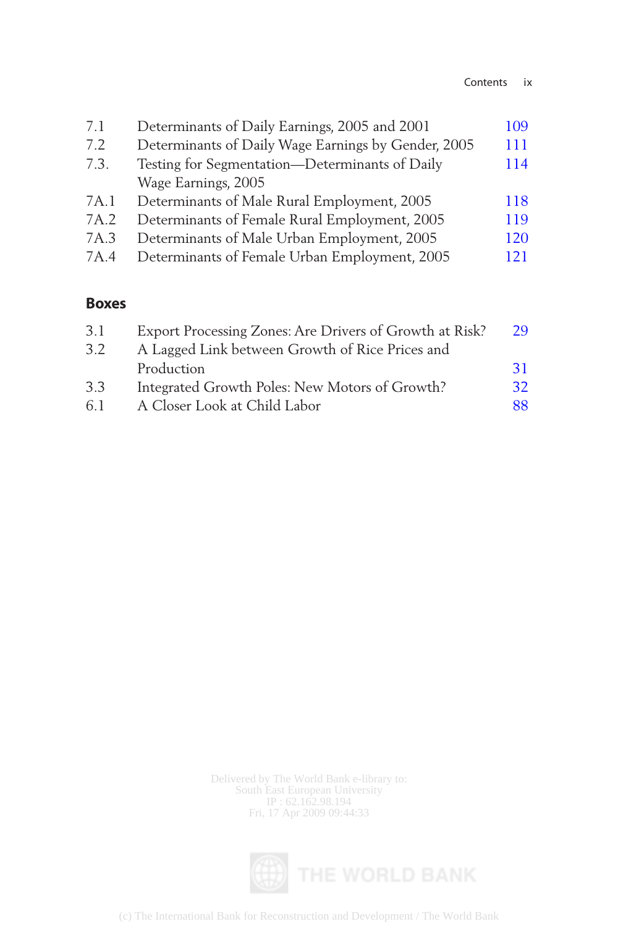| 7.1  | Determinants of Daily Earnings, 2005 and 2001       | 109 |
|------|-----------------------------------------------------|-----|
| 7.2  | Determinants of Daily Wage Earnings by Gender, 2005 | 111 |
| 7.3. | Testing for Segmentation-Determinants of Daily      | 114 |
|      | Wage Earnings, 2005                                 |     |
| 7A.1 | Determinants of Male Rural Employment, 2005         | 118 |
| 7A.2 | Determinants of Female Rural Employment, 2005       | 119 |
| 7A.3 | Determinants of Male Urban Employment, 2005         | 120 |
| 7A.4 | Determinants of Female Urban Employment, 2005       | 121 |

| Export Processing Zones: Are Drivers of Growth at Risk? | 29  |
|---------------------------------------------------------|-----|
| A Lagged Link between Growth of Rice Prices and         |     |
| Production                                              | 31  |
| Integrated Growth Poles: New Motors of Growth?          | 32. |
| A Closer Look at Child Labor                            | 88  |
|                                                         |     |

Delivered by The World Bank e-library to: IP : 62.162.98.194 Fri, 17 Apr 2009 09:44:33



(c) The International Bank for Reconstruction and Development / The World Bank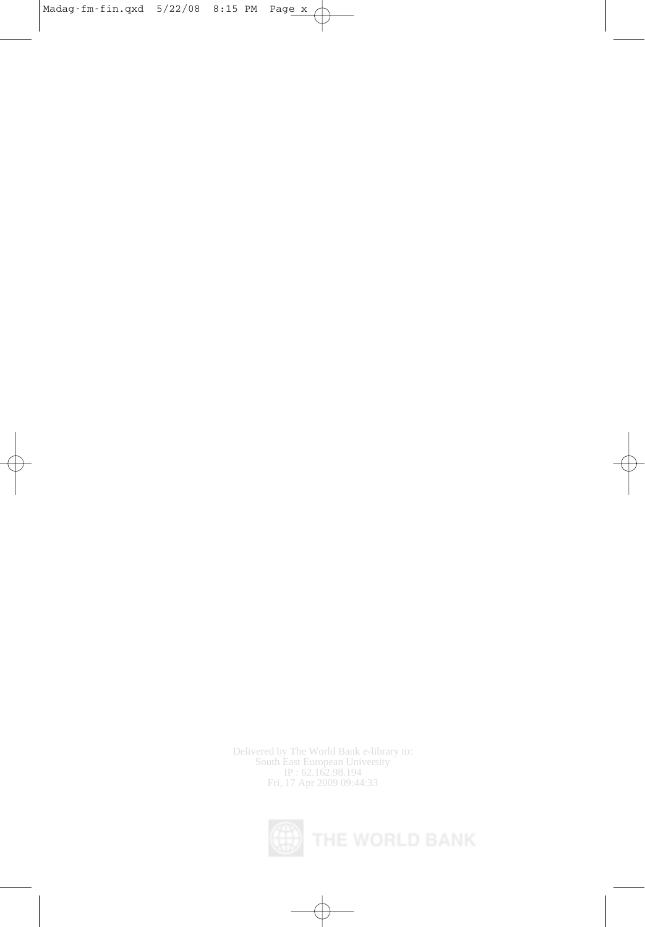Delivered by The World Bank e-library to: IP : 62.162.98.194

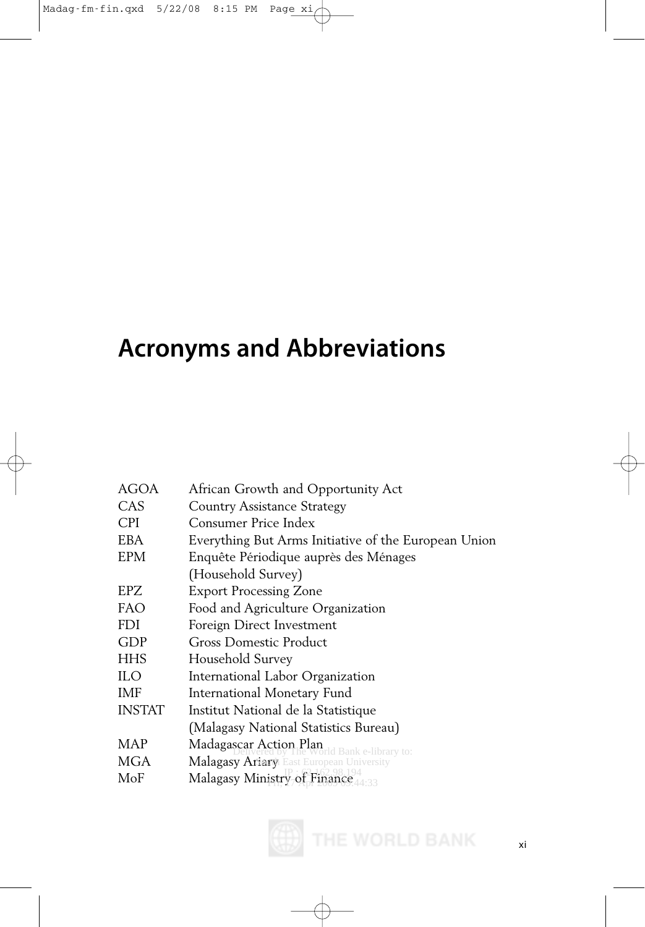# **Acronyms and Abbreviations**

| AGOA          | African Growth and Opportunity Act                                       |  |  |  |
|---------------|--------------------------------------------------------------------------|--|--|--|
| CAS           | Country Assistance Strategy                                              |  |  |  |
| <b>CPI</b>    | Consumer Price Index                                                     |  |  |  |
| EBA.          | Everything But Arms Initiative of the European Union                     |  |  |  |
| EPM           | Enquête Périodique auprès des Ménages                                    |  |  |  |
|               | (Household Survey)                                                       |  |  |  |
| EPZ           | <b>Export Processing Zone</b>                                            |  |  |  |
| FAO           | Food and Agriculture Organization                                        |  |  |  |
| FDI.          | Foreign Direct Investment                                                |  |  |  |
| GDP           | <b>Gross Domestic Product</b>                                            |  |  |  |
| <b>HHS</b>    | Household Survey                                                         |  |  |  |
| ILO.          | International Labor Organization                                         |  |  |  |
| <b>IMF</b>    | International Monetary Fund                                              |  |  |  |
| <b>INSTAT</b> | Institut National de la Statistique                                      |  |  |  |
|               | (Malagasy National Statistics Bureau)                                    |  |  |  |
| MAP           | Madagascar Action Plan<br>Madagascar Action The World Bank e-library to: |  |  |  |
| <b>MGA</b>    | <b>Malagasy Ariany East European University</b>                          |  |  |  |
| MoF           | Malagasy Ministry of Finance                                             |  |  |  |
|               |                                                                          |  |  |  |

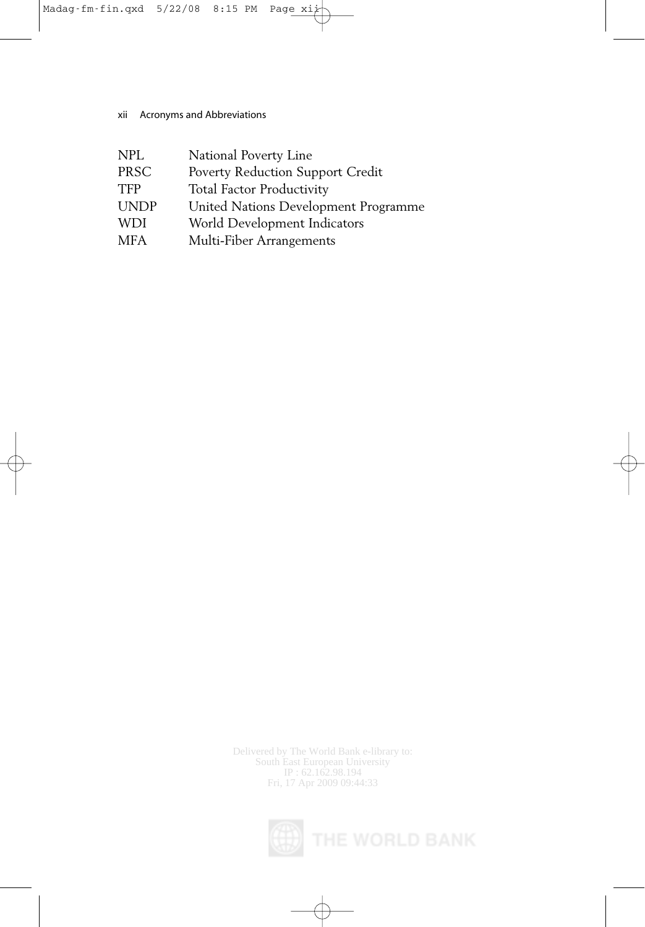#### xii Acronyms and Abbreviations

| <b>NPL</b>  | National Poverty Line                |
|-------------|--------------------------------------|
| PRSC        | Poverty Reduction Support Credit     |
| <b>TFP</b>  | <b>Total Factor Productivity</b>     |
| <b>UNDP</b> | United Nations Development Programme |
| WDI         | World Development Indicators         |
| <b>MFA</b>  | Multi-Fiber Arrangements             |
|             |                                      |

Delivered by The World Bank e-library to: IP : 62.162.98.194

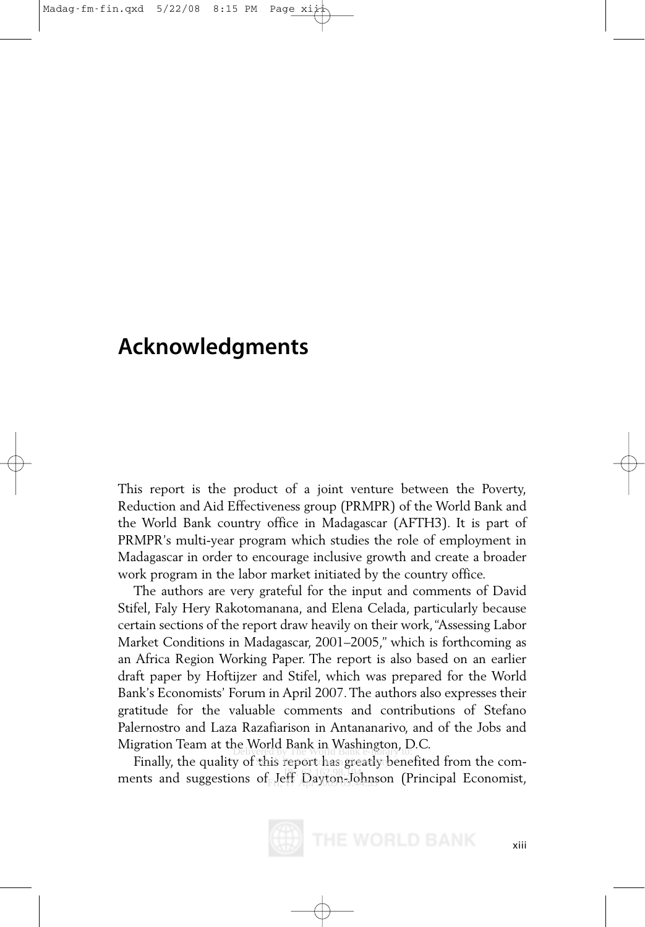## **Acknowledgments**

This report is the product of a joint venture between the Poverty, Reduction and Aid Effectiveness group (PRMPR) of the World Bank and the World Bank country office in Madagascar (AFTH3). It is part of PRMPR's multi-year program which studies the role of employment in Madagascar in order to encourage inclusive growth and create a broader work program in the labor market initiated by the country office.

The authors are very grateful for the input and comments of David Stifel, Faly Hery Rakotomanana, and Elena Celada, particularly because certain sections of the report draw heavily on their work,"Assessing Labor Market Conditions in Madagascar, 2001–2005," which is forthcoming as an Africa Region Working Paper. The report is also based on an earlier draft paper by Hoftijzer and Stifel, which was prepared for the World Bank's Economists' Forum in April 2007.The authors also expresses their gratitude for the valuable comments and contributions of Stefano Palernostro and Laza Razafiarison in Antananarivo, and of the Jobs and Migration Team at the World Bank in Washington, D.C.

gradon ream at the report bank was discussed by  $\mathbb{C}$ . ments and suggestions of Jeff Dayton-Johnson (Principal Economist,  $\,$  this report has greatly  $\,$ Freit Playton-volum

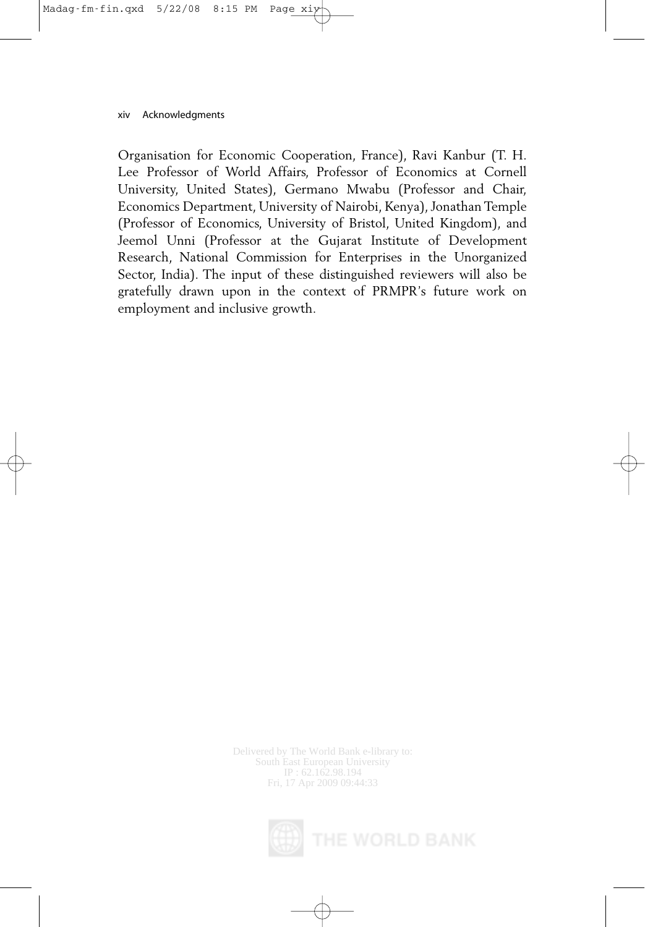Organisation for Economic Cooperation, France), Ravi Kanbur (T. H. Lee Professor of World Affairs, Professor of Economics at Cornell University, United States), Germano Mwabu (Professor and Chair, Economics Department, University of Nairobi, Kenya), Jonathan Temple (Professor of Economics, University of Bristol, United Kingdom), and Jeemol Unni (Professor at the Gujarat Institute of Development Research, National Commission for Enterprises in the Unorganized Sector, India). The input of these distinguished reviewers will also be gratefully drawn upon in the context of PRMPR's future work on employment and inclusive growth.

> IP : 62.162.98.194 Fri, 17 Apr 2009 09:44:33

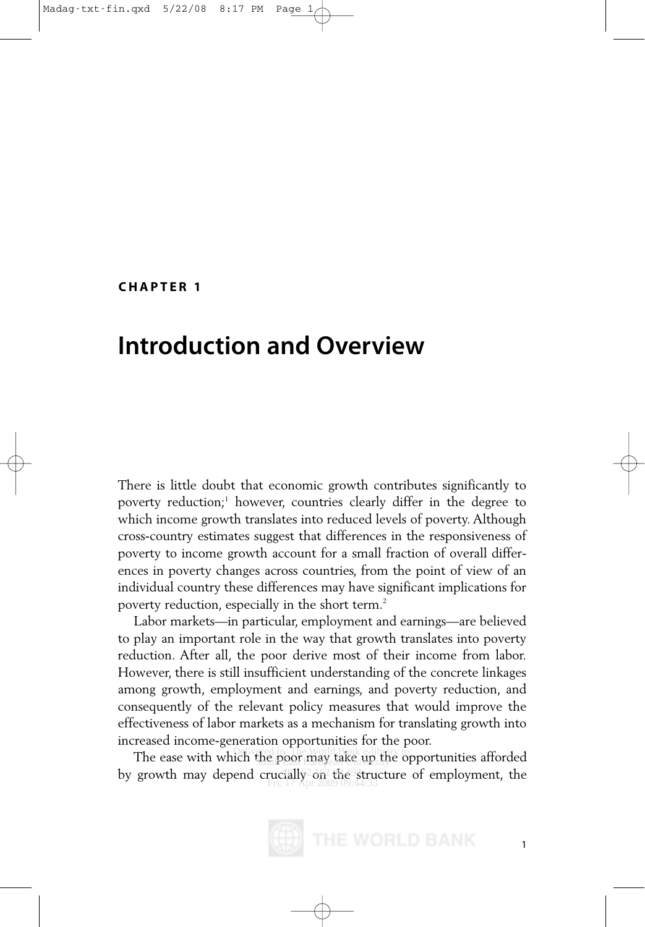#### **CHAPTER 1**

# **Introduction and Overview**

There is little doubt that economic growth contributes significantly to poverty reduction;<sup>1</sup> however, countries clearly differ in the degree to which income growth translates into reduced levels of poverty. Although cross-country estimates suggest that differences in the responsiveness of poverty to income growth account for a small fraction of overall differences in poverty changes across countries, from the point of view of an individual country these differences may have significant implications for poverty reduction, especially in the short term.<sup>2</sup>

Labor markets—in particular, employment and earnings—are believed to play an important role in the way that growth translates into poverty reduction. After all, the poor derive most of their income from labor. However, there is still insufficient understanding of the concrete linkages among growth, employment and earnings, and poverty reduction, and consequently of the relevant policy measures that would improve the effectiveness of labor markets as a mechanism for translating growth into increased income-generation opportunities for the poor.

The ease with which the poor may take up the opportunities afforded by growth may depend crucially on the structure of employment, the the poor may take up to Fri, 17 Apr 2009 09:44:33

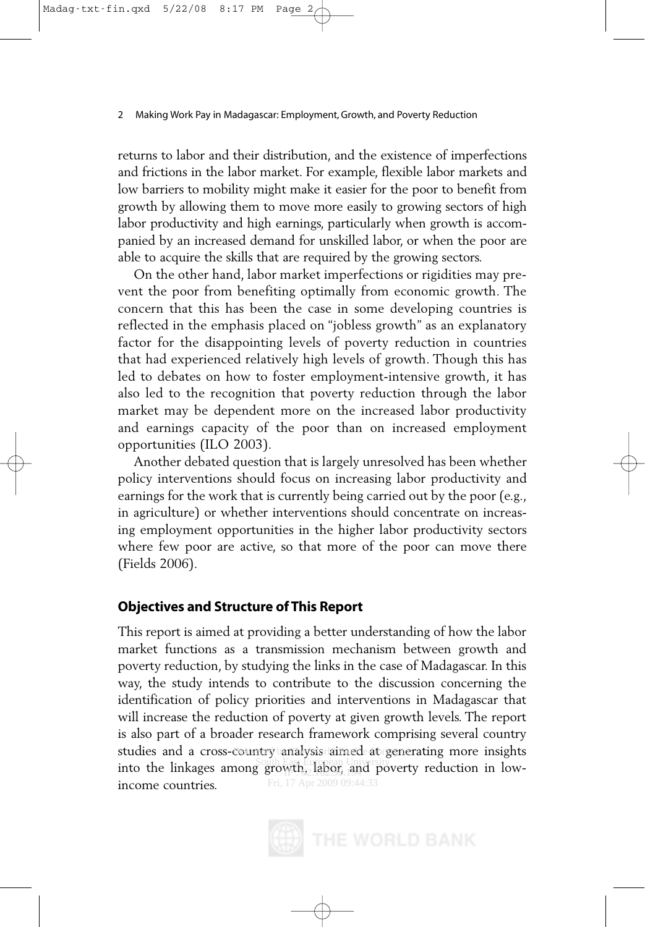returns to labor and their distribution, and the existence of imperfections and frictions in the labor market. For example, flexible labor markets and low barriers to mobility might make it easier for the poor to benefit from growth by allowing them to move more easily to growing sectors of high labor productivity and high earnings, particularly when growth is accompanied by an increased demand for unskilled labor, or when the poor are able to acquire the skills that are required by the growing sectors.

On the other hand, labor market imperfections or rigidities may prevent the poor from benefiting optimally from economic growth. The concern that this has been the case in some developing countries is reflected in the emphasis placed on "jobless growth" as an explanatory factor for the disappointing levels of poverty reduction in countries that had experienced relatively high levels of growth. Though this has led to debates on how to foster employment-intensive growth, it has also led to the recognition that poverty reduction through the labor market may be dependent more on the increased labor productivity and earnings capacity of the poor than on increased employment opportunities (ILO 2003).

Another debated question that is largely unresolved has been whether policy interventions should focus on increasing labor productivity and earnings for the work that is currently being carried out by the poor (e.g., in agriculture) or whether interventions should concentrate on increasing employment opportunities in the higher labor productivity sectors where few poor are active, so that more of the poor can move there (Fields 2006).

#### **Objectives and Structure of This Report**

This report is aimed at providing a better understanding of how the labor market functions as a transmission mechanism between growth and poverty reduction, by studying the links in the case of Madagascar. In this way, the study intends to contribute to the discussion concerning the identification of policy priorities and interventions in Madagascar that will increase the reduction of poverty at given growth levels. The report is also part of a broader research framework comprising several country studies and a cross-country analysis aimed at generating more insights into the linkages among growth, labor, and poverty reduction in lowincome countries.  $\operatorname{supp}_2$  rapor,  $_1$ an Fri, 17 Apr 2009 09:44:33

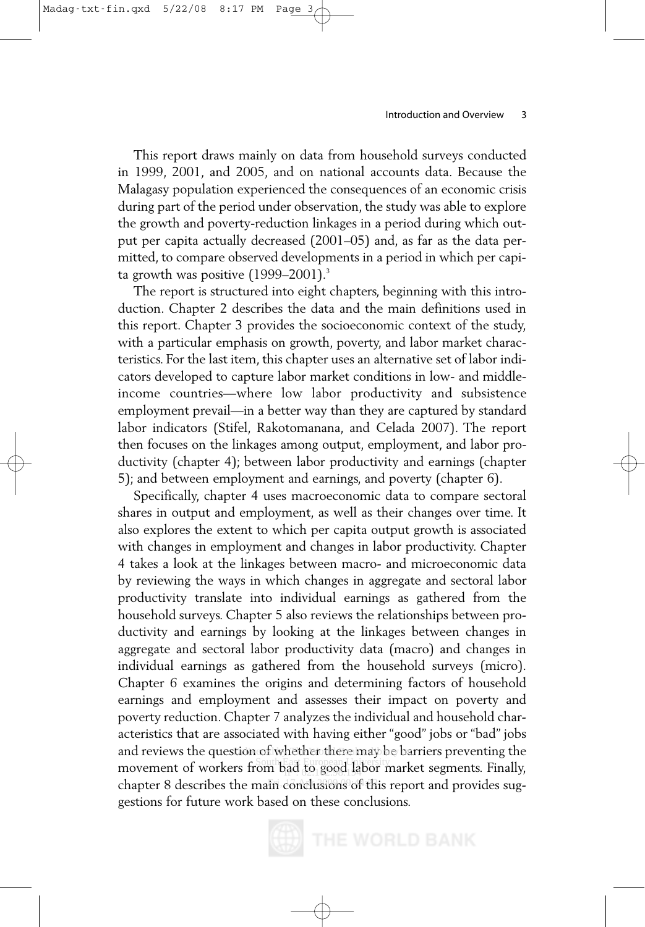This report draws mainly on data from household surveys conducted in 1999, 2001, and 2005, and on national accounts data. Because the Malagasy population experienced the consequences of an economic crisis during part of the period under observation, the study was able to explore the growth and poverty-reduction linkages in a period during which output per capita actually decreased (2001–05) and, as far as the data permitted, to compare observed developments in a period in which per capita growth was positive (1999–2001).<sup>3</sup>

The report is structured into eight chapters, beginning with this introduction. Chapter 2 describes the data and the main definitions used in this report. Chapter 3 provides the socioeconomic context of the study, with a particular emphasis on growth, poverty, and labor market characteristics. For the last item, this chapter uses an alternative set of labor indicators developed to capture labor market conditions in low- and middleincome countries—where low labor productivity and subsistence employment prevail—in a better way than they are captured by standard labor indicators (Stifel, Rakotomanana, and Celada 2007). The report then focuses on the linkages among output, employment, and labor productivity (chapter 4); between labor productivity and earnings (chapter 5); and between employment and earnings, and poverty (chapter 6).

Specifically, chapter 4 uses macroeconomic data to compare sectoral shares in output and employment, as well as their changes over time. It also explores the extent to which per capita output growth is associated with changes in employment and changes in labor productivity. Chapter 4 takes a look at the linkages between macro- and microeconomic data by reviewing the ways in which changes in aggregate and sectoral labor productivity translate into individual earnings as gathered from the household surveys. Chapter 5 also reviews the relationships between productivity and earnings by looking at the linkages between changes in aggregate and sectoral labor productivity data (macro) and changes in individual earnings as gathered from the household surveys (micro). Chapter 6 examines the origins and determining factors of household earnings and employment and assesses their impact on poverty and poverty reduction. Chapter 7 analyzes the individual and household characteristics that are associated with having either "good" jobs or "bad" jobs and reviews the question of whether there may be barriers preventing the movement of workers from bad to good labor market segments. Finally, chapter 8 describes the main conclusions of this report and provides suggestions for future work based on these conclusions.  $240.69.80001$ 

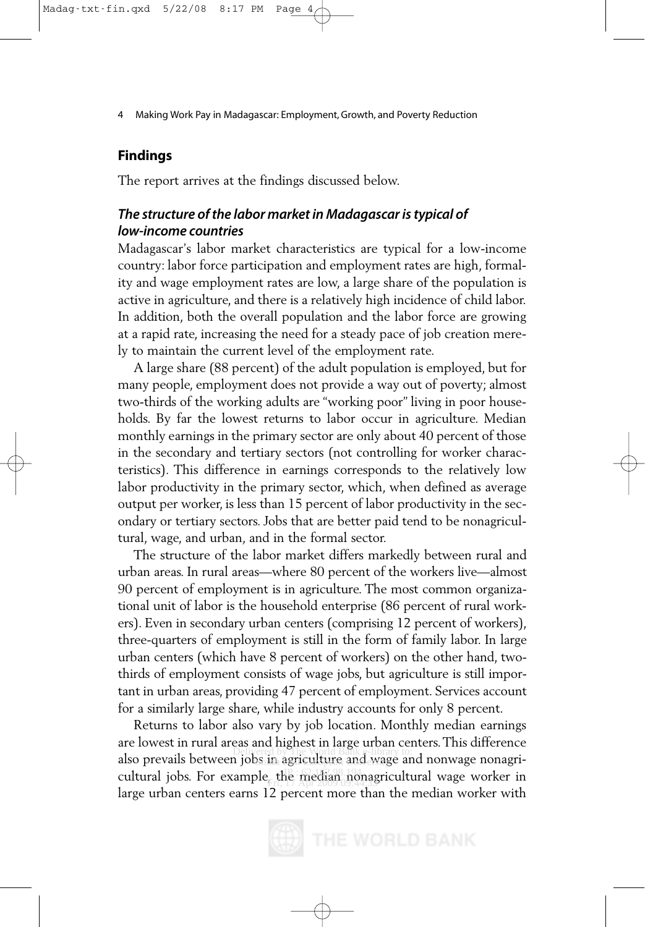#### **Findings**

The report arrives at the findings discussed below.

#### **The structure of the labor market in Madagascar is typical of low-income countries**

Madagascar's labor market characteristics are typical for a low-income country: labor force participation and employment rates are high, formality and wage employment rates are low, a large share of the population is active in agriculture, and there is a relatively high incidence of child labor. In addition, both the overall population and the labor force are growing at a rapid rate, increasing the need for a steady pace of job creation merely to maintain the current level of the employment rate.

A large share (88 percent) of the adult population is employed, but for many people, employment does not provide a way out of poverty; almost two-thirds of the working adults are "working poor" living in poor households. By far the lowest returns to labor occur in agriculture. Median monthly earnings in the primary sector are only about 40 percent of those in the secondary and tertiary sectors (not controlling for worker characteristics). This difference in earnings corresponds to the relatively low labor productivity in the primary sector, which, when defined as average output per worker, is less than 15 percent of labor productivity in the secondary or tertiary sectors. Jobs that are better paid tend to be nonagricultural, wage, and urban, and in the formal sector.

The structure of the labor market differs markedly between rural and urban areas. In rural areas—where 80 percent of the workers live—almost 90 percent of employment is in agriculture. The most common organizational unit of labor is the household enterprise (86 percent of rural workers). Even in secondary urban centers (comprising 12 percent of workers), three-quarters of employment is still in the form of family labor. In large urban centers (which have 8 percent of workers) on the other hand, twothirds of employment consists of wage jobs, but agriculture is still important in urban areas, providing 47 percent of employment. Services account for a similarly large share, while industry accounts for only 8 percent.

Returns to labor also vary by job location. Monthly median earnings are lowest in rural areas and highest in large urban centers.This difference **also prevails between jobs in agriculture and wage and nonwage nonagri-**<br>also prevails between jobs in agriculture and wage and nonwage nonagricultural jobs. For example, the median nonagricultural wage worker in large urban centers earns 12 percent more than the median worker with ps in agriculture and wag Fri, 17 Apr 2009 09:44:33

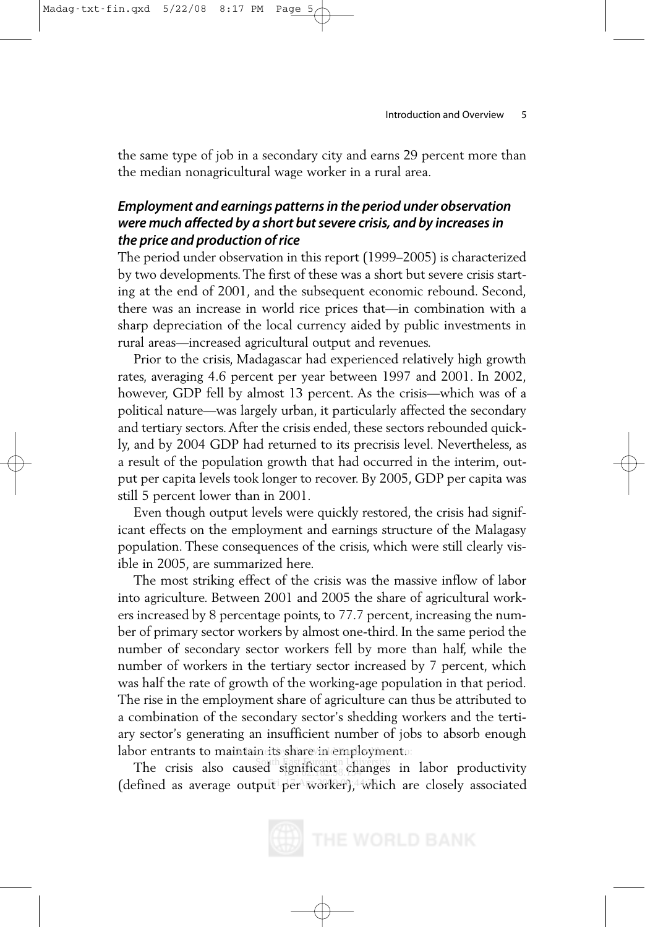the same type of job in a secondary city and earns 29 percent more than the median nonagricultural wage worker in a rural area.

#### **Employment and earnings patterns in the period under observation were much affected by a short but severe crisis, and by increases in the price and production of rice**

The period under observation in this report (1999–2005) is characterized by two developments. The first of these was a short but severe crisis starting at the end of 2001, and the subsequent economic rebound. Second, there was an increase in world rice prices that—in combination with a sharp depreciation of the local currency aided by public investments in rural areas—increased agricultural output and revenues.

Prior to the crisis, Madagascar had experienced relatively high growth rates, averaging 4.6 percent per year between 1997 and 2001. In 2002, however, GDP fell by almost 13 percent. As the crisis—which was of a political nature—was largely urban, it particularly affected the secondary and tertiary sectors.After the crisis ended, these sectors rebounded quickly, and by 2004 GDP had returned to its precrisis level. Nevertheless, as a result of the population growth that had occurred in the interim, output per capita levels took longer to recover. By 2005, GDP per capita was still 5 percent lower than in 2001.

Even though output levels were quickly restored, the crisis had significant effects on the employment and earnings structure of the Malagasy population. These consequences of the crisis, which were still clearly visible in 2005, are summarized here.

The most striking effect of the crisis was the massive inflow of labor into agriculture. Between 2001 and 2005 the share of agricultural workers increased by 8 percentage points, to 77.7 percent, increasing the number of primary sector workers by almost one-third. In the same period the number of secondary sector workers fell by more than half, while the number of workers in the tertiary sector increased by 7 percent, which was half the rate of growth of the working-age population in that period. The rise in the employment share of agriculture can thus be attributed to a combination of the secondary sector's shedding workers and the tertiary sector's generating an insufficient number of jobs to absorb enough labor entrants to maintain its share in employmento:

The crisis also caused significant changes in labor productivity (defined as average output per worker), which are closely associated 18 in 16311, <sup>8</sup> cui

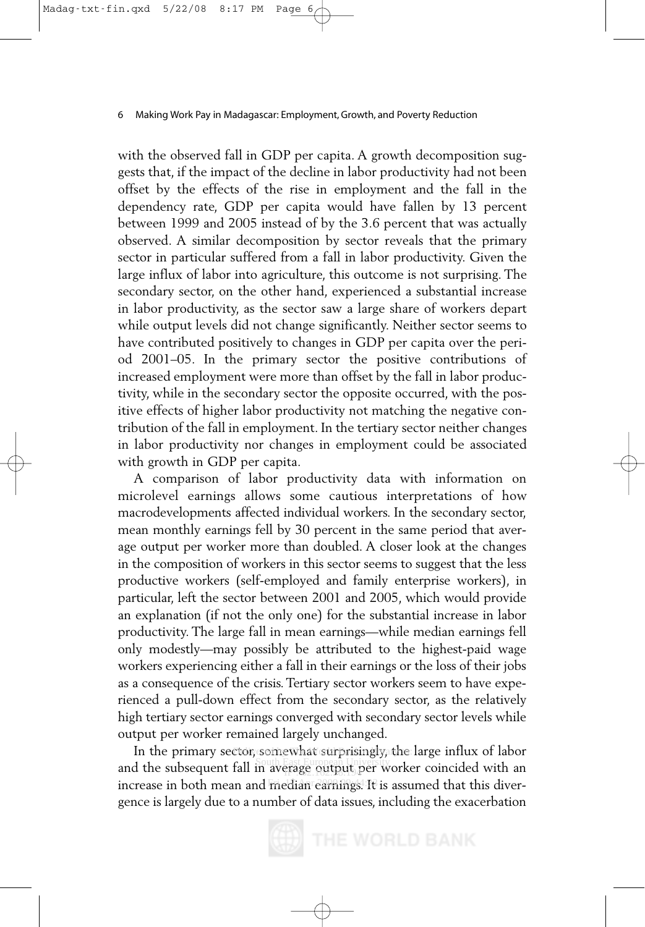with the observed fall in GDP per capita. A growth decomposition suggests that, if the impact of the decline in labor productivity had not been offset by the effects of the rise in employment and the fall in the dependency rate, GDP per capita would have fallen by 13 percent between 1999 and 2005 instead of by the 3.6 percent that was actually observed. A similar decomposition by sector reveals that the primary sector in particular suffered from a fall in labor productivity. Given the large influx of labor into agriculture, this outcome is not surprising. The secondary sector, on the other hand, experienced a substantial increase in labor productivity, as the sector saw a large share of workers depart while output levels did not change significantly. Neither sector seems to have contributed positively to changes in GDP per capita over the period 2001–05. In the primary sector the positive contributions of increased employment were more than offset by the fall in labor productivity, while in the secondary sector the opposite occurred, with the positive effects of higher labor productivity not matching the negative contribution of the fall in employment. In the tertiary sector neither changes in labor productivity nor changes in employment could be associated with growth in GDP per capita.

A comparison of labor productivity data with information on microlevel earnings allows some cautious interpretations of how macrodevelopments affected individual workers. In the secondary sector, mean monthly earnings fell by 30 percent in the same period that average output per worker more than doubled. A closer look at the changes in the composition of workers in this sector seems to suggest that the less productive workers (self-employed and family enterprise workers), in particular, left the sector between 2001 and 2005, which would provide an explanation (if not the only one) for the substantial increase in labor productivity. The large fall in mean earnings—while median earnings fell only modestly—may possibly be attributed to the highest-paid wage workers experiencing either a fall in their earnings or the loss of their jobs as a consequence of the crisis. Tertiary sector workers seem to have experienced a pull-down effect from the secondary sector, as the relatively high tertiary sector earnings converged with secondary sector levels while output per worker remained largely unchanged.

In the primary sector, somewhat surprisingly, the large influx of labor and the subsequent fall in average output per worker coincided with an increase in both mean and median earnings. It is assumed that this divergence is largely due to a number of data issues, including the exacerbation IP : 62.162.98.194

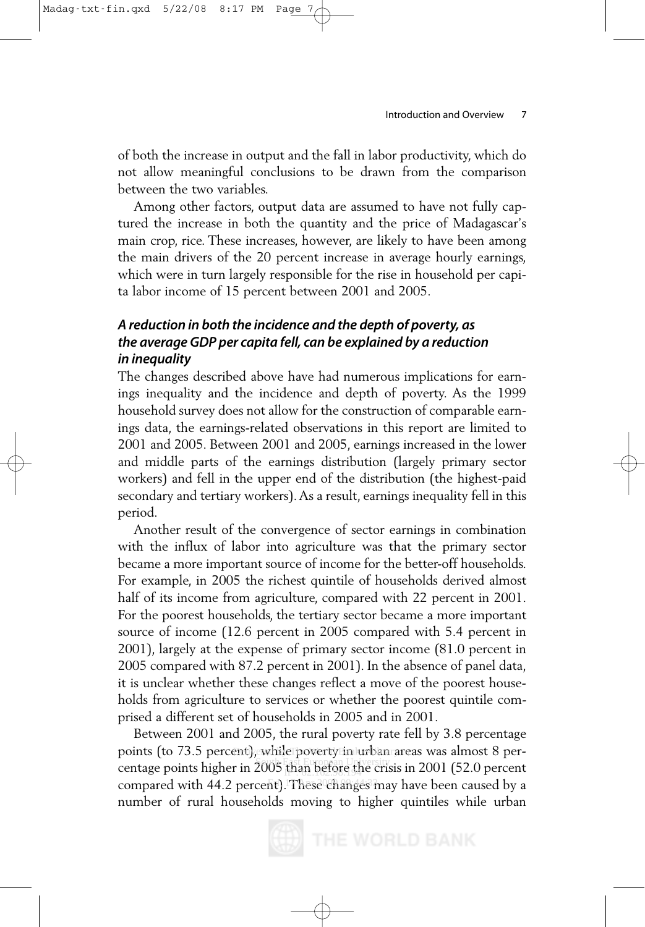of both the increase in output and the fall in labor productivity, which do not allow meaningful conclusions to be drawn from the comparison between the two variables.

Among other factors, output data are assumed to have not fully captured the increase in both the quantity and the price of Madagascar's main crop, rice. These increases, however, are likely to have been among the main drivers of the 20 percent increase in average hourly earnings, which were in turn largely responsible for the rise in household per capita labor income of 15 percent between 2001 and 2005.

### **A reduction in both the incidence and the depth of poverty, as the average GDP per capita fell, can be explained by a reduction in inequality**

The changes described above have had numerous implications for earnings inequality and the incidence and depth of poverty. As the 1999 household survey does not allow for the construction of comparable earnings data, the earnings-related observations in this report are limited to 2001 and 2005. Between 2001 and 2005, earnings increased in the lower and middle parts of the earnings distribution (largely primary sector workers) and fell in the upper end of the distribution (the highest-paid secondary and tertiary workers). As a result, earnings inequality fell in this period.

Another result of the convergence of sector earnings in combination with the influx of labor into agriculture was that the primary sector became a more important source of income for the better-off households. For example, in 2005 the richest quintile of households derived almost half of its income from agriculture, compared with 22 percent in 2001. For the poorest households, the tertiary sector became a more important source of income (12.6 percent in 2005 compared with 5.4 percent in 2001), largely at the expense of primary sector income (81.0 percent in 2005 compared with 87.2 percent in 2001). In the absence of panel data, it is unclear whether these changes reflect a move of the poorest households from agriculture to services or whether the poorest quintile comprised a different set of households in 2005 and in 2001.

Between 2001 and 2005, the rural poverty rate fell by 3.8 percentage points (to 73.5 percent), while poverty in urban areas was almost 8 percentage points higher in 2005 than before the crisis in 2001 (52.0 percent compared with 44.2 percent). These changes may have been caused by a number of rural households moving to higher quintiles while urban IP : 62.162.98.194

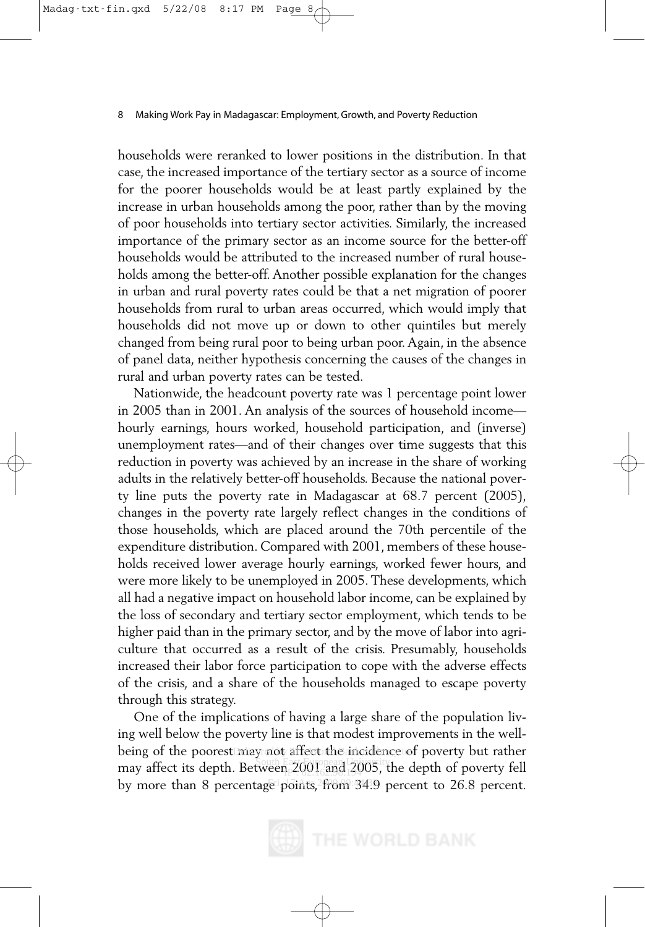households were reranked to lower positions in the distribution. In that case, the increased importance of the tertiary sector as a source of income for the poorer households would be at least partly explained by the increase in urban households among the poor, rather than by the moving of poor households into tertiary sector activities. Similarly, the increased importance of the primary sector as an income source for the better-off households would be attributed to the increased number of rural households among the better-off. Another possible explanation for the changes in urban and rural poverty rates could be that a net migration of poorer households from rural to urban areas occurred, which would imply that households did not move up or down to other quintiles but merely changed from being rural poor to being urban poor. Again, in the absence of panel data, neither hypothesis concerning the causes of the changes in rural and urban poverty rates can be tested.

Nationwide, the headcount poverty rate was 1 percentage point lower in 2005 than in 2001. An analysis of the sources of household income hourly earnings, hours worked, household participation, and (inverse) unemployment rates—and of their changes over time suggests that this reduction in poverty was achieved by an increase in the share of working adults in the relatively better-off households. Because the national poverty line puts the poverty rate in Madagascar at 68.7 percent (2005), changes in the poverty rate largely reflect changes in the conditions of those households, which are placed around the 70th percentile of the expenditure distribution. Compared with 2001, members of these households received lower average hourly earnings, worked fewer hours, and were more likely to be unemployed in 2005. These developments, which all had a negative impact on household labor income, can be explained by the loss of secondary and tertiary sector employment, which tends to be higher paid than in the primary sector, and by the move of labor into agriculture that occurred as a result of the crisis. Presumably, households increased their labor force participation to cope with the adverse effects of the crisis, and a share of the households managed to escape poverty through this strategy.

One of the implications of having a large share of the population living well below the poverty line is that modest improvements in the wellbeing of the poorest may not affect the incidence of poverty but rather may affect its depth. Between 2001 and 2005, the depth of poverty fell by more than 8 percentage points, from 34.9 percent to 26.8 percent.  $1P$  : 92.162.194.164

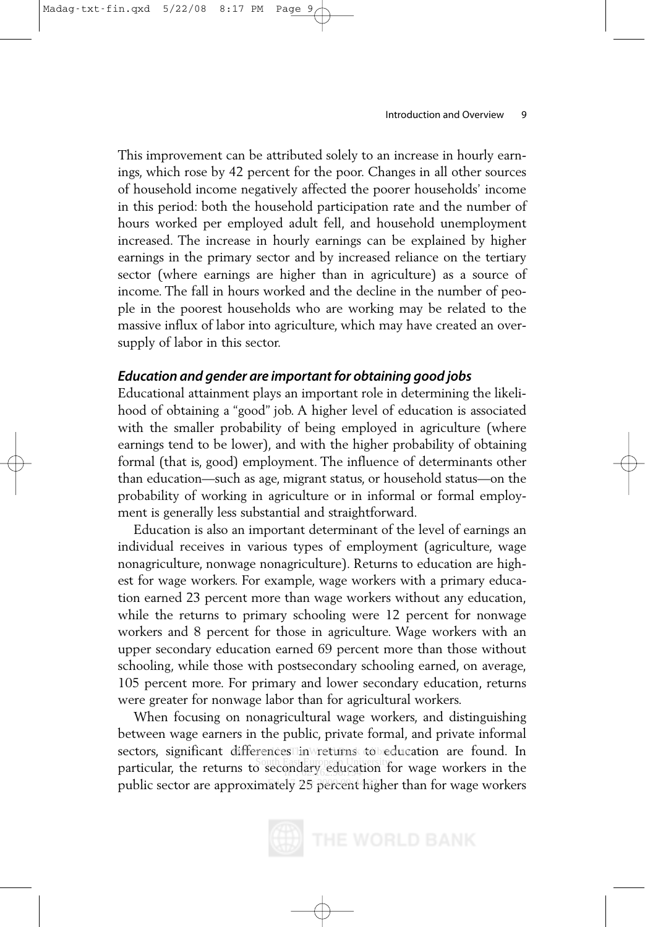This improvement can be attributed solely to an increase in hourly earnings, which rose by 42 percent for the poor. Changes in all other sources of household income negatively affected the poorer households' income in this period: both the household participation rate and the number of hours worked per employed adult fell, and household unemployment increased. The increase in hourly earnings can be explained by higher earnings in the primary sector and by increased reliance on the tertiary sector (where earnings are higher than in agriculture) as a source of income. The fall in hours worked and the decline in the number of people in the poorest households who are working may be related to the massive influx of labor into agriculture, which may have created an oversupply of labor in this sector.

#### **Education and gender are important for obtaining good jobs**

Educational attainment plays an important role in determining the likelihood of obtaining a "good" job. A higher level of education is associated with the smaller probability of being employed in agriculture (where earnings tend to be lower), and with the higher probability of obtaining formal (that is, good) employment. The influence of determinants other than education—such as age, migrant status, or household status—on the probability of working in agriculture or in informal or formal employment is generally less substantial and straightforward.

Education is also an important determinant of the level of earnings an individual receives in various types of employment (agriculture, wage nonagriculture, nonwage nonagriculture). Returns to education are highest for wage workers. For example, wage workers with a primary education earned 23 percent more than wage workers without any education, while the returns to primary schooling were 12 percent for nonwage workers and 8 percent for those in agriculture. Wage workers with an upper secondary education earned 69 percent more than those without schooling, while those with postsecondary schooling earned, on average, 105 percent more. For primary and lower secondary education, returns were greater for nonwage labor than for agricultural workers.

When focusing on nonagricultural wage workers, and distinguishing between wage earners in the public, private formal, and private informal sectors, significant differences in wreturns to beducation are found. In particular, the returns to secondary education for wage workers in the public sector are approximately 25 percent higher than for wage workers  $910a$  y<sub>6</sub> equital

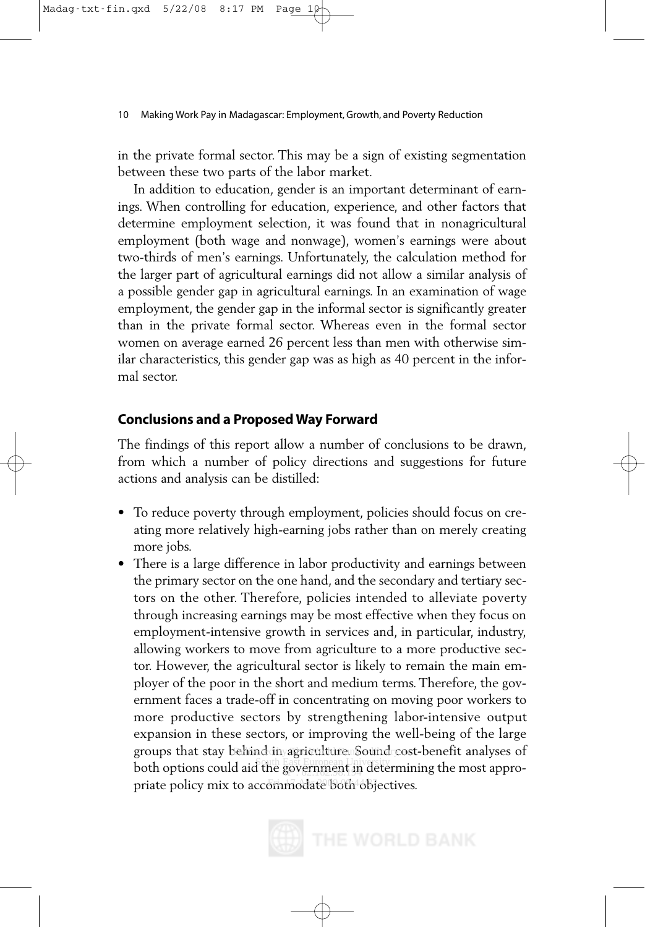in the private formal sector. This may be a sign of existing segmentation between these two parts of the labor market.

In addition to education, gender is an important determinant of earnings. When controlling for education, experience, and other factors that determine employment selection, it was found that in nonagricultural employment (both wage and nonwage), women's earnings were about two-thirds of men's earnings. Unfortunately, the calculation method for the larger part of agricultural earnings did not allow a similar analysis of a possible gender gap in agricultural earnings. In an examination of wage employment, the gender gap in the informal sector is significantly greater than in the private formal sector. Whereas even in the formal sector women on average earned 26 percent less than men with otherwise similar characteristics, this gender gap was as high as 40 percent in the informal sector.

#### **Conclusions and a Proposed Way Forward**

The findings of this report allow a number of conclusions to be drawn, from which a number of policy directions and suggestions for future actions and analysis can be distilled:

- To reduce poverty through employment, policies should focus on creating more relatively high-earning jobs rather than on merely creating more jobs.
- There is a large difference in labor productivity and earnings between the primary sector on the one hand, and the secondary and tertiary sectors on the other. Therefore, policies intended to alleviate poverty through increasing earnings may be most effective when they focus on employment-intensive growth in services and, in particular, industry, allowing workers to move from agriculture to a more productive sector. However, the agricultural sector is likely to remain the main employer of the poor in the short and medium terms. Therefore, the government faces a trade-off in concentrating on moving poor workers to more productive sectors by strengthening labor-intensive output expansion in these sectors, or improving the well-being of the large groups that stay behind in agriculture. Sound cost-benefit analyses of both options could aid the government in determining the most appropriate policy mix to accommodate both objectives. 80vernment ir

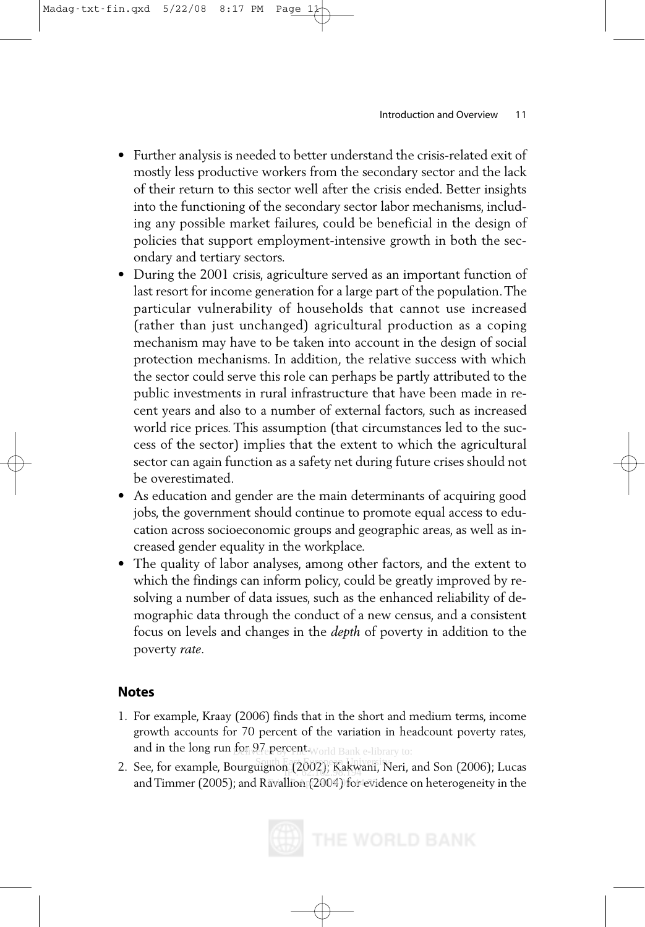- Further analysis is needed to better understand the crisis-related exit of mostly less productive workers from the secondary sector and the lack of their return to this sector well after the crisis ended. Better insights into the functioning of the secondary sector labor mechanisms, including any possible market failures, could be beneficial in the design of policies that support employment-intensive growth in both the secondary and tertiary sectors.
- During the 2001 crisis, agriculture served as an important function of last resort for income generation for a large part of the population.The particular vulnerability of households that cannot use increased (rather than just unchanged) agricultural production as a coping mechanism may have to be taken into account in the design of social protection mechanisms. In addition, the relative success with which the sector could serve this role can perhaps be partly attributed to the public investments in rural infrastructure that have been made in recent years and also to a number of external factors, such as increased world rice prices. This assumption (that circumstances led to the success of the sector) implies that the extent to which the agricultural sector can again function as a safety net during future crises should not be overestimated.
- As education and gender are the main determinants of acquiring good jobs, the government should continue to promote equal access to education across socioeconomic groups and geographic areas, as well as increased gender equality in the workplace.
- The quality of labor analyses, among other factors, and the extent to which the findings can inform policy, could be greatly improved by resolving a number of data issues, such as the enhanced reliability of demographic data through the conduct of a new census, and a consistent focus on levels and changes in the *depth* of poverty in addition to the poverty *rate*.

#### **Notes**

- 1. For example, Kraay (2006) finds that in the short and medium terms, income growth accounts for 70 percent of the variation in headcount poverty rates, and in the long run for  $97$  percent  $_{\rm World\ Bank\ e\-library\ to:}$
- 2. See, for example, Bourguignon (2002); Kakwani, Neri, and Son (2006); Lucas and Timmer (2005); and Ravallion (2004) for evidence on heterogeneity in the IP : 62.162.98.194

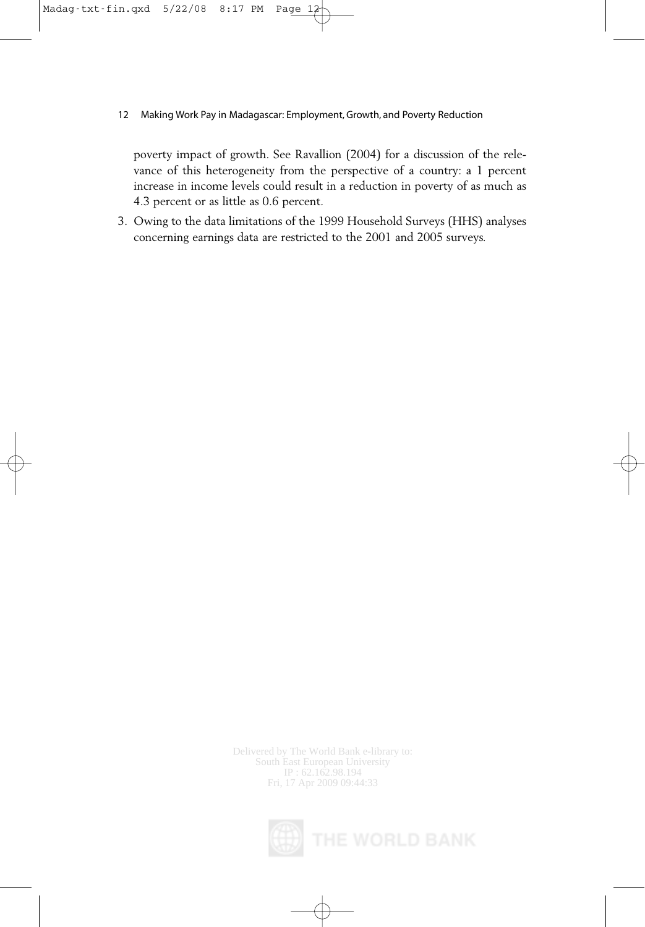poverty impact of growth. See Ravallion (2004) for a discussion of the relevance of this heterogeneity from the perspective of a country: a 1 percent increase in income levels could result in a reduction in poverty of as much as 4.3 percent or as little as 0.6 percent.

3. Owing to the data limitations of the 1999 Household Surveys (HHS) analyses concerning earnings data are restricted to the 2001 and 2005 surveys.

> IP : 62.162.98.194 Fri, 17 Apr 2009 09:44:33

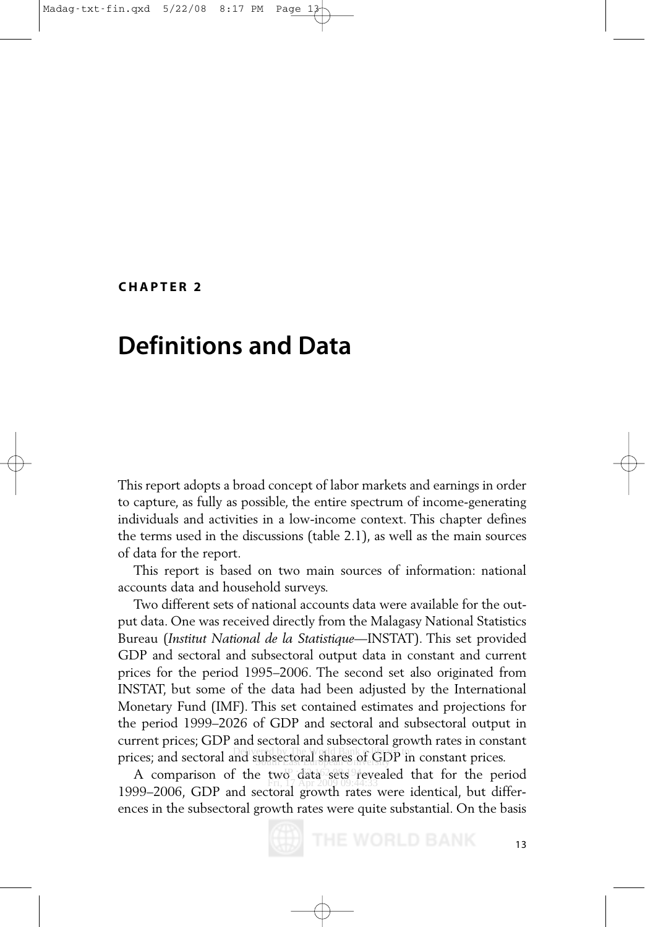#### **CHAPTER 2**

# **Definitions and Data**

This report adopts a broad concept of labor markets and earnings in order to capture, as fully as possible, the entire spectrum of income-generating individuals and activities in a low-income context. This chapter defines the terms used in the discussions (table 2.1), as well as the main sources of data for the report.

This report is based on two main sources of information: national accounts data and household surveys.

Two different sets of national accounts data were available for the output data. One was received directly from the Malagasy National Statistics Bureau (*Institut National de la Statistique*—INSTAT). This set provided GDP and sectoral and subsectoral output data in constant and current prices for the period 1995–2006. The second set also originated from INSTAT, but some of the data had been adjusted by the International Monetary Fund (IMF). This set contained estimates and projections for the period 1999–2026 of GDP and sectoral and subsectoral output in current prices; GDP and sectoral and subsectoral growth rates in constant prices; and sectoral and subsectoral shares of GDP in constant prices.  $\frac{1}{2}$ subsectoral shares of  $U_1$ 

A comparison of the two data sets revealed that for the period 1999–2006, GDP and sectoral growth rates were identical, but differences in the subsectoral growth rates were quite substantial. On the basis

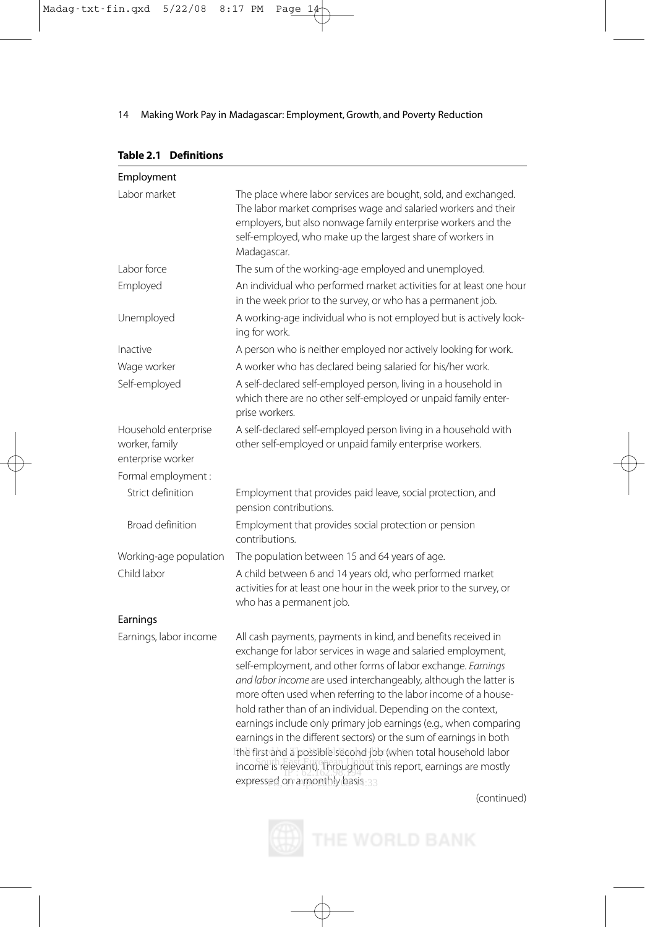#### Employment Labor market The place where labor services are bought, sold, and exchanged. The labor market comprises wage and salaried workers and their employers, but also nonwage family enterprise workers and the self-employed, who make up the largest share of workers in Madagascar. Labor force The sum of the working-age employed and unemployed. Employed An individual who performed market activities for at least one hour in the week prior to the survey, or who has a permanent job. Unemployed A working-age individual who is not employed but is actively looking for work. Inactive A person who is neither employed nor actively looking for work. Wage worker A worker who has declared being salaried for his/her work. Self-employed A self-declared self-employed person, living in a household in which there are no other self-employed or unpaid family enterprise workers. Household enterprise A self-declared self-employed person living in a household with worker, family other self-employed or unpaid family enterprise workers. enterprise worker Formal employment : Strict definition Employment that provides paid leave, social protection, and pension contributions. Broad definition Employment that provides social protection or pension contributions. Working-age population The population between 15 and 64 years of age. Child labor **A** child between 6 and 14 years old, who performed market activities for at least one hour in the week prior to the survey, or who has a permanent job. Earnings Earnings, labor income All cash payments, payments in kind, and benefits received in exchange for labor services in wage and salaried employment, self-employment, and other forms of labor exchange. Earnings and labor income are used interchangeably, although the latter is more often used when referring to the labor income of a household rather than of an individual. Depending on the context, earnings include only primary job earnings (e.g., when comparing earnings in the different sectors) or the sum of earnings in both Ithe first and a possible second job (when total household labor income is relevant). Throughout this report, earnings are mostly

#### **Table 2.1 Definitions**





meome is recevant). *I*n bagnet

 $\mathsf{Fed}$  on a monthly basis  $_{133}$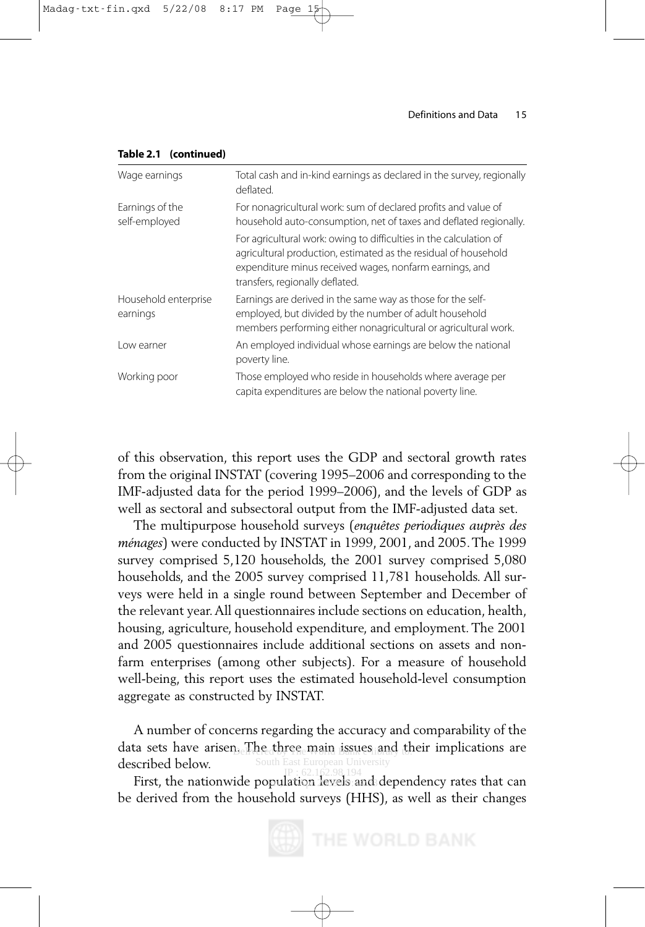|  | Table 2.1 (continued) |
|--|-----------------------|
|--|-----------------------|

| Wage earnings                    | Total cash and in-kind earnings as declared in the survey, regionally<br>deflated.                                                                                                                                                  |
|----------------------------------|-------------------------------------------------------------------------------------------------------------------------------------------------------------------------------------------------------------------------------------|
| Earnings of the<br>self-employed | For nonagricultural work: sum of declared profits and value of<br>household auto-consumption, net of taxes and deflated regionally.                                                                                                 |
|                                  | For agricultural work: owing to difficulties in the calculation of<br>agricultural production, estimated as the residual of household<br>expenditure minus received wages, nonfarm earnings, and<br>transfers, regionally deflated. |
| Household enterprise<br>earnings | Earnings are derived in the same way as those for the self-<br>employed, but divided by the number of adult household<br>members performing either nonagricultural or agricultural work.                                            |
| Low earner                       | An employed individual whose earnings are below the national<br>poverty line.                                                                                                                                                       |
| Working poor                     | Those employed who reside in households where average per<br>capita expenditures are below the national poverty line.                                                                                                               |

of this observation, this report uses the GDP and sectoral growth rates from the original INSTAT (covering 1995–2006 and corresponding to the IMF-adjusted data for the period 1999–2006), and the levels of GDP as well as sectoral and subsectoral output from the IMF-adjusted data set.

The multipurpose household surveys (*enquêtes periodiques auprès des ménages*) were conducted by INSTAT in 1999, 2001, and 2005.The 1999 survey comprised 5,120 households, the 2001 survey comprised 5,080 households, and the 2005 survey comprised 11,781 households. All surveys were held in a single round between September and December of the relevant year.All questionnaires include sections on education, health, housing, agriculture, household expenditure, and employment. The 2001 and 2005 questionnaires include additional sections on assets and nonfarm enterprises (among other subjects). For a measure of household well-being, this report uses the estimated household-level consumption aggregate as constructed by INSTAT.

A number of concerns regarding the accuracy and comparability of the data sets have arisen. The three main issues and their implications are described below.

First, the nationwide population levels and dependency rates that can IP : 62.162.98.194 be derived from the household surveys (HHS), as well as their changes pulation levels and

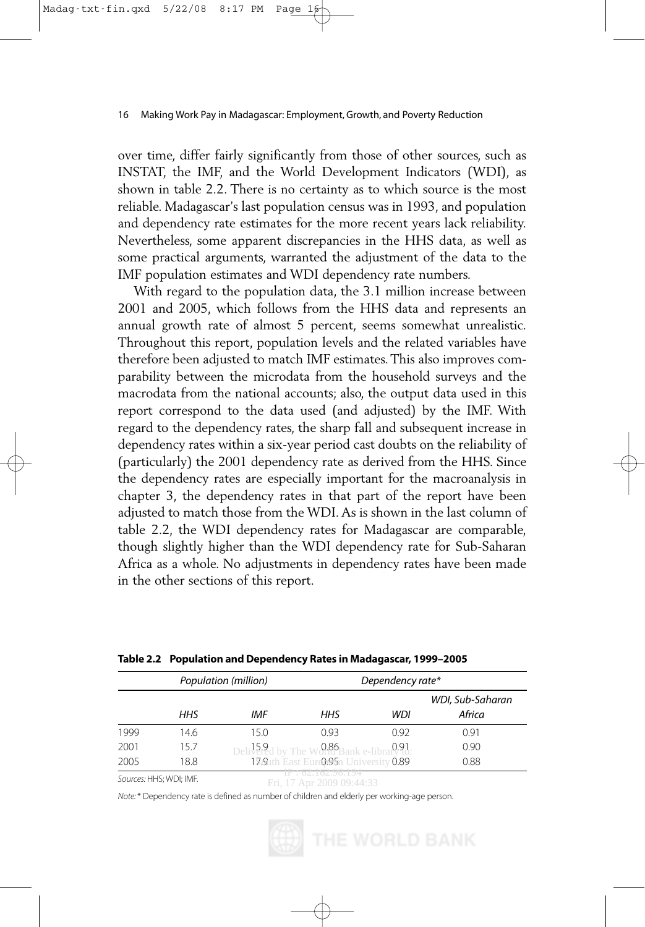over time, differ fairly significantly from those of other sources, such as INSTAT, the IMF, and the World Development Indicators (WDI), as shown in table 2.2. There is no certainty as to which source is the most reliable. Madagascar's last population census was in 1993, and population and dependency rate estimates for the more recent years lack reliability. Nevertheless, some apparent discrepancies in the HHS data, as well as some practical arguments, warranted the adjustment of the data to the IMF population estimates and WDI dependency rate numbers.

With regard to the population data, the 3.1 million increase between 2001 and 2005, which follows from the HHS data and represents an annual growth rate of almost 5 percent, seems somewhat unrealistic. Throughout this report, population levels and the related variables have therefore been adjusted to match IMF estimates.This also improves comparability between the microdata from the household surveys and the macrodata from the national accounts; also, the output data used in this report correspond to the data used (and adjusted) by the IMF. With regard to the dependency rates, the sharp fall and subsequent increase in dependency rates within a six-year period cast doubts on the reliability of (particularly) the 2001 dependency rate as derived from the HHS. Since the dependency rates are especially important for the macroanalysis in chapter 3, the dependency rates in that part of the report have been adjusted to match those from the WDI. As is shown in the last column of table 2.2, the WDI dependency rates for Madagascar are comparable, though slightly higher than the WDI dependency rate for Sub-Saharan Africa as a whole. No adjustments in dependency rates have been made in the other sections of this report.

|      | Population (million) |            | Dependency rate*                         |      |                            |
|------|----------------------|------------|------------------------------------------|------|----------------------------|
|      | <b>HHS</b>           | <b>IMF</b> | <b>HHS</b>                               | WDI  | WDI, Sub-Saharan<br>Africa |
| 1999 | 14.6                 | 15.0       | 0.93                                     | 0.92 | 0.91                       |
| 2001 | 15.7                 |            | Delivered by The World Bank e-library 0. |      | 0.90                       |
| 2005 | 18.8                 |            | 17.9uth East Euro 0.95n University 0.89  |      | 0.88                       |
|      |                      |            | IP: 62.162.98.194                        |      |                            |

**Table 2.2 Population and Dependency Rates in Madagascar, 1999–2005**

Sources: HHS; WDI; IMF.

Note:\* Dependency rate is defined as number of children and elderly per working-age person.

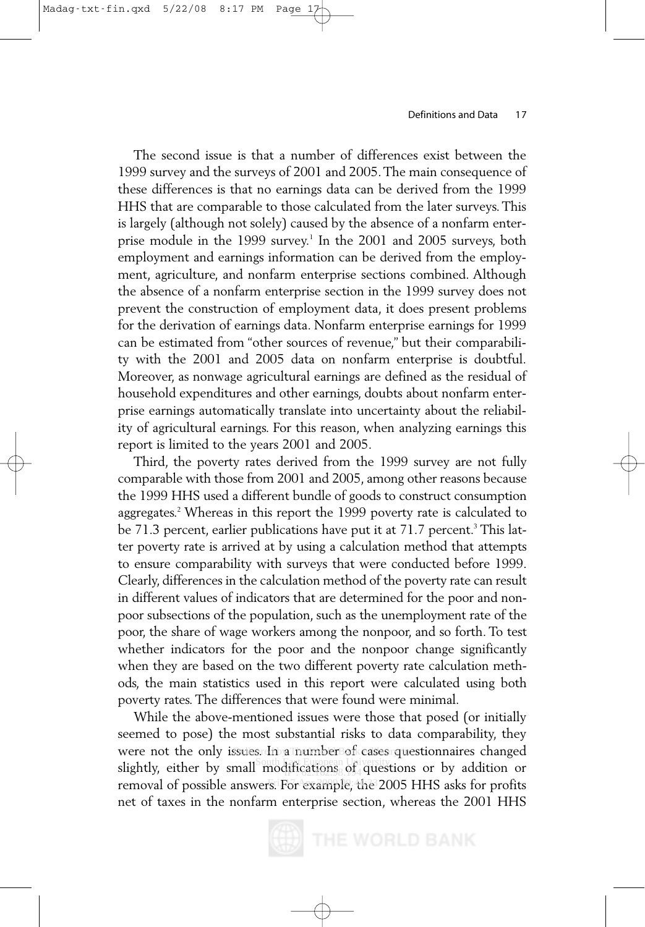The second issue is that a number of differences exist between the 1999 survey and the surveys of 2001 and 2005. The main consequence of these differences is that no earnings data can be derived from the 1999 HHS that are comparable to those calculated from the later surveys. This is largely (although not solely) caused by the absence of a nonfarm enterprise module in the 1999 survey.<sup>1</sup> In the 2001 and 2005 surveys, both employment and earnings information can be derived from the employment, agriculture, and nonfarm enterprise sections combined. Although the absence of a nonfarm enterprise section in the 1999 survey does not prevent the construction of employment data, it does present problems for the derivation of earnings data. Nonfarm enterprise earnings for 1999 can be estimated from "other sources of revenue," but their comparability with the 2001 and 2005 data on nonfarm enterprise is doubtful. Moreover, as nonwage agricultural earnings are defined as the residual of household expenditures and other earnings, doubts about nonfarm enterprise earnings automatically translate into uncertainty about the reliability of agricultural earnings. For this reason, when analyzing earnings this report is limited to the years 2001 and 2005.

Third, the poverty rates derived from the 1999 survey are not fully comparable with those from 2001 and 2005, among other reasons because the 1999 HHS used a different bundle of goods to construct consumption aggregates.<sup>2</sup> Whereas in this report the 1999 poverty rate is calculated to be 71.3 percent, earlier publications have put it at 71.7 percent.<sup>3</sup> This latter poverty rate is arrived at by using a calculation method that attempts to ensure comparability with surveys that were conducted before 1999. Clearly, differences in the calculation method of the poverty rate can result in different values of indicators that are determined for the poor and nonpoor subsections of the population, such as the unemployment rate of the poor, the share of wage workers among the nonpoor, and so forth. To test whether indicators for the poor and the nonpoor change significantly when they are based on the two different poverty rate calculation methods, the main statistics used in this report were calculated using both poverty rates. The differences that were found were minimal.

While the above-mentioned issues were those that posed (or initially seemed to pose) the most substantial risks to data comparability, they were not the only issues. In a mumber of cases questionnaires changed slightly, either by small modifications of questions or by addition or removal of possible answers. For example, the 2005 HHS asks for profits net of taxes in the nonfarm enterprise section, whereas the 2001 HHS IP : 62.162.98.194

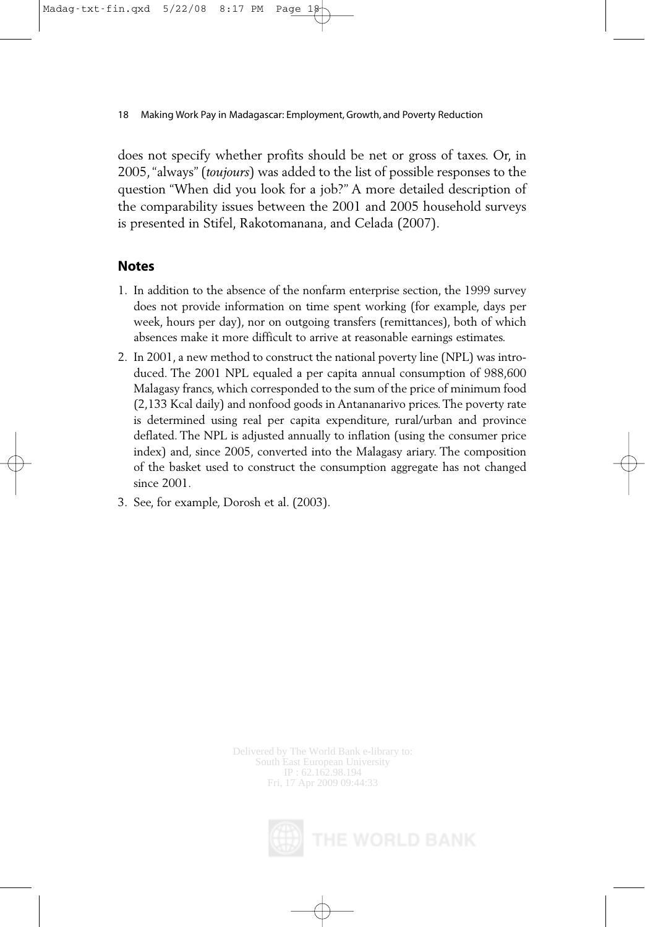does not specify whether profits should be net or gross of taxes. Or, in 2005, "always" (*toujours*) was added to the list of possible responses to the question "When did you look for a job?" A more detailed description of the comparability issues between the 2001 and 2005 household surveys is presented in Stifel, Rakotomanana, and Celada (2007).

#### **Notes**

- 1. In addition to the absence of the nonfarm enterprise section, the 1999 survey does not provide information on time spent working (for example, days per week, hours per day), nor on outgoing transfers (remittances), both of which absences make it more difficult to arrive at reasonable earnings estimates.
- 2. In 2001, a new method to construct the national poverty line (NPL) was introduced. The 2001 NPL equaled a per capita annual consumption of 988,600 Malagasy francs, which corresponded to the sum of the price of minimum food (2,133 Kcal daily) and nonfood goods in Antananarivo prices. The poverty rate is determined using real per capita expenditure, rural/urban and province deflated. The NPL is adjusted annually to inflation (using the consumer price index) and, since 2005, converted into the Malagasy ariary. The composition of the basket used to construct the consumption aggregate has not changed since 2001.
- 3. See, for example, Dorosh et al. (2003).

IP : 62.162.98.194 Fri, 17 Apr 2009 09:44:33

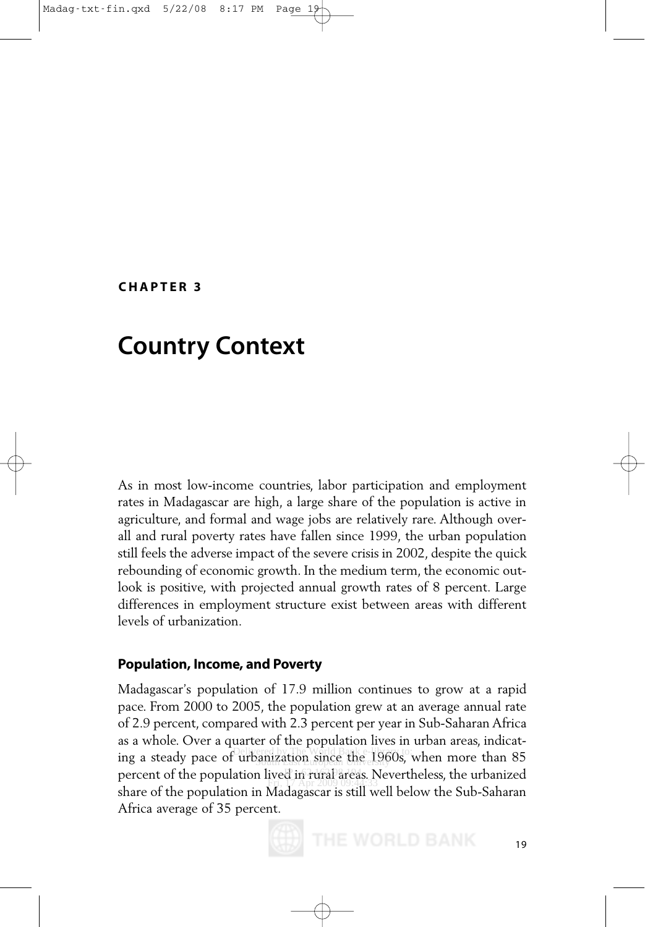#### **CHAPTER 3**

# **Country Context**

As in most low-income countries, labor participation and employment rates in Madagascar are high, a large share of the population is active in agriculture, and formal and wage jobs are relatively rare. Although overall and rural poverty rates have fallen since 1999, the urban population still feels the adverse impact of the severe crisis in 2002, despite the quick rebounding of economic growth. In the medium term, the economic outlook is positive, with projected annual growth rates of 8 percent. Large differences in employment structure exist between areas with different levels of urbanization.

#### **Population, Income, and Poverty**

Madagascar's population of 17.9 million continues to grow at a rapid pace. From 2000 to 2005, the population grew at an average annual rate of 2.9 percent, compared with 2.3 percent per year in Sub-Saharan Africa as a whole. Over a quarter of the population lives in urban areas, indicating a steady pace of urbanization since the 1960s, when more than 85 percent of the population lived in rural areas. Nevertheless, the urbanized parameter and propulation in Madagascar is still well below the Sub-Saharan share of the population in Madagascar is still well below the Sub-Saharan Africa average of 35 percent. vanization since the <sub>e</sub>rst

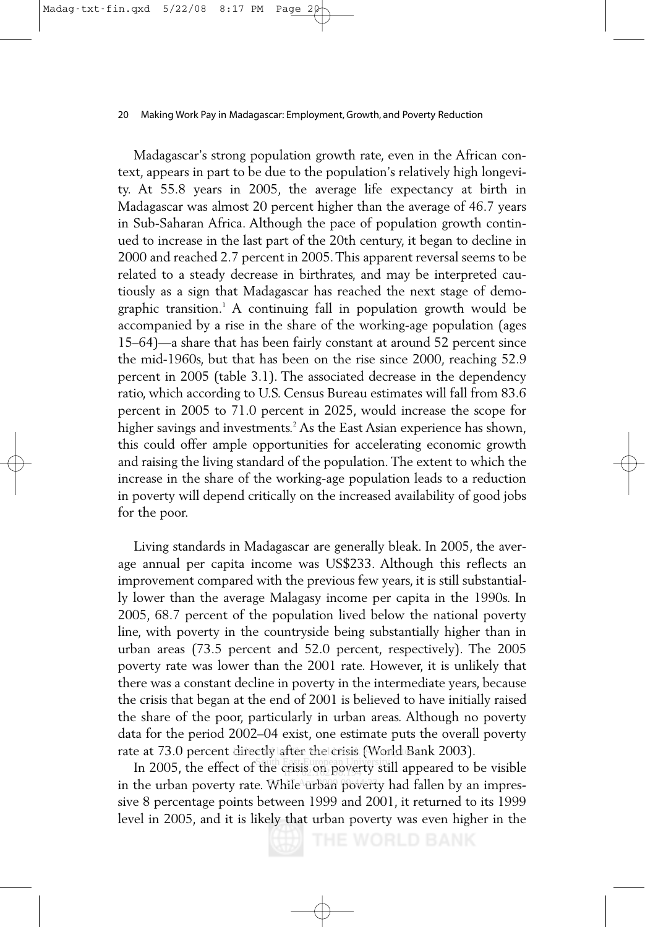Madagascar's strong population growth rate, even in the African context, appears in part to be due to the population's relatively high longevity. At 55.8 years in 2005, the average life expectancy at birth in Madagascar was almost 20 percent higher than the average of 46.7 years in Sub-Saharan Africa. Although the pace of population growth continued to increase in the last part of the 20th century, it began to decline in 2000 and reached 2.7 percent in 2005.This apparent reversal seems to be related to a steady decrease in birthrates, and may be interpreted cautiously as a sign that Madagascar has reached the next stage of demographic transition.<sup>1</sup> A continuing fall in population growth would be accompanied by a rise in the share of the working-age population (ages 15–64)—a share that has been fairly constant at around 52 percent since the mid-1960s, but that has been on the rise since 2000, reaching 52.9 percent in 2005 (table 3.1). The associated decrease in the dependency ratio, which according to U.S. Census Bureau estimates will fall from 83.6 percent in 2005 to 71.0 percent in 2025, would increase the scope for higher savings and investments.<sup>2</sup> As the East Asian experience has shown, this could offer ample opportunities for accelerating economic growth and raising the living standard of the population.The extent to which the increase in the share of the working-age population leads to a reduction in poverty will depend critically on the increased availability of good jobs for the poor.

Living standards in Madagascar are generally bleak. In 2005, the average annual per capita income was US\$233. Although this reflects an improvement compared with the previous few years, it is still substantially lower than the average Malagasy income per capita in the 1990s. In 2005, 68.7 percent of the population lived below the national poverty line, with poverty in the countryside being substantially higher than in urban areas (73.5 percent and 52.0 percent, respectively). The 2005 poverty rate was lower than the 2001 rate. However, it is unlikely that there was a constant decline in poverty in the intermediate years, because the crisis that began at the end of 2001 is believed to have initially raised the share of the poor, particularly in urban areas. Although no poverty data for the period 2002–04 exist, one estimate puts the overall poverty rate at 73.0 percent directly।after the crisis (World Bank 2003).

In 2005, the effect of the crisis on poverty still appeared to be visible in the urban poverty rate. While urban poverty had fallen by an impressive 8 percentage points between 1999 and 2001, it returned to its 1999 level in 2005, and it is likely that urban poverty was even higher in the IP : 62.162.98.194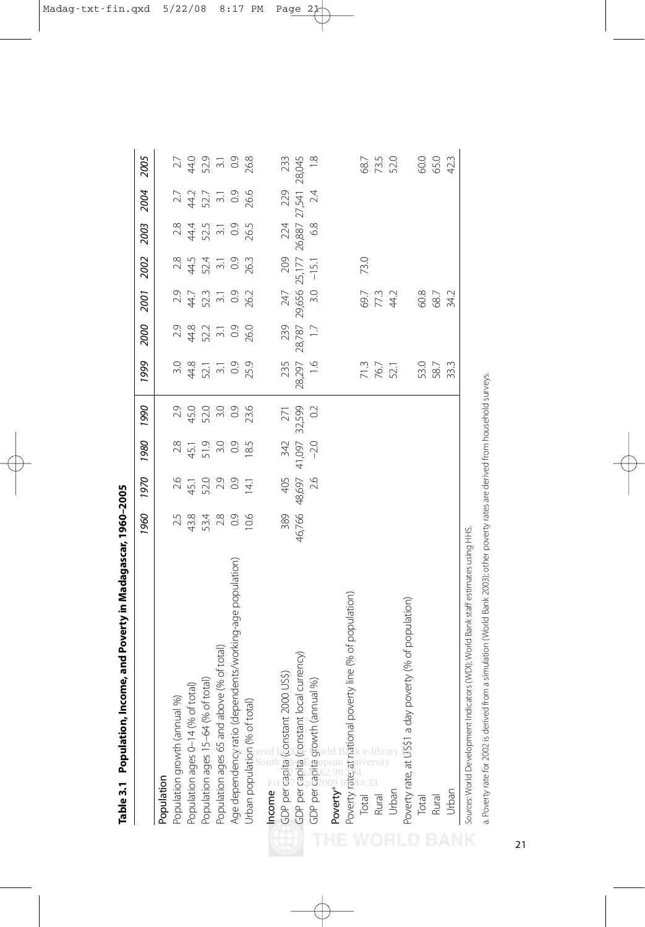|                                                          | 1960           | 1970            | 1980   | 1990           | 1999           | 2000                                      | 2001                     | 2002             | 2003                     | 2004                      | 2005             |
|----------------------------------------------------------|----------------|-----------------|--------|----------------|----------------|-------------------------------------------|--------------------------|------------------|--------------------------|---------------------------|------------------|
| Population                                               |                |                 |        |                |                |                                           |                          |                  |                          |                           |                  |
| Population growth (annual %)                             |                | 2.6             | 2.8    | 2.9            | 3.0            | 2.9                                       | 2.9                      |                  | 2.8                      | 2.7                       |                  |
| Population ages 0-14 (% of total)                        | 43.8           | 45.1            | 45.1   | 45.0           | 44.8           | 44.8                                      | $44.7$                   | 44.5             | 44.4                     | 44.2                      |                  |
| Population ages 15-64 (% of total)                       | 53.4           | 52.0            | 51.9   | 52.0           | 52.1           | 52.2                                      | 52.3                     | 52.4             | 52.5                     | 52.7                      | 44.0<br>52.9     |
| Population ages 65 and above (% of total)                | 2.8            | 2.9             | 3.0    | 3.0            |                |                                           | $\overline{\mathcal{Z}}$ | $\overline{3.1}$ | $\overline{\mathcal{S}}$ | $\overline{\mathfrak{D}}$ | $\overline{3}$ . |
| Age dependency ratio (dependents/working-age population) | $\overline{O}$ | $\overline{0}$  | 0.9    | $\overline{0}$ | $3.1$<br>0.9   | $\frac{1}{2}$ . 0.9                       | $\overline{O}$           | $\frac{0}{2}$    | 0.9                      | $\overline{O}$            | $\overline{0}$ . |
| Urban population (% of total)                            | 10.6           | $\frac{141}{1}$ | 18.5   | 23.6           | 25.9           | 26.0                                      | 26.2                     | 26.3             | 26.5                     | 26.6                      | 26.8             |
| Income H                                                 |                |                 |        |                |                |                                           |                          |                  |                          |                           |                  |
| GDP per capita (constant 2000 US\$)                      | 389            | 405             | 342    | 271            | 235            | 239                                       | 247                      | 209              | 224                      | 229                       | 233              |
| GDP per capita (constant local currency)                 |                | 46,766 48,697   | 41,097 | 32,599         | 28,297         | 28,787 29,656 25,177 26,887 27,541 28,045 |                          |                  |                          |                           |                  |
| GDP per capita growth (annual %)                         |                | 2.6             | $-2.0$ | $\approx$      | $\frac{6}{10}$ | $\overline{1}$ .                          | 3.0                      | $-15.1$          | 6.8                      | 2.4                       | $\frac{8}{18}$   |
| Poverty <sup>a</sup>                                     |                |                 |        |                |                |                                           |                          |                  |                          |                           |                  |
| Poverty rate, at national poverty line (% of population) |                |                 |        |                |                |                                           |                          |                  |                          |                           |                  |
| Total                                                    |                |                 |        |                | 71.3           |                                           | 69.7                     | 73.0             |                          |                           | 68.7             |
| Rural                                                    |                |                 |        |                | 76.7           |                                           | 77.3                     |                  |                          |                           | 73.5             |
| Urban                                                    |                |                 |        |                | 52.1           |                                           | 44.2                     |                  |                          |                           | 52.0             |
| Poverty rate, at US\$1 a day poverty (% of population)   |                |                 |        |                |                |                                           |                          |                  |                          |                           |                  |
| Total                                                    |                |                 |        |                | 53.0           |                                           | 60.8                     |                  |                          |                           | 60.0             |
| Rural                                                    |                |                 |        |                | 58.7           |                                           | 68.7                     |                  |                          |                           | 65.0             |
| Urban                                                    |                |                 |        |                | 33.3           |                                           | 34.2                     |                  |                          |                           | 42.3             |
|                                                          |                |                 |        |                |                |                                           |                          |                  |                          |                           |                  |

Table 3.1 Population, Income, and Poverty in Madagascar, 1960-2005 **Table 3.1 Population, Income, and Poverty in Madagascar, 1960–2005**

Sources: World Development Indicators (WDI); World Bank staff estimates using HHS.

a. Poverty rate for 2002 is derived from a simulation (World Bank 2003); other poverty rates are derived from household surveys. a. Poverty rate for 2002 is derived from a simulation (World Bank 2003); other poverty rates are derived from household surveys.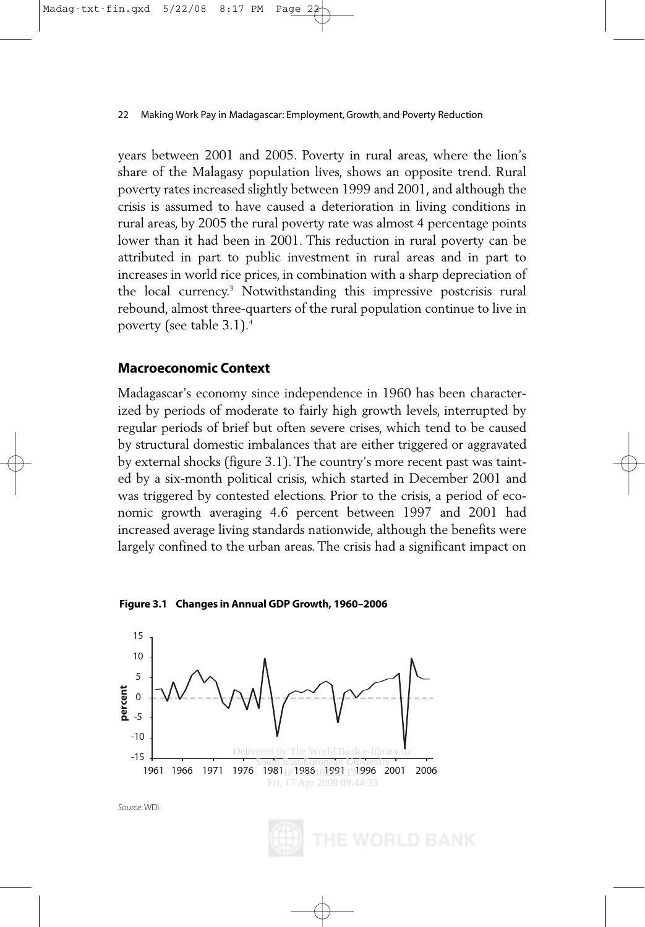years between 2001 and 2005. Poverty in rural areas, where the lion's share of the Malagasy population lives, shows an opposite trend. Rural poverty rates increased slightly between 1999 and 2001, and although the crisis is assumed to have caused a deterioration in living conditions in rural areas, by 2005 the rural poverty rate was almost 4 percentage points lower than it had been in 2001. This reduction in rural poverty can be attributed in part to public investment in rural areas and in part to increases in world rice prices, in combination with a sharp depreciation of the local currency.3 Notwithstanding this impressive postcrisis rural rebound, almost three-quarters of the rural population continue to live in poverty (see table 3.1).4

#### **Macroeconomic Context**

Madagascar's economy since independence in 1960 has been characterized by periods of moderate to fairly high growth levels, interrupted by regular periods of brief but often severe crises, which tend to be caused by structural domestic imbalances that are either triggered or aggravated by external shocks (figure 3.1).The country's more recent past was tainted by a six-month political crisis, which started in December 2001 and was triggered by contested elections. Prior to the crisis, a period of economic growth averaging 4.6 percent between 1997 and 2001 had increased average living standards nationwide, although the benefits were largely confined to the urban areas. The crisis had a significant impact on



**Figure 3.1 Changes in Annual GDP Growth, 1960–2006**

Source: WDI.

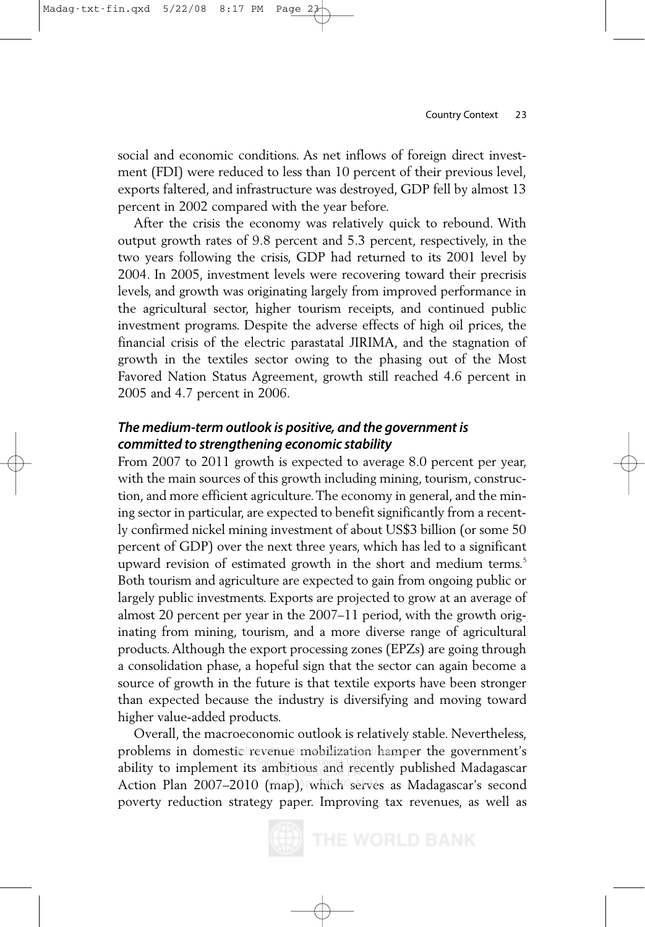social and economic conditions. As net inflows of foreign direct investment (FDI) were reduced to less than 10 percent of their previous level, exports faltered, and infrastructure was destroyed, GDP fell by almost 13 percent in 2002 compared with the year before.

After the crisis the economy was relatively quick to rebound. With output growth rates of 9.8 percent and 5.3 percent, respectively, in the two years following the crisis, GDP had returned to its 2001 level by 2004. In 2005, investment levels were recovering toward their precrisis levels, and growth was originating largely from improved performance in the agricultural sector, higher tourism receipts, and continued public investment programs. Despite the adverse effects of high oil prices, the financial crisis of the electric parastatal JIRIMA, and the stagnation of growth in the textiles sector owing to the phasing out of the Most Favored Nation Status Agreement, growth still reached 4.6 percent in 2005 and 4.7 percent in 2006.

# **The medium-term outlook is positive, and the government is committed to strengthening economic stability**

From 2007 to 2011 growth is expected to average 8.0 percent per year, with the main sources of this growth including mining, tourism, construction, and more efficient agriculture.The economy in general, and the mining sector in particular, are expected to benefit significantly from a recently confirmed nickel mining investment of about US\$3 billion (or some 50 percent of GDP) over the next three years, which has led to a significant upward revision of estimated growth in the short and medium terms.<sup>5</sup> Both tourism and agriculture are expected to gain from ongoing public or largely public investments. Exports are projected to grow at an average of almost 20 percent per year in the 2007–11 period, with the growth originating from mining, tourism, and a more diverse range of agricultural products.Although the export processing zones (EPZs) are going through a consolidation phase, a hopeful sign that the sector can again become a source of growth in the future is that textile exports have been stronger than expected because the industry is diversifying and moving toward higher value-added products.

Overall, the macroeconomic outlook is relatively stable. Nevertheless, problems in domestic revenue mobilization hamper the government's ability to implement its ambitious and recently published Madagascar Action Plan 2007–2010 (map), which serves as Madagascar's second poverty reduction strategy paper. Improving tax revenues, as well as  $\mu$   $\mu$  ous and  $\mu$ 

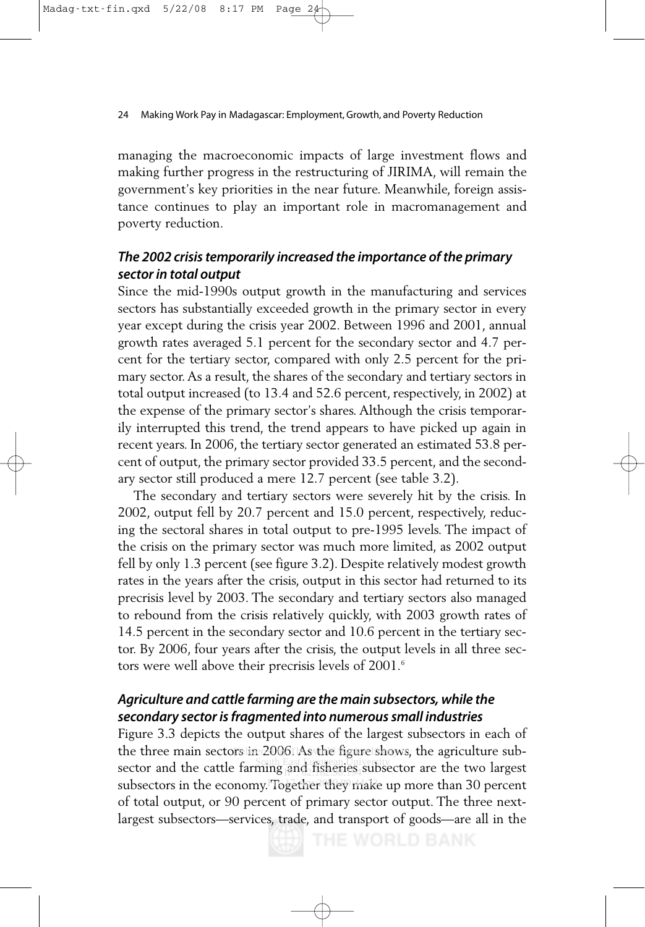managing the macroeconomic impacts of large investment flows and making further progress in the restructuring of JIRIMA, will remain the government's key priorities in the near future. Meanwhile, foreign assistance continues to play an important role in macromanagement and poverty reduction.

# **The 2002 crisis temporarily increased the importance of the primary sector in total output**

Since the mid-1990s output growth in the manufacturing and services sectors has substantially exceeded growth in the primary sector in every year except during the crisis year 2002. Between 1996 and 2001, annual growth rates averaged 5.1 percent for the secondary sector and 4.7 percent for the tertiary sector, compared with only 2.5 percent for the primary sector. As a result, the shares of the secondary and tertiary sectors in total output increased (to 13.4 and 52.6 percent, respectively, in 2002) at the expense of the primary sector's shares. Although the crisis temporarily interrupted this trend, the trend appears to have picked up again in recent years. In 2006, the tertiary sector generated an estimated 53.8 percent of output, the primary sector provided 33.5 percent, and the secondary sector still produced a mere 12.7 percent (see table 3.2).

The secondary and tertiary sectors were severely hit by the crisis. In 2002, output fell by 20.7 percent and 15.0 percent, respectively, reducing the sectoral shares in total output to pre-1995 levels. The impact of the crisis on the primary sector was much more limited, as 2002 output fell by only 1.3 percent (see figure 3.2). Despite relatively modest growth rates in the years after the crisis, output in this sector had returned to its precrisis level by 2003. The secondary and tertiary sectors also managed to rebound from the crisis relatively quickly, with 2003 growth rates of 14.5 percent in the secondary sector and 10.6 percent in the tertiary sector. By 2006, four years after the crisis, the output levels in all three sectors were well above their precrisis levels of 2001.<sup>6</sup>

# **Agriculture and cattle farming are the main subsectors, while the secondary sector is fragmented into numerous small industries**

Figure 3.3 depicts the output shares of the largest subsectors in each of the three main sectors in 2006. As the figure shows, the agriculture subsector and the cattle farming and fisheries subsector are the two largest subsectors in the economy."Together they make up more than 30 percent of total output, or 90 percent of primary sector output. The three nextlargest subsectors—services, trade, and transport of goods—are all in the IP : 62.162.98.194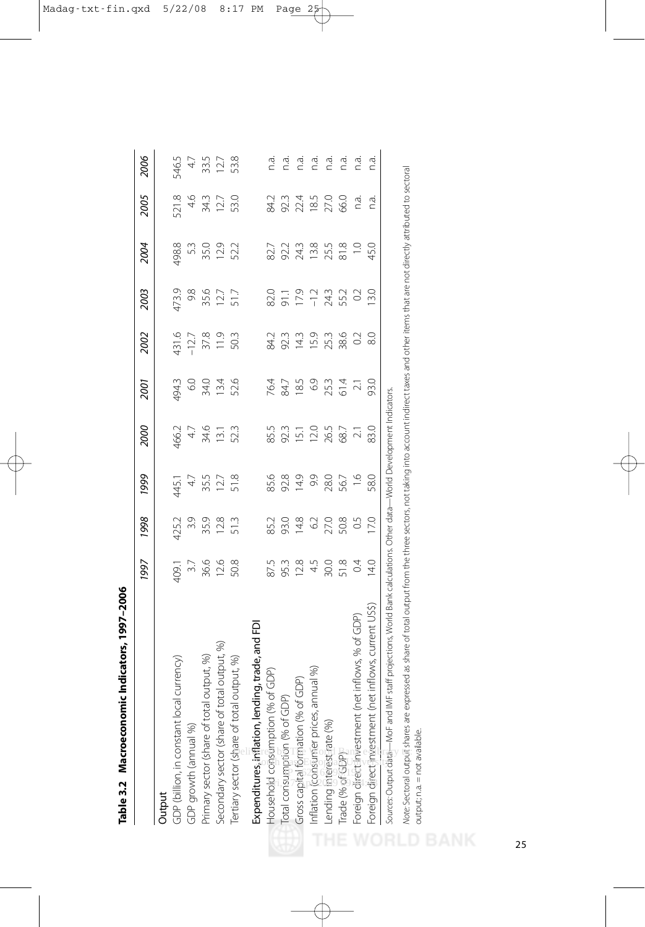|                                                                                                                                                                                                | 1997             | 1998  | 1999          | 2000            | 2001           | 2002           | 2003           | 2004  | 2005  | 2006         |
|------------------------------------------------------------------------------------------------------------------------------------------------------------------------------------------------|------------------|-------|---------------|-----------------|----------------|----------------|----------------|-------|-------|--------------|
| Output                                                                                                                                                                                         |                  |       |               |                 |                |                |                |       |       |              |
| GDP (billion, in constant local currency)                                                                                                                                                      | 409.1            | 425.2 | 445.1         | 466.2           | 494.3          | 431.6          | 473.9          | 498.8 | 521.8 | 546.5        |
| GDP growth (annual %)                                                                                                                                                                          | $\frac{1}{2}$    | 3.9   | 47            | $47$            | 6.0            | $-12.7$        | 9.8            | 53    | 4.6   | 4.7          |
| Primary sector (share of total output, %)                                                                                                                                                      | 36.6             | 35.9  | 35.5          | 34.6            | 34.0           |                | 35.6           | 35.0  | 34.3  |              |
| Secondary sector (share of total output, %)                                                                                                                                                    | 12.6<br>50.8     | 12.8  | 127           | 13.1            | 13.4           | $\frac{6}{11}$ | 127            | 12.9  | 12.7  | 33.5<br>12.7 |
| Tertiary sector (share of total output, %)                                                                                                                                                     |                  | 513   | 51.8          | 523             | 52.6           | 50.3           | 517            | 52.2  | 53.0  | 53.8         |
| Expenditures, inflation, lending, trade, and FDI                                                                                                                                               |                  |       |               |                 |                |                |                |       |       |              |
| Household conssumption (% of GDP)                                                                                                                                                              | 875              | 85.2  | 85.6          | 85.5            | 76.4           | 84.2           | 82.0           | 82.7  | 84.2  | n.a.         |
| Total consumption (% of GDP)                                                                                                                                                                   | 95.3             | 93.0  | 92.8          | 92.3            | 84.7           | 92.3           | 51             | 92.2  | 92.3  | n.a.         |
| Gross capital formation (% of GDP)                                                                                                                                                             | 12.8             | 14.8  | 14.9          | 15.1            | 18.5           | 14.3           | 179            | 24.3  | 22.4  | n.a.         |
| Inflation (consumer prices, annual %)                                                                                                                                                          | 4.5              | $62$  | 9.9           | 12.0            | 6.9            | 15.9           |                | 13.8  | 18.5  | n.a.         |
| (%)<br>Lending interest rate                                                                                                                                                                   | 30.0             | 27.0  | 28.0          | 26.5            | 25.3           | 25.3           | $-1.2$<br>24.3 | 25.5  | 27.0  | n.a.         |
| Trade (% of GDP)                                                                                                                                                                               | 51.8             | 50.8  | 56.7          | 68.7            | 51.4           | 38.6           | 55.2           | 81.8  | 56.0  | n.a.         |
| nent (net inflows, % of GDP)<br>Foreign direct investm                                                                                                                                         | $\overline{0}$ 4 | 0.5   | $\frac{6}{1}$ | $\overline{21}$ | $\overline{2}$ | $\overline{0}$ | $\overline{0}$ |       | n.a.  | n.a.         |
| Foreign direct nvestment (net inflows, current US\$)                                                                                                                                           | 14.0             | 17.0  | 58.0          | 83.0            | 93.0           |                | 13.0           | 45.0  | n.a.  | n.đ.         |
| Sources: Output data — MoF and IMF staff projections, World Bank calculations. Other data—World Development Indicators.                                                                        |                  |       |               |                 |                |                |                |       |       |              |
| Note:Sectoral output shares are expressed as share of total output from the three sectors, not taking into account indirect taxes and other items that are not directly attributed to sectoral |                  |       |               |                 |                |                |                |       |       |              |

Table 3.2 Macroeconomic Indicators, 1997-2006 **Table 3.2 Macroeconomic Indicators, 1997–2006**

Note: Sectoral output shares are expressed as share of total output from the three sectors, not taking into account indirect taxes and other items that are not directly attributed to sectora output; n.a. = not available.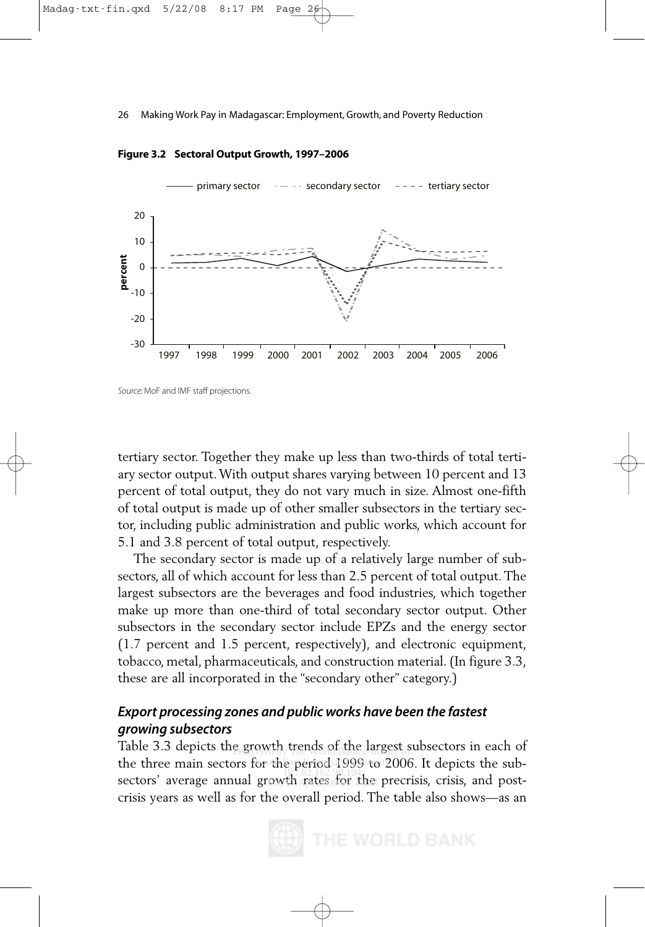26 Making Work Pay in Madagascar: Employment, Growth, and Poverty Reduction





Source: MoF and IMF staff projections.

tertiary sector. Together they make up less than two-thirds of total tertiary sector output. With output shares varying between 10 percent and 13 percent of total output, they do not vary much in size. Almost one-fifth of total output is made up of other smaller subsectors in the tertiary sector, including public administration and public works, which account for 5.1 and 3.8 percent of total output, respectively.

The secondary sector is made up of a relatively large number of subsectors, all of which account for less than 2.5 percent of total output. The largest subsectors are the beverages and food industries, which together make up more than one-third of total secondary sector output. Other subsectors in the secondary sector include EPZs and the energy sector (1.7 percent and 1.5 percent, respectively), and electronic equipment, tobacco, metal, pharmaceuticals, and construction material. (In figure 3.3, these are all incorporated in the "secondary other" category.)

# **Export processing zones and public works have been the fastest growing subsectors**

Table 3.3 depicts the growth trends of the largest subsectors in each of the three main sectors for the period 1999 to 2006. It depicts the subsectors' average annual growth rates for the precrisis, crisis, and postcrisis years as well as for the overall period. The table also shows—as an pwth rates for the

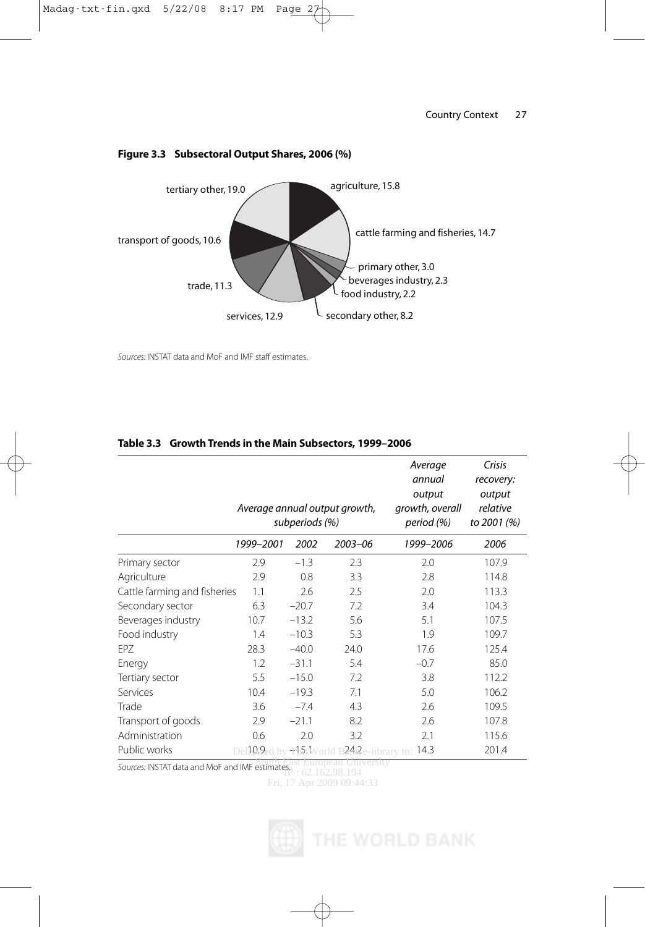

#### **Figure 3.3 Subsectoral Output Shares, 2006 (%)**

Sources: INSTAT data and MoF and IMF staff estimates.

|                              |           | subperiods (%) | Average annual output growth,                                                    | Average<br>annual<br>output<br>growth, overall<br>period (%) | Crisis<br>recovery:<br>output<br>relative<br>to 2001 (%) |
|------------------------------|-----------|----------------|----------------------------------------------------------------------------------|--------------------------------------------------------------|----------------------------------------------------------|
|                              | 1999-2001 | 2002           | 2003-06                                                                          | 1999-2006                                                    | 2006                                                     |
| Primary sector               | 2.9       | $-1.3$         | 2.3                                                                              | 2.0                                                          | 107.9                                                    |
| Agriculture                  | 2.9       | 0.8            | 3.3                                                                              | 2.8                                                          | 114.8                                                    |
| Cattle farming and fisheries | 1.1       | 2.6            | 2.5                                                                              | 2.0                                                          | 113.3                                                    |
| Secondary sector             | 6.3       | $-20.7$        | 7.2                                                                              | 3.4                                                          | 104.3                                                    |
| Beverages industry           | 10.7      | $-13.2$        | 5.6                                                                              | 5.1                                                          | 107.5                                                    |
| Food industry                | 1.4       | $-10.3$        | 5.3                                                                              | 1.9                                                          | 109.7                                                    |
| EPZ                          | 28.3      | $-40.0$        | 24.0                                                                             | 17.6                                                         | 125.4                                                    |
| Energy                       | 1.2       | $-31.1$        | 5.4                                                                              | $-0.7$                                                       | 85.0                                                     |
| Tertiary sector              | 5.5       | $-15.0$        | 7.2                                                                              | 3.8                                                          | 112.2                                                    |
| Services                     | 10.4      | $-19.3$        | 7.1                                                                              | 5.0                                                          | 106.2                                                    |
| Trade                        | 3.6       | $-7.4$         | 4.3                                                                              | 2.6                                                          | 109.5                                                    |
| Transport of goods           | 2.9       | $-21.1$        | 8.2                                                                              | 2.6                                                          | 107.8                                                    |
| Administration               | 0.6       | 2.0            | 3.2                                                                              | 2.1                                                          | 115.6                                                    |
| Public works                 |           |                | Dell <sup>09</sup> ed by Th <sub>2</sub> . World B <sup>2412</sup> e-library to: | 14.3                                                         | 201.4                                                    |

### **Table 3.3 Growth Trends in the Main Subsectors, 1999–2006**

Sources: INSTAT data and MoF and IMF estimates. South East European University IP : 62.162.98.194

Fri, 17 Apr 2009 09:44:33

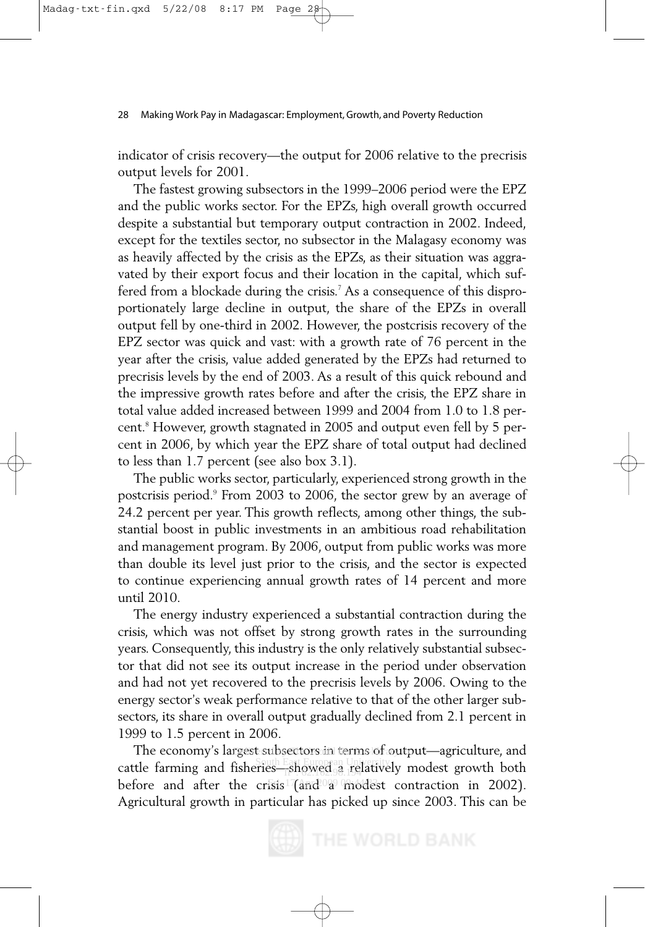indicator of crisis recovery—the output for 2006 relative to the precrisis output levels for 2001.

The fastest growing subsectors in the 1999–2006 period were the EPZ and the public works sector. For the EPZs, high overall growth occurred despite a substantial but temporary output contraction in 2002. Indeed, except for the textiles sector, no subsector in the Malagasy economy was as heavily affected by the crisis as the EPZs, as their situation was aggravated by their export focus and their location in the capital, which suffered from a blockade during the crisis. <sup>7</sup> As a consequence of this disproportionately large decline in output, the share of the EPZs in overall output fell by one-third in 2002. However, the postcrisis recovery of the EPZ sector was quick and vast: with a growth rate of 76 percent in the year after the crisis, value added generated by the EPZs had returned to precrisis levels by the end of 2003. As a result of this quick rebound and the impressive growth rates before and after the crisis, the EPZ share in total value added increased between 1999 and 2004 from 1.0 to 1.8 percent.8 However, growth stagnated in 2005 and output even fell by 5 percent in 2006, by which year the EPZ share of total output had declined to less than 1.7 percent (see also box 3.1).

The public works sector, particularly, experienced strong growth in the postcrisis period.<sup>9</sup> From 2003 to 2006, the sector grew by an average of 24.2 percent per year. This growth reflects, among other things, the substantial boost in public investments in an ambitious road rehabilitation and management program. By 2006, output from public works was more than double its level just prior to the crisis, and the sector is expected to continue experiencing annual growth rates of 14 percent and more until 2010.

The energy industry experienced a substantial contraction during the crisis, which was not offset by strong growth rates in the surrounding years. Consequently, this industry is the only relatively substantial subsector that did not see its output increase in the period under observation and had not yet recovered to the precrisis levels by 2006. Owing to the energy sector's weak performance relative to that of the other larger subsectors, its share in overall output gradually declined from 2.1 percent in 1999 to 1.5 percent in 2006.

The economy's largest subsectors in terms of output—agriculture, and cattle farming and fisheries-showed a relatively modest growth both before and after the crisis  $\lceil$  (and  $\lceil$  a modest contraction in 2002). Agricultural growth in particular has picked up since 2003. This can be IP : 62.162.98.194

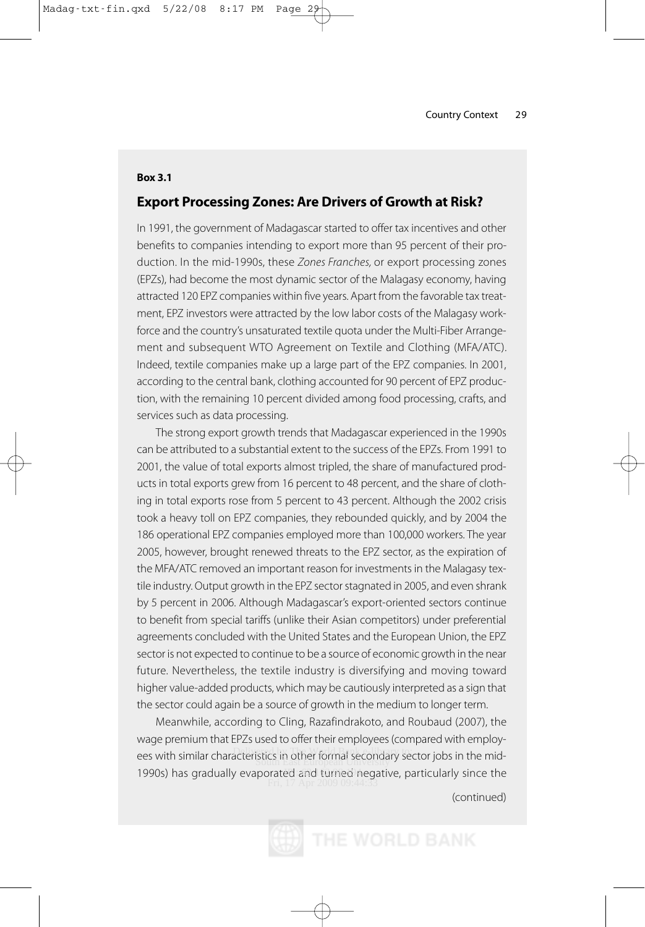#### **Box 3.1**

## **Export Processing Zones: Are Drivers of Growth at Risk?**

In 1991, the government of Madagascar started to offer tax incentives and other benefits to companies intending to export more than 95 percent of their production. In the mid-1990s, these Zones Franches, or export processing zones (EPZs), had become the most dynamic sector of the Malagasy economy, having attracted 120 EPZ companies within five years. Apart from the favorable tax treatment, EPZ investors were attracted by the low labor costs of the Malagasy workforce and the country's unsaturated textile quota under the Multi-Fiber Arrangement and subsequent WTO Agreement on Textile and Clothing (MFA/ATC). Indeed, textile companies make up a large part of the EPZ companies. In 2001, according to the central bank, clothing accounted for 90 percent of EPZ production, with the remaining 10 percent divided among food processing, crafts, and services such as data processing.

The strong export growth trends that Madagascar experienced in the 1990s can be attributed to a substantial extent to the success of the EPZs. From 1991 to 2001, the value of total exports almost tripled, the share of manufactured products in total exports grew from 16 percent to 48 percent, and the share of clothing in total exports rose from 5 percent to 43 percent. Although the 2002 crisis took a heavy toll on EPZ companies, they rebounded quickly, and by 2004 the 186 operational EPZ companies employed more than 100,000 workers. The year 2005, however, brought renewed threats to the EPZ sector, as the expiration of the MFA/ATC removed an important reason for investments in the Malagasy textile industry. Output growth in the EPZ sector stagnated in 2005, and even shrank by 5 percent in 2006. Although Madagascar's export-oriented sectors continue to benefit from special tariffs (unlike their Asian competitors) under preferential agreements concluded with the United States and the European Union, the EPZ sector is not expected to continue to be a source of economic growth in the near future. Nevertheless, the textile industry is diversifying and moving toward higher value-added products, which may be cautiously interpreted as a sign that the sector could again be a source of growth in the medium to longer term.

Meanwhile, according to Cling, Razafindrakoto, and Roubaud (2007), the wage premium that EPZs used to offer their employees (compared with employees with similar characteristics in other formal secondary sector jobs in the mid-1990s) has gradually evaporated and turned negative, particularly since the Such East European University Second Fri, 17 Apr 2009 09:44:33

(continued)

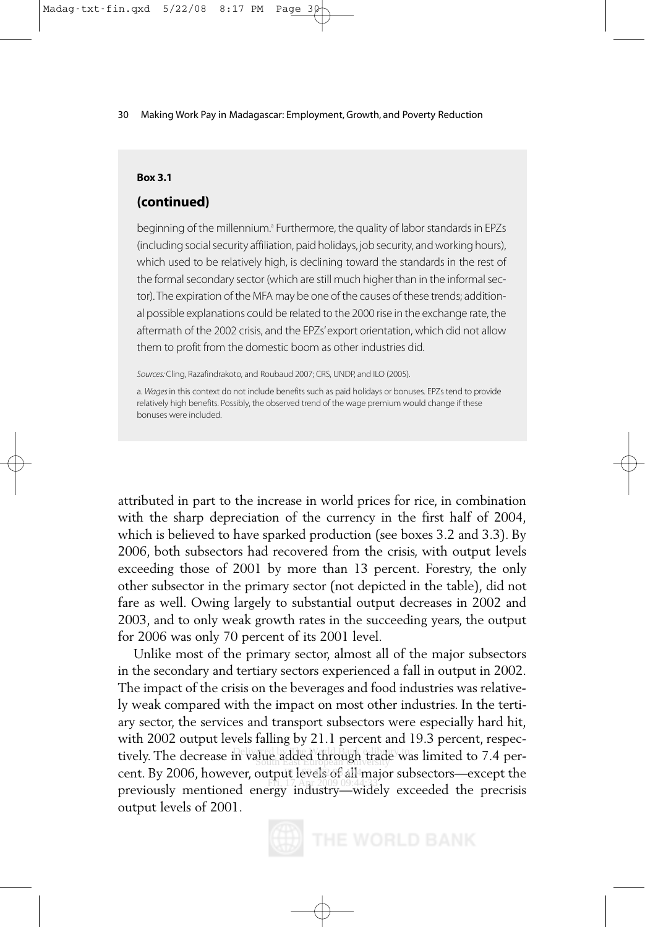#### 30 Making Work Pay in Madagascar: Employment, Growth, and Poverty Reduction

## **Box 3.1**

## **(continued)**

beginning of the millennium.<sup>a</sup> Furthermore, the quality of labor standards in EPZs (including social security affiliation, paid holidays, job security, and working hours), which used to be relatively high, is declining toward the standards in the rest of the formal secondary sector (which are still much higher than in the informal sector). The expiration of the MFA may be one of the causes of these trends; additional possible explanations could be related to the 2000 rise in the exchange rate, the aftermath of the 2002 crisis, and the EPZs'export orientation, which did not allow them to profit from the domestic boom as other industries did.

Sources: Cling, Razafindrakoto, and Roubaud 2007; CRS, UNDP, and ILO (2005).

a. Wages in this context do not include benefits such as paid holidays or bonuses. EPZs tend to provide relatively high benefits. Possibly, the observed trend of the wage premium would change if these bonuses were included.

attributed in part to the increase in world prices for rice, in combination with the sharp depreciation of the currency in the first half of 2004, which is believed to have sparked production (see boxes 3.2 and 3.3). By 2006, both subsectors had recovered from the crisis, with output levels exceeding those of 2001 by more than 13 percent. Forestry, the only other subsector in the primary sector (not depicted in the table), did not fare as well. Owing largely to substantial output decreases in 2002 and 2003, and to only weak growth rates in the succeeding years, the output for 2006 was only 70 percent of its 2001 level.

Unlike most of the primary sector, almost all of the major subsectors in the secondary and tertiary sectors experienced a fall in output in 2002. The impact of the crisis on the beverages and food industries was relatively weak compared with the impact on most other industries. In the tertiary sector, the services and transport subsectors were especially hard hit, with 2002 output levels falling by 21.1 percent and 19.3 percent, respectively. The decrease in value added through trade was limited to 7.4 percent. By 2006, however, output levels of all major subsectors—except the previously mentioned energy industry—widely exceeded the precrisis output levels of 2001. South East European University

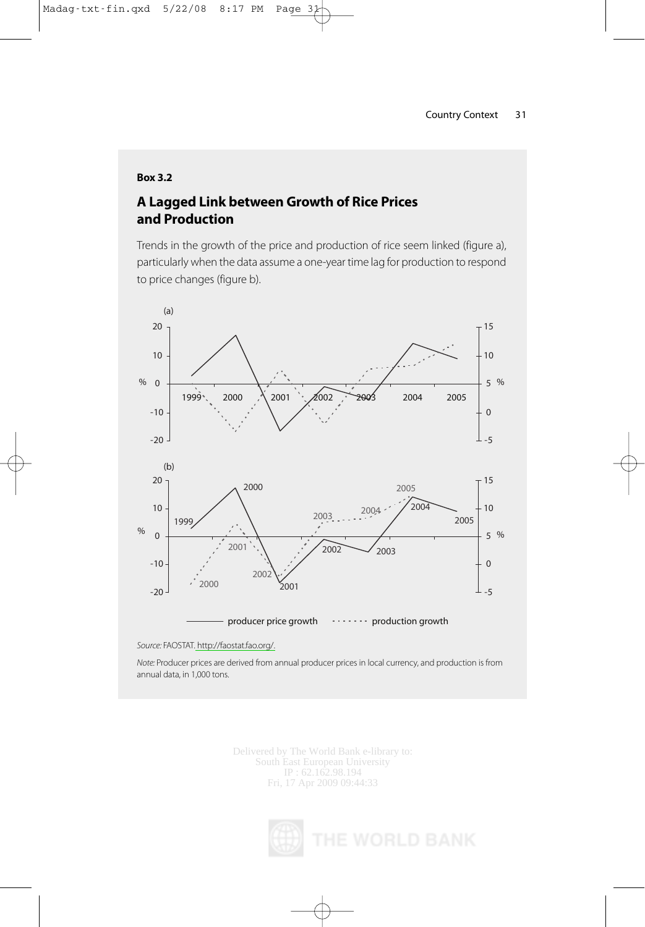## **Box 3.2**

# **A Lagged Link between Growth of Rice Prices and Production**

Trends in the growth of the price and production of rice seem linked (figure a), particularly when the data assume a one-year time lag for production to respond to price changes (figure b).



Source: FAOSTAT. [http://faostat.fao.org/.](http://faostat.fao.org/) 

Note: Producer prices are derived from annual producer prices in local currency, and production is from annual data, in 1,000 tons.

> IP : 62.162.98.194 Fri, 17 Apr 2009 09:44:33

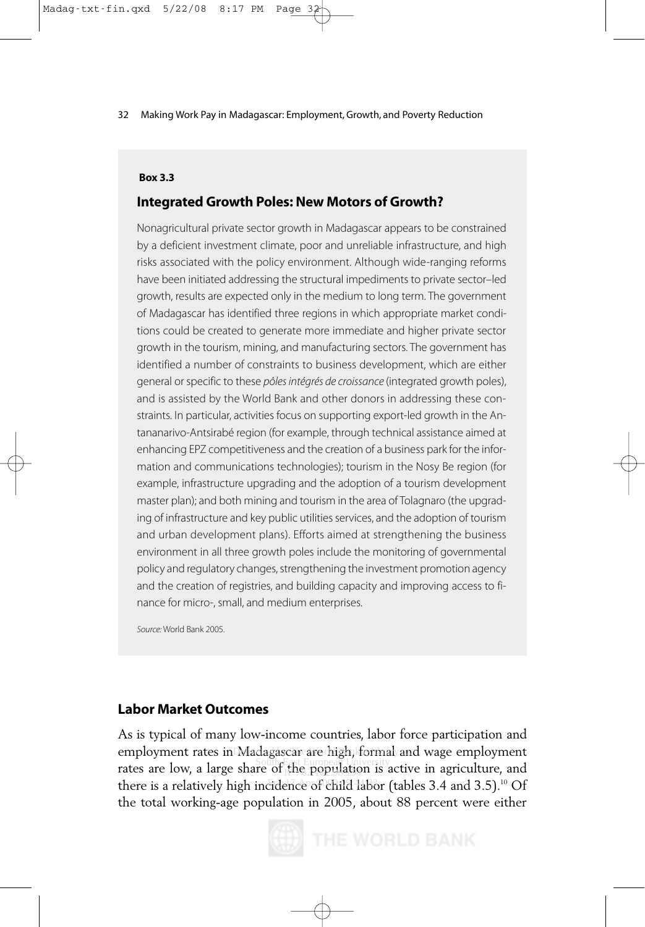## **Box 3.3**

# **Integrated Growth Poles: New Motors of Growth?**

Nonagricultural private sector growth in Madagascar appears to be constrained by a deficient investment climate, poor and unreliable infrastructure, and high risks associated with the policy environment. Although wide-ranging reforms have been initiated addressing the structural impediments to private sector–led growth, results are expected only in the medium to long term. The government of Madagascar has identified three regions in which appropriate market conditions could be created to generate more immediate and higher private sector growth in the tourism, mining, and manufacturing sectors. The government has identified a number of constraints to business development, which are either general or specific to these pôles intégrés de croissance (integrated growth poles), and is assisted by the World Bank and other donors in addressing these constraints. In particular, activities focus on supporting export-led growth in the Antananarivo-Antsirabé region (for example, through technical assistance aimed at enhancing EPZ competitiveness and the creation of a business park for the information and communications technologies); tourism in the Nosy Be region (for example, infrastructure upgrading and the adoption of a tourism development master plan); and both mining and tourism in the area of Tolagnaro (the upgrading of infrastructure and key public utilities services, and the adoption of tourism and urban development plans). Efforts aimed at strengthening the business environment in all three growth poles include the monitoring of governmental policy and regulatory changes, strengthening the investment promotion agency and the creation of registries, and building capacity and improving access to finance for micro-, small, and medium enterprises.

Source: World Bank 2005.

## **Labor Market Outcomes**

As is typical of many low-income countries, labor force participation and employment rates in⊠Madagascar are high,!formal and wage employment rates are low, a large share of the population is active in agriculture, and there is a relatively high incidence of child labor (tables 3.4 and 3.5). $^{\rm lo}$  Of the total working-age population in 2005, about 88 percent were either I ne populatic

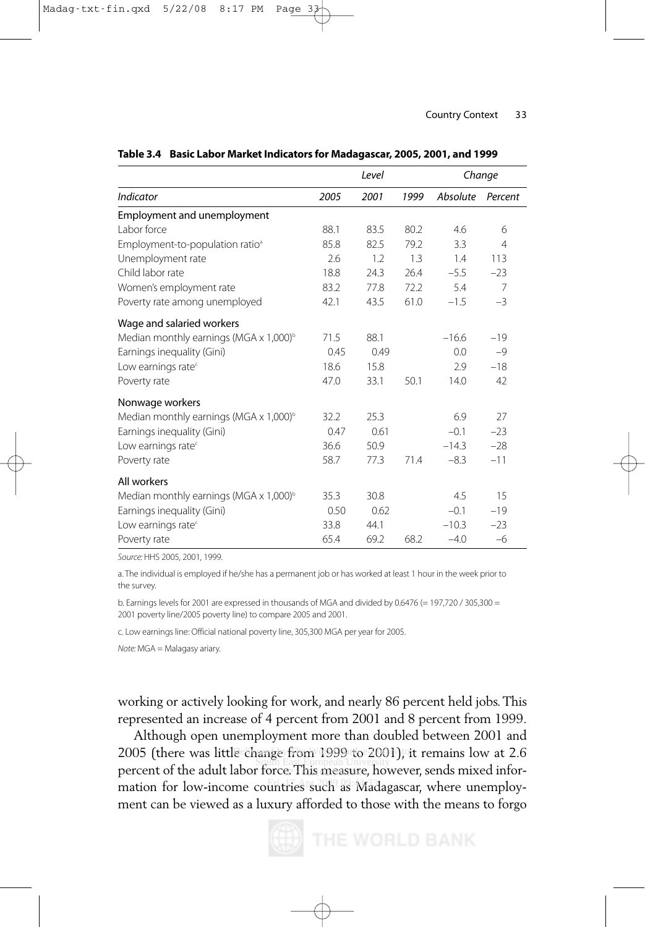|                                                    |      | Level |      |          | Change         |
|----------------------------------------------------|------|-------|------|----------|----------------|
| Indicator                                          | 2005 | 2001  | 1999 | Absolute | Percent        |
| <b>Employment and unemployment</b>                 |      |       |      |          |                |
| Labor force                                        | 88.1 | 83.5  | 80.2 | 4.6      | 6              |
| Employment-to-population ratio <sup>®</sup>        | 85.8 | 82.5  | 79.2 | 3.3      | $\overline{4}$ |
| Unemployment rate                                  | 2.6  | 1.2   | 1.3  | 1.4      | 113            |
| Child labor rate                                   | 18.8 | 24.3  | 26.4 | $-5.5$   | $-23$          |
| Women's employment rate                            | 83.2 | 77.8  | 72.2 | 5.4      | 7              |
| Poverty rate among unemployed                      | 42.1 | 43.5  | 61.0 | $-1.5$   | $-3$           |
| Wage and salaried workers                          |      |       |      |          |                |
| Median monthly earnings (MGA x 1,000) <sup>b</sup> | 71.5 | 88.1  |      | $-16.6$  | $-19$          |
| Earnings inequality (Gini)                         | 0.45 | 0.49  |      | 0.0      | $-9$           |
| Low earnings rate <sup>c</sup>                     | 18.6 | 15.8  |      | 2.9      | $-18$          |
| Poverty rate                                       | 47.0 | 33.1  | 50.1 | 14.0     | 42             |
| Nonwage workers                                    |      |       |      |          |                |
| Median monthly earnings (MGA x 1,000) <sup>b</sup> | 32.2 | 25.3  |      | 6.9      | 27             |
| Earnings inequality (Gini)                         | 0.47 | 0.61  |      | $-0.1$   | $-23$          |
| Low earnings rate <sup>c</sup>                     | 36.6 | 50.9  |      | $-14.3$  | $-28$          |
| Poverty rate                                       | 58.7 | 77.3  | 71.4 | $-8.3$   | $-11$          |
| All workers                                        |      |       |      |          |                |
| Median monthly earnings (MGA x 1,000) <sup>b</sup> | 35.3 | 30.8  |      | 4.5      | 15             |
| Earnings inequality (Gini)                         | 0.50 | 0.62  |      | $-0.1$   | $-19$          |
| Low earnings rate <sup>c</sup>                     | 33.8 | 44.1  |      | $-10.3$  | $-23$          |
| Poverty rate                                       | 65.4 | 69.2  | 68.2 | $-4.0$   | $-6$           |

#### **Table 3.4 Basic Labor Market Indicators for Madagascar, 2005, 2001, and 1999**

Source: HHS 2005, 2001, 1999.

a. The individual is employed if he/she has a permanent job or has worked at least 1 hour in the week prior to the survey.

b. Earnings levels for 2001 are expressed in thousands of MGA and divided by 0.6476 (= 197,720 / 305,300 = 2001 poverty line/2005 poverty line) to compare 2005 and 2001.

c. Low earnings line: Official national poverty line, 305,300 MGA per year for 2005.

Note: MGA = Malagasy ariary.

working or actively looking for work, and nearly 86 percent held jobs.This represented an increase of 4 percent from 2001 and 8 percent from 1999.

Although open unemployment more than doubled between 2001 and 2005 (there was little change from 1999 to 2001), it remains low at 2.6 percent of the adult labor force. This measure, however, sends mixed information for low-income countries such as Madagascar, where unemployment can be viewed as a luxury afforded to those with the means to forgo e. I his measur

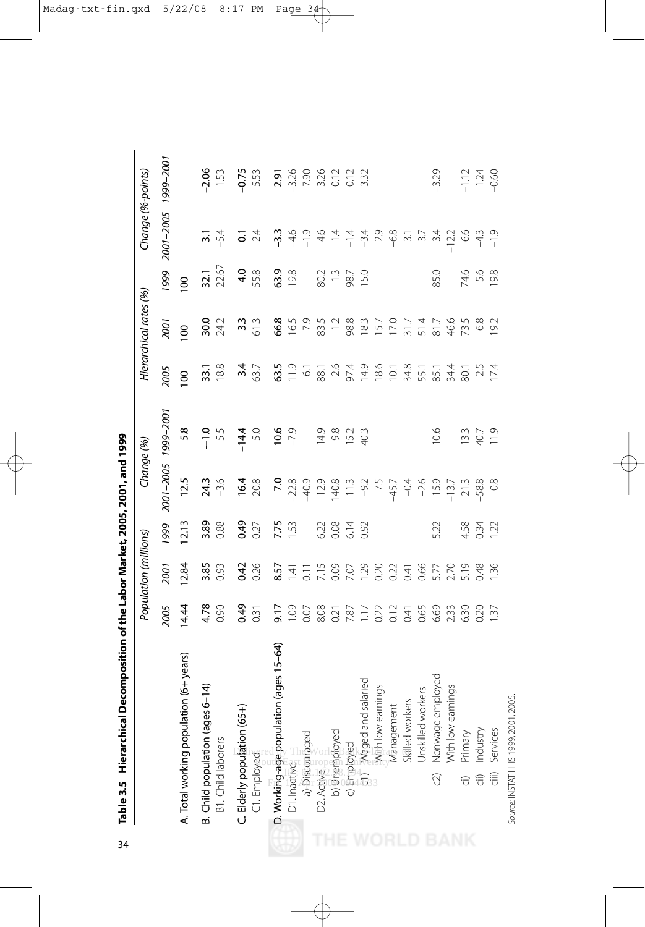|                                                                                                                                                                                                                     |              | Population (millions) |       | Change (%)          |                |                    | Hierarchical rates (%) |                | Change (%-points)   |                                                |
|---------------------------------------------------------------------------------------------------------------------------------------------------------------------------------------------------------------------|--------------|-----------------------|-------|---------------------|----------------|--------------------|------------------------|----------------|---------------------|------------------------------------------------|
|                                                                                                                                                                                                                     | 2005         | 2001                  | 1999  | 2001-2005 1999-2001 |                | 2005               | 2001                   | 1999           | 2001-2005 1999-2001 |                                                |
| A. Total working population (6+ years)                                                                                                                                                                              | 14.44        | 12.84                 | 12.13 | 12.5                | 5.8            | 100                | 100                    | $\overline{0}$ |                     |                                                |
| $($ ages 6-14 $)$                                                                                                                                                                                                   | 4.78         | 3.85                  | 3.89  | 24.3                | $\frac{0}{1}$  | 33.1               | 30.0                   | 32.1           |                     | $-2.06$                                        |
| <b>B. Child population (i</b><br>B1. Child laborers                                                                                                                                                                 | 0.90         | 0.93                  | 0.88  | $-3.6$              | 5.5            | 18.8               | 24.2                   | 22.67          | $-5.4$              | 1.53                                           |
| $(65+)$                                                                                                                                                                                                             | 0.49         | 0.42                  | 0.49  | 16.4                | $-14.4$        | 3.4                | 3.3                    | 4.0            | 5                   | $-0.75$                                        |
| C. Elderly population<br>C1. Employed                                                                                                                                                                               | 0.31         | 0.26                  | 0.27  | 20.8                | $-5.0$         | 63.7               | 61.3                   | 55.8           | 24                  | 5.53                                           |
| D. Working-age population (ages 15–64)                                                                                                                                                                              | 9.17         | 8.57                  | 7.75  | 7.0                 | 10.6           | 63.5               | 66.8                   | 63.9           | $-3.3$              |                                                |
| D1.Inactive H                                                                                                                                                                                                       | 1.09         | $\pm$                 | 1.53  | $-228$              | $-7.9$         | 11.9               | 16.5                   | 19.8           | $-4.6$              | $2.91$ $-3.26$ $-3.26$ $-3.26$ $-3.26$ $-0.12$ |
| a) Discouraged                                                                                                                                                                                                      | 0.07         | $\overline{0}$ .      |       | $-40.9$             |                | $\overline{\circ}$ | 7.9                    |                | $-1.9$              |                                                |
|                                                                                                                                                                                                                     | 8.08         | 7.15                  | 6.22  | 12.9                | 14.9           | $\overline{8}$     | 83.5                   | 80.2           | 46                  |                                                |
| D2.Adtive 등 요<br>b) Bnemphyed                                                                                                                                                                                       | 0.21         | 0.09                  | 0.08  | 140.8               | 98             | 2.6                | $\Xi$                  | $1.3$<br>98.7  | $\overline{4}$      |                                                |
|                                                                                                                                                                                                                     |              | 7.07                  | 6.14  | $\frac{3}{11}$      | 15.2           | 97.4               | 98.8                   |                | $-1.4$              |                                                |
| ာ၊ ပြင်းများ<br>ဝ) ကြွပါတဲ့မှု့ရ<br>ပါ ၂ ကြွပါတဲ့မှု့ရဲ့ and sala<br>သိုင်း၊ သိုင်း၊ Dow earnings<br>သိုင်း၊ သိုင်း၊ သိုင်း၊ သိုင်း၊ သိုင်း၊ သိုင်း၊ သိုင်း၊ သိုင်း၊ သိုင်း၊ သိုင်း၊ သိုင်း၊ သိုင်း၊ သိုင်း၊ သိုင်း | 1.17         | 1.29                  | 0.92  | $-9.2$              | 40.3           | 14.9               | 18.3                   | 15.0           | $-3.4$              | 3.32                                           |
|                                                                                                                                                                                                                     |              |                       |       | 7.5                 |                | 18.6               | 15.7                   |                | 29                  |                                                |
|                                                                                                                                                                                                                     | 0.22<br>0.12 | $0.20$<br>$0.22$      |       | $-45.7$             |                | 10.1               | 17.0                   |                | $-6.8$              |                                                |
| Skilled workers                                                                                                                                                                                                     | 0.41         | 0.41                  |       | $-64$               |                | 34.8               | 31.7                   |                | $\overline{3}$ .    |                                                |
| Jnskilled workers                                                                                                                                                                                                   | 0.65         | 0.66                  |       | $-2.6$              |                | 55.1               | 51.4                   |                | 37                  |                                                |
| (2)                                                                                                                                                                                                                 | 6.69         | 5.77<br>2.70          | 5.22  | 15.9                | 10.6           | 85.1               | 81.7                   | 85.0           | 34                  | $-3.29$                                        |
| Nonwage employed<br>With low earnings                                                                                                                                                                               | 2.33         |                       |       | $-13.7$             |                | 34.4               | 46.6                   |                | $-12.2$             |                                                |
| Primary<br>$\widehat{\sigma}$                                                                                                                                                                                       | 6.30         | 5.19                  | 4.58  | 213                 | $\frac{33}{3}$ | 80.1               | 73.5                   | 74.6           | 6.6                 | $-1.12$                                        |
| cii) Industry                                                                                                                                                                                                       | <b>OCC</b>   | 0.48                  | 0.34  | $-58.8$             | 40.7           | 2.5                | $\frac{8}{6}$          | 5.6            | مبر<br>43           | 1.24                                           |
| Services<br>$\widehat{\overline{\overline{a}}}$                                                                                                                                                                     | 1.37         | 1.36                  | 1.22  | 0.8                 | 11.9           | 17.4               | 19.2                   | 19.8           | $-1.9$              | $-0.60$                                        |
| Source: INSTAT HHS 1999, 2001, 2005.                                                                                                                                                                                |              |                       |       |                     |                |                    |                        |                |                     |                                                |

Table 3.5 Hierarchical Decomposition of the Labor Market, 2005, 2001, and 1999 **Table 3.5 Hierarchical Decomposition of the Labor Market, 2005, 2001, and 1999**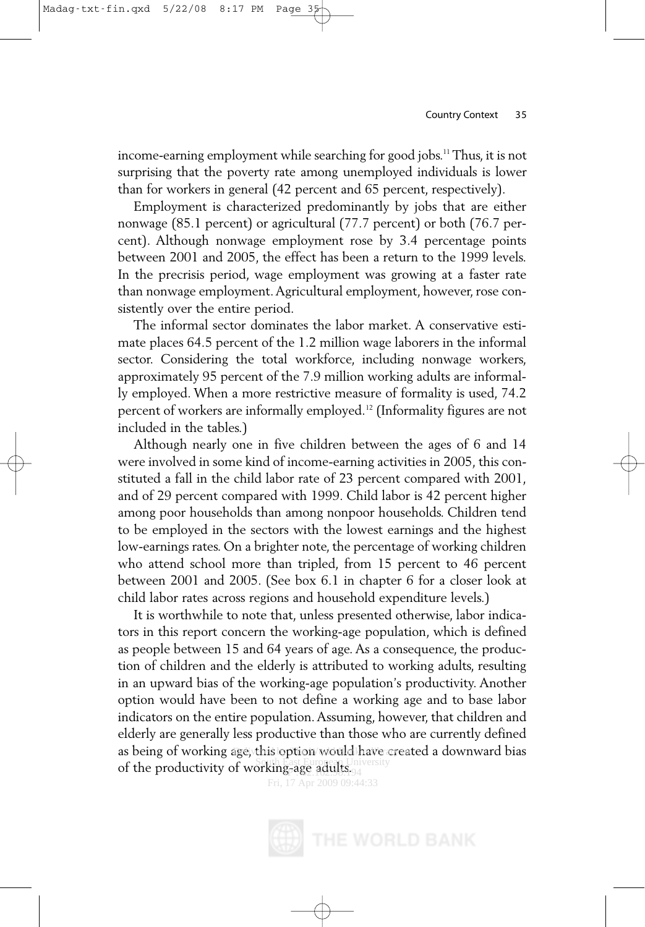income-earning employment while searching for good jobs.11 Thus, it is not surprising that the poverty rate among unemployed individuals is lower than for workers in general (42 percent and 65 percent, respectively).

Employment is characterized predominantly by jobs that are either nonwage (85.1 percent) or agricultural (77.7 percent) or both (76.7 percent). Although nonwage employment rose by 3.4 percentage points between 2001 and 2005, the effect has been a return to the 1999 levels. In the precrisis period, wage employment was growing at a faster rate than nonwage employment.Agricultural employment, however, rose consistently over the entire period.

The informal sector dominates the labor market. A conservative estimate places 64.5 percent of the 1.2 million wage laborers in the informal sector. Considering the total workforce, including nonwage workers, approximately 95 percent of the 7.9 million working adults are informally employed. When a more restrictive measure of formality is used, 74.2 percent of workers are informally employed.12 (Informality figures are not included in the tables.)

Although nearly one in five children between the ages of 6 and 14 were involved in some kind of income-earning activities in 2005, this constituted a fall in the child labor rate of 23 percent compared with 2001, and of 29 percent compared with 1999. Child labor is 42 percent higher among poor households than among nonpoor households. Children tend to be employed in the sectors with the lowest earnings and the highest low-earnings rates. On a brighter note, the percentage of working children who attend school more than tripled, from 15 percent to 46 percent between 2001 and 2005. (See box 6.1 in chapter 6 for a closer look at child labor rates across regions and household expenditure levels.)

It is worthwhile to note that, unless presented otherwise, labor indicators in this report concern the working-age population, which is defined as people between 15 and 64 years of age. As a consequence, the production of children and the elderly is attributed to working adults, resulting in an upward bias of the working-age population's productivity. Another option would have been to not define a working age and to base labor indicators on the entire population.Assuming, however, that children and elderly are generally less productive than those who are currently defined as being of working age, this option would have created a downward bias of the productivity of working-age adults.94  $g$ -age aquits. $\rm _{94}$ 

Fri, 17 Apr 2009 09:44:33

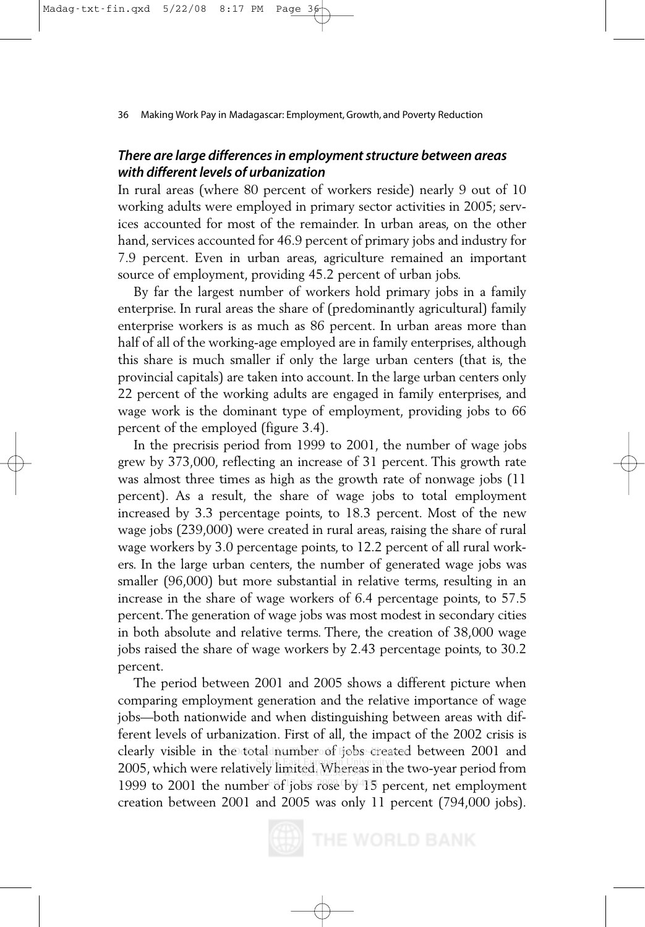# **There are large differences in employment structure between areas with different levels of urbanization**

In rural areas (where 80 percent of workers reside) nearly 9 out of 10 working adults were employed in primary sector activities in 2005; services accounted for most of the remainder. In urban areas, on the other hand, services accounted for 46.9 percent of primary jobs and industry for 7.9 percent. Even in urban areas, agriculture remained an important source of employment, providing 45.2 percent of urban jobs.

By far the largest number of workers hold primary jobs in a family enterprise. In rural areas the share of (predominantly agricultural) family enterprise workers is as much as 86 percent. In urban areas more than half of all of the working-age employed are in family enterprises, although this share is much smaller if only the large urban centers (that is, the provincial capitals) are taken into account. In the large urban centers only 22 percent of the working adults are engaged in family enterprises, and wage work is the dominant type of employment, providing jobs to 66 percent of the employed (figure 3.4).

In the precrisis period from 1999 to 2001, the number of wage jobs grew by 373,000, reflecting an increase of 31 percent. This growth rate was almost three times as high as the growth rate of nonwage jobs (11 percent). As a result, the share of wage jobs to total employment increased by 3.3 percentage points, to 18.3 percent. Most of the new wage jobs (239,000) were created in rural areas, raising the share of rural wage workers by 3.0 percentage points, to 12.2 percent of all rural workers. In the large urban centers, the number of generated wage jobs was smaller (96,000) but more substantial in relative terms, resulting in an increase in the share of wage workers of 6.4 percentage points, to 57.5 percent.The generation of wage jobs was most modest in secondary cities in both absolute and relative terms. There, the creation of 38,000 wage jobs raised the share of wage workers by 2.43 percentage points, to 30.2 percent.

The period between 2001 and 2005 shows a different picture when comparing employment generation and the relative importance of wage jobs—both nationwide and when distinguishing between areas with different levels of urbanization. First of all, the impact of the 2002 crisis is clearly visible in the total number of jobs created between 2001 and 2005, which were relatively limited. Whereas in the two-year period from 1999 to 2001 the number of jobs rose by 15 percent, net employment creation between 2001 and 2005 was only 11 percent (794,000 jobs). mitea, yy nere:

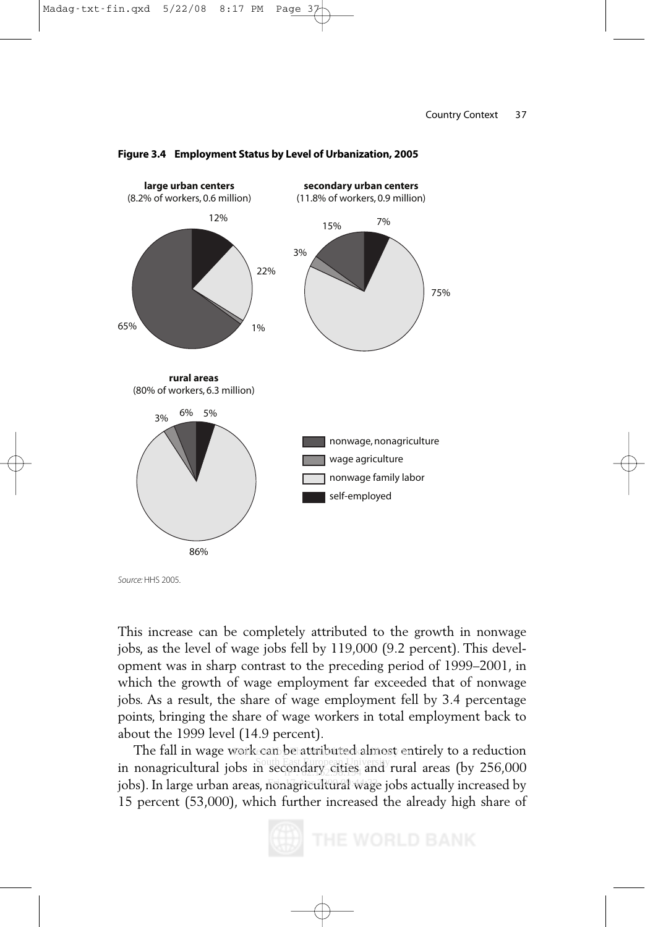

#### **Figure 3.4 Employment Status by Level of Urbanization, 2005**

Source: HHS 2005.

This increase can be completely attributed to the growth in nonwage jobs, as the level of wage jobs fell by 119,000 (9.2 percent). This development was in sharp contrast to the preceding period of 1999–2001, in which the growth of wage employment far exceeded that of nonwage jobs. As a result, the share of wage employment fell by 3.4 percentage points, bringing the share of wage workers in total employment back to about the 1999 level (14.9 percent).

The fall in wage work can be attributed almost entirely to a reduction in nonagricultural jobs in secondary cities and rural areas (by 256,000 jobs). In large urban areas, nonagricultural wage jobs actually increased by 15 percent (53,000), which further increased the already high share of  $911441 \times 298.159$ 

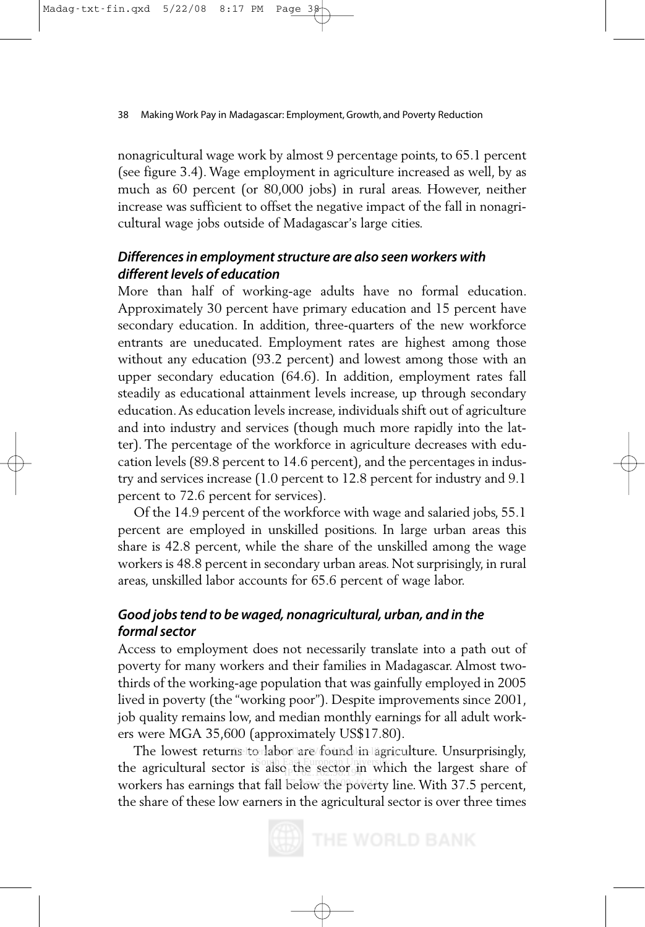nonagricultural wage work by almost 9 percentage points, to 65.1 percent (see figure 3.4). Wage employment in agriculture increased as well, by as much as 60 percent (or 80,000 jobs) in rural areas. However, neither increase was sufficient to offset the negative impact of the fall in nonagricultural wage jobs outside of Madagascar's large cities.

# **Differences in employment structure are also seen workers with different levels of education**

More than half of working-age adults have no formal education. Approximately 30 percent have primary education and 15 percent have secondary education. In addition, three-quarters of the new workforce entrants are uneducated. Employment rates are highest among those without any education (93.2 percent) and lowest among those with an upper secondary education (64.6). In addition, employment rates fall steadily as educational attainment levels increase, up through secondary education.As education levels increase, individuals shift out of agriculture and into industry and services (though much more rapidly into the latter). The percentage of the workforce in agriculture decreases with education levels (89.8 percent to 14.6 percent), and the percentages in industry and services increase (1.0 percent to 12.8 percent for industry and 9.1 percent to 72.6 percent for services).

Of the 14.9 percent of the workforce with wage and salaried jobs, 55.1 percent are employed in unskilled positions. In large urban areas this share is 42.8 percent, while the share of the unskilled among the wage workers is 48.8 percent in secondary urban areas. Not surprisingly, in rural areas, unskilled labor accounts for 65.6 percent of wage labor.

# **Good jobs tend to be waged, nonagricultural, urban, and in the formal sector**

Access to employment does not necessarily translate into a path out of poverty for many workers and their families in Madagascar. Almost twothirds of the working-age population that was gainfully employed in 2005 lived in poverty (the "working poor"). Despite improvements since 2001, job quality remains low, and median monthly earnings for all adult workers were MGA 35,600 (approximately US\$17.80).

The lowest returns to labor are found in agriculture. Unsurprisingly, the agricultural sector is also the sector in which the largest share of workers has earnings that fall below the poverty line. With 37.5 percent, the share of these low earners in the agricultural sector is over three times  $\text{P}$  ing. sector of

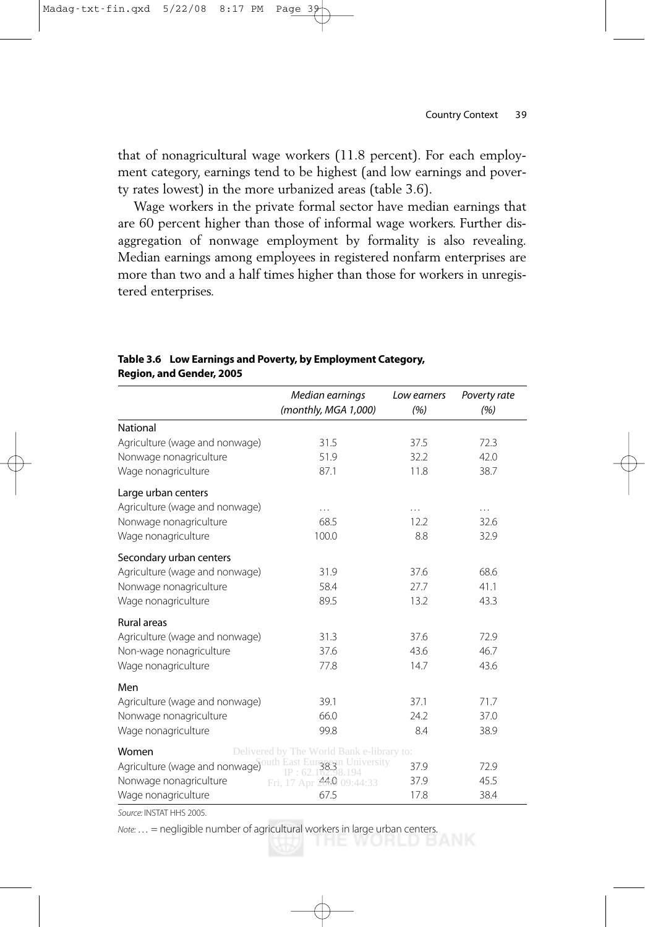that of nonagricultural wage workers (11.8 percent). For each employment category, earnings tend to be highest (and low earnings and poverty rates lowest) in the more urbanized areas (table 3.6).

Wage workers in the private formal sector have median earnings that are 60 percent higher than those of informal wage workers. Further disaggregation of nonwage employment by formality is also revealing. Median earnings among employees in registered nonfarm enterprises are more than two and a half times higher than those for workers in unregistered enterprises.

|                                                   | Median earnings<br>(monthly, MGA 1,000)   | Low earners<br>(%) | Poverty rate<br>(%) |
|---------------------------------------------------|-------------------------------------------|--------------------|---------------------|
| National                                          |                                           |                    |                     |
| Agriculture (wage and nonwage)                    | 31.5                                      | 37.5               | 72.3                |
| Nonwage nonagriculture                            | 51.9                                      | 32.2               | 42.0                |
| Wage nonagriculture                               | 87.1                                      | 11.8               | 38.7                |
| Large urban centers                               |                                           |                    |                     |
| Agriculture (wage and nonwage)                    | .                                         | .                  | .                   |
| Nonwage nonagriculture                            | 68.5                                      | 12.2               | 32.6                |
| Wage nonagriculture                               | 100.0                                     | 8.8                | 32.9                |
| Secondary urban centers                           |                                           |                    |                     |
| Agriculture (wage and nonwage)                    | 31.9                                      | 37.6               | 68.6                |
| Nonwage nonagriculture                            | 58.4                                      | 27.7               | 41.1                |
| Wage nonagriculture                               | 89.5                                      | 13.2               | 43.3                |
| Rural areas                                       |                                           |                    |                     |
| Agriculture (wage and nonwage)                    | 31.3                                      | 37.6               | 72.9                |
| Non-wage nonagriculture                           | 37.6                                      | 43.6               | 46.7                |
| Wage nonagriculture                               | 77.8                                      | 14.7               | 43.6                |
| Men                                               |                                           |                    |                     |
| Agriculture (wage and nonwage)                    | 39.1                                      | 37.1               | 71.7                |
| Nonwage nonagriculture                            | 66.0                                      | 24.2               | 37.0                |
| Wage nonagriculture                               | 99.8                                      | 8.4                | 38.9                |
| Women                                             | Delivered by The World Bank e-library to: |                    |                     |
| Agriculture (wage and nonwage) <sup>outh</sup> Ea | European University                       | 37.9               | 72.9                |
| Nonwage nonagriculture                            | Fri. 17 Apr 200 09:44:33                  | 37.9               | 45.5                |
| Wage nonagriculture                               | 67.5                                      | 17.8               | 38.4                |

### **Table 3.6 Low Earnings and Poverty, by Employment Category, Region, and Gender, 2005**

Source: INSTAT HHS 2005.

Note: … = negligible number of agricultural workers in large urban centers.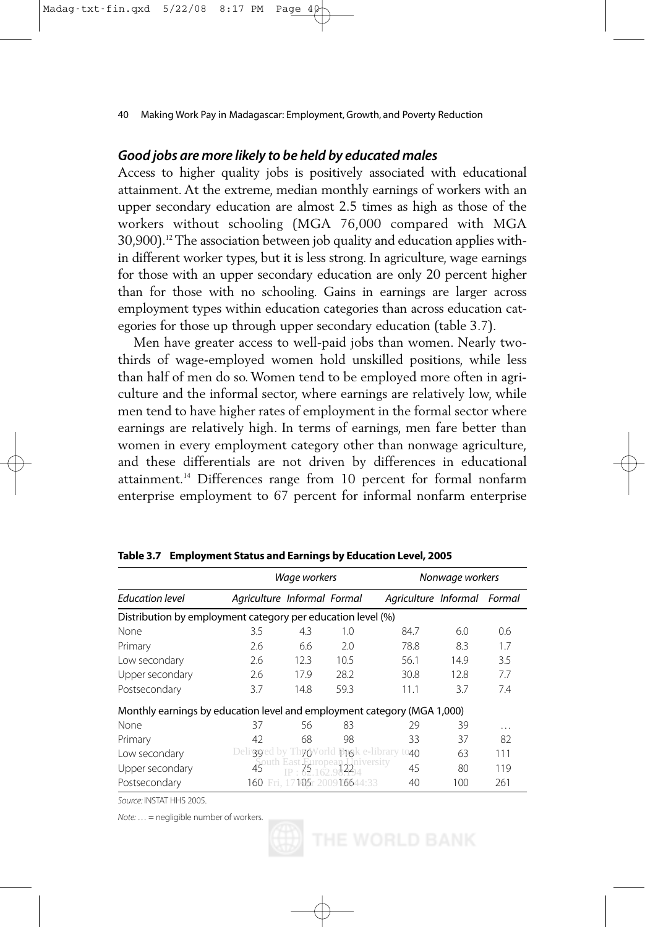40 Making Work Pay in Madagascar: Employment, Growth, and Poverty Reduction

## **Good jobs are more likely to be held by educated males**

Access to higher quality jobs is positively associated with educational attainment. At the extreme, median monthly earnings of workers with an upper secondary education are almost 2.5 times as high as those of the workers without schooling (MGA 76,000 compared with MGA 30,900).<sup>12</sup> The association between job quality and education applies within different worker types, but it is less strong. In agriculture, wage earnings for those with an upper secondary education are only 20 percent higher than for those with no schooling. Gains in earnings are larger across employment types within education categories than across education categories for those up through upper secondary education (table 3.7).

Men have greater access to well-paid jobs than women. Nearly twothirds of wage-employed women hold unskilled positions, while less than half of men do so. Women tend to be employed more often in agriculture and the informal sector, where earnings are relatively low, while men tend to have higher rates of employment in the formal sector where earnings are relatively high. In terms of earnings, men fare better than women in every employment category other than nonwage agriculture, and these differentials are not driven by differences in educational attainment.14 Differences range from 10 percent for formal nonfarm enterprise employment to 67 percent for informal nonfarm enterprise

|                                                                         |                                           | Wage workers                                                             |      |                             | Nonwage workers |     |
|-------------------------------------------------------------------------|-------------------------------------------|--------------------------------------------------------------------------|------|-----------------------------|-----------------|-----|
| <b>Education level</b>                                                  | Agriculture Informal Formal               |                                                                          |      | Agriculture Informal Formal |                 |     |
| Distribution by employment category per education level (%)             |                                           |                                                                          |      |                             |                 |     |
| None                                                                    | 3.5                                       | 4.3                                                                      | 1.0  | 84.7                        | 6.0             | 0.6 |
| Primary                                                                 | 2.6                                       | 6.6                                                                      | 2.0  | 78.8                        | 8.3             | 1.7 |
| Low secondary                                                           | 2.6                                       | 12.3                                                                     | 10.5 | 56.1                        | 14.9            | 3.5 |
| Upper secondary                                                         | 2.6                                       | 17.9                                                                     | 28.2 | 30.8                        | 12.8            | 7.7 |
| Postsecondary                                                           | 3.7                                       | 14.8                                                                     | 59.3 | 11.1                        | 37              | 7.4 |
| Monthly earnings by education level and employment category (MGA 1,000) |                                           |                                                                          |      |                             |                 |     |
| None                                                                    | 37                                        | 56                                                                       | 83   | 29                          | 39              | .   |
| Primary                                                                 | 42                                        | 68                                                                       | 98   | 33                          | 37              | 82  |
| Low secondary                                                           | Delinged by Thy World Bagk e-library to40 |                                                                          |      |                             | 63              | 111 |
| Upper secondary                                                         |                                           | East European University<br>IP $\frac{1}{2}$ $\frac{1}{2}$ $\frac{1}{2}$ |      | 45                          | 80              | 119 |
| Postsecondary                                                           |                                           | 160 Fri. 17105r 200916644:33                                             |      | 40                          | 100             | 261 |

**Table 3.7 Employment Status and Earnings by Education Level, 2005**

Source: INSTAT HHS 2005.

 $Note: ... =$  negligible number of workers.

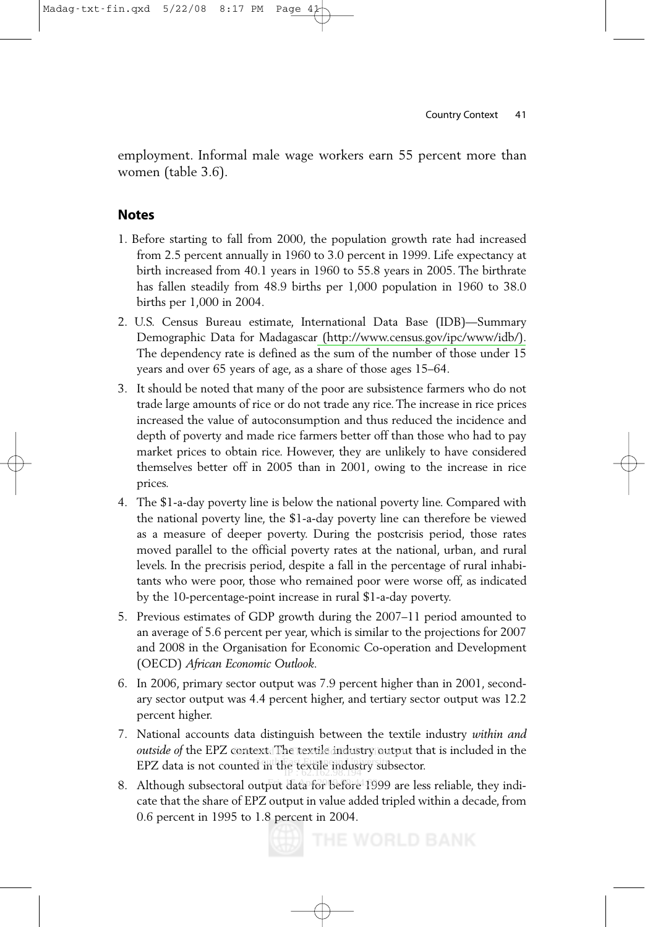employment. Informal male wage workers earn 55 percent more than women (table 3.6).

## **Notes**

- 1. Before starting to fall from 2000, the population growth rate had increased from 2.5 percent annually in 1960 to 3.0 percent in 1999. Life expectancy at birth increased from 40.1 years in 1960 to 55.8 years in 2005. The birthrate has fallen steadily from 48.9 births per 1,000 population in 1960 to 38.0 births per 1,000 in 2004.
- 2. U.S. Census Bureau estimate, International Data Base (IDB)—Summary Demographic Data for Madagasca[r \(http://www.census.gov/ipc/www/idb/\).](http://www.census.gov/ipc/www/idb/) The dependency rate is defined as the sum of the number of those under 15 years and over 65 years of age, as a share of those ages 15–64.
- 3. It should be noted that many of the poor are subsistence farmers who do not trade large amounts of rice or do not trade any rice. The increase in rice prices increased the value of autoconsumption and thus reduced the incidence and depth of poverty and made rice farmers better off than those who had to pay market prices to obtain rice. However, they are unlikely to have considered themselves better off in 2005 than in 2001, owing to the increase in rice prices.
- 4. The \$1-a-day poverty line is below the national poverty line. Compared with the national poverty line, the \$1-a-day poverty line can therefore be viewed as a measure of deeper poverty. During the postcrisis period, those rates moved parallel to the official poverty rates at the national, urban, and rural levels. In the precrisis period, despite a fall in the percentage of rural inhabitants who were poor, those who remained poor were worse off, as indicated by the 10-percentage-point increase in rural \$1-a-day poverty.
- 5. Previous estimates of GDP growth during the 2007–11 period amounted to an average of 5.6 percent per year, which is similar to the projections for 2007 and 2008 in the Organisation for Economic Co-operation and Development (OECD) *African Economic Outlook.*
- 6. In 2006, primary sector output was 7.9 percent higher than in 2001, secondary sector output was 4.4 percent higher, and tertiary sector output was 12.2 percent higher.
- 7. National accounts data distinguish between the textile industry *within and outside of* the EPZ context. The textile industry output that is included in the EPZ data is not counted in the textile industry subsector. IP : 62.162.98.194
- 8. Although subsectoral output data for before 1999 are less reliable, they indicate that the share of EPZ output in value added tripled within a decade, from 0.6 percent in 1995 to 1.8 percent in 2004.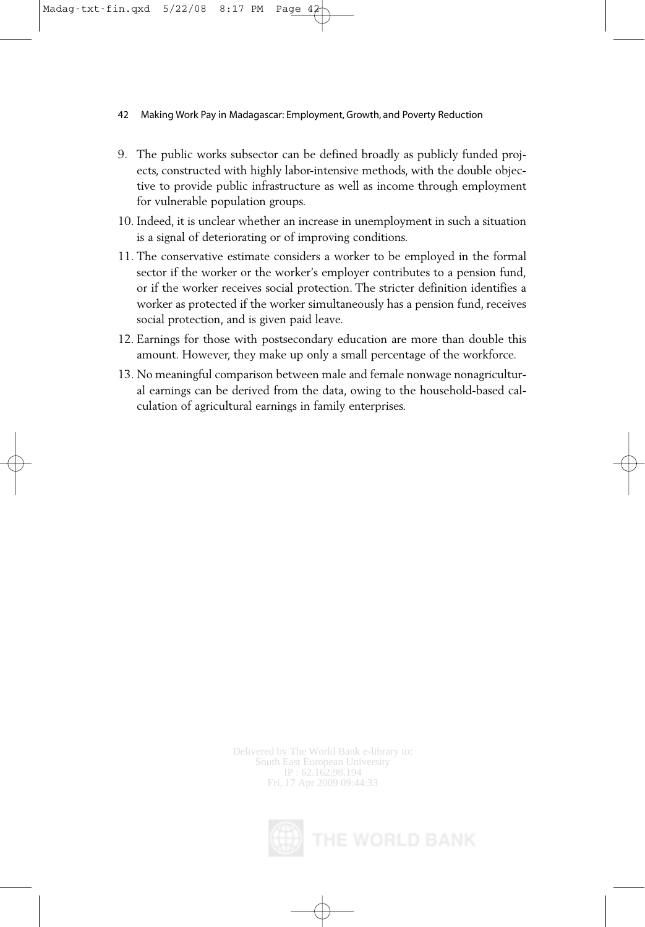- 42 Making Work Pay in Madagascar: Employment, Growth, and Poverty Reduction
- 9. The public works subsector can be defined broadly as publicly funded projects, constructed with highly labor-intensive methods, with the double objective to provide public infrastructure as well as income through employment for vulnerable population groups.
- 10. Indeed, it is unclear whether an increase in unemployment in such a situation is a signal of deteriorating or of improving conditions.
- 11. The conservative estimate considers a worker to be employed in the formal sector if the worker or the worker's employer contributes to a pension fund, or if the worker receives social protection. The stricter definition identifies a worker as protected if the worker simultaneously has a pension fund, receives social protection, and is given paid leave.
- 12. Earnings for those with postsecondary education are more than double this amount. However, they make up only a small percentage of the workforce.
- 13. No meaningful comparison between male and female nonwage nonagricultural earnings can be derived from the data, owing to the household-based calculation of agricultural earnings in family enterprises.

IP : 62.162.98.194 Fri, 17 Apr 2009 09:44:33

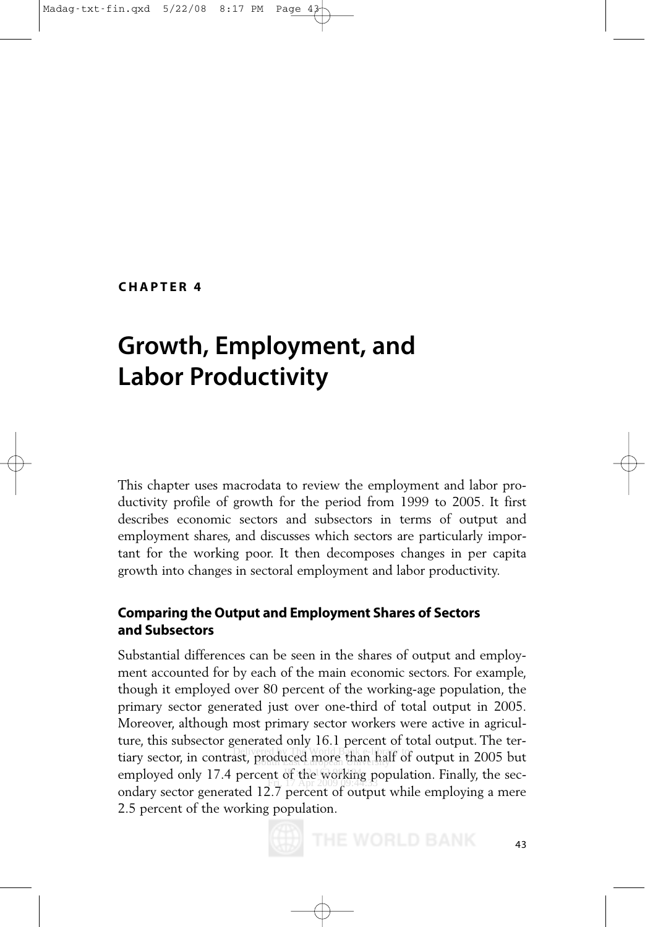# **CHAPTER 4**

# **Growth, Employment, and Labor Productivity**

This chapter uses macrodata to review the employment and labor productivity profile of growth for the period from 1999 to 2005. It first describes economic sectors and subsectors in terms of output and employment shares, and discusses which sectors are particularly important for the working poor. It then decomposes changes in per capita growth into changes in sectoral employment and labor productivity.

# **Comparing the Output and Employment Shares of Sectors and Subsectors**

Substantial differences can be seen in the shares of output and employment accounted for by each of the main economic sectors. For example, though it employed over 80 percent of the working-age population, the primary sector generated just over one-third of total output in 2005. Moreover, although most primary sector workers were active in agriculture, this subsector generated only 16.1 percent of total output. The tertiary sector, in contrast, produced more than half of output in 2005 but employed only 17.4 percent of the working population. Finally, the secondary sector generated 12.7 percent of output while employing a mere 2.5 percent of the working population. produced more than ha

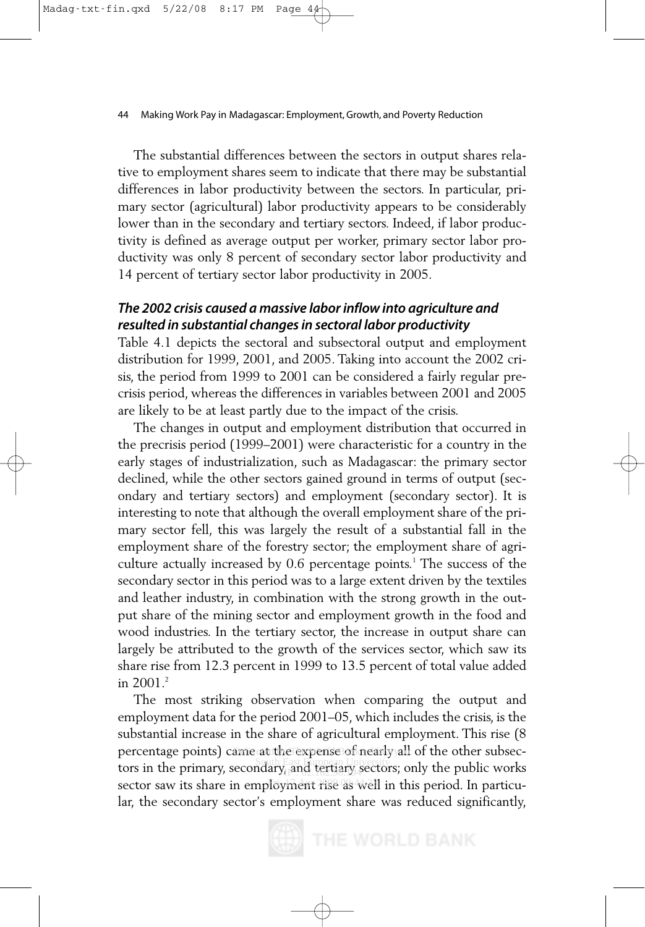The substantial differences between the sectors in output shares relative to employment shares seem to indicate that there may be substantial differences in labor productivity between the sectors. In particular, primary sector (agricultural) labor productivity appears to be considerably lower than in the secondary and tertiary sectors. Indeed, if labor productivity is defined as average output per worker, primary sector labor productivity was only 8 percent of secondary sector labor productivity and 14 percent of tertiary sector labor productivity in 2005.

# **The 2002 crisis caused a massive labor inflow into agriculture and resulted in substantial changes in sectoral labor productivity**

Table 4.1 depicts the sectoral and subsectoral output and employment distribution for 1999, 2001, and 2005. Taking into account the 2002 crisis, the period from 1999 to 2001 can be considered a fairly regular precrisis period, whereas the differences in variables between 2001 and 2005 are likely to be at least partly due to the impact of the crisis.

The changes in output and employment distribution that occurred in the precrisis period (1999–2001) were characteristic for a country in the early stages of industrialization, such as Madagascar: the primary sector declined, while the other sectors gained ground in terms of output (secondary and tertiary sectors) and employment (secondary sector). It is interesting to note that although the overall employment share of the primary sector fell, this was largely the result of a substantial fall in the employment share of the forestry sector; the employment share of agriculture actually increased by  $0.6$  percentage points.<sup>1</sup> The success of the secondary sector in this period was to a large extent driven by the textiles and leather industry, in combination with the strong growth in the output share of the mining sector and employment growth in the food and wood industries. In the tertiary sector, the increase in output share can largely be attributed to the growth of the services sector, which saw its share rise from 12.3 percent in 1999 to 13.5 percent of total value added in 2001.<sup>2</sup>

The most striking observation when comparing the output and employment data for the period 2001–05, which includes the crisis, is the substantial increase in the share of agricultural employment. This rise (8 percentage points) came at the expense of nearly all of the other subsectors in the primary, secondary, and tertiary sectors; only the public works sector saw its share in employment rise as well in this period. In particular, the secondary sector's employment share was reduced significantly,  $\pi$ ang teruanya

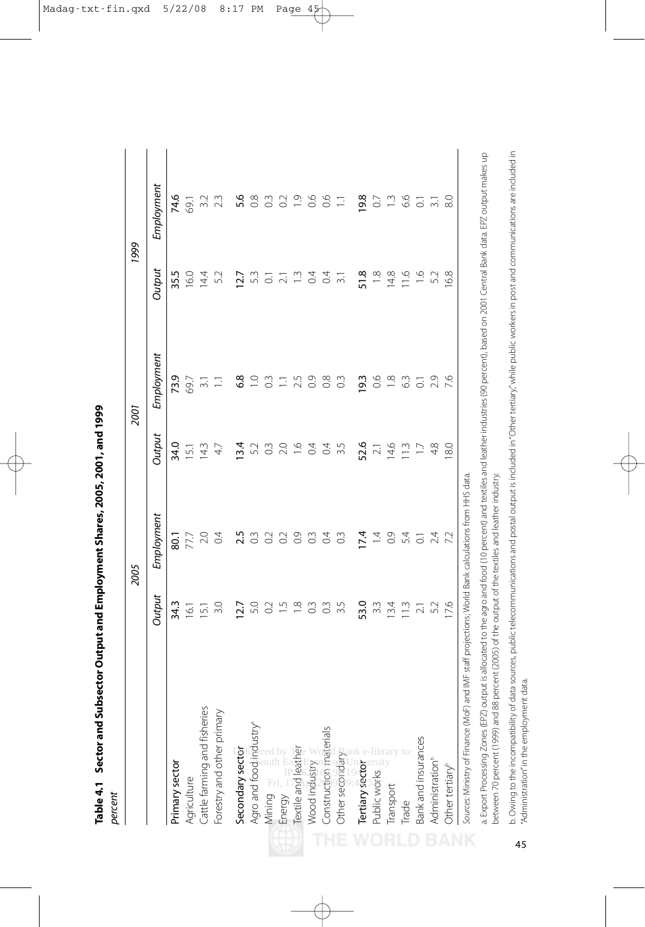|                                                                                                                                                                                                                                |                           | 2005                        |                                                                                                                                             | 2001                    |                                                          | 1999                                                                                    |  |
|--------------------------------------------------------------------------------------------------------------------------------------------------------------------------------------------------------------------------------|---------------------------|-----------------------------|---------------------------------------------------------------------------------------------------------------------------------------------|-------------------------|----------------------------------------------------------|-----------------------------------------------------------------------------------------|--|
|                                                                                                                                                                                                                                | Output                    | Employment                  | Output                                                                                                                                      | Employment              | Output                                                   | Employment                                                                              |  |
| Primary sector                                                                                                                                                                                                                 | 34.3                      |                             |                                                                                                                                             |                         | 35.5                                                     |                                                                                         |  |
| Agriculture                                                                                                                                                                                                                    |                           | <b>80.1</b><br>77.7<br>87.7 | <b>34.5</b><br>15.13<br>4.7                                                                                                                 | <b>73.9</b><br>69.7     | 16.0                                                     |                                                                                         |  |
|                                                                                                                                                                                                                                | $16.1$<br>$15.1$<br>$3.0$ |                             |                                                                                                                                             |                         | 14.4                                                     |                                                                                         |  |
| Cattle farming and fisheries<br>Forestry and other primary                                                                                                                                                                     |                           |                             |                                                                                                                                             | Ξ                       | 5.2                                                      | <b>4.6</b><br>69.7.2.13                                                                 |  |
|                                                                                                                                                                                                                                | 127                       |                             |                                                                                                                                             |                         | 12.7                                                     |                                                                                         |  |
|                                                                                                                                                                                                                                | S.                        |                             |                                                                                                                                             |                         |                                                          |                                                                                         |  |
|                                                                                                                                                                                                                                | $\overline{O}$            |                             |                                                                                                                                             |                         |                                                          |                                                                                         |  |
|                                                                                                                                                                                                                                | 1.5                       |                             |                                                                                                                                             |                         |                                                          |                                                                                         |  |
|                                                                                                                                                                                                                                | $\frac{8}{18}$            |                             |                                                                                                                                             |                         |                                                          |                                                                                         |  |
|                                                                                                                                                                                                                                | $0.\overline{3}$          | 2.33333333333               | $\frac{1}{4}$ $\frac{1}{4}$ $\frac{1}{4}$ $\frac{1}{4}$ $\frac{1}{4}$ $\frac{1}{4}$ $\frac{1}{4}$ $\frac{1}{4}$ $\frac{1}{4}$ $\frac{1}{4}$ | 80077798                | $30 - 7$<br>$20 - 4$<br>$30 - 5$<br>$40 - 7$<br>$50 - 7$ | $\begin{array}{c} 0.6 & 0.6 & 0.6 \\ 0.6 & 0.6 & 0.6 \\ 0.6 & 0.6 & 0.6 \\ \end{array}$ |  |
|                                                                                                                                                                                                                                | $\frac{3}{2}$             |                             |                                                                                                                                             |                         |                                                          |                                                                                         |  |
| Secondary sections and the secondary sections of the second food in the second food in the second food in the second for the second for the second of the second of the second of the second of the second of the second of th | 3.5                       |                             | 3.5                                                                                                                                         | $\mathbb{C}^3$          |                                                          | $\Xi$                                                                                   |  |
|                                                                                                                                                                                                                                |                           |                             | $52.6$<br>2.1<br>14.6                                                                                                                       |                         |                                                          |                                                                                         |  |
|                                                                                                                                                                                                                                | 53.3                      | $\frac{174}{4}$             |                                                                                                                                             | $9.3$<br>0.6<br>1.8     | 51.8                                                     |                                                                                         |  |
|                                                                                                                                                                                                                                | 134                       |                             |                                                                                                                                             |                         | 14.8                                                     |                                                                                         |  |
|                                                                                                                                                                                                                                | $\frac{3}{2}$             | 54                          | $\frac{13}{17}$                                                                                                                             | $63$                    | 11.6                                                     |                                                                                         |  |
| Bank and insurances                                                                                                                                                                                                            | $\overline{21}$           | $\overline{\circ}$          |                                                                                                                                             | $\overline{\mathrm{o}}$ | $\frac{6}{1}$                                            | $60 - 70$<br>$60 - 70$                                                                  |  |
| Administration <sup>b</sup>                                                                                                                                                                                                    | 5.2<br>17.6               | $24$<br>7.2                 | 4.8                                                                                                                                         | 2.9                     |                                                          |                                                                                         |  |
| Other tertiary <sup>b</sup>                                                                                                                                                                                                    |                           |                             | 18.0                                                                                                                                        |                         | 16.8                                                     |                                                                                         |  |
| Convention in Alien instrument Development on Alien Development and INAT attack                                                                                                                                                |                           |                             |                                                                                                                                             |                         |                                                          |                                                                                         |  |

Table 4.1 Sector and Subsector Output and Employment Shares, 2005, 2001, and 1999 **Table 4.1 Sector and Subsector Output and Employment Shares, 2005, 2001, and 1999**

percent

Sources: Ministry of Finance (MoF) and IMF staff projections; World Bank calculations from HHS data. Sources: Ministry of Finance (MoF) and IMF staff projections; World Bank calculations from HHS data.

a. Export Processing Zones (EPZ) output is allocated to the agro and food (10 percent) and textiles and leather industries (90 percent), based on 2001 Central Bank data. EPZ output makes up a. Export Processing Zones (EPZ) output is allocated to the agro and food (10 percent) and textiles and leather industries (90 percent), based on 2001 Central Bank data. EPZ output makes up between 70 percent (1999) and 88 percent (2005) of the output of the textiles and leather industry. between 70 percent (1999) and 88 percent (2005) of the output of the textiles and leather industry. b. Owing to the incompatibility of data sources, public telecommunications and postal output is included in "Other tertiary", while public workers in post and communications are included in munications are included in munications and postal output is included in"Other tertiary,"while public workers in post and com b. Owing to the incompatibility of data sources, public telecom "Administration" in the employment data. "Administration"in the employment data.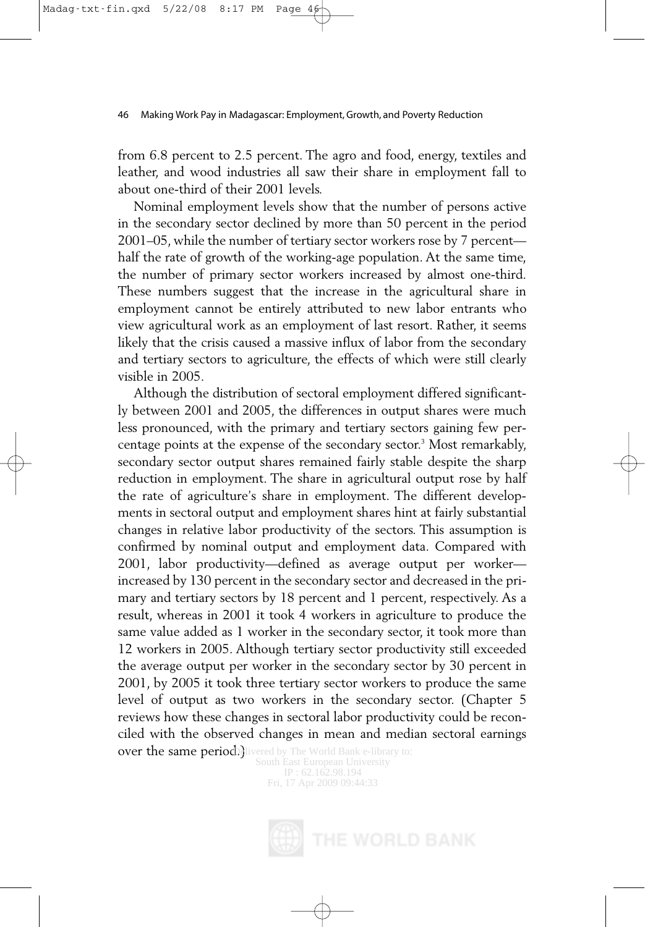from 6.8 percent to 2.5 percent. The agro and food, energy, textiles and leather, and wood industries all saw their share in employment fall to about one-third of their 2001 levels.

Nominal employment levels show that the number of persons active in the secondary sector declined by more than 50 percent in the period 2001–05, while the number of tertiary sector workers rose by 7 percent half the rate of growth of the working-age population. At the same time, the number of primary sector workers increased by almost one-third. These numbers suggest that the increase in the agricultural share in employment cannot be entirely attributed to new labor entrants who view agricultural work as an employment of last resort. Rather, it seems likely that the crisis caused a massive influx of labor from the secondary and tertiary sectors to agriculture, the effects of which were still clearly visible in 2005.

Although the distribution of sectoral employment differed significantly between 2001 and 2005, the differences in output shares were much less pronounced, with the primary and tertiary sectors gaining few percentage points at the expense of the secondary sector. <sup>3</sup> Most remarkably, secondary sector output shares remained fairly stable despite the sharp reduction in employment. The share in agricultural output rose by half the rate of agriculture's share in employment. The different developments in sectoral output and employment shares hint at fairly substantial changes in relative labor productivity of the sectors. This assumption is confirmed by nominal output and employment data. Compared with 2001, labor productivity—defined as average output per worker increased by 130 percent in the secondary sector and decreased in the primary and tertiary sectors by 18 percent and 1 percent, respectively. As a result, whereas in 2001 it took 4 workers in agriculture to produce the same value added as 1 worker in the secondary sector, it took more than 12 workers in 2005. Although tertiary sector productivity still exceeded the average output per worker in the secondary sector by 30 percent in 2001, by 2005 it took three tertiary sector workers to produce the same level of output as two workers in the secondary sector. (Chapter 5 reviews how these changes in sectoral labor productivity could be reconciled with the observed changes in mean and median sectoral earnings  $\overline{\mathrm{over}}$  the same period). Iivered by The World Bank e-library to:

South East European University IP : 62.162.98.194

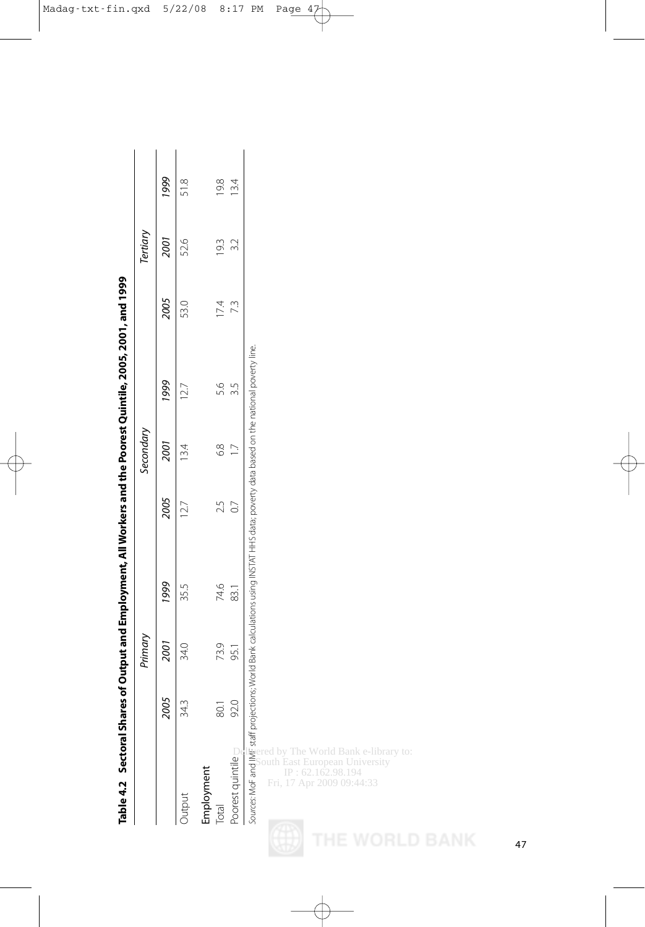| labe 4.2 Section Shares on Duckers and Employment, All Workers and Employment Output on Shares Quo, 2005, 2004, 2001, 2001, 2004, 2009, |      |         |      |      |           |      |      |          |      |
|-----------------------------------------------------------------------------------------------------------------------------------------|------|---------|------|------|-----------|------|------|----------|------|
|                                                                                                                                         |      | Primary |      |      | Secondary |      |      | Tertiary |      |
|                                                                                                                                         | 2005 | 2001    | 1999 | 2005 | 2001      | 1999 | 2005 | 2001     | 1999 |
| Output                                                                                                                                  | 34.3 | 34.0    | 35.5 | 127  | 13.4      | 127  | 53.0 | 52.6     | 51.8 |
| Employment                                                                                                                              |      |         |      |      |           |      |      |          |      |
| Total                                                                                                                                   | 80.1 | 73.9    | 74.6 | 2.5  | 89        | 5.6  | 17.4 | 193      | 19.8 |
| Poorest quintile                                                                                                                        | 92.0 | 95.1    | 83.1 | 0.7  | r,        | 3.5  | 7.3  | 32       | 13.4 |
|                                                                                                                                         |      |         |      |      |           |      |      |          |      |

Table 4.2 Sectoral Shares of Output and Employment. All Workers and the Doorest Ouintile. 2005. 2001. and 1999 Table 4.2 Sectoral Shares of Output and Employment, All Workers and the Poorest Quintile, 2005, 2001, and 1999

Sources: MoF and IMF staff projections; World Bank calculations using INSTAT HHS data; poverty data based on the national poverty line.

Delivered by The World Bank e-library to: South East European University IP : 62.162.98.194

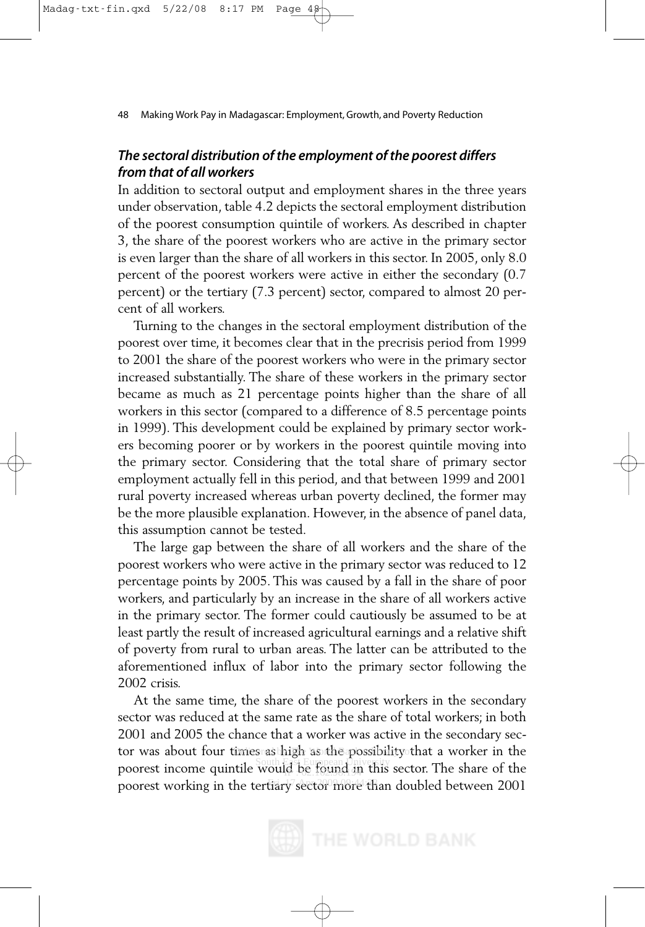# **The sectoral distribution of the employment of the poorest differs from that of all workers**

In addition to sectoral output and employment shares in the three years under observation, table 4.2 depicts the sectoral employment distribution of the poorest consumption quintile of workers. As described in chapter 3, the share of the poorest workers who are active in the primary sector is even larger than the share of all workers in this sector. In 2005, only 8.0 percent of the poorest workers were active in either the secondary (0.7 percent) or the tertiary (7.3 percent) sector, compared to almost 20 percent of all workers.

Turning to the changes in the sectoral employment distribution of the poorest over time, it becomes clear that in the precrisis period from 1999 to 2001 the share of the poorest workers who were in the primary sector increased substantially. The share of these workers in the primary sector became as much as 21 percentage points higher than the share of all workers in this sector (compared to a difference of 8.5 percentage points in 1999). This development could be explained by primary sector workers becoming poorer or by workers in the poorest quintile moving into the primary sector. Considering that the total share of primary sector employment actually fell in this period, and that between 1999 and 2001 rural poverty increased whereas urban poverty declined, the former may be the more plausible explanation. However, in the absence of panel data, this assumption cannot be tested.

The large gap between the share of all workers and the share of the poorest workers who were active in the primary sector was reduced to 12 percentage points by 2005. This was caused by a fall in the share of poor workers, and particularly by an increase in the share of all workers active in the primary sector. The former could cautiously be assumed to be at least partly the result of increased agricultural earnings and a relative shift of poverty from rural to urban areas. The latter can be attributed to the aforementioned influx of labor into the primary sector following the 2002 crisis.

At the same time, the share of the poorest workers in the secondary sector was reduced at the same rate as the share of total workers; in both 2001 and 2005 the chance that a worker was active in the secondary sector was about four times as high as the possibility that a worker in the poorest income quintile would be found in this sector. The share of the poorest working in the tertiary sector more than doubled between 2001 Ie : 66.16and ar

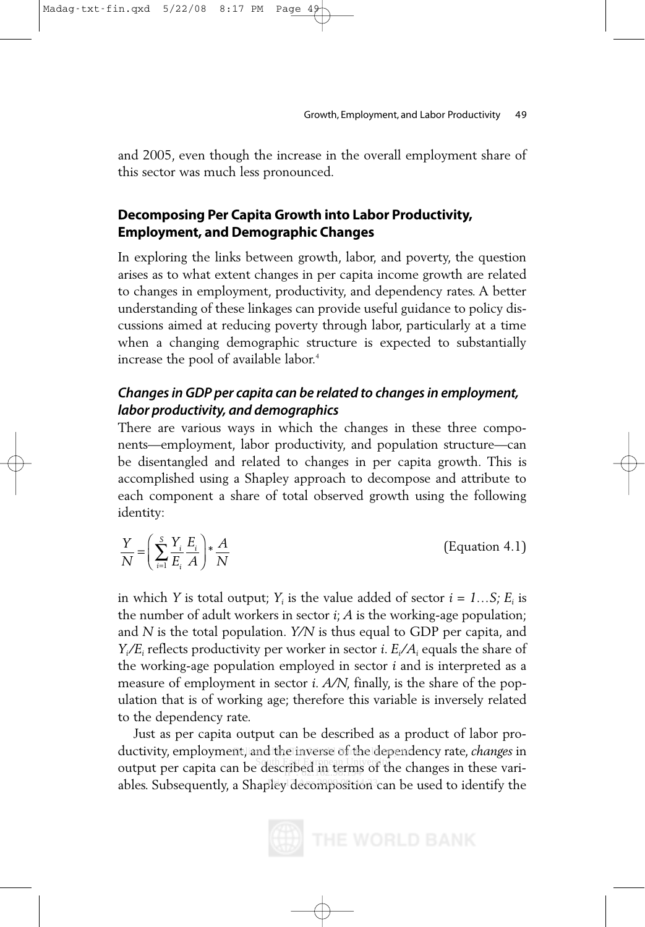and 2005, even though the increase in the overall employment share of this sector was much less pronounced.

# **Decomposing Per Capita Growth into Labor Productivity, Employment, and Demographic Changes**

In exploring the links between growth, labor, and poverty, the question arises as to what extent changes in per capita income growth are related to changes in employment, productivity, and dependency rates. A better understanding of these linkages can provide useful guidance to policy discussions aimed at reducing poverty through labor, particularly at a time when a changing demographic structure is expected to substantially increase the pool of available labor. 4

# **Changes in GDP per capita can be related to changes in employment, labor productivity, and demographics**

There are various ways in which the changes in these three components—employment, labor productivity, and population structure—can be disentangled and related to changes in per capita growth. This is accomplished using a Shapley approach to decompose and attribute to each component a share of total observed growth using the following identity:

| $\frac{Y}{N} = \left(\sum_{i=1}^{S} \frac{Y_i}{E_i} \frac{E_i}{A}\right) * \frac{A}{N}$ | (Equation 4.1) |
|-----------------------------------------------------------------------------------------|----------------|
|                                                                                         |                |

in which *Y* is total output; *Y<sub>i</sub>* is the value added of sector  $i = 1...S$ ; *E<sub>i</sub>* is the number of adult workers in sector *i*; *A* is the working-age population; and *N* is the total population. *Y/N* is thus equal to GDP per capita, and *Yi/Ei* reflects productivity per worker in sector *i*. *Ei/Ai* equals the share of the working-age population employed in sector *i* and is interpreted as a measure of employment in sector *i. A/N,* finally, is the share of the population that is of working age; therefore this variable is inversely related to the dependency rate.

Just as per capita output can be described as a product of labor productivity, employment, and the inverse of the dependency rate, *changes* in output per capita can be described in terms of the changes in these variables. Subsequently, a Shapley decomposition can be used to identify the IP : 62.162.98.194

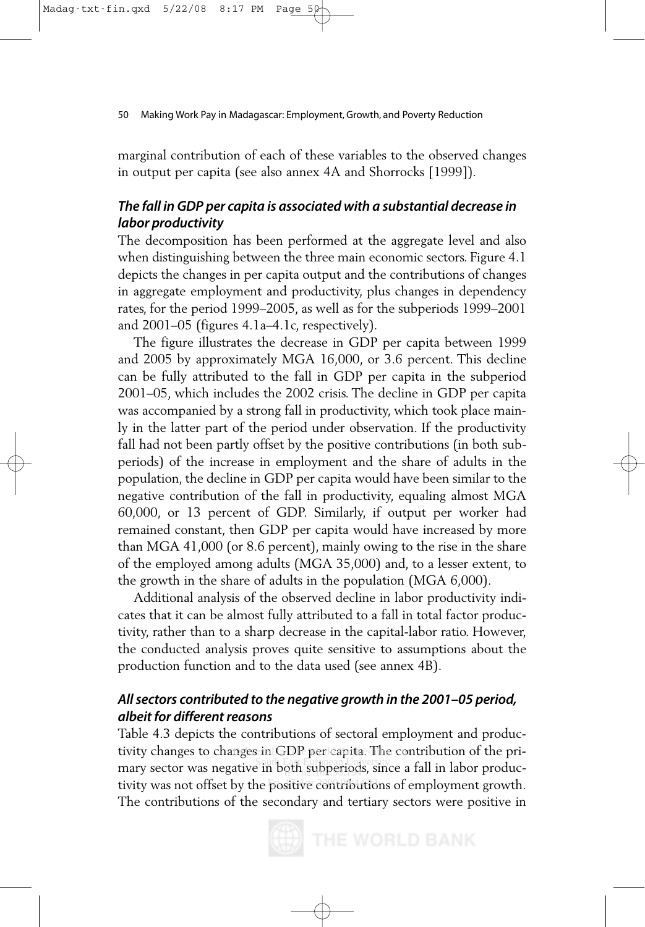marginal contribution of each of these variables to the observed changes in output per capita (see also annex 4A and Shorrocks [1999]).

# **The fall in GDP per capita is associated with a substantial decrease in labor productivity**

The decomposition has been performed at the aggregate level and also when distinguishing between the three main economic sectors. Figure 4.1 depicts the changes in per capita output and the contributions of changes in aggregate employment and productivity, plus changes in dependency rates, for the period 1999–2005, as well as for the subperiods 1999–2001 and 2001–05 (figures 4.1a–4.1c, respectively).

The figure illustrates the decrease in GDP per capita between 1999 and 2005 by approximately MGA 16,000, or 3.6 percent. This decline can be fully attributed to the fall in GDP per capita in the subperiod 2001–05, which includes the 2002 crisis. The decline in GDP per capita was accompanied by a strong fall in productivity, which took place mainly in the latter part of the period under observation. If the productivity fall had not been partly offset by the positive contributions (in both subperiods) of the increase in employment and the share of adults in the population, the decline in GDP per capita would have been similar to the negative contribution of the fall in productivity, equaling almost MGA 60,000, or 13 percent of GDP. Similarly, if output per worker had remained constant, then GDP per capita would have increased by more than MGA 41,000 (or 8.6 percent), mainly owing to the rise in the share of the employed among adults (MGA 35,000) and, to a lesser extent, to the growth in the share of adults in the population (MGA 6,000).

Additional analysis of the observed decline in labor productivity indicates that it can be almost fully attributed to a fall in total factor productivity, rather than to a sharp decrease in the capital-labor ratio. However, the conducted analysis proves quite sensitive to assumptions about the production function and to the data used (see annex 4B).

# **All sectors contributed to the negative growth in the 2001–05 period, albeit for different reasons**

Table 4.3 depicts the contributions of sectoral employment and productivity changes to changes in GDP per capita. The contribution of the primary sector was negative in both subperiods, since a fall in labor productivity was not offset by the positive contributions of employment growth. The contributions of the secondary and tertiary sectors were positive in IP : 62.162.98.194

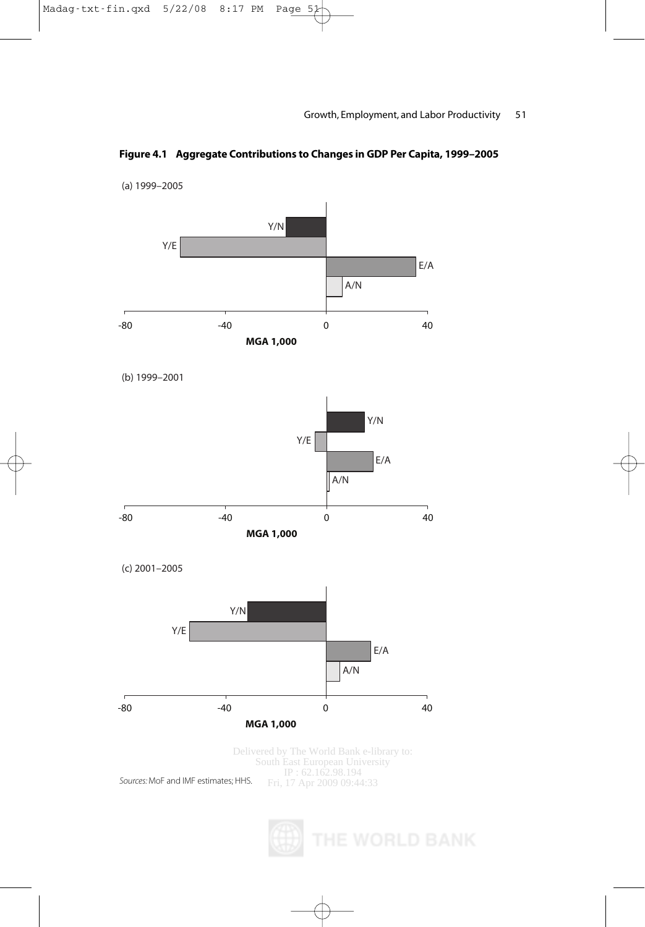

**Figure 4.1 Aggregate Contributions to Changes in GDP Per Capita, 1999–2005**

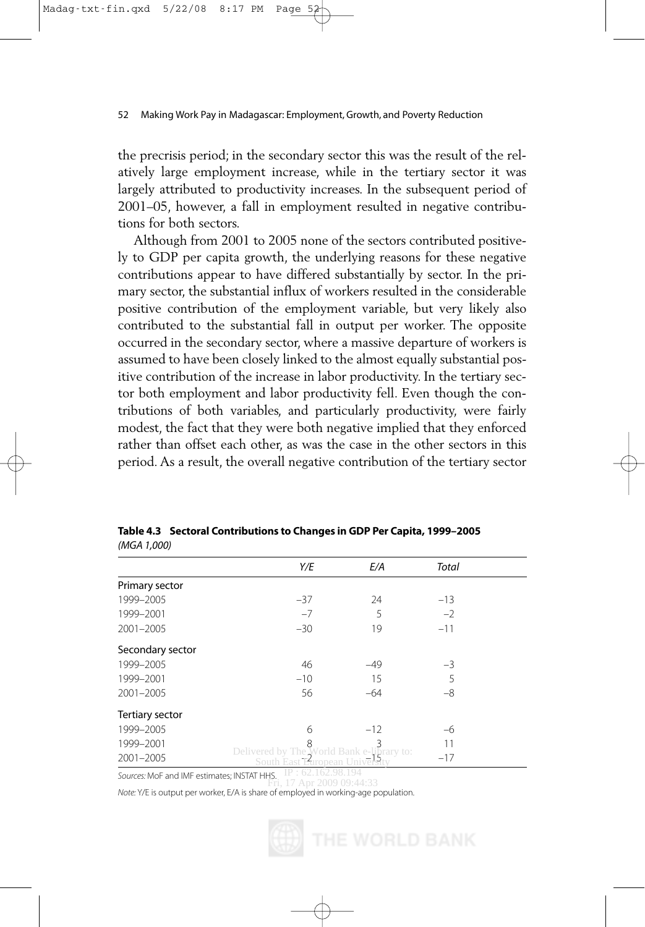the precrisis period; in the secondary sector this was the result of the relatively large employment increase, while in the tertiary sector it was largely attributed to productivity increases. In the subsequent period of 2001–05, however, a fall in employment resulted in negative contributions for both sectors.

Although from 2001 to 2005 none of the sectors contributed positively to GDP per capita growth, the underlying reasons for these negative contributions appear to have differed substantially by sector. In the primary sector, the substantial influx of workers resulted in the considerable positive contribution of the employment variable, but very likely also contributed to the substantial fall in output per worker. The opposite occurred in the secondary sector, where a massive departure of workers is assumed to have been closely linked to the almost equally substantial positive contribution of the increase in labor productivity. In the tertiary sector both employment and labor productivity fell. Even though the contributions of both variables, and particularly productivity, were fairly modest, the fact that they were both negative implied that they enforced rather than offset each other, as was the case in the other sectors in this period. As a result, the overall negative contribution of the tertiary sector

|                  | Y/E                                                                | E/A   | Total |  |
|------------------|--------------------------------------------------------------------|-------|-------|--|
| Primary sector   |                                                                    |       |       |  |
| 1999-2005        | $-37$                                                              | 24    | $-13$ |  |
| 1999-2001        | $-7$                                                               | 5     | $-2$  |  |
| 2001-2005        | $-30$                                                              | 19    | $-11$ |  |
| Secondary sector |                                                                    |       |       |  |
| 1999-2005        | 46                                                                 | $-49$ | $-3$  |  |
| 1999-2001        | $-10$                                                              | 15    | 5     |  |
| 2001-2005        | 56                                                                 | $-64$ | $-8$  |  |
| Tertiary sector  |                                                                    |       |       |  |
| 1999-2005        | 6                                                                  | $-12$ | -6    |  |
| 1999-2001        | 8                                                                  |       | 11    |  |
| 2001-2005        | Delivered by The World Bank e-library to:<br>South East European U |       | $-17$ |  |

**Table 4.3 Sectoral Contributions to Changes in GDP Per Capita, 1999–2005**  (MGA 1,000)

Sources: MoF and IMF estimates; INSTAT HHS.

Note: Y/E is output per worker, E/A is share of employed in working-age population.

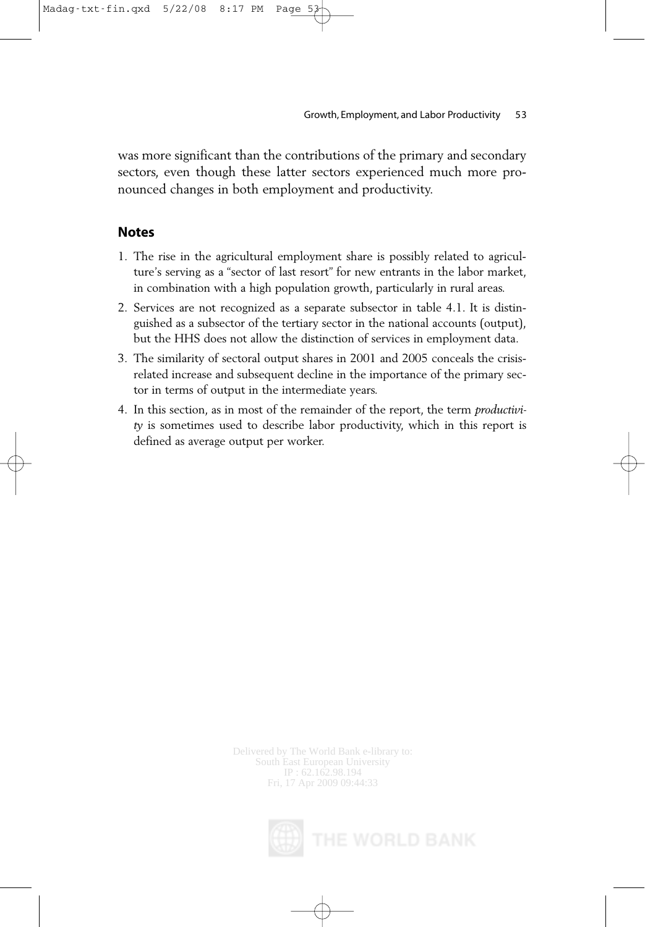was more significant than the contributions of the primary and secondary sectors, even though these latter sectors experienced much more pronounced changes in both employment and productivity.

## **Notes**

- 1. The rise in the agricultural employment share is possibly related to agriculture's serving as a "sector of last resort" for new entrants in the labor market, in combination with a high population growth, particularly in rural areas.
- 2. Services are not recognized as a separate subsector in table 4.1. It is distinguished as a subsector of the tertiary sector in the national accounts (output), but the HHS does not allow the distinction of services in employment data.
- 3. The similarity of sectoral output shares in 2001 and 2005 conceals the crisisrelated increase and subsequent decline in the importance of the primary sector in terms of output in the intermediate years.
- 4. In this section, as in most of the remainder of the report, the term *productivity* is sometimes used to describe labor productivity, which in this report is defined as average output per worker.

IP : 62.162.98.194 Fri, 17 Apr 2009 09:44:33

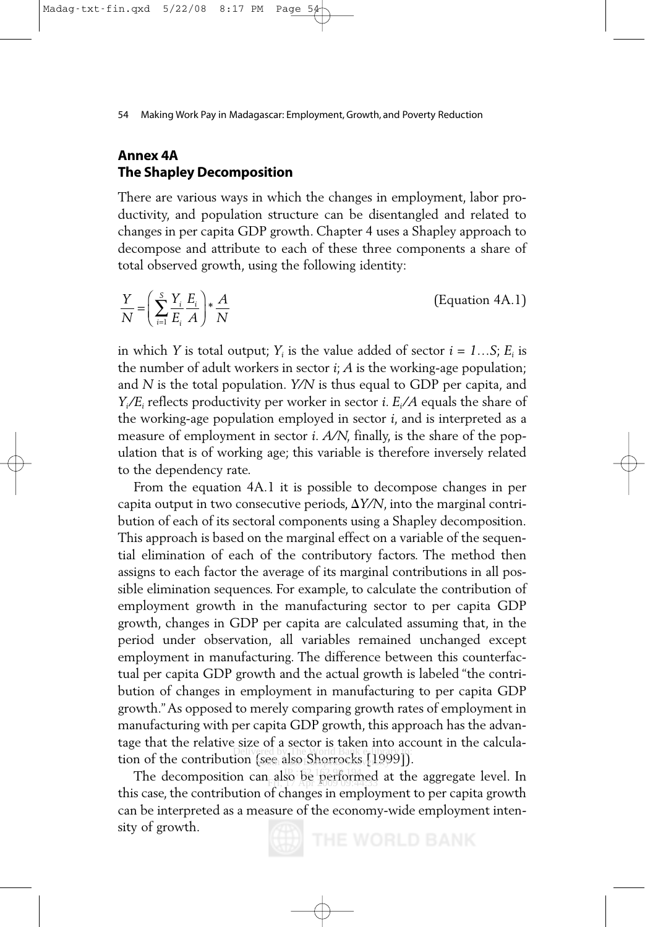# **Annex 4A The Shapley Decomposition**

There are various ways in which the changes in employment, labor productivity, and population structure can be disentangled and related to changes in per capita GDP growth. Chapter 4 uses a Shapley approach to decompose and attribute to each of these three components a share of total observed growth, using the following identity:

$$
\frac{Y}{N} = \left(\sum_{i=1}^{S} \frac{Y_i}{E_i} \frac{E_i}{A}\right) * \frac{A}{N}
$$
\n(Equation 4A.1)

in which *Y* is total output; *Y<sub>i</sub>* is the value added of sector  $i = 1...S$ ; *E<sub>i</sub>* is the number of adult workers in sector *i*; *A* is the working-age population; and *N* is the total population. *Y/N* is thus equal to GDP per capita, and *Yi/Ei* reflects productivity per worker in sector *i*. *Ei/A* equals the share of the working-age population employed in sector *i*, and is interpreted as a measure of employment in sector *i*. *A/N,* finally, is the share of the population that is of working age; this variable is therefore inversely related to the dependency rate.

From the equation 4A.1 it is possible to decompose changes in per capita output in two consecutive periods,  $\Delta Y/N$ , into the marginal contribution of each of its sectoral components using a Shapley decomposition. This approach is based on the marginal effect on a variable of the sequential elimination of each of the contributory factors. The method then assigns to each factor the average of its marginal contributions in all possible elimination sequences. For example, to calculate the contribution of employment growth in the manufacturing sector to per capita GDP growth, changes in GDP per capita are calculated assuming that, in the period under observation, all variables remained unchanged except employment in manufacturing. The difference between this counterfactual per capita GDP growth and the actual growth is labeled "the contribution of changes in employment in manufacturing to per capita GDP growth."As opposed to merely comparing growth rates of employment in manufacturing with per capita GDP growth, this approach has the advantage that the relative size of a sector is taken into account in the calcula-Delivered by The World Bank (i.e., 1999).<br>
tion of the contribution (see also Shorrocks [1999]). (see also Shorrocks [195

The decomposition can also be performed at the aggregate level. In this case, the contribution of changes in employment to per capita growth can be interpreted as a measure of the economy-wide employment intensity of growth. Fri, 17 Apr 2009 09:44:33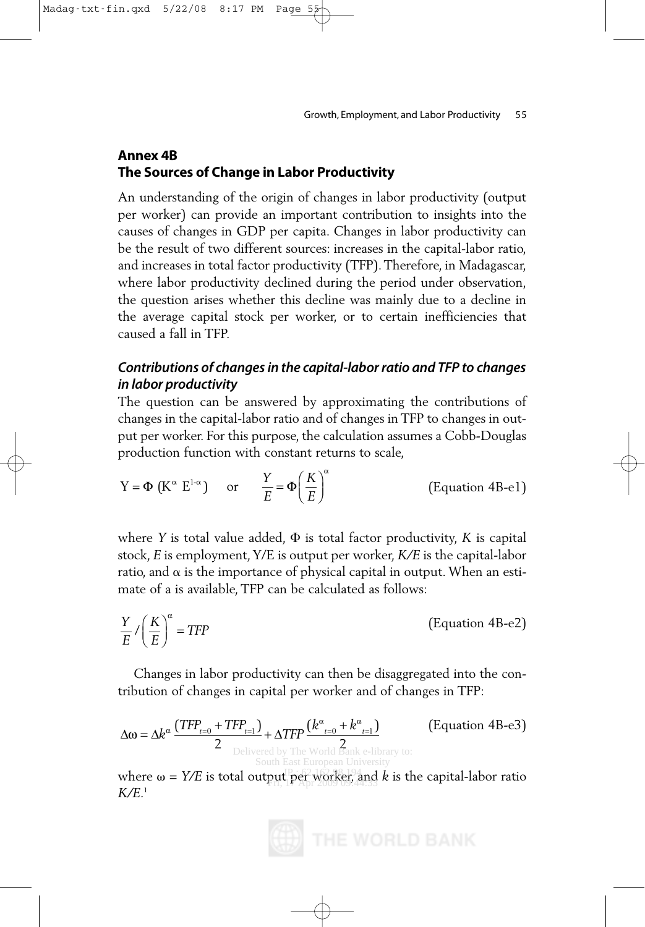# **Annex 4B The Sources of Change in Labor Productivity**

An understanding of the origin of changes in labor productivity (output per worker) can provide an important contribution to insights into the causes of changes in GDP per capita. Changes in labor productivity can be the result of two different sources: increases in the capital-labor ratio, and increases in total factor productivity (TFP). Therefore, in Madagascar, where labor productivity declined during the period under observation, the question arises whether this decline was mainly due to a decline in the average capital stock per worker, or to certain inefficiencies that caused a fall in TFP.

# **Contributions of changes in the capital-labor ratio and TFP to changes in labor productivity**

The question can be answered by approximating the contributions of changes in the capital-labor ratio and of changes in TFP to changes in output per worker. For this purpose, the calculation assumes a Cobb-Douglas production function with constant returns to scale, changes in the capital-labor<br>put per worker. For this pur<br>production function with c<br> $Y = \Phi (K^{\alpha} E^{1-\alpha})$  or  $\frac{Y}{E}$ 

$$
Y = \Phi \left( K^{\alpha} E^{1-\alpha} \right) \quad \text{or} \quad \frac{Y}{E} = \Phi \left( \frac{K}{E} \right)^{\alpha} \quad \text{(Equation 4B-e1)}
$$

where *Y* is total value added,  $\Phi$  is total factor productivity, *K* is capital stock, *E* is employment, Y/E is output per worker, *K/E* is the capital-labor ratio, and  $\alpha$  is the importance of physical capital in output. When an estimate of a is available, TFP can be calculated as follows: where *Y* is total value added<br>
stock, *E* is employment, Y/E i<br>
ratio, and  $\alpha$  is the importance<br>
mate of a is available, TFP can<br>
mate of a is available, TFP can<br>  $\frac{Y}{E}$  /  $\left(\frac{K}{E}\right)^{\alpha} = TFP$ <br>
Changes in labor produ total fact<br>wisical calculated<br>alculated<br>n<br>tord Bank<br>ord Bank<br>opean University<br>opean University<br>0.2.38.194 Free *Y* is total value added, Φ is total factor<br>
k, *E* is employment, *Y*/E is output per work<br>
9, and α is the importance of physical capital<br>
e of a is available, TFP can be calculated as<br>  $\left(\frac{K}{E}\right)^{\alpha} = TFP$ <br>
Change where the V/E is output per<br>
importance of physical<br>
able, TFP can be calcula<br>
able, TFP can be calcula<br>
ges in capital per worke<br>  $+ TFP_{t=1}$ <br>  $+ \Delta TFP \frac{(k^{\alpha}_{t=0} + k^{\alpha}_{t=0})}{k^{\alpha}_{\text{sub}} + k^{\alpha}_{\text{sub}} + k^{\alpha}_{\text{sub}} + k^{\alpha}_{\text{sub}} + k^{\alpha}_{$ 

$$
\frac{Y}{E} / \left(\frac{K}{E}\right)^{\alpha} = TFP
$$
 (Equation 4B-e2)

Changes in labor productivity can then be disaggregated into the contribution of changes in capital per worker and of changes in TFP:

$$
\Delta \omega = \Delta k^{\alpha} \frac{(TFP_{t=0} + TFP_{t=1})}{2} + \Delta TFP \frac{(k^{\alpha}_{t=0} + k^{\alpha}_{t=1})}{\sum_{\substack{\text{Delivered by The World Bank e-library to:} \\ \text{South East European University}}} \tag{Equation 4B-e3}
$$

where  $\omega = Y/E$  is total output per worker, and *k* is the capital-labor ratio *K/E*. 1 Fri, 17 Apr 2009 09:44:33

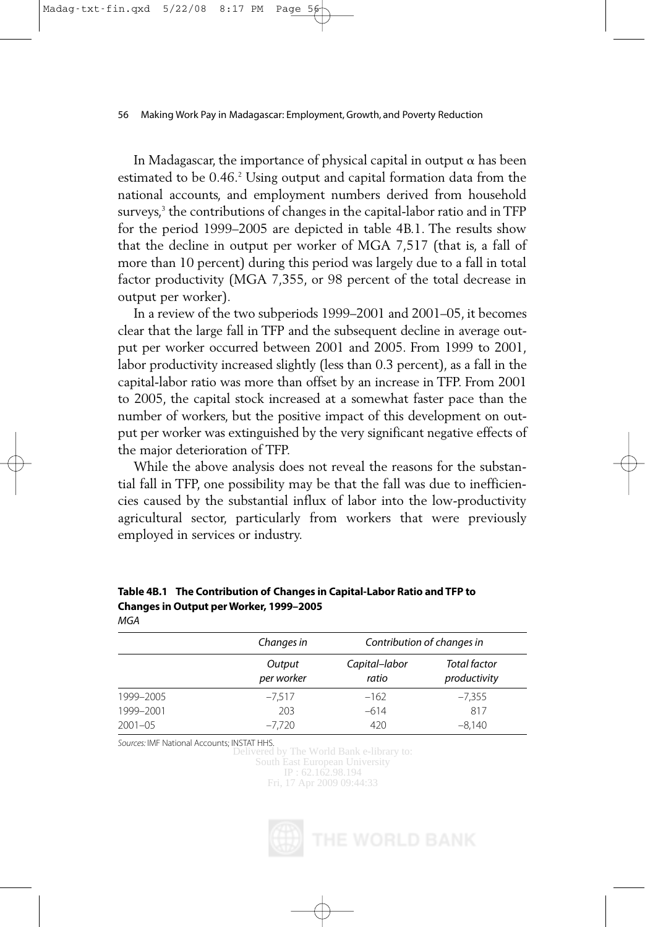In Madagascar, the importance of physical capital in output  $\alpha$  has been estimated to be 0.46.<sup>2</sup> Using output and capital formation data from the national accounts, and employment numbers derived from household surveys,<sup>3</sup> the contributions of changes in the capital-labor ratio and in TFP for the period 1999–2005 are depicted in table 4B.1. The results show that the decline in output per worker of MGA 7,517 (that is, a fall of more than 10 percent) during this period was largely due to a fall in total factor productivity (MGA 7,355, or 98 percent of the total decrease in output per worker).

In a review of the two subperiods 1999–2001 and 2001–05, it becomes clear that the large fall in TFP and the subsequent decline in average output per worker occurred between 2001 and 2005. From 1999 to 2001, labor productivity increased slightly (less than 0.3 percent), as a fall in the capital-labor ratio was more than offset by an increase in TFP. From 2001 to 2005, the capital stock increased at a somewhat faster pace than the number of workers, but the positive impact of this development on output per worker was extinguished by the very significant negative effects of the major deterioration of TFP.

While the above analysis does not reveal the reasons for the substantial fall in TFP, one possibility may be that the fall was due to inefficiencies caused by the substantial influx of labor into the low-productivity agricultural sector, particularly from workers that were previously employed in services or industry.

#### **Table 4B.1 The Contribution of Changes in Capital-Labor Ratio and TFP to Changes in Output per Worker, 1999–2005 MGA**

|             | Changes in           | Contribution of changes in |                                     |
|-------------|----------------------|----------------------------|-------------------------------------|
|             | Output<br>per worker | Capital-labor<br>ratio     | <b>Total factor</b><br>productivity |
| 1999-2005   | $-7,517$             | $-162$                     | $-7,355$                            |
| 1999-2001   | 203                  | $-614$                     | 817                                 |
| $2001 - 05$ | $-7,720$             | 420                        | $-8.140$                            |

Sources: IMF National Accounts; INSTAT HHS.

IP : 62.162.98.194

Fri, 17 Apr 2009 09:44:33

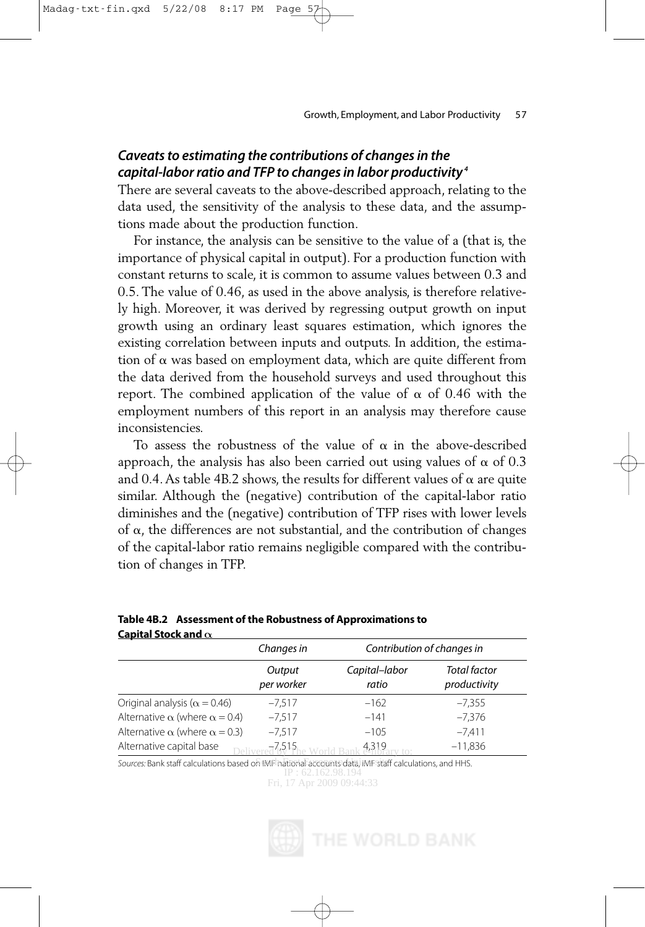# **Caveats to estimating the contributions of changes in the capital-labor ratio and TFP to changes in labor productivity <sup>4</sup>**

There are several caveats to the above-described approach, relating to the data used, the sensitivity of the analysis to these data, and the assumptions made about the production function.

For instance, the analysis can be sensitive to the value of a (that is, the importance of physical capital in output). For a production function with constant returns to scale, it is common to assume values between 0.3 and 0.5. The value of 0.46, as used in the above analysis, is therefore relatively high. Moreover, it was derived by regressing output growth on input growth using an ordinary least squares estimation, which ignores the existing correlation between inputs and outputs. In addition, the estimation of  $\alpha$  was based on employment data, which are quite different from the data derived from the household surveys and used throughout this report. The combined application of the value of  $\alpha$  of 0.46 with the employment numbers of this report in an analysis may therefore cause inconsistencies.

To assess the robustness of the value of  $\alpha$  in the above-described approach, the analysis has also been carried out using values of  $\alpha$  of 0.3 and 0.4. As table 4B.2 shows, the results for different values of  $\alpha$  are quite similar. Although the (negative) contribution of the capital-labor ratio diminishes and the (negative) contribution of TFP rises with lower levels of  $\alpha$ , the differences are not substantial, and the contribution of changes of the capital-labor ratio remains negligible compared with the contribution of changes in TFP.

#### **Table 4B.2 Assessment of the Robustness of Approximations to Capital Stock and α**

| Capital Stock and $\alpha$                  | Changes in           | Contribution of changes in |                                     |  |
|---------------------------------------------|----------------------|----------------------------|-------------------------------------|--|
|                                             | Output<br>per worker | Capital-labor<br>ratio     | <b>Total factor</b><br>productivity |  |
| Original analysis ( $\alpha$ = 0.46)        | $-7,517$             | $-162$                     | $-7,355$                            |  |
| Alternative $\alpha$ (where $\alpha$ = 0.4) | $-7,517$             | $-141$                     | $-7,376$                            |  |
| Alternative $\alpha$ (where $\alpha$ = 0.3) | $-7.517$             | $-105$                     | $-7,411$                            |  |
| Alternative capital base                    | $-7,515$             | 4,319                      | $-11,836$                           |  |

Sources: Bank staff calculations based on IMF national accounts data, IMF staff calculations, and HHS. n IMF national accounts data, IMF staf

IP : 62.162.98.194

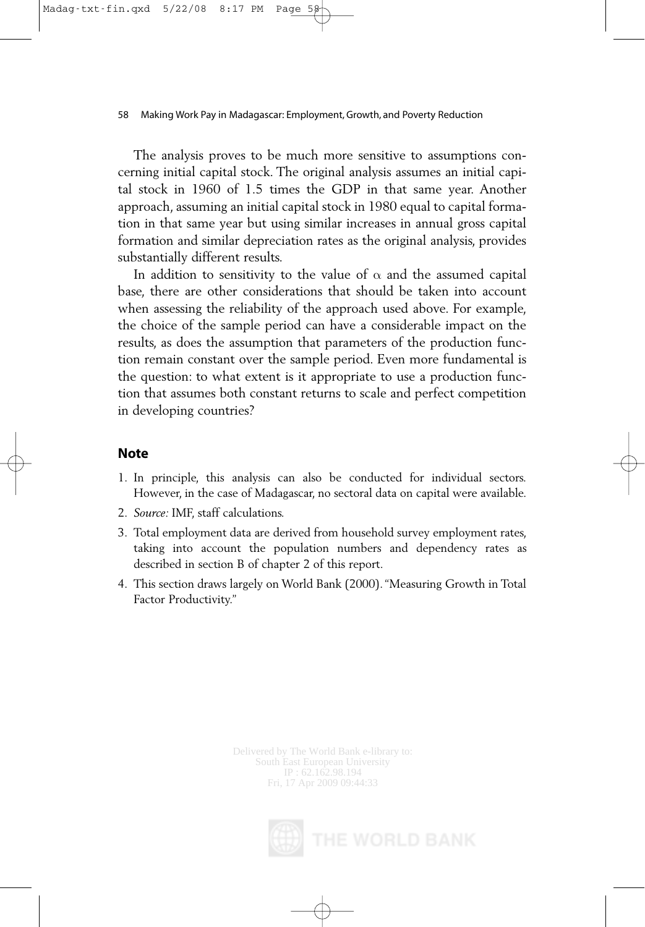58 Making Work Pay in Madagascar: Employment, Growth, and Poverty Reduction

The analysis proves to be much more sensitive to assumptions concerning initial capital stock. The original analysis assumes an initial capital stock in 1960 of 1.5 times the GDP in that same year. Another approach, assuming an initial capital stock in 1980 equal to capital formation in that same year but using similar increases in annual gross capital formation and similar depreciation rates as the original analysis, provides substantially different results.

In addition to sensitivity to the value of  $\alpha$  and the assumed capital base, there are other considerations that should be taken into account when assessing the reliability of the approach used above. For example, the choice of the sample period can have a considerable impact on the results, as does the assumption that parameters of the production function remain constant over the sample period. Even more fundamental is the question: to what extent is it appropriate to use a production function that assumes both constant returns to scale and perfect competition in developing countries?

## **Note**

- 1. In principle, this analysis can also be conducted for individual sectors. However, in the case of Madagascar, no sectoral data on capital were available.
- 2. *Source:* IMF, staff calculations.
- 3. Total employment data are derived from household survey employment rates, taking into account the population numbers and dependency rates as described in section B of chapter 2 of this report.
- 4. This section draws largely on World Bank (2000). "Measuring Growth in Total Factor Productivity."

IP : 62.162.98.194 Fri, 17 Apr 2009 09:44:33

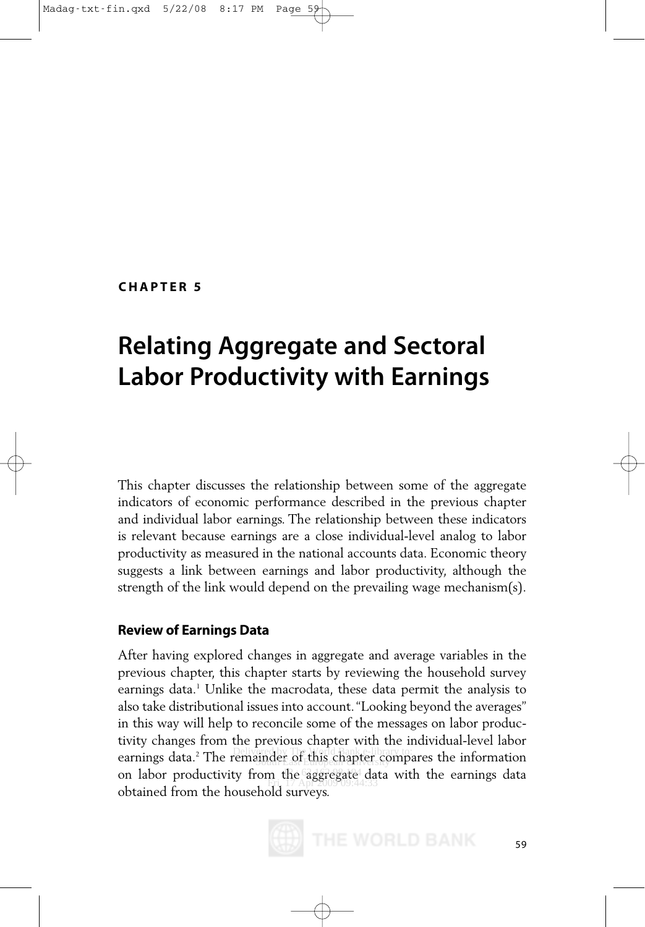#### **CHAPTER 5**

# **Relating Aggregate and Sectoral Labor Productivity with Earnings**

This chapter discusses the relationship between some of the aggregate indicators of economic performance described in the previous chapter and individual labor earnings. The relationship between these indicators is relevant because earnings are a close individual-level analog to labor productivity as measured in the national accounts data. Economic theory suggests a link between earnings and labor productivity, although the strength of the link would depend on the prevailing wage mechanism(s).

## **Review of Earnings Data**

After having explored changes in aggregate and average variables in the previous chapter, this chapter starts by reviewing the household survey earnings data.<sup>1</sup> Unlike the macrodata, these data permit the analysis to also take distributional issues into account."Looking beyond the averages" in this way will help to reconcile some of the messages on labor productivity changes from the previous chapter with the individual-level labor earnings data.<sup>2</sup> The remainder of this chapter compares the information on labor productivity from the aggregate data with the earnings data obtained from the household surveys. Fri, 17 Apr 2009 09:44:33singer of this enapter co

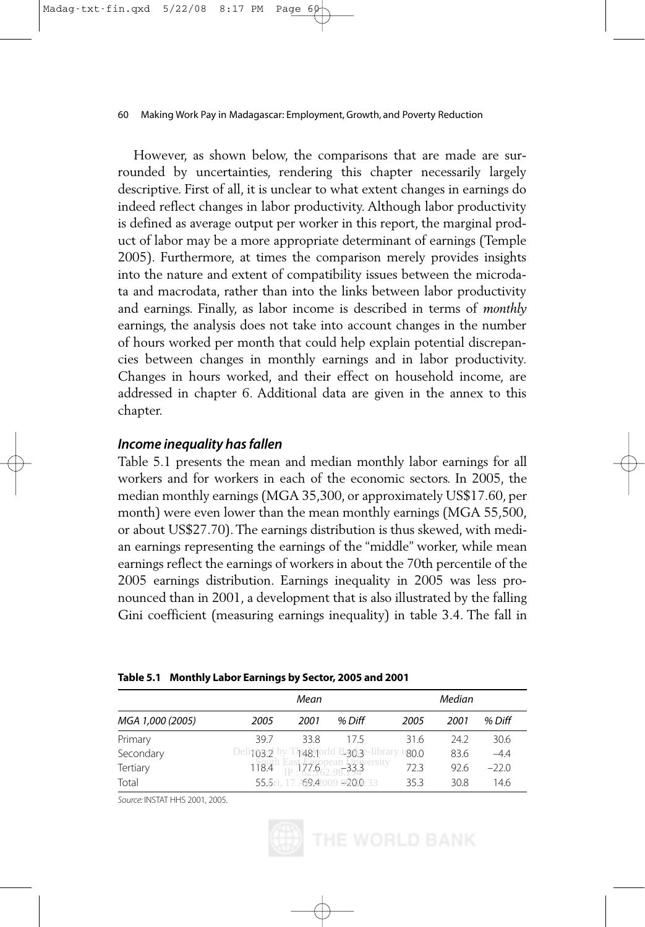60 Making Work Pay in Madagascar: Employment, Growth, and Poverty Reduction

However, as shown below, the comparisons that are made are surrounded by uncertainties, rendering this chapter necessarily largely descriptive. First of all, it is unclear to what extent changes in earnings do indeed reflect changes in labor productivity. Although labor productivity is defined as average output per worker in this report, the marginal product of labor may be a more appropriate determinant of earnings (Temple 2005). Furthermore, at times the comparison merely provides insights into the nature and extent of compatibility issues between the microdata and macrodata, rather than into the links between labor productivity and earnings. Finally, as labor income is described in terms of *monthly* earnings, the analysis does not take into account changes in the number of hours worked per month that could help explain potential discrepancies between changes in monthly earnings and in labor productivity. Changes in hours worked, and their effect on household income, are addressed in chapter 6. Additional data are given in the annex to this chapter.

#### **Income inequality has fallen**

Table 5.1 presents the mean and median monthly labor earnings for all workers and for workers in each of the economic sectors. In 2005, the median monthly earnings (MGA 35,300, or approximately US\$17.60, per month) were even lower than the mean monthly earnings (MGA 55,500, or about US\$27.70). The earnings distribution is thus skewed, with median earnings representing the earnings of the "middle" worker, while mean earnings reflect the earnings of workers in about the 70th percentile of the 2005 earnings distribution. Earnings inequality in 2005 was less pronounced than in 2001, a development that is also illustrated by the falling Gini coefficient (measuring earnings inequality) in table 3.4. The fall in

#### **Table 5.1 Monthly Labor Earnings by Sector, 2005 and 2001**

|                  |                                         | Mean |                                |      | Median |         |
|------------------|-----------------------------------------|------|--------------------------------|------|--------|---------|
| MGA 1,000 (2005) | 2005                                    | 2001 | % Diff                         | 2005 | 2001   | % Diff  |
| Primary          | 397                                     | 33.8 | 175                            | 316  | 242    | 30.6    |
| Secondary        | Delivored by Than Morld Bange-library t |      |                                | 80.0 | 83.6   | $-4.4$  |
| Tertiary         |                                         |      | 118.4 East European Linyersity | 72.3 | 926    | $-22.0$ |
| Total            |                                         |      | 55.5ri. 17 469.4009 020.0:33   | 35.3 | 30.8   | 14.6    |

Source: INSTAT HHS 2001, 2005.

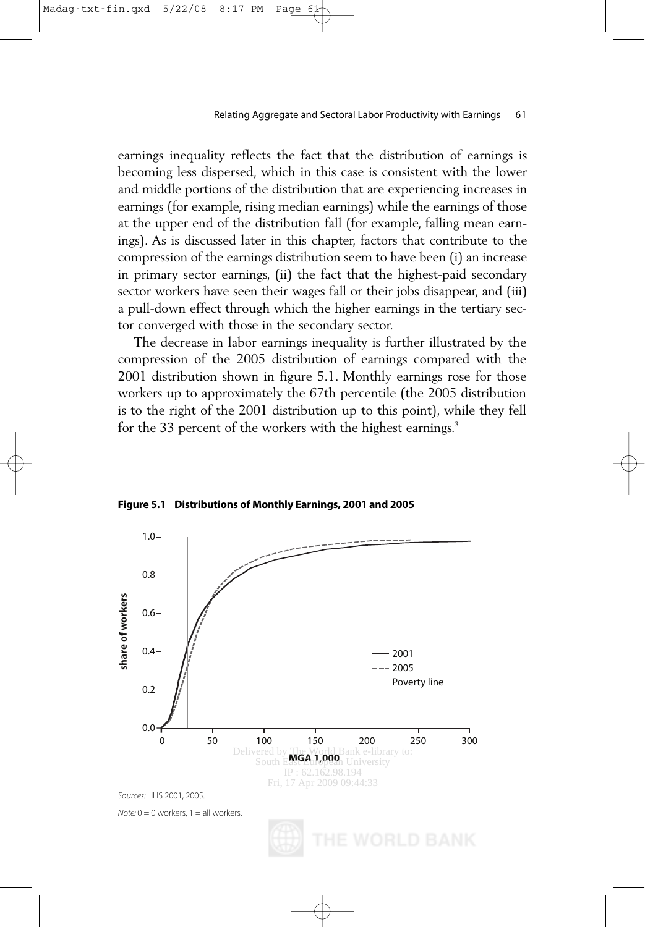earnings inequality reflects the fact that the distribution of earnings is becoming less dispersed, which in this case is consistent with the lower and middle portions of the distribution that are experiencing increases in earnings (for example, rising median earnings) while the earnings of those at the upper end of the distribution fall (for example, falling mean earnings). As is discussed later in this chapter, factors that contribute to the compression of the earnings distribution seem to have been (i) an increase in primary sector earnings, (ii) the fact that the highest-paid secondary sector workers have seen their wages fall or their jobs disappear, and (iii) a pull-down effect through which the higher earnings in the tertiary sector converged with those in the secondary sector.

The decrease in labor earnings inequality is further illustrated by the compression of the 2005 distribution of earnings compared with the 2001 distribution shown in figure 5.1. Monthly earnings rose for those workers up to approximately the 67th percentile (the 2005 distribution is to the right of the 2001 distribution up to this point), while they fell for the 33 percent of the workers with the highest earnings.<sup>3</sup>

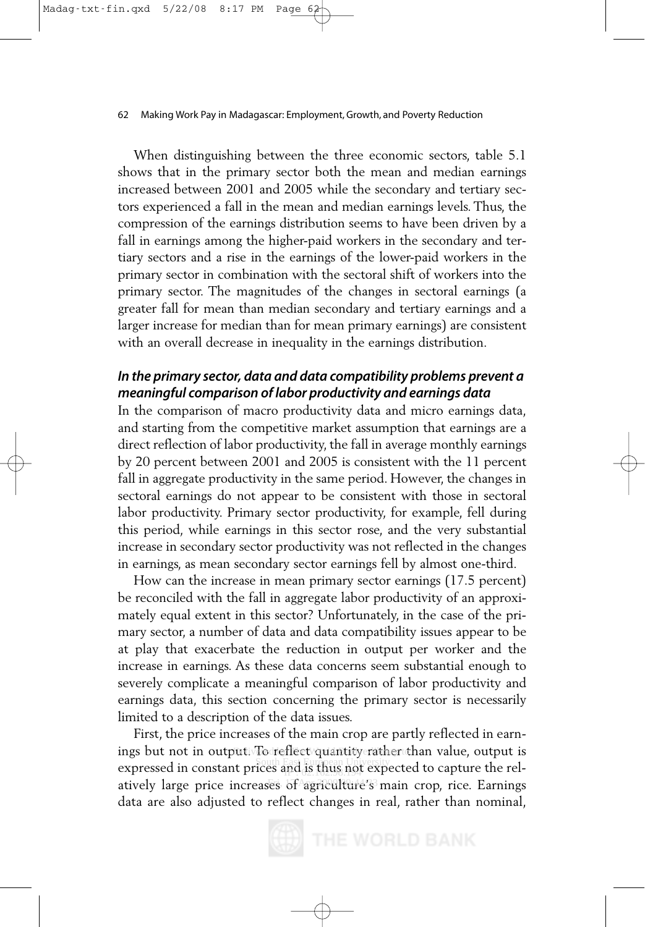#### 62 Making Work Pay in Madagascar: Employment, Growth, and Poverty Reduction

When distinguishing between the three economic sectors, table 5.1 shows that in the primary sector both the mean and median earnings increased between 2001 and 2005 while the secondary and tertiary sectors experienced a fall in the mean and median earnings levels. Thus, the compression of the earnings distribution seems to have been driven by a fall in earnings among the higher-paid workers in the secondary and tertiary sectors and a rise in the earnings of the lower-paid workers in the primary sector in combination with the sectoral shift of workers into the primary sector. The magnitudes of the changes in sectoral earnings (a greater fall for mean than median secondary and tertiary earnings and a larger increase for median than for mean primary earnings) are consistent with an overall decrease in inequality in the earnings distribution.

#### **In the primary sector, data and data compatibility problems prevent a meaningful comparison of labor productivity and earnings data**

In the comparison of macro productivity data and micro earnings data, and starting from the competitive market assumption that earnings are a direct reflection of labor productivity, the fall in average monthly earnings by 20 percent between 2001 and 2005 is consistent with the 11 percent fall in aggregate productivity in the same period. However, the changes in sectoral earnings do not appear to be consistent with those in sectoral labor productivity. Primary sector productivity, for example, fell during this period, while earnings in this sector rose, and the very substantial increase in secondary sector productivity was not reflected in the changes in earnings, as mean secondary sector earnings fell by almost one-third.

How can the increase in mean primary sector earnings (17.5 percent) be reconciled with the fall in aggregate labor productivity of an approximately equal extent in this sector? Unfortunately, in the case of the primary sector, a number of data and data compatibility issues appear to be at play that exacerbate the reduction in output per worker and the increase in earnings. As these data concerns seem substantial enough to severely complicate a meaningful comparison of labor productivity and earnings data, this section concerning the primary sector is necessarily limited to a description of the data issues.

First, the price increases of the main crop are partly reflected in earnings but not in outputivTodreflectvquantityerather than value, output is expressed in constant prices and is thus not expected to capture the relatively large price increases of agriculture's main crop, rice. Earnings data are also adjusted to reflect changes in real, rather than nominal,  $\mu$ u $\mu$   $\mu$ s.  $\mu$ ius. $\mu$ o

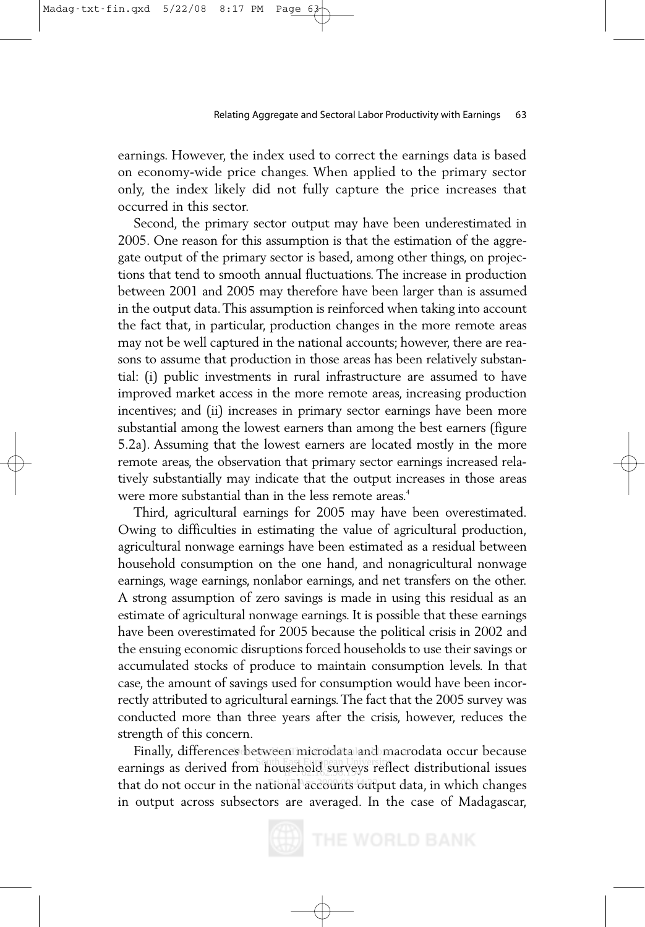earnings. However, the index used to correct the earnings data is based on economy-wide price changes. When applied to the primary sector only, the index likely did not fully capture the price increases that occurred in this sector.

Second, the primary sector output may have been underestimated in 2005. One reason for this assumption is that the estimation of the aggregate output of the primary sector is based, among other things, on projections that tend to smooth annual fluctuations. The increase in production between 2001 and 2005 may therefore have been larger than is assumed in the output data.This assumption is reinforced when taking into account the fact that, in particular, production changes in the more remote areas may not be well captured in the national accounts; however, there are reasons to assume that production in those areas has been relatively substantial: (i) public investments in rural infrastructure are assumed to have improved market access in the more remote areas, increasing production incentives; and (ii) increases in primary sector earnings have been more substantial among the lowest earners than among the best earners (figure 5.2a). Assuming that the lowest earners are located mostly in the more remote areas, the observation that primary sector earnings increased relatively substantially may indicate that the output increases in those areas were more substantial than in the less remote areas<sup>4</sup>

Third, agricultural earnings for 2005 may have been overestimated. Owing to difficulties in estimating the value of agricultural production, agricultural nonwage earnings have been estimated as a residual between household consumption on the one hand, and nonagricultural nonwage earnings, wage earnings, nonlabor earnings, and net transfers on the other. A strong assumption of zero savings is made in using this residual as an estimate of agricultural nonwage earnings. It is possible that these earnings have been overestimated for 2005 because the political crisis in 2002 and the ensuing economic disruptions forced households to use their savings or accumulated stocks of produce to maintain consumption levels. In that case, the amount of savings used for consumption would have been incorrectly attributed to agricultural earnings.The fact that the 2005 survey was conducted more than three years after the crisis, however, reduces the strength of this concern.

Finally, differences between microdata and macrodata occur because earnings as derived from household surveys reflect distributional issues that do not occur in the national accounts output data, in which changes in output across subsectors are averaged. In the case of Madagascar, **Petroid:** 2017, 20

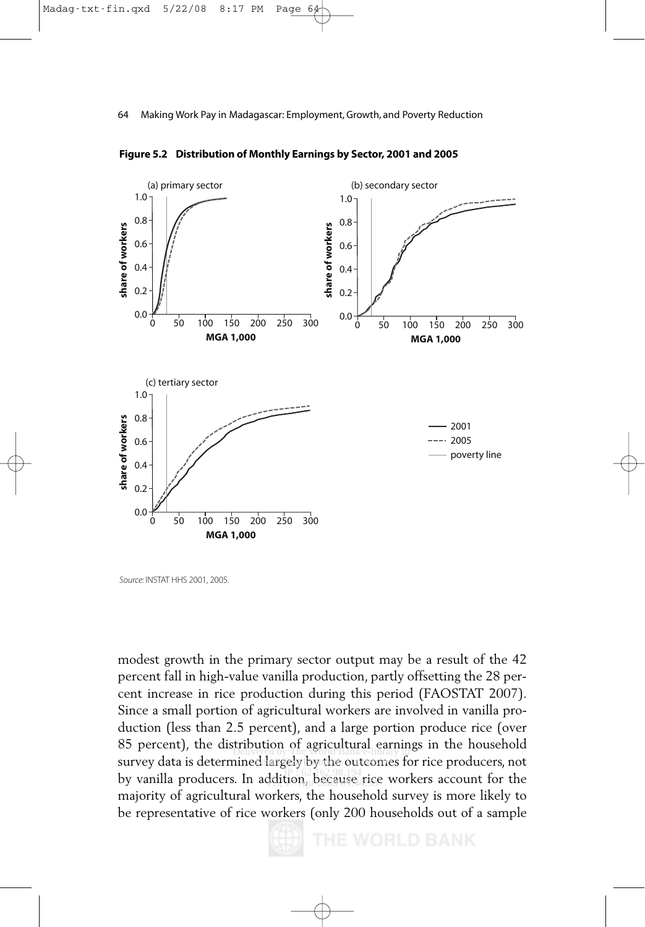64 Making Work Pay in Madagascar: Employment, Growth, and Poverty Reduction



**Figure 5.2 Distribution of Monthly Earnings by Sector, 2001 and 2005**

Source: INSTAT HHS 2001, 2005.

modest growth in the primary sector output may be a result of the 42 percent fall in high-value vanilla production, partly offsetting the 28 percent increase in rice production during this period (FAOSTAT 2007). Since a small portion of agricultural workers are involved in vanilla production (less than 2.5 percent), and a large portion produce rice (over 85 percent), the distribution of agricultural earnings in the household survey data is determined largely by the outcomes for rice producers, not by vanilla producers. In addition, because rice workers account for the majority of agricultural workers, the household survey is more likely to be representative of rice workers (only 200 households out of a sample d largely by the outcom Fri, 17 Apr 2009 09:44:33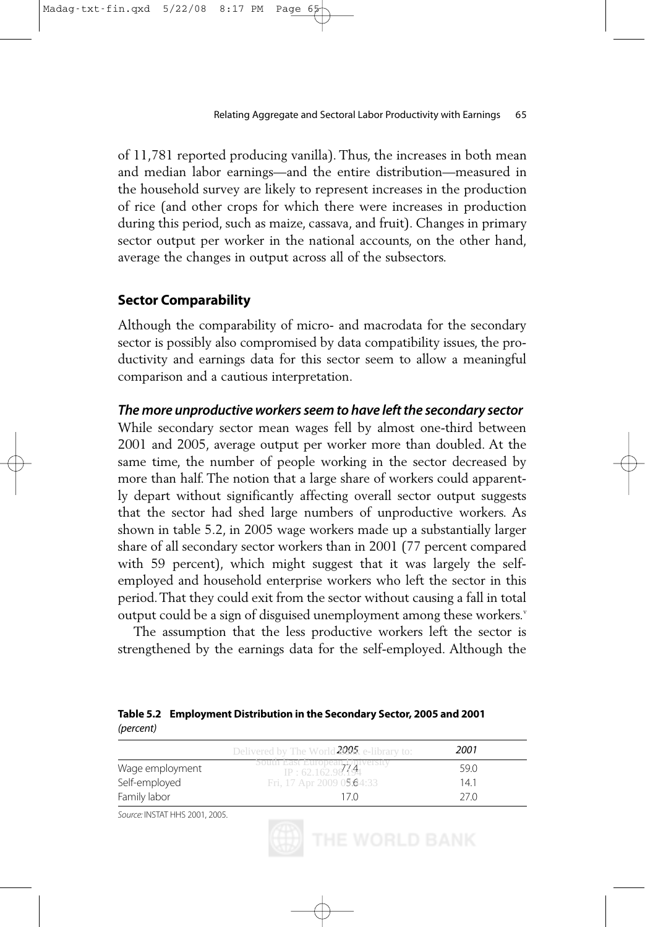of 11,781 reported producing vanilla). Thus, the increases in both mean and median labor earnings—and the entire distribution—measured in the household survey are likely to represent increases in the production of rice (and other crops for which there were increases in production during this period, such as maize, cassava, and fruit). Changes in primary sector output per worker in the national accounts, on the other hand, average the changes in output across all of the subsectors.

#### **Sector Comparability**

Although the comparability of micro- and macrodata for the secondary sector is possibly also compromised by data compatibility issues, the productivity and earnings data for this sector seem to allow a meaningful comparison and a cautious interpretation.

**The more unproductive workers seem to have left the secondary sector**

While secondary sector mean wages fell by almost one-third between 2001 and 2005, average output per worker more than doubled. At the same time, the number of people working in the sector decreased by more than half. The notion that a large share of workers could apparently depart without significantly affecting overall sector output suggests that the sector had shed large numbers of unproductive workers. As shown in table 5.2, in 2005 wage workers made up a substantially larger share of all secondary sector workers than in 2001 (77 percent compared with 59 percent), which might suggest that it was largely the selfemployed and household enterprise workers who left the sector in this period.That they could exit from the sector without causing a fall in total output could be a sign of disguised unemployment among these workers.<sup>v</sup>

The assumption that the less productive workers left the sector is strengthened by the earnings data for the self-employed. Although the

#### **Table 5.2 Employment Distribution in the Secondary Sector, 2005 and 2001**  (percent)

|                 | Delivered by The World $2005$ e-library to:        | 2001 |
|-----------------|----------------------------------------------------|------|
| Wage employment | South East European University<br>IP: 62.162.98744 | 59.0 |
| Self-employed   | Fri, 17 Apr 2009 05:64:33                          | 14.1 |
| Family labor    | 17 O                                               | 27 O |

Source: INSTAT HHS 2001, 2005.

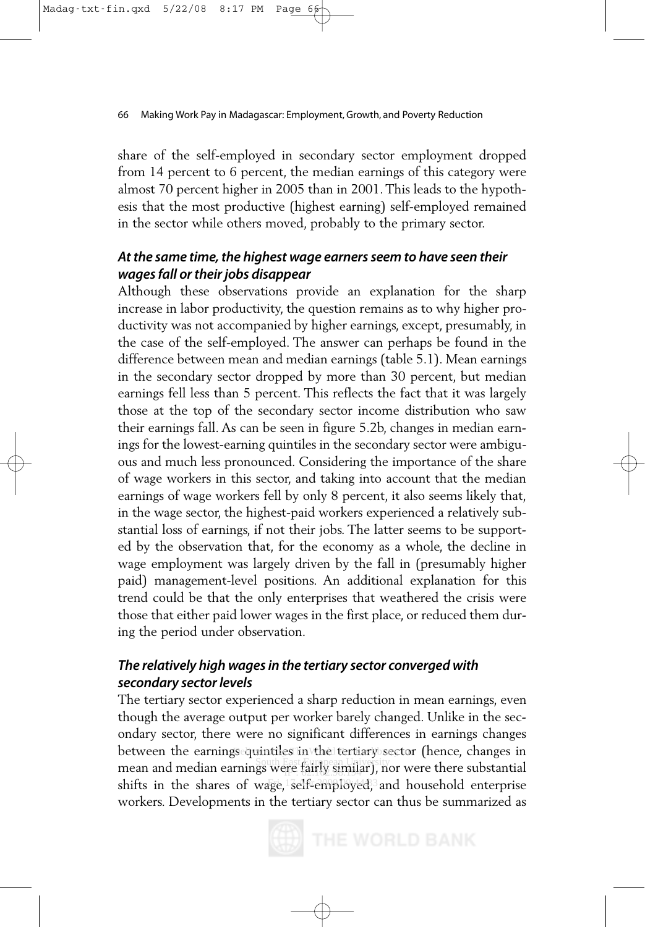share of the self-employed in secondary sector employment dropped from 14 percent to 6 percent, the median earnings of this category were almost 70 percent higher in 2005 than in 2001. This leads to the hypothesis that the most productive (highest earning) self-employed remained in the sector while others moved, probably to the primary sector.

## **At the same time, the highest wage earners seem to have seen their wages fall or their jobs disappear**

Although these observations provide an explanation for the sharp increase in labor productivity, the question remains as to why higher productivity was not accompanied by higher earnings, except, presumably, in the case of the self-employed. The answer can perhaps be found in the difference between mean and median earnings (table 5.1). Mean earnings in the secondary sector dropped by more than 30 percent, but median earnings fell less than 5 percent. This reflects the fact that it was largely those at the top of the secondary sector income distribution who saw their earnings fall. As can be seen in figure 5.2b, changes in median earnings for the lowest-earning quintiles in the secondary sector were ambiguous and much less pronounced. Considering the importance of the share of wage workers in this sector, and taking into account that the median earnings of wage workers fell by only 8 percent, it also seems likely that, in the wage sector, the highest-paid workers experienced a relatively substantial loss of earnings, if not their jobs. The latter seems to be supported by the observation that, for the economy as a whole, the decline in wage employment was largely driven by the fall in (presumably higher paid) management-level positions. An additional explanation for this trend could be that the only enterprises that weathered the crisis were those that either paid lower wages in the first place, or reduced them during the period under observation.

## **The relatively high wages in the tertiary sector converged with secondary sector levels**

The tertiary sector experienced a sharp reduction in mean earnings, even though the average output per worker barely changed. Unlike in the secondary sector, there were no significant differences in earnings changes between the earnings quintiles in the tertiary sector (hence, changes in mean and median earnings were fairly similar), nor were there substantial shifts in the shares of wage, self employed,3 and household enterprise workers. Developments in the tertiary sector can thus be summarized as IP : 62.162.98.194

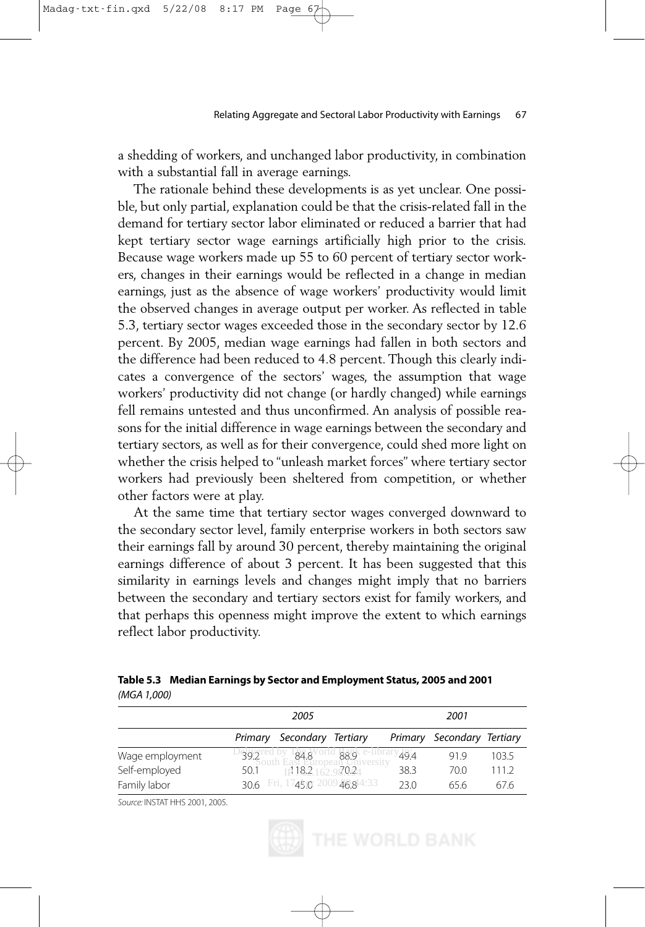a shedding of workers, and unchanged labor productivity, in combination with a substantial fall in average earnings.

The rationale behind these developments is as yet unclear. One possible, but only partial, explanation could be that the crisis-related fall in the demand for tertiary sector labor eliminated or reduced a barrier that had kept tertiary sector wage earnings artificially high prior to the crisis. Because wage workers made up 55 to 60 percent of tertiary sector workers, changes in their earnings would be reflected in a change in median earnings, just as the absence of wage workers' productivity would limit the observed changes in average output per worker. As reflected in table 5.3, tertiary sector wages exceeded those in the secondary sector by 12.6 percent. By 2005, median wage earnings had fallen in both sectors and the difference had been reduced to 4.8 percent. Though this clearly indicates a convergence of the sectors' wages, the assumption that wage workers' productivity did not change (or hardly changed) while earnings fell remains untested and thus unconfirmed. An analysis of possible reasons for the initial difference in wage earnings between the secondary and tertiary sectors, as well as for their convergence, could shed more light on whether the crisis helped to "unleash market forces" where tertiary sector workers had previously been sheltered from competition, or whether other factors were at play.

At the same time that tertiary sector wages converged downward to the secondary sector level, family enterprise workers in both sectors saw their earnings fall by around 30 percent, thereby maintaining the original earnings difference of about 3 percent. It has been suggested that this similarity in earnings levels and changes might imply that no barriers between the secondary and tertiary sectors exist for family workers, and that perhaps this openness might improve the extent to which earnings reflect labor productivity.

**Table 5.3 Median Earnings by Sector and Employment Status, 2005 and 2001**  (MGA 1,000)

|                 | 2005                                | 2001 |                            |       |
|-----------------|-------------------------------------|------|----------------------------|-------|
|                 | Secondary Tertiary<br>Primary       |      | Primary Secondary Tertiary |       |
| Wage employment | $39.2$ red<br>88.9 e-librar<br>84.8 | 49.4 | 919                        | 103.5 |
| Self-employed   | TH 18.2 162 970.24<br>50.1          | 38.3 | 70.0                       | 1112  |
| Family labor    | 306 Fri, 1745 pr 2009 4684:33       | 230  | 656                        | 67.6  |

Source: INSTAT HHS 2001, 2005.

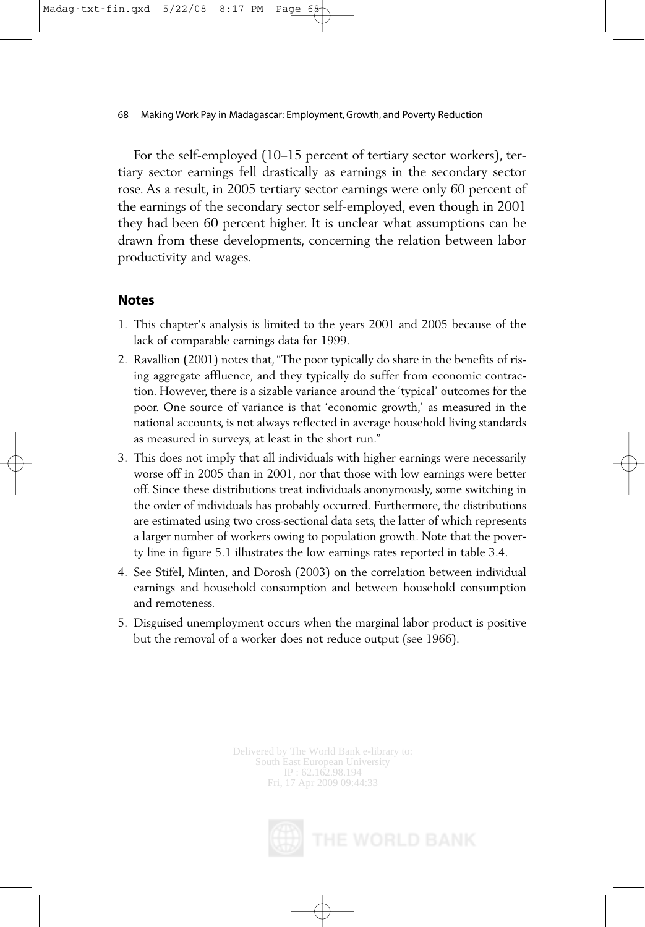For the self-employed (10–15 percent of tertiary sector workers), tertiary sector earnings fell drastically as earnings in the secondary sector rose. As a result, in 2005 tertiary sector earnings were only 60 percent of the earnings of the secondary sector self-employed, even though in 2001 they had been 60 percent higher. It is unclear what assumptions can be drawn from these developments, concerning the relation between labor productivity and wages.

#### **Notes**

- 1. This chapter's analysis is limited to the years 2001 and 2005 because of the lack of comparable earnings data for 1999.
- 2. Ravallion (2001) notes that, "The poor typically do share in the benefits of rising aggregate affluence, and they typically do suffer from economic contraction. However, there is a sizable variance around the 'typical' outcomes for the poor. One source of variance is that 'economic growth,' as measured in the national accounts, is not always reflected in average household living standards as measured in surveys, at least in the short run."
- 3. This does not imply that all individuals with higher earnings were necessarily worse off in 2005 than in 2001, nor that those with low earnings were better off. Since these distributions treat individuals anonymously, some switching in the order of individuals has probably occurred. Furthermore, the distributions are estimated using two cross-sectional data sets, the latter of which represents a larger number of workers owing to population growth. Note that the poverty line in figure 5.1 illustrates the low earnings rates reported in table 3.4.
- 4. See Stifel, Minten, and Dorosh (2003) on the correlation between individual earnings and household consumption and between household consumption and remoteness.
- 5. Disguised unemployment occurs when the marginal labor product is positive but the removal of a worker does not reduce output (see 1966).

IP : 62.162.98.194 Fri, 17 Apr 2009 09:44:33

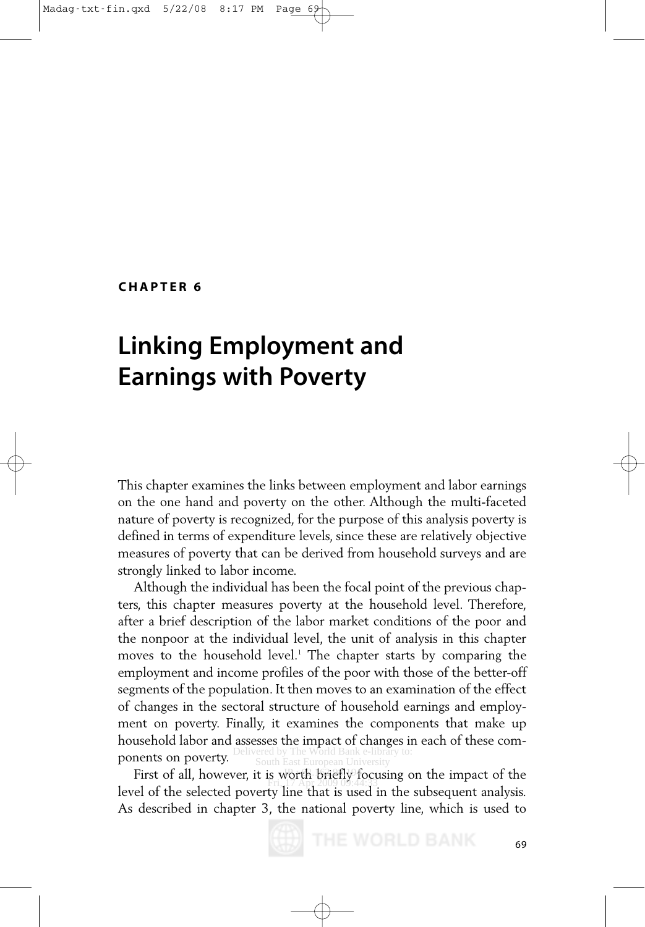#### **CHAPTER 6**

# **Linking Employment and Earnings with Poverty**

This chapter examines the links between employment and labor earnings on the one hand and poverty on the other. Although the multi-faceted nature of poverty is recognized, for the purpose of this analysis poverty is defined in terms of expenditure levels, since these are relatively objective measures of poverty that can be derived from household surveys and are strongly linked to labor income.

Although the individual has been the focal point of the previous chapters, this chapter measures poverty at the household level. Therefore, after a brief description of the labor market conditions of the poor and the nonpoor at the individual level, the unit of analysis in this chapter moves to the household level.<sup>1</sup> The chapter starts by comparing the employment and income profiles of the poor with those of the better-off segments of the population. It then moves to an examination of the effect of changes in the sectoral structure of household earnings and employment on poverty. Finally, it examines the components that make up household labor and assesses the impact of changes in each of these components on poverty. Delivered by The World Bank e-library to:

First of all, however, it is worth briefly focusing on the impact of the level of the selected poverty line that is used in the subsequent analysis. Fri, 17 Apr 2009 09:44:33As described in chapter 3, the national poverty line, which is used to

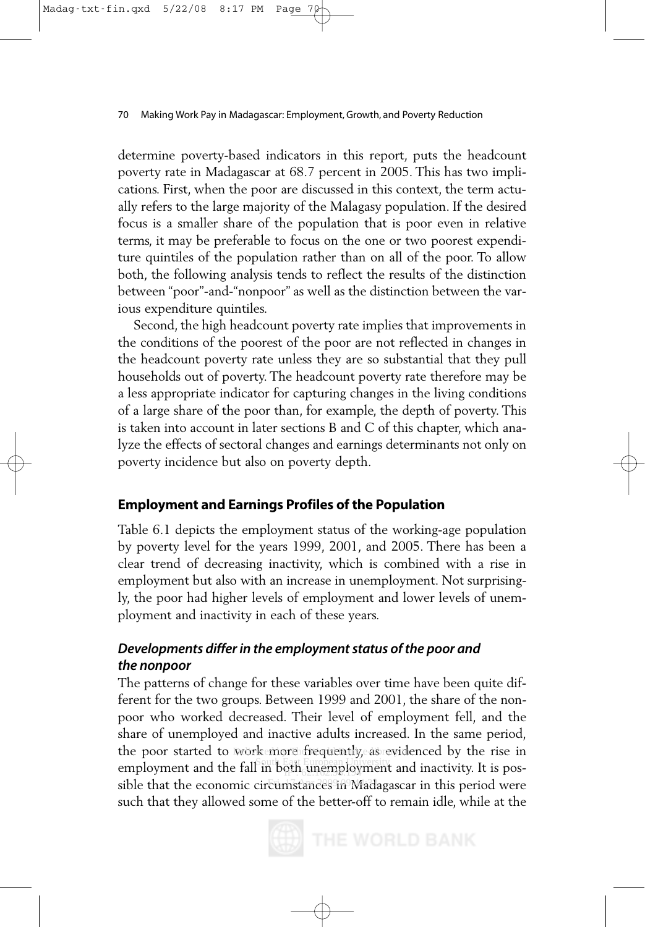determine poverty-based indicators in this report, puts the headcount poverty rate in Madagascar at 68.7 percent in 2005. This has two implications. First, when the poor are discussed in this context, the term actually refers to the large majority of the Malagasy population. If the desired focus is a smaller share of the population that is poor even in relative terms, it may be preferable to focus on the one or two poorest expenditure quintiles of the population rather than on all of the poor. To allow both, the following analysis tends to reflect the results of the distinction between "poor"-and-"nonpoor" as well as the distinction between the various expenditure quintiles.

Second, the high headcount poverty rate implies that improvements in the conditions of the poorest of the poor are not reflected in changes in the headcount poverty rate unless they are so substantial that they pull households out of poverty. The headcount poverty rate therefore may be a less appropriate indicator for capturing changes in the living conditions of a large share of the poor than, for example, the depth of poverty. This is taken into account in later sections B and C of this chapter, which analyze the effects of sectoral changes and earnings determinants not only on poverty incidence but also on poverty depth.

## **Employment and Earnings Profiles of the Population**

Table 6.1 depicts the employment status of the working-age population by poverty level for the years 1999, 2001, and 2005. There has been a clear trend of decreasing inactivity, which is combined with a rise in employment but also with an increase in unemployment. Not surprisingly, the poor had higher levels of employment and lower levels of unemployment and inactivity in each of these years.

## **Developments differ in the employment status of the poor and the nonpoor**

The patterns of change for these variables over time have been quite different for the two groups. Between 1999 and 2001, the share of the nonpoor who worked decreased. Their level of employment fell, and the share of unemployed and inactive adults increased. In the same period, the poor started to work more frequently, as evidenced by the rise in employment and the fall in both unemployment and inactivity. It is possible that the economic circumstances in Madagascar in this period were such that they allowed some of the better-off to remain idle, while at the dru membio)

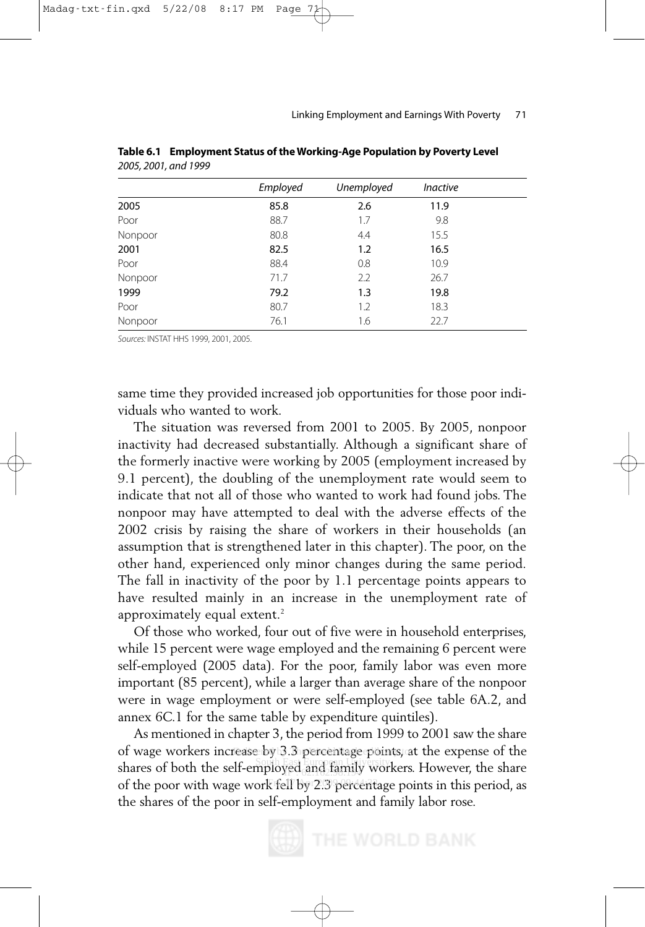|         | Employed | Unemployed | <i><u><b>Inactive</b></u></i> |
|---------|----------|------------|-------------------------------|
| 2005    | 85.8     | 2.6        | 11.9                          |
| Poor    | 88.7     | 1.7        | 9.8                           |
| Nonpoor | 80.8     | 4.4        | 15.5                          |
| 2001    | 82.5     | 1.2        | 16.5                          |
| Poor    | 88.4     | 0.8        | 10.9                          |
| Nonpoor | 71.7     | 2.2        | 26.7                          |
| 1999    | 79.2     | 1.3        | 19.8                          |
| Poor    | 80.7     | 1.2        | 18.3                          |
| Nonpoor | 76.1     | 1.6        | 22.7                          |

|                      | Table 6.1 Employment Status of the Working-Age Population by Poverty Level |
|----------------------|----------------------------------------------------------------------------|
| 2005, 2001, and 1999 |                                                                            |

Sources: INSTAT HHS 1999, 2001, 2005.

same time they provided increased job opportunities for those poor individuals who wanted to work.

The situation was reversed from 2001 to 2005. By 2005, nonpoor inactivity had decreased substantially. Although a significant share of the formerly inactive were working by 2005 (employment increased by 9.1 percent), the doubling of the unemployment rate would seem to indicate that not all of those who wanted to work had found jobs. The nonpoor may have attempted to deal with the adverse effects of the 2002 crisis by raising the share of workers in their households (an assumption that is strengthened later in this chapter). The poor, on the other hand, experienced only minor changes during the same period. The fall in inactivity of the poor by 1.1 percentage points appears to have resulted mainly in an increase in the unemployment rate of approximately equal extent.<sup>2</sup>

Of those who worked, four out of five were in household enterprises, while 15 percent were wage employed and the remaining 6 percent were self-employed (2005 data). For the poor, family labor was even more important (85 percent), while a larger than average share of the nonpoor were in wage employment or were self-employed (see table 6A.2, and annex 6C.1 for the same table by expenditure quintiles).

As mentioned in chapter 3, the period from 1999 to 2001 saw the share of wage workers increase by 3.3 percentage points, at the expense of the shares of both the self-employed and family workers. However, the share of the poor with wage work fell by 2.3 percentage points in this period, as the shares of the poor in self-employment and family labor rose.  $\text{Im}(\mathcal{L}_1, \mathcal{L}_2)$ 

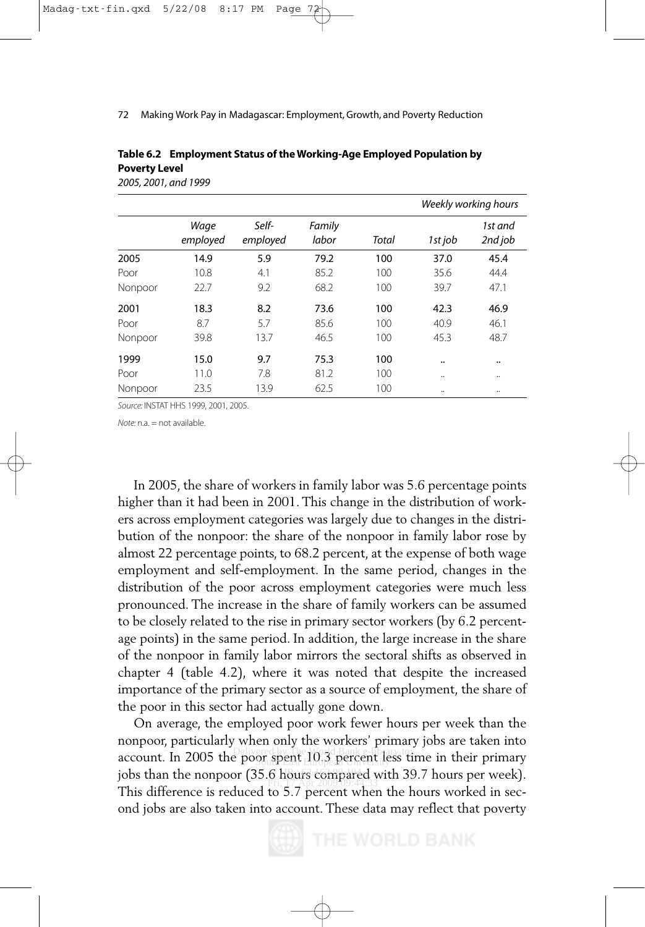72 Making Work Pay in Madagascar: Employment, Growth, and Poverty Reduction

|         |                  |                   |                 |       | Weekly working hours |                    |  |
|---------|------------------|-------------------|-----------------|-------|----------------------|--------------------|--|
|         | Wage<br>employed | Self-<br>employed | Family<br>labor | Total | 1st job              | 1st and<br>2nd job |  |
| 2005    | 14.9             | 5.9               | 79.2            | 100   | 37.0                 | 45.4               |  |
| Poor    | 10.8             | 4.1               | 85.2            | 100   | 35.6                 | 44.4               |  |
| Nonpoor | 22.7             | 9.2               | 68.2            | 100   | 39.7                 | 47.1               |  |
| 2001    | 18.3             | 8.2               | 73.6            | 100   | 42.3                 | 46.9               |  |
| Poor    | 8.7              | 5.7               | 85.6            | 100   | 40.9                 | 46.1               |  |
| Nonpoor | 39.8             | 13.7              | 46.5            | 100   | 45.3                 | 48.7               |  |
| 1999    | 15.0             | 9.7               | 75.3            | 100   |                      |                    |  |
| Poor    | 11.0             | 7.8               | 81.2            | 100   | $\ddot{\phantom{0}}$ |                    |  |
| Nonpoor | 23.5             | 13.9              | 62.5            | 100   |                      |                    |  |

#### **Table 6.2 Employment Status of the Working-Age Employed Population by Poverty Level**

2005, 2001, and 1999

Source: INSTAT HHS 1999, 2001, 2005.

Note: n.a. = not available.

In 2005, the share of workers in family labor was 5.6 percentage points higher than it had been in 2001. This change in the distribution of workers across employment categories was largely due to changes in the distribution of the nonpoor: the share of the nonpoor in family labor rose by almost 22 percentage points, to 68.2 percent, at the expense of both wage employment and self-employment. In the same period, changes in the distribution of the poor across employment categories were much less pronounced. The increase in the share of family workers can be assumed to be closely related to the rise in primary sector workers (by 6.2 percentage points) in the same period. In addition, the large increase in the share of the nonpoor in family labor mirrors the sectoral shifts as observed in chapter 4 (table 4.2), where it was noted that despite the increased importance of the primary sector as a source of employment, the share of the poor in this sector had actually gone down.

On average, the employed poor work fewer hours per week than the nonpoor, particularly when only the workers' primary jobs are taken into account. In 2005 the poor spent 10.3 percent less time in their primary jobs than the nonpoor (35.6 hours compared with 39.7 hours per week). This difference is reduced to 5.7 percent when the hours worked in second jobs are also taken into account. These data may reflect that poverty South East European University

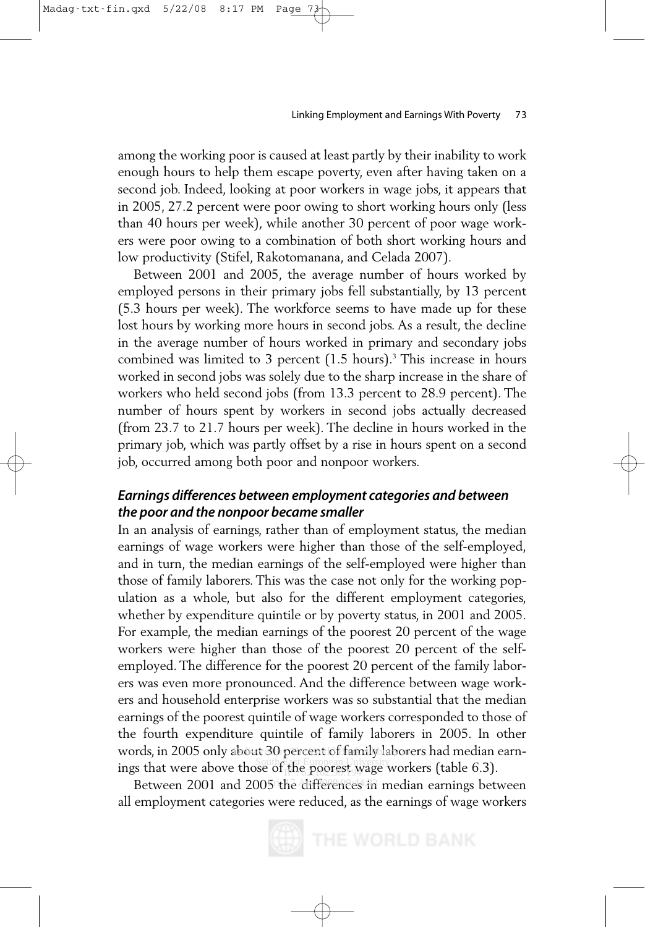among the working poor is caused at least partly by their inability to work enough hours to help them escape poverty, even after having taken on a second job. Indeed, looking at poor workers in wage jobs, it appears that in 2005, 27.2 percent were poor owing to short working hours only (less than 40 hours per week), while another 30 percent of poor wage workers were poor owing to a combination of both short working hours and low productivity (Stifel, Rakotomanana, and Celada 2007).

Between 2001 and 2005, the average number of hours worked by employed persons in their primary jobs fell substantially, by 13 percent (5.3 hours per week). The workforce seems to have made up for these lost hours by working more hours in second jobs. As a result, the decline in the average number of hours worked in primary and secondary jobs combined was limited to 3 percent (1.5 hours).<sup>3</sup> This increase in hours worked in second jobs was solely due to the sharp increase in the share of workers who held second jobs (from 13.3 percent to 28.9 percent). The number of hours spent by workers in second jobs actually decreased (from 23.7 to 21.7 hours per week). The decline in hours worked in the primary job, which was partly offset by a rise in hours spent on a second job, occurred among both poor and nonpoor workers.

## **Earnings differences between employment categories and between the poor and the nonpoor became smaller**

In an analysis of earnings, rather than of employment status, the median earnings of wage workers were higher than those of the self-employed, and in turn, the median earnings of the self-employed were higher than those of family laborers. This was the case not only for the working population as a whole, but also for the different employment categories, whether by expenditure quintile or by poverty status, in 2001 and 2005. For example, the median earnings of the poorest 20 percent of the wage workers were higher than those of the poorest 20 percent of the selfemployed. The difference for the poorest 20 percent of the family laborers was even more pronounced. And the difference between wage workers and household enterprise workers was so substantial that the median earnings of the poorest quintile of wage workers corresponded to those of the fourth expenditure quintile of family laborers in 2005. In other words, in 2005 only about 30 percent of family laborers had median earnings that were above those of the poorest wage workers (table 6.3). IP : 62.162.98.194

Between 2001 and 2005 the differences in median earnings between all employment categories were reduced, as the earnings of wage workers

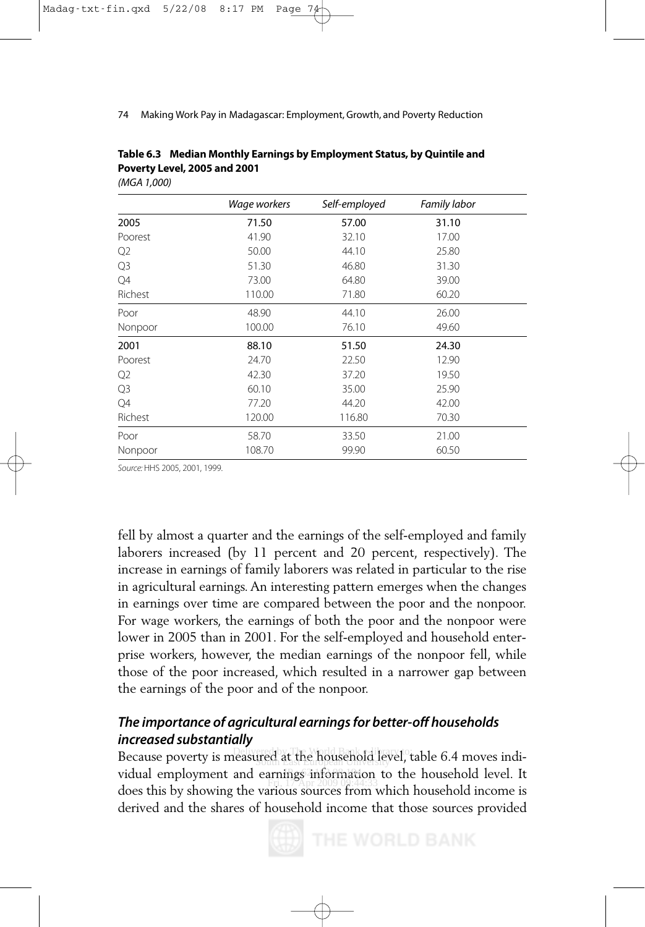74 Making Work Pay in Madagascar: Employment, Growth, and Poverty Reduction

|                | Wage workers | Self-employed | Family labor |
|----------------|--------------|---------------|--------------|
| 2005           | 71.50        | 57.00         | 31.10        |
| Poorest        | 41.90        | 32.10         | 17.00        |
| Q2             | 50.00        | 44.10         | 25.80        |
| Q <sub>3</sub> | 51.30        | 46.80         | 31.30        |
| Q4             | 73.00        | 64.80         | 39.00        |
| Richest        | 110.00       | 71.80         | 60.20        |
| Poor           | 48.90        | 44.10         | 26.00        |
| Nonpoor        | 100.00       | 76.10         | 49.60        |
| 2001           | 88.10        | 51.50         | 24.30        |
| Poorest        | 24.70        | 22.50         | 12.90        |
| Q2             | 42.30        | 37.20         | 19.50        |
| Q <sub>3</sub> | 60.10        | 35.00         | 25.90        |
| Q4             | 77.20        | 44.20         | 42.00        |
| Richest        | 120.00       | 116.80        | 70.30        |
| Poor           | 58.70        | 33.50         | 21.00        |
| Nonpoor        | 108.70       | 99.90         | 60.50        |

#### **Table 6.3 Median Monthly Earnings by Employment Status, by Quintile and Poverty Level, 2005 and 2001**

Source: HHS 2005, 2001, 1999.

(MGA 1,000)

fell by almost a quarter and the earnings of the self-employed and family laborers increased (by 11 percent and 20 percent, respectively). The increase in earnings of family laborers was related in particular to the rise in agricultural earnings. An interesting pattern emerges when the changes in earnings over time are compared between the poor and the nonpoor. For wage workers, the earnings of both the poor and the nonpoor were lower in 2005 than in 2001. For the self-employed and household enterprise workers, however, the median earnings of the nonpoor fell, while those of the poor increased, which resulted in a narrower gap between the earnings of the poor and of the nonpoor.

## **The importance of agricultural earnings for better-off households increased substantially**

Because poverty is measured at the household level, table 6.4 moves individual employment and earnings information to the household level. It does this by showing the various sources from which household income is derived and the shares of household income that those sources provided South East European University

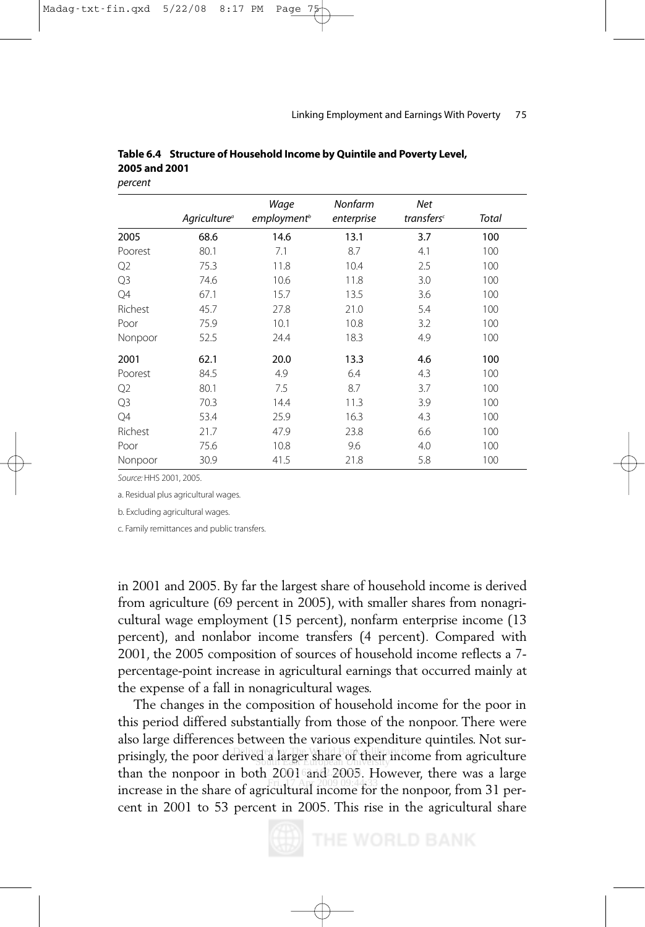|                |                          | Wage                    | Nonfarm    | Net       |       |
|----------------|--------------------------|-------------------------|------------|-----------|-------|
|                | Agriculture <sup>®</sup> | employment <sup>b</sup> | enterprise | transfers | Total |
| 2005           | 68.6                     | 14.6                    | 13.1       | 3.7       | 100   |
| Poorest        | 80.1                     | 7.1                     | 8.7        | 4.1       | 100   |
| Q <sub>2</sub> | 75.3                     | 11.8                    | 10.4       | 2.5       | 100   |
| Q3             | 74.6                     | 10.6                    | 11.8       | 3.0       | 100   |
| Q4             | 67.1                     | 15.7                    | 13.5       | 3.6       | 100   |
| Richest        | 45.7                     | 27.8                    | 21.0       | 5.4       | 100   |
| Poor           | 75.9                     | 10.1                    | 10.8       | 3.2       | 100   |
| Nonpoor        | 52.5                     | 24.4                    | 18.3       | 4.9       | 100   |
| 2001           | 62.1                     | 20.0                    | 13.3       | 4.6       | 100   |
| Poorest        | 84.5                     | 4.9                     | 6.4        | 4.3       | 100   |
| Q <sub>2</sub> | 80.1                     | 7.5                     | 8.7        | 3.7       | 100   |
| Q3             | 70.3                     | 14.4                    | 11.3       | 3.9       | 100   |
| Q4             | 53.4                     | 25.9                    | 16.3       | 4.3       | 100   |
| Richest        | 21.7                     | 47.9                    | 23.8       | 6.6       | 100   |
| Poor           | 75.6                     | 10.8                    | 9.6        | 4.0       | 100   |
| Nonpoor        | 30.9                     | 41.5                    | 21.8       | 5.8       | 100   |

|               | Table 6.4 Structure of Household Income by Quintile and Poverty Level, |
|---------------|------------------------------------------------------------------------|
| 2005 and 2001 |                                                                        |

Source: HHS 2001, 2005.

percent

a. Residual plus agricultural wages.

b. Excluding agricultural wages.

c. Family remittances and public transfers.

in 2001 and 2005. By far the largest share of household income is derived from agriculture (69 percent in 2005), with smaller shares from nonagricultural wage employment (15 percent), nonfarm enterprise income (13 percent), and nonlabor income transfers (4 percent). Compared with 2001, the 2005 composition of sources of household income reflects a 7 percentage-point increase in agricultural earnings that occurred mainly at the expense of a fall in nonagricultural wages.

The changes in the composition of household income for the poor in this period differed substantially from those of the nonpoor. There were also large differences between the various expenditure quintiles. Not surprisingly, the poor derived a larger share of their income from agriculture than the nonpoor in both 2001@and 2005. However, there was a large increase in the share of agricultural income for the nonpoor, from 31 per-Fri, 17 Apr 2009 09:44:33cent in 2001 to 53 percent in 2005. This rise in the agricultural share South East European University

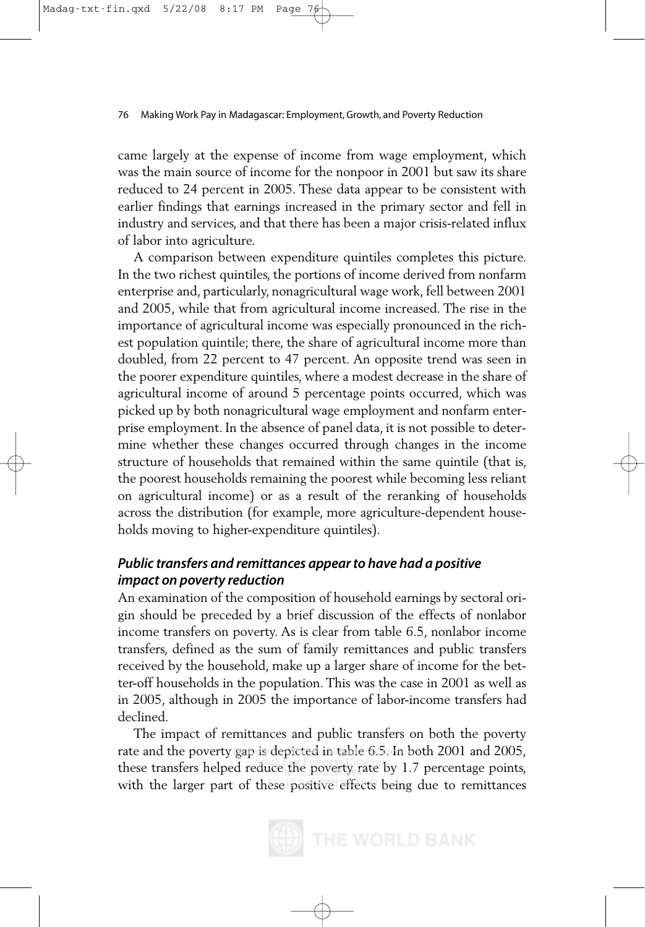came largely at the expense of income from wage employment, which was the main source of income for the nonpoor in 2001 but saw its share reduced to 24 percent in 2005. These data appear to be consistent with earlier findings that earnings increased in the primary sector and fell in industry and services, and that there has been a major crisis-related influx of labor into agriculture.

A comparison between expenditure quintiles completes this picture. In the two richest quintiles, the portions of income derived from nonfarm enterprise and, particularly, nonagricultural wage work, fell between 2001 and 2005, while that from agricultural income increased. The rise in the importance of agricultural income was especially pronounced in the richest population quintile; there, the share of agricultural income more than doubled, from 22 percent to 47 percent. An opposite trend was seen in the poorer expenditure quintiles, where a modest decrease in the share of agricultural income of around 5 percentage points occurred, which was picked up by both nonagricultural wage employment and nonfarm enterprise employment. In the absence of panel data, it is not possible to determine whether these changes occurred through changes in the income structure of households that remained within the same quintile (that is, the poorest households remaining the poorest while becoming less reliant on agricultural income) or as a result of the reranking of households across the distribution (for example, more agriculture-dependent households moving to higher-expenditure quintiles).

#### **Public transfers and remittances appear to have had a positive impact on poverty reduction**

An examination of the composition of household earnings by sectoral origin should be preceded by a brief discussion of the effects of nonlabor income transfers on poverty. As is clear from table 6.5, nonlabor income transfers, defined as the sum of family remittances and public transfers received by the household, make up a larger share of income for the better-off households in the population. This was the case in 2001 as well as in 2005, although in 2005 the importance of labor-income transfers had declined.

The impact of remittances and public transfers on both the poverty rate and the poverty gap is depicted in table 6.5. In both 2001 and 2005, these transfers helped reduce the poverty rate by 1.7 percentage points, with the larger part of these positive effects being due to remittances IP : 62.162.98.194

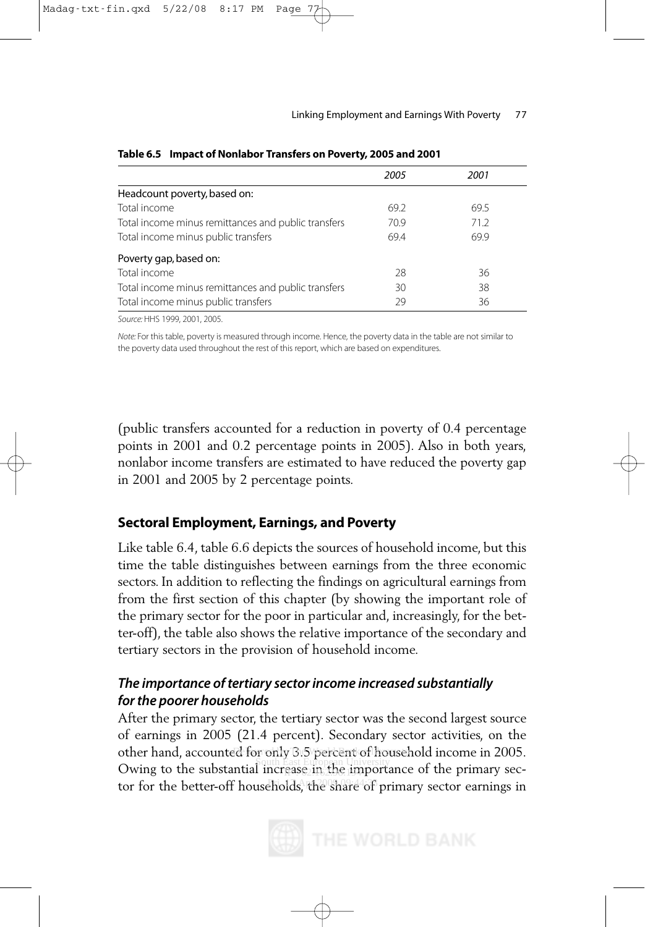|                                                     | 2005 | 2001 |
|-----------------------------------------------------|------|------|
| Headcount poverty, based on:                        |      |      |
| Total income                                        | 69.2 | 69.5 |
| Total income minus remittances and public transfers | 70.9 | 71.2 |
| Total income minus public transfers                 | 69.4 | 69.9 |
| Poverty gap, based on:                              |      |      |
| Total income                                        | 28   | 36   |
| Total income minus remittances and public transfers | 30   | 38   |
| Total income minus public transfers                 | 29   | 36   |

Source: HHS 1999, 2001, 2005.

Note: For this table, poverty is measured through income. Hence, the poverty data in the table are not similar to the poverty data used throughout the rest of this report, which are based on expenditures.

(public transfers accounted for a reduction in poverty of 0.4 percentage points in 2001 and 0.2 percentage points in 2005). Also in both years, nonlabor income transfers are estimated to have reduced the poverty gap in 2001 and 2005 by 2 percentage points.

## **Sectoral Employment, Earnings, and Poverty**

Like table 6.4, table 6.6 depicts the sources of household income, but this time the table distinguishes between earnings from the three economic sectors. In addition to reflecting the findings on agricultural earnings from from the first section of this chapter (by showing the important role of the primary sector for the poor in particular and, increasingly, for the better-off), the table also shows the relative importance of the secondary and tertiary sectors in the provision of household income.

## **The importance of tertiary sector income increased substantially for the poorer households**

After the primary sector, the tertiary sector was the second largest source of earnings in 2005 (21.4 percent). Secondary sector activities, on the other hand, accounted for only 3.5 percent of household income in 2005. Owing to the substantial increase in the importance of the primary sector for the better-off households, the share of primary sector earnings in  ${\rm case}$  in the im

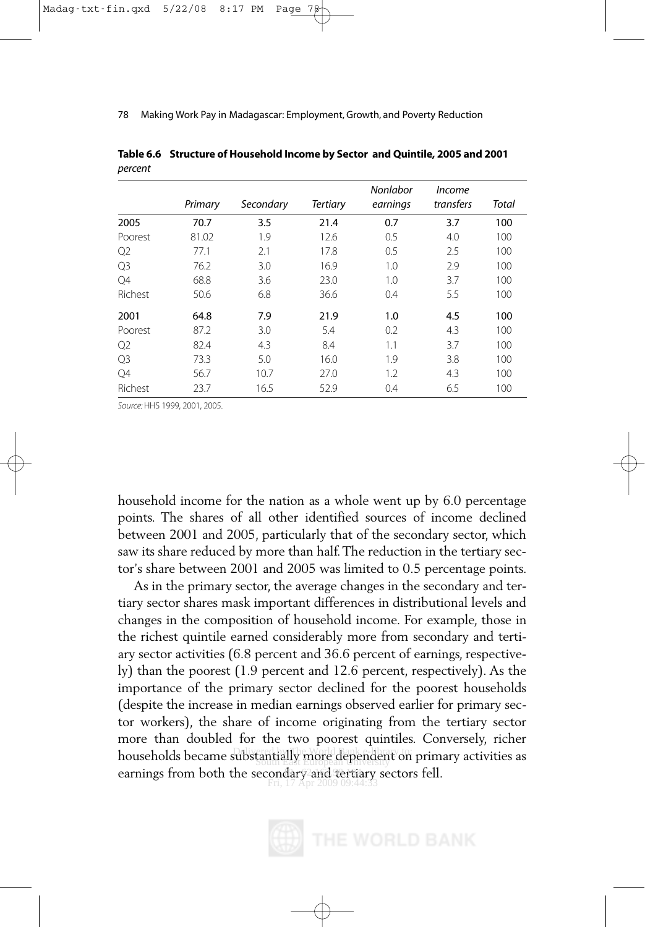78 Making Work Pay in Madagascar: Employment, Growth, and Poverty Reduction

|                |         |           |                 | Nonlabor | Income    |       |
|----------------|---------|-----------|-----------------|----------|-----------|-------|
|                | Primary | Secondary | <b>Tertiary</b> | earnings | transfers | Total |
| 2005           | 70.7    | 3.5       | 21.4            | 0.7      | 3.7       | 100   |
| Poorest        | 81.02   | 1.9       | 12.6            | 0.5      | 4.0       | 100   |
| Q <sub>2</sub> | 77.1    | 2.1       | 17.8            | 0.5      | 2.5       | 100   |
| Q <sub>3</sub> | 76.2    | 3.0       | 16.9            | 1.0      | 2.9       | 100   |
| <b>O4</b>      | 68.8    | 3.6       | 23.0            | 1.0      | 3.7       | 100   |
| Richest        | 50.6    | 6.8       | 36.6            | 0.4      | 5.5       | 100   |
| 2001           | 64.8    | 7.9       | 21.9            | 1.0      | 4.5       | 100   |
| Poorest        | 87.2    | 3.0       | 5.4             | 0.2      | 4.3       | 100   |
| Q <sub>2</sub> | 82.4    | 4.3       | 8.4             | 1.1      | 3.7       | 100   |
| Q <sub>3</sub> | 73.3    | 5.0       | 16.0            | 1.9      | 3.8       | 100   |
| Q4             | 56.7    | 10.7      | 27.0            | 1.2      | 4.3       | 100   |
| Richest        | 23.7    | 16.5      | 52.9            | 0.4      | 6.5       | 100   |

**Table 6.6 Structure of Household Income by Sector and Quintile, 2005 and 2001** percent

Source: HHS 1999, 2001, 2005.

household income for the nation as a whole went up by 6.0 percentage points. The shares of all other identified sources of income declined between 2001 and 2005, particularly that of the secondary sector, which saw its share reduced by more than half. The reduction in the tertiary sector's share between 2001 and 2005 was limited to 0.5 percentage points.

As in the primary sector, the average changes in the secondary and tertiary sector shares mask important differences in distributional levels and changes in the composition of household income. For example, those in the richest quintile earned considerably more from secondary and tertiary sector activities (6.8 percent and 36.6 percent of earnings, respectively) than the poorest (1.9 percent and 12.6 percent, respectively). As the importance of the primary sector declined for the poorest households (despite the increase in median earnings observed earlier for primary sector workers), the share of income originating from the tertiary sector more than doubled for the two poorest quintiles. Conversely, richer households became substantially more dependent on primary activities as earnings from both the secondary and tertiary sectors fell.  $\,$ South East European University Fri, 17 Apr 2009 09:44:33

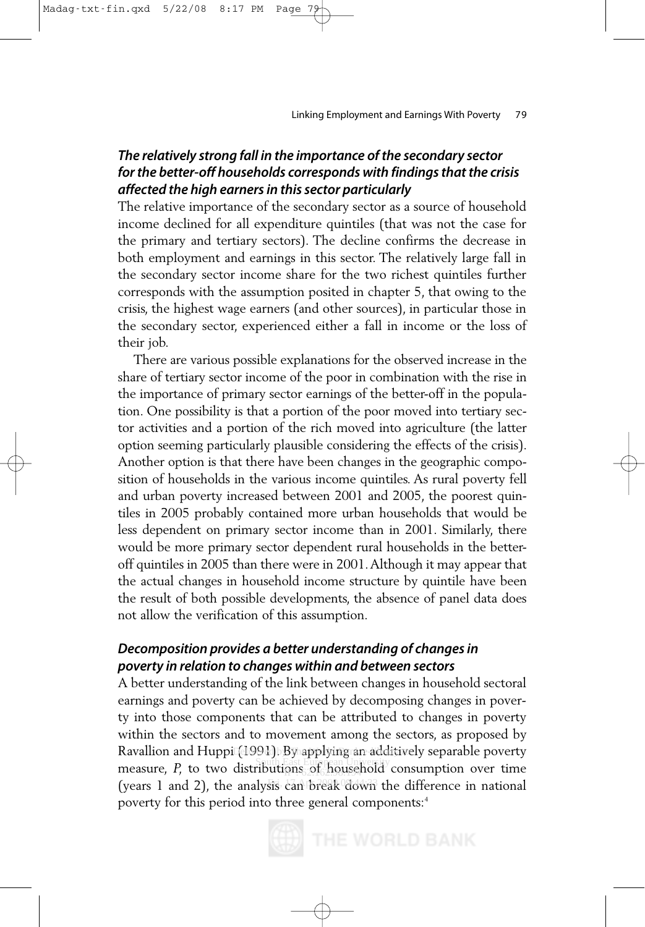## **The relatively strong fall in the importance of the secondary sector for the better-off households corresponds with findings that the crisis affected the high earners in this sector particularly**

The relative importance of the secondary sector as a source of household income declined for all expenditure quintiles (that was not the case for the primary and tertiary sectors). The decline confirms the decrease in both employment and earnings in this sector. The relatively large fall in the secondary sector income share for the two richest quintiles further corresponds with the assumption posited in chapter 5, that owing to the crisis, the highest wage earners (and other sources), in particular those in the secondary sector, experienced either a fall in income or the loss of their job.

There are various possible explanations for the observed increase in the share of tertiary sector income of the poor in combination with the rise in the importance of primary sector earnings of the better-off in the population. One possibility is that a portion of the poor moved into tertiary sector activities and a portion of the rich moved into agriculture (the latter option seeming particularly plausible considering the effects of the crisis). Another option is that there have been changes in the geographic composition of households in the various income quintiles. As rural poverty fell and urban poverty increased between 2001 and 2005, the poorest quintiles in 2005 probably contained more urban households that would be less dependent on primary sector income than in 2001. Similarly, there would be more primary sector dependent rural households in the betteroff quintiles in 2005 than there were in 2001.Although it may appear that the actual changes in household income structure by quintile have been the result of both possible developments, the absence of panel data does not allow the verification of this assumption.

## **Decomposition provides a better understanding of changes in poverty in relation to changes within and between sectors**

A better understanding of the link between changes in household sectoral earnings and poverty can be achieved by decomposing changes in poverty into those components that can be attributed to changes in poverty within the sectors and to movement among the sectors, as proposed by Ravallion and Huppi (1991)).By applying an additively separable poverty measure, *P*, to two distributions of household consumption over time (years 1 and 2), the analysis can break down the difference in national poverty for this period into three general components:<sup>4</sup>  $\mathop{\mathrm{ons}}\nolimits$  or  $\mathop{\mathrm{noise}}\nolimits$ 

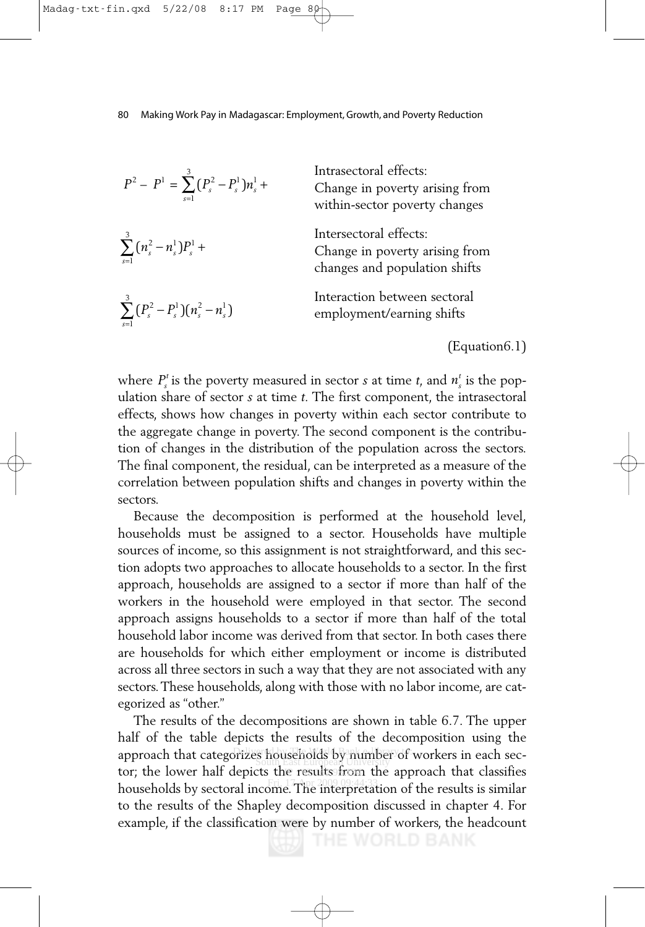30 Making Work Pay in Madagas  

$$
P^2 - P^1 = \sum_{s=1}^{3} (P_s^2 - P_s^1) n_s^1 +
$$

$$
P^{2} - P^{1} = \sum_{s=1}^{n} (P_{s}^{2})
$$

$$
\sum_{s=1}^{3} (n_{s}^{2} - n_{s}^{1}) P_{s}^{1} + \sum_{s=1}^{3} (P_{s}^{2} - P_{s}^{1}) (n_{s}^{2} - n_{s}^{1})
$$

$$
\sum_{s=1}^{3} (n_s^2 - n_s^1) P_s^1 +
$$
  

$$
\sum_{s=1}^{3} (P_s^2 - P_s^1) (n_s^2 - n_s^1)
$$

Intrasectoral effects: Change in poverty arising from within-sector poverty changes

Intersectoral effects: Change in poverty arising from changes and population shifts

Interaction between sectoral employment/earning shifts

(Equation6.1)

where  $P_s^t$  is the poverty measured in sector *s* at time *t*, and  $n_s^t$  is the population share of sector *s* at time *t.* The first component, the intrasectoral effects, shows how changes in poverty within each sector contribute to the aggregate change in poverty. The second component is the contribution of changes in the distribution of the population across the sectors. The final component, the residual, can be interpreted as a measure of the correlation between population shifts and changes in poverty within the sectors.

Because the decomposition is performed at the household level, households must be assigned to a sector. Households have multiple sources of income, so this assignment is not straightforward, and this section adopts two approaches to allocate households to a sector. In the first approach, households are assigned to a sector if more than half of the workers in the household were employed in that sector. The second approach assigns households to a sector if more than half of the total household labor income was derived from that sector. In both cases there are households for which either employment or income is distributed across all three sectors in such a way that they are not associated with any sectors.These households, along with those with no labor income, are categorized as "other."

The results of the decompositions are shown in table 6.7. The upper half of the table depicts the results of the decomposition using the approach that categorizes households by number of workers in each secapproach that categorizes south East European University Transfer or workers in cach see households by sectoral income. The interpretation of the results is similar to the results of the Shapley decomposition discussed in chapter 4. For example, if the classification were by number of workers, the headcount ie results9tron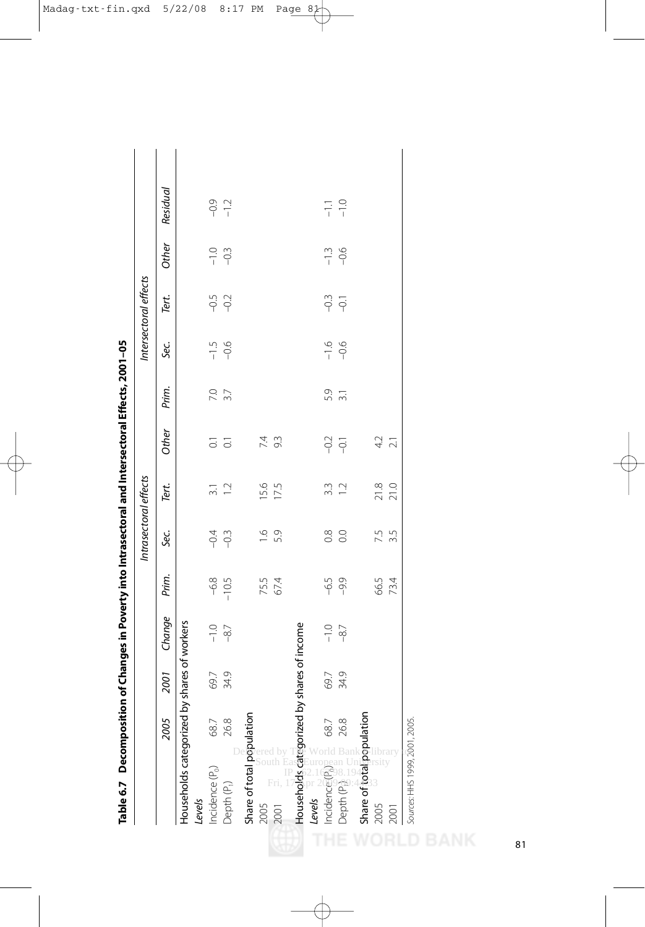|                                                                                                                           |              |      |        |         | Intrasectoral effects |                 |                       |                  |        | Intersectoral effects |              |         |
|---------------------------------------------------------------------------------------------------------------------------|--------------|------|--------|---------|-----------------------|-----------------|-----------------------|------------------|--------|-----------------------|--------------|---------|
|                                                                                                                           | 2005         | 2001 | Change | Prim.   | Sec.                  | Tert.           | Other                 | Prim.            | Sec.   | Tert.                 | <b>Other</b> | Residua |
| Households categorized by shares of workers                                                                               |              |      |        |         |                       |                 |                       |                  |        |                       |              |         |
| Levels                                                                                                                    |              |      |        |         |                       |                 |                       |                  |        |                       |              |         |
| Incidence $(P_0)$                                                                                                         |              | 69.7 | $-1.0$ | $-6.8$  | $-0.4$                | $\overline{31}$ | $\overline{\text{C}}$ |                  | $-1.5$ | $-0.5$                |              |         |
| Depth (P <sub>1</sub> )                                                                                                   | 68.7<br>26.8 | 34.9 | $-87$  | $-10.5$ | $-0.3$                | $\overline{12}$ | $\overline{\circ}$    | 7.0<br>3.7       | $-0.6$ | $-0.2$                | $-1.0$       | $-0.2$  |
| ा<br>Share of total population                                                                                            |              |      |        |         |                       |                 |                       |                  |        |                       |              |         |
| 2005                                                                                                                      |              |      |        | 75.5    | $\frac{6}{1}$         | 15.6            | 74                    |                  |        |                       |              |         |
| 2001                                                                                                                      |              |      |        | 67.4    | 5.9                   | 175             | 93                    |                  |        |                       |              |         |
| Households categorized by shares of income<br>Levels $\frac{1}{\frac{1}{n}}\sum\limits_{k=0}^{n-1}\frac{1}{s}\lesssim$    |              |      |        |         |                       |                 |                       |                  |        |                       |              |         |
|                                                                                                                           |              |      |        |         |                       |                 |                       |                  |        |                       |              |         |
| Incidence $(P_0)$                                                                                                         | 68.7         | 69.7 | $-1.0$ | $-65$   | $\frac{8}{2}$         | 33              | $-0.2$                | 5.9              | $-1.6$ | $-0.3$                | $-1.3$       | $-1.0$  |
| Depth $(P_B^3 \overset{\approx}{\underset{\sim}{\approx}} \frac{\Xi}{\Xi}$ and $268$<br>Share of total population<br>2005 |              | 34.9 | $-87$  | $-9.9$  | $\rm{C}$              | $\overline{12}$ | $\overline{q}$        | $\overline{3}$ . | $-0.6$ | $\overline{q}$        | $-0.6$       |         |
|                                                                                                                           |              |      |        |         |                       |                 |                       |                  |        |                       |              |         |
|                                                                                                                           |              |      |        | 66.5    | 75                    | 218             | 42                    |                  |        |                       |              |         |
| 2001                                                                                                                      |              |      |        | 73.4    | 3.5                   | 21.0            | $\overline{21}$       |                  |        |                       |              |         |

| ֖֚֚֚֡֬<br>֧֚֚֝ |  |
|----------------|--|
|                |  |
|                |  |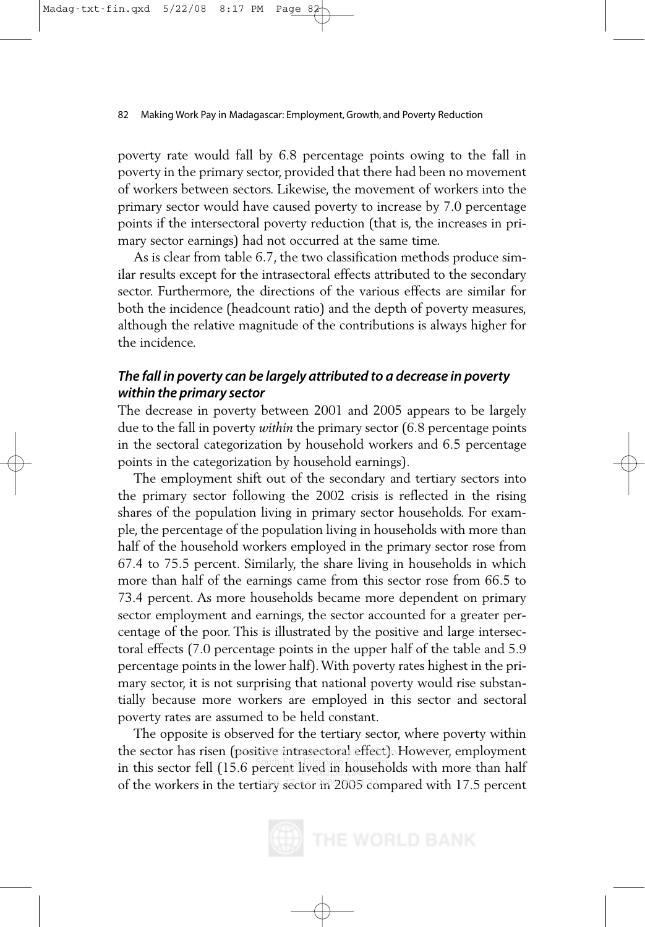poverty rate would fall by 6.8 percentage points owing to the fall in poverty in the primary sector, provided that there had been no movement of workers between sectors. Likewise, the movement of workers into the primary sector would have caused poverty to increase by 7.0 percentage points if the intersectoral poverty reduction (that is, the increases in primary sector earnings) had not occurred at the same time.

As is clear from table 6.7, the two classification methods produce similar results except for the intrasectoral effects attributed to the secondary sector. Furthermore, the directions of the various effects are similar for both the incidence (headcount ratio) and the depth of poverty measures, although the relative magnitude of the contributions is always higher for the incidence.

#### **The fall in poverty can be largely attributed to a decrease in poverty within the primary sector**

The decrease in poverty between 2001 and 2005 appears to be largely due to the fall in poverty *within* the primary sector (6.8 percentage points in the sectoral categorization by household workers and 6.5 percentage points in the categorization by household earnings).

The employment shift out of the secondary and tertiary sectors into the primary sector following the 2002 crisis is reflected in the rising shares of the population living in primary sector households. For example, the percentage of the population living in households with more than half of the household workers employed in the primary sector rose from 67.4 to 75.5 percent. Similarly, the share living in households in which more than half of the earnings came from this sector rose from 66.5 to 73.4 percent. As more households became more dependent on primary sector employment and earnings, the sector accounted for a greater percentage of the poor. This is illustrated by the positive and large intersectoral effects (7.0 percentage points in the upper half of the table and 5.9 percentage points in the lower half).With poverty rates highest in the primary sector, it is not surprising that national poverty would rise substantially because more workers are employed in this sector and sectoral poverty rates are assumed to be held constant.

The opposite is observed for the tertiary sector, where poverty within the sector has risen (positive intrasectoral effect). However, employment in this sector fell (15.6 percent lived in households with more than half of the workers in the tertiary sector in 2005 compared with 17.5 percent III : 137.143.115.1161

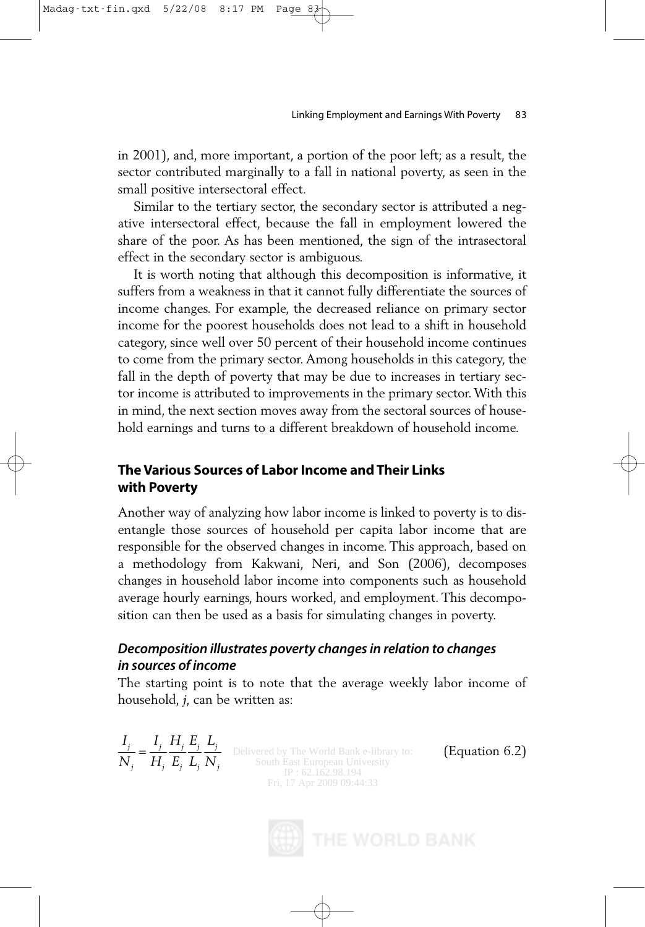in 2001), and, more important, a portion of the poor left; as a result, the sector contributed marginally to a fall in national poverty, as seen in the small positive intersectoral effect.

Similar to the tertiary sector, the secondary sector is attributed a negative intersectoral effect, because the fall in employment lowered the share of the poor. As has been mentioned, the sign of the intrasectoral effect in the secondary sector is ambiguous.

It is worth noting that although this decomposition is informative, it suffers from a weakness in that it cannot fully differentiate the sources of income changes. For example, the decreased reliance on primary sector income for the poorest households does not lead to a shift in household category, since well over 50 percent of their household income continues to come from the primary sector. Among households in this category, the fall in the depth of poverty that may be due to increases in tertiary sector income is attributed to improvements in the primary sector. With this in mind, the next section moves away from the sectoral sources of household earnings and turns to a different breakdown of household income.

#### **The Various Sources of Labor Income and Their Links with Poverty**

Another way of analyzing how labor income is linked to poverty is to disentangle those sources of household per capita labor income that are responsible for the observed changes in income. This approach, based on a methodology from Kakwani, Neri, and Son (2006), decomposes changes in household labor income into components such as household average hourly earnings, hours worked, and employment. This decomposition can then be used as a basis for simulating changes in poverty.

#### **Decomposition illustrates poverty changes in relation to changes in sources of income**

The starting point is to note that the average weekly labor income of household, *j,* can be written as:

$$
\frac{I_j}{N_j} = \frac{I_j}{H_j} \frac{H_j}{E_j} \frac{E_j}{L_j} \frac{L_j}{N_j} \quad \Box
$$

IP : 62.162.98.194 Fri, 17 Apr 2009 09:44:33 (Equation 6.2)

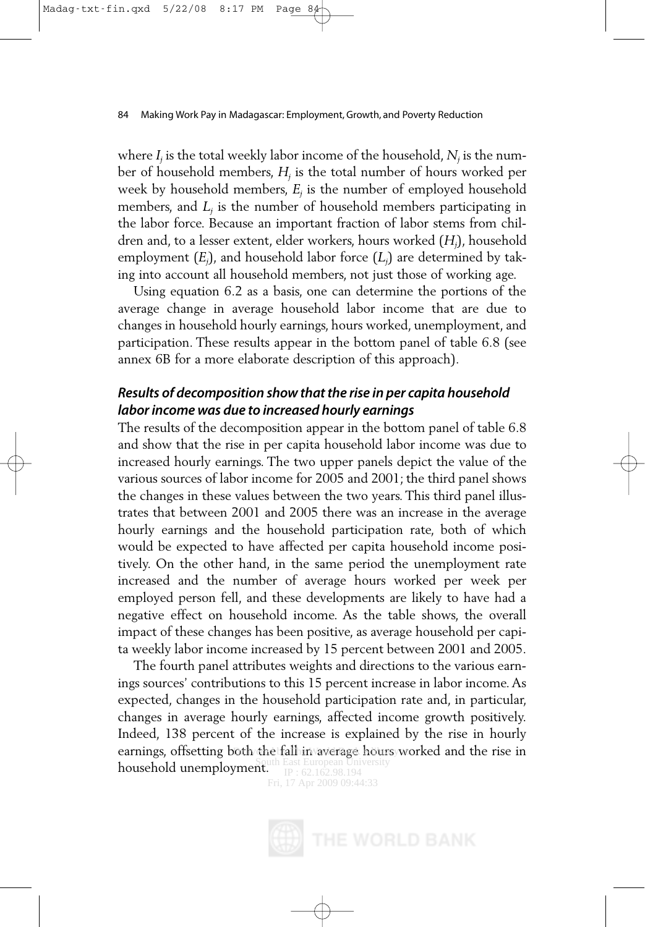where  $I_i$  is the total weekly labor income of the household,  $N_i$  is the number of household members, *H<sub>i</sub>* is the total number of hours worked per week by household members,  $E_i$  is the number of employed household members, and *L<sub>i</sub>* is the number of household members participating in the labor force. Because an important fraction of labor stems from children and, to a lesser extent, elder workers, hours worked (*Hj* ), household employment (*Ej* ), and household labor force (*Lj* ) are determined by taking into account all household members, not just those of working age.

Using equation 6.2 as a basis, one can determine the portions of the average change in average household labor income that are due to changes in household hourly earnings, hours worked, unemployment, and participation. These results appear in the bottom panel of table 6.8 (see annex 6B for a more elaborate description of this approach).

#### **Results of decomposition show that the rise in per capita household labor income was due to increased hourly earnings**

The results of the decomposition appear in the bottom panel of table 6.8 and show that the rise in per capita household labor income was due to increased hourly earnings. The two upper panels depict the value of the various sources of labor income for 2005 and 2001; the third panel shows the changes in these values between the two years. This third panel illustrates that between 2001 and 2005 there was an increase in the average hourly earnings and the household participation rate, both of which would be expected to have affected per capita household income positively. On the other hand, in the same period the unemployment rate increased and the number of average hours worked per week per employed person fell, and these developments are likely to have had a negative effect on household income. As the table shows, the overall impact of these changes has been positive, as average household per capita weekly labor income increased by 15 percent between 2001 and 2005.

The fourth panel attributes weights and directions to the various earnings sources' contributions to this 15 percent increase in labor income. As expected, changes in the household participation rate and, in particular, changes in average hourly earnings, affected income growth positively. Indeed, 138 percent of the increase is explained by the rise in hourly earnings, offsetting both the fall in average hours worked and the rise in household unemployment. For the South East European University IP : 62.162.98.194

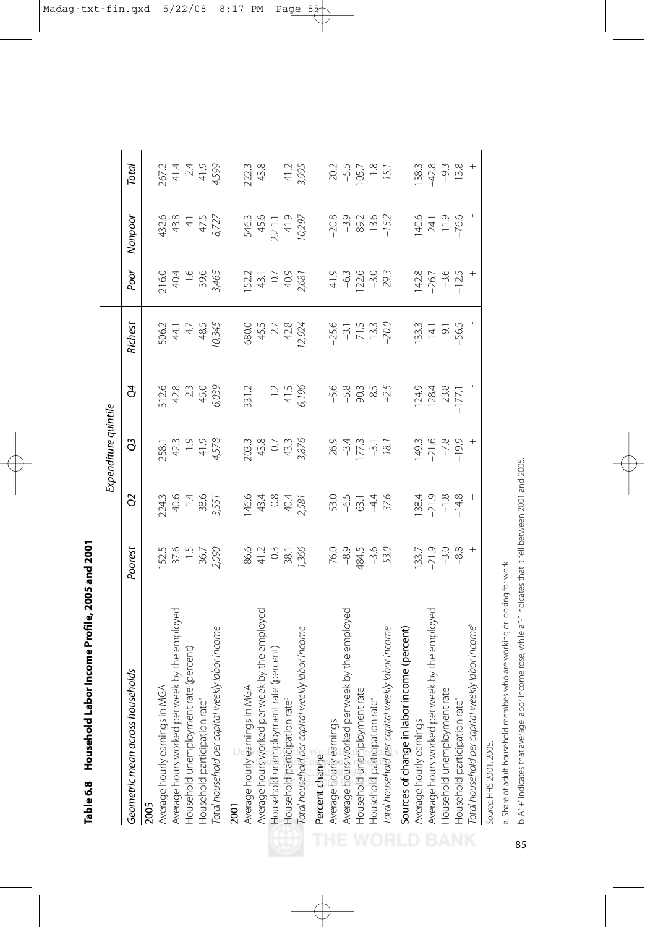|                                                              |               |                | Expenditure quintile       |                           |                        |               |                 |                                |
|--------------------------------------------------------------|---------------|----------------|----------------------------|---------------------------|------------------------|---------------|-----------------|--------------------------------|
| Geometric mean across households                             | Poorest       | S              | 3                          | ð4                        | Richest                | Poor          | Nonpoor         | Total                          |
| 2005                                                         |               |                |                            |                           |                        |               |                 |                                |
| Average hourly earnings in MGA                               | 52.5          | 224.3          | 258.1                      | 312.6                     | 506.2                  | 216.0         | 432.6           | 267.2                          |
| Average hours worked per week by the employed                |               | 40.6           |                            |                           | 44.1                   | 40.4          | 43.8            |                                |
| Household unemployment rate (percent)                        | 37.6<br>1.5   | $\overline{4}$ | $42.3$<br>$-4.9$<br>$+1.9$ | $42.8$<br>$7.3$<br>$45.0$ | $47$                   | $\frac{6}{1}$ | $\overline{+}$  | $\frac{4}{4}$ of $\frac{4}{4}$ |
| Household participation rate <sup>®</sup>                    | 36.7          | 38.6           |                            |                           | 48.5                   | 39.6          | 475             |                                |
| Total household per capital weekly labor income              | 2,090         | 3,551          | 4,578                      | 6,039                     | 0,345                  | 3,465         | 8,727           | 4,599                          |
| 2001                                                         |               |                |                            |                           |                        |               |                 |                                |
| Average hourly earnings in MGA                               | 86.6          | 146.6          | 203.3                      | 331.2                     | 680.0                  | 52.2          | 546.3           | 222.3                          |
| Average hours worked per week by the employed                |               | 43.4           | 43.8                       |                           | 45.5                   | 43.1          |                 | 43.8                           |
| Household unemployment rate (percent)                        | $41.2$<br>0.3 | $\frac{8}{2}$  | $\rm C$                    | $\overline{c}$            | 27                     | $\rm _{O}$    | 45.6<br>2.2 1.1 |                                |
| Household participation rate <sup>®</sup>                    | 38.1          | 40.4           | 43.3                       | 41.5                      | 42.8                   | 40.9          | 41.9            | 41.2                           |
| Total household per capital weekly labor income              | 1,366         | 2,581          | 3,876                      | 6,196                     | 12,924                 | 2,681         | 10,297          | 3,995                          |
| Percent change                                               |               |                |                            |                           |                        |               |                 |                                |
| Average bourly earnings                                      | 76.0          | 53.0           | 26.9                       | $-5.6$                    | $-25.6$                | 41.9          | 20.8            |                                |
| Average hours worked per week by the employed                | $-8.9$        | $-6.5$         | $-3.4$                     | $-5.8$                    |                        | $-6.3$        | $-3.9$          |                                |
| Household unemployment rate                                  | 484.5         | 63.1           | 1773                       | 90.3                      | $-3.1$<br>71.5<br>13.3 | 122.6         | 89.2            | 20.3<br>195.7<br>195.7         |
| Household participation rate <sup>®</sup>                    | $-3.6$        | $-4.4$         |                            | 85                        |                        | $-3.0$        | 13.6            | $\frac{8}{10}$                 |
| Total household per capital weekly labor income              | 53.0          | 37.6           | 18.                        | $-2.5$                    | 20.0                   | 29.3          | $-15.2$         | 15.1                           |
| Sources of change in labor income (percent)                  |               |                |                            |                           |                        |               |                 |                                |
| Average hourly earnings                                      | 33.7          | 138.4          | 1493                       | 124.9                     | 33.3                   | 142.8         | 140.6           | 138.3                          |
| Average hours worked per week by the employed                | $-21.9$       | $-21.9$        | $-21.6$                    | 128.4                     | $14.1$<br>9.1          | $-26.7$       | 24.1<br>11.9    | $-42.8$                        |
| Household unemployment rate                                  | $-3.0$        | $-1.8$         | $-78$                      | 23.8                      |                        | $-3.6$        |                 | $-9.3$                         |
| Household participation rate <sup>®</sup>                    | $-8.8$        | $-14.8$        | $-19.9$                    | $-177.1$                  | 565                    | $-12.5$       | $-76.6$         | 13.8                           |
| Total household per capital weekly labor income <sup>b</sup> | $^{+}$        |                |                            |                           |                        |               |                 | $^{+}$                         |

Table 6.8 Household Labor Income Profile, 2005 and 2001 **Table 6.8 Household LaborIncome Profile, 2005 and 2001**

Source: HHS 2001, 2005. Source: HHS 2001, 2005.

a. Share of adult household membes who are working or looking for work. a. Share of adult household membes who are working or looking for work.

b. A "+" indicates that average labor income rose, while a "-" indicates that it fell between 2001 and 2005. b. A"+"indicates that average labor income rose, while a "-"indicates that it fell between 2001 and 2005.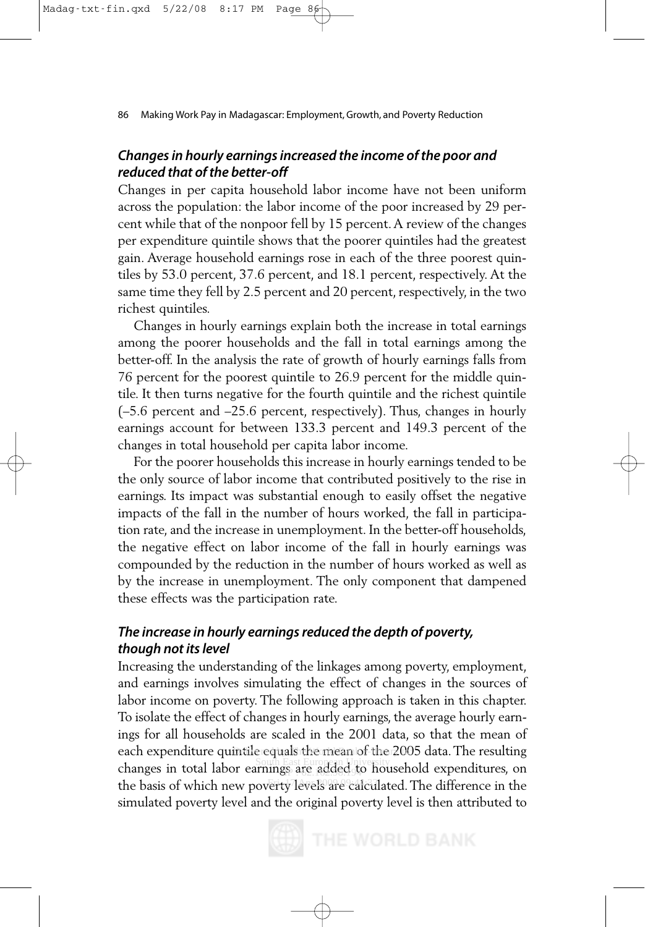#### **Changes in hourly earnings increased the income of the poor and reduced that of the better-off**

Changes in per capita household labor income have not been uniform across the population: the labor income of the poor increased by 29 percent while that of the nonpoor fell by 15 percent.A review of the changes per expenditure quintile shows that the poorer quintiles had the greatest gain. Average household earnings rose in each of the three poorest quintiles by 53.0 percent, 37.6 percent, and 18.1 percent, respectively. At the same time they fell by 2.5 percent and 20 percent, respectively, in the two richest quintiles.

Changes in hourly earnings explain both the increase in total earnings among the poorer households and the fall in total earnings among the better-off. In the analysis the rate of growth of hourly earnings falls from 76 percent for the poorest quintile to 26.9 percent for the middle quintile. It then turns negative for the fourth quintile and the richest quintile (–5.6 percent and –25.6 percent, respectively). Thus, changes in hourly earnings account for between 133.3 percent and 149.3 percent of the changes in total household per capita labor income.

For the poorer households this increase in hourly earnings tended to be the only source of labor income that contributed positively to the rise in earnings. Its impact was substantial enough to easily offset the negative impacts of the fall in the number of hours worked, the fall in participation rate, and the increase in unemployment. In the better-off households, the negative effect on labor income of the fall in hourly earnings was compounded by the reduction in the number of hours worked as well as by the increase in unemployment. The only component that dampened these effects was the participation rate.

## **The increase in hourly earnings reduced the depth of poverty, though not its level**

Increasing the understanding of the linkages among poverty, employment, and earnings involves simulating the effect of changes in the sources of labor income on poverty. The following approach is taken in this chapter. To isolate the effect of changes in hourly earnings, the average hourly earnings for all households are scaled in the 2001 data, so that the mean of each expenditure quintile equals the mean of the 2005 data. The resulting changes in total labor earnings are added to household expenditures, on the basis of which new poverty levels are calculated. The difference in the simulated poverty level and the original poverty level is then attributed to  $\mathbf{g}$ s are added to

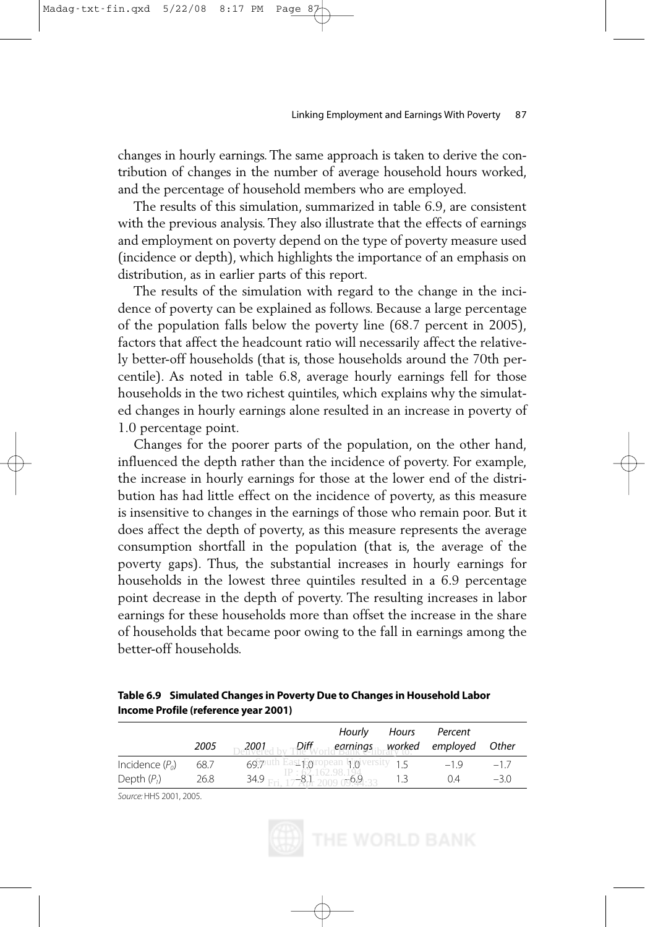changes in hourly earnings. The same approach is taken to derive the contribution of changes in the number of average household hours worked, and the percentage of household members who are employed.

The results of this simulation, summarized in table 6.9, are consistent with the previous analysis. They also illustrate that the effects of earnings and employment on poverty depend on the type of poverty measure used (incidence or depth), which highlights the importance of an emphasis on distribution, as in earlier parts of this report.

The results of the simulation with regard to the change in the incidence of poverty can be explained as follows. Because a large percentage of the population falls below the poverty line (68.7 percent in 2005), factors that affect the headcount ratio will necessarily affect the relatively better-off households (that is, those households around the 70th percentile). As noted in table 6.8, average hourly earnings fell for those households in the two richest quintiles, which explains why the simulated changes in hourly earnings alone resulted in an increase in poverty of 1.0 percentage point.

Changes for the poorer parts of the population, on the other hand, influenced the depth rather than the incidence of poverty. For example, the increase in hourly earnings for those at the lower end of the distribution has had little effect on the incidence of poverty, as this measure is insensitive to changes in the earnings of those who remain poor. But it does affect the depth of poverty, as this measure represents the average consumption shortfall in the population (that is, the average of the poverty gaps). Thus, the substantial increases in hourly earnings for households in the lowest three quintiles resulted in a 6.9 percentage point decrease in the depth of poverty. The resulting increases in labor earnings for these households more than offset the increase in the share of households that became poor owing to the fall in earnings among the better-off households.

**Table 6.9 Simulated Changes in Poverty Due to Changes in Household Labor Income Profile (reference year 2001)**

|                   | 2005 |      | Hourly Hours                            | Percent<br>$2001$ <sub>by T</sub> Diff <sub>Morta</sub> earnings worked employed | Other  |
|-------------------|------|------|-----------------------------------------|----------------------------------------------------------------------------------|--------|
| Incidence $(P_0)$ | 68.7 |      | $695$ puth East Egropean Ugiversity 1.5 | $-19$                                                                            | $-17$  |
| Depth $(P_1)$     | 26.8 | 34.9 | $\frac{11}{17}$ – 8,1.02.98.194         |                                                                                  | $-3.0$ |

Source: HHS 2001, 2005.

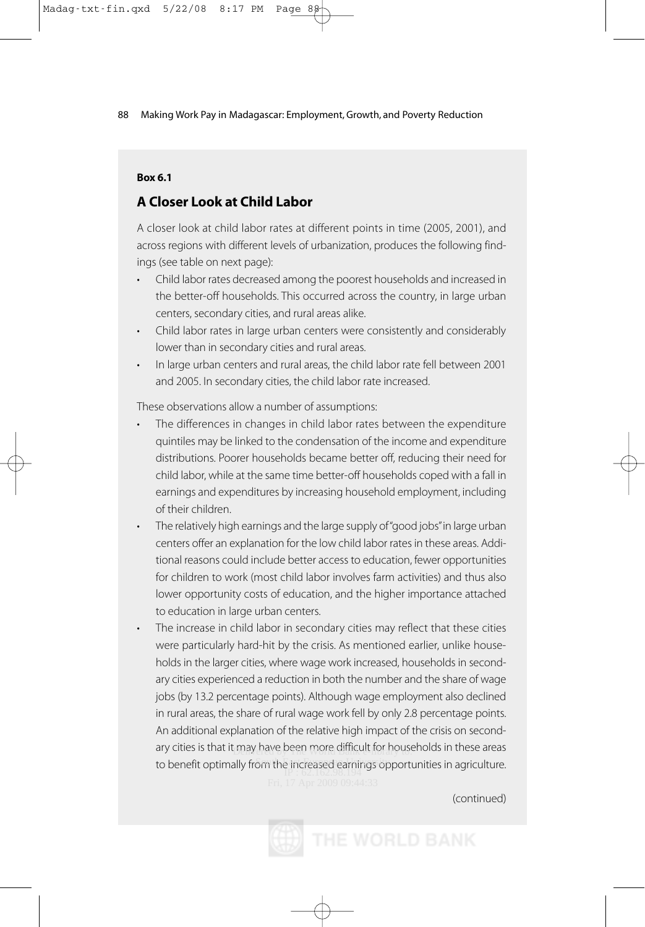#### **Box 6.1**

## **A Closer Look at Child Labor**

A closer look at child labor rates at different points in time (2005, 2001), and across regions with different levels of urbanization, produces the following findings (see table on next page):

- Child labor rates decreased among the poorest households and increased in the better-off households. This occurred across the country, in large urban centers, secondary cities, and rural areas alike.
- Child labor rates in large urban centers were consistently and considerably lower than in secondary cities and rural areas.
- In large urban centers and rural areas, the child labor rate fell between 2001 and 2005. In secondary cities, the child labor rate increased.

These observations allow a number of assumptions:

- The differences in changes in child labor rates between the expenditure quintiles may be linked to the condensation of the income and expenditure distributions. Poorer households became better off, reducing their need for child labor, while at the same time better-off households coped with a fall in earnings and expenditures by increasing household employment, including of their children.
- The relatively high earnings and the large supply of "good jobs"in large urban centers offer an explanation for the low child labor rates in these areas. Additional reasons could include better access to education, fewer opportunities for children to work (most child labor involves farm activities) and thus also lower opportunity costs of education, and the higher importance attached to education in large urban centers.
- The increase in child labor in secondary cities may reflect that these cities were particularly hard-hit by the crisis. As mentioned earlier, unlike households in the larger cities, where wage work increased, households in secondary cities experienced a reduction in both the number and the share of wage jobs (by 13.2 percentage points). Although wage employment also declined in rural areas, the share of rural wage work fell by only 2.8 percentage points. An additional explanation of the relative high impact of the crisis on secondary cities is that it may have been more difficult for households in these areas to benefit optimally from the increased earnings opportunities in agriculture. IP : 62.162.98.194

(continued)

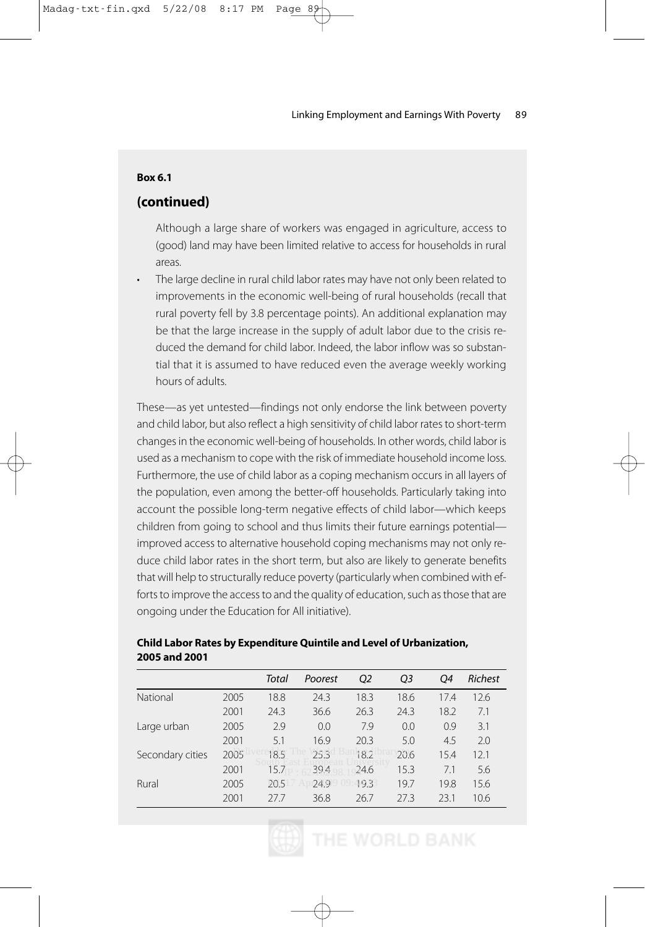#### **Box 6.1**

#### **(continued)**

Although a large share of workers was engaged in agriculture, access to (good) land may have been limited relative to access for households in rural areas.

• The large decline in rural child labor rates may have not only been related to improvements in the economic well-being of rural households (recall that rural poverty fell by 3.8 percentage points). An additional explanation may be that the large increase in the supply of adult labor due to the crisis reduced the demand for child labor. Indeed, the labor inflow was so substantial that it is assumed to have reduced even the average weekly working hours of adults.

These—as yet untested—findings not only endorse the link between poverty and child labor, but also reflect a high sensitivity of child labor rates to short-term changes in the economic well-being of households. In other words, child labor is used as a mechanism to cope with the risk of immediate household income loss. Furthermore, the use of child labor as a coping mechanism occurs in all layers of the population, even among the better-off households. Particularly taking into account the possible long-term negative effects of child labor—which keeps children from going to school and thus limits their future earnings potential improved access to alternative household coping mechanisms may not only reduce child labor rates in the short term, but also are likely to generate benefits that will help to structurally reduce poverty (particularly when combined with efforts to improve the access to and the quality of education, such as those that are ongoing under the Education for All initiative).

|                  |      | Total | Poorest | O <sub>2</sub> | O <sub>3</sub> | O4   | Richest |
|------------------|------|-------|---------|----------------|----------------|------|---------|
| National         | 2005 | 18.8  | 24.3    | 18.3           | 18.6           | 17.4 | 12.6    |
|                  | 2001 | 24.3  | 36.6    | 26.3           | 24.3           | 18.2 | 7.1     |
| Large urban      | 2005 | 2.9   | 0.0     | 79             | 0.0            | 0.9  | 3.1     |
|                  | 2001 | 5.1   | 16.9    | 20.3           | 5.0            | 4.5  | 2.0     |
| Secondary cities | 2005 | 18.5  | 25.3    | 18.2           | 20.6           | 15.4 | 12.1    |
|                  | 2001 | 15.7  | 394     | 24.6           | 15.3           | 7.1  | 5.6     |
| Rural            | 2005 | 20.5  | 24.9    | 193            | 19.7           | 19.8 | 15.6    |
|                  | 2001 | 27.7  | 36.8    | 26.7           | 27.3           | 23.1 | 10.6    |

#### **Child Labor Rates by Expenditure Quintile and Level of Urbanization, 2005 and 2001**

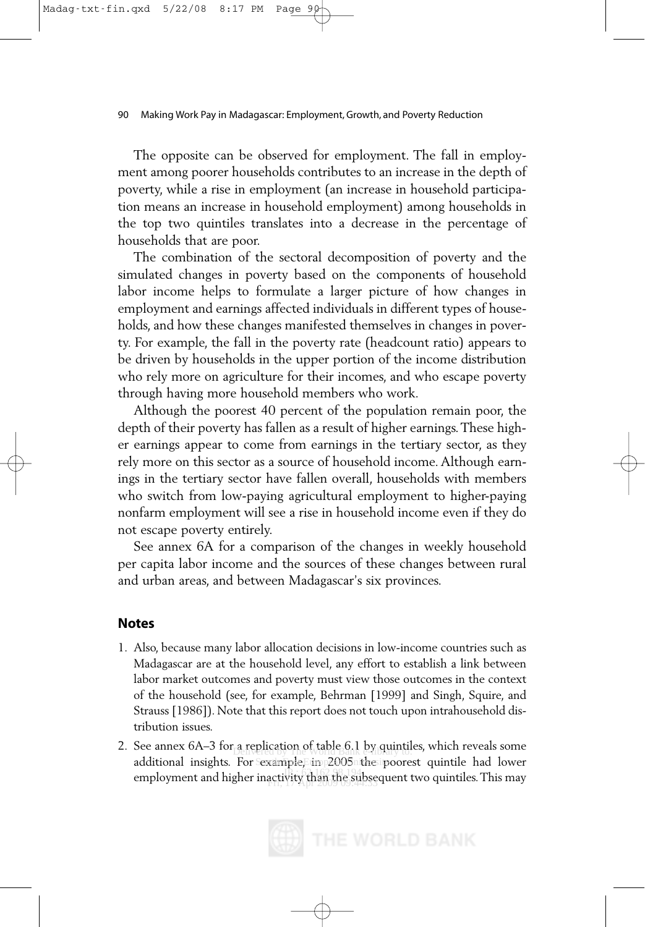The opposite can be observed for employment. The fall in employment among poorer households contributes to an increase in the depth of poverty, while a rise in employment (an increase in household participation means an increase in household employment) among households in the top two quintiles translates into a decrease in the percentage of households that are poor.

The combination of the sectoral decomposition of poverty and the simulated changes in poverty based on the components of household labor income helps to formulate a larger picture of how changes in employment and earnings affected individuals in different types of households, and how these changes manifested themselves in changes in poverty. For example, the fall in the poverty rate (headcount ratio) appears to be driven by households in the upper portion of the income distribution who rely more on agriculture for their incomes, and who escape poverty through having more household members who work.

Although the poorest 40 percent of the population remain poor, the depth of their poverty has fallen as a result of higher earnings.These higher earnings appear to come from earnings in the tertiary sector, as they rely more on this sector as a source of household income. Although earnings in the tertiary sector have fallen overall, households with members who switch from low-paying agricultural employment to higher-paying nonfarm employment will see a rise in household income even if they do not escape poverty entirely.

See annex 6A for a comparison of the changes in weekly household per capita labor income and the sources of these changes between rural and urban areas, and between Madagascar's six provinces.

#### **Notes**

- 1. Also, because many labor allocation decisions in low-income countries such as Madagascar are at the household level, any effort to establish a link between labor market outcomes and poverty must view those outcomes in the context of the household (see, for example, Behrman [1999] and Singh, Squire, and Strauss [1986]). Note that this report does not touch upon intrahousehold distribution issues.
- 2. See annex 6A–3 for a replication of table 6.1 by quintiles, which reveals some additional insights. For sexample,Eimp2005nthe ipoorest quintile had lower employment and higher inactivity than the subsequent two quintiles. This may  $F_1$ , 17  $\Delta$  pr 2009 09:44:33

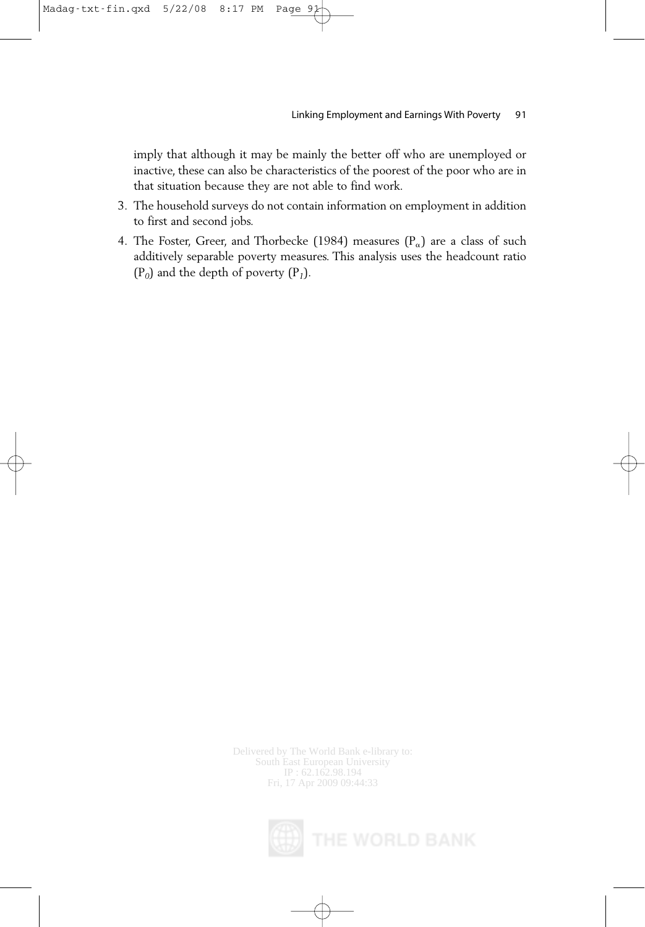imply that although it may be mainly the better off who are unemployed or inactive, these can also be characteristics of the poorest of the poor who are in that situation because they are not able to find work.

- 3. The household surveys do not contain information on employment in addition to first and second jobs.
- 4. The Foster, Greer, and Thorbecke (1984) measures  $(P_{\alpha})$  are a class of such additively separable poverty measures. This analysis uses the headcount ratio  $(P_0)$  and the depth of poverty  $(P_1)$ .

IP : 62.162.98.194 Fri, 17 Apr 2009 09:44:33

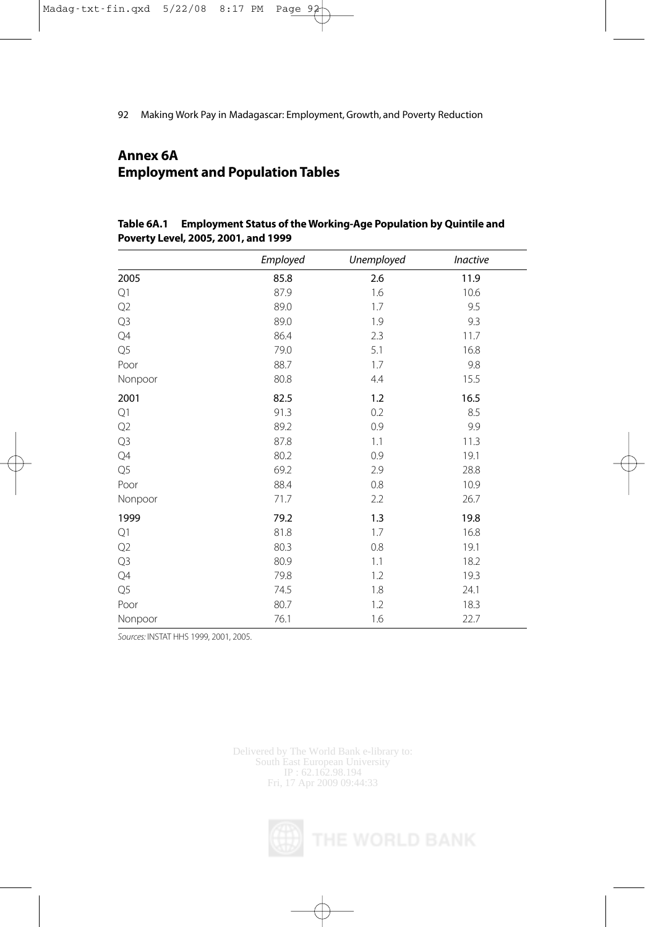#### **Annex 6A Employment and Population Tables**

|                | Employed | Unemployed | <b>Inactive</b> |
|----------------|----------|------------|-----------------|
| 2005           | 85.8     | 2.6        | 11.9            |
| Q1             | 87.9     | 1.6        | 10.6            |
| Q2             | 89.0     | 1.7        | 9.5             |
| Q3             | 89.0     | 1.9        | 9.3             |
| Q4             | 86.4     | 2.3        | 11.7            |
| Q5             | 79.0     | 5.1        | 16.8            |
| Poor           | 88.7     | 1.7        | 9.8             |
| Nonpoor        | 80.8     | 4.4        | 15.5            |
| 2001           | 82.5     | 1.2        | 16.5            |
| Q1             | 91.3     | 0.2        | 8.5             |
| Q <sub>2</sub> | 89.2     | 0.9        | 9.9             |
| Q3             | 87.8     | 1.1        | 11.3            |
| Q4             | 80.2     | 0.9        | 19.1            |
| Q5             | 69.2     | 2.9        | 28.8            |
| Poor           | 88.4     | 0.8        | 10.9            |
| Nonpoor        | 71.7     | 2.2        | 26.7            |
| 1999           | 79.2     | 1.3        | 19.8            |
| Q1             | 81.8     | 1.7        | 16.8            |
| Q <sub>2</sub> | 80.3     | 0.8        | 19.1            |
| Q3             | 80.9     | 1.1        | 18.2            |
| Q4             | 79.8     | 1.2        | 19.3            |
| Q5             | 74.5     | 1.8        | 24.1            |
| Poor           | 80.7     | 1.2        | 18.3            |
| Nonpoor        | 76.1     | 1.6        | 22.7            |

#### **Table 6A.1 Employment Status of the Working-Age Population by Quintile and Poverty Level, 2005, 2001, and 1999**

Sources: INSTAT HHS 1999, 2001, 2005.

IP : 62.162.98.194

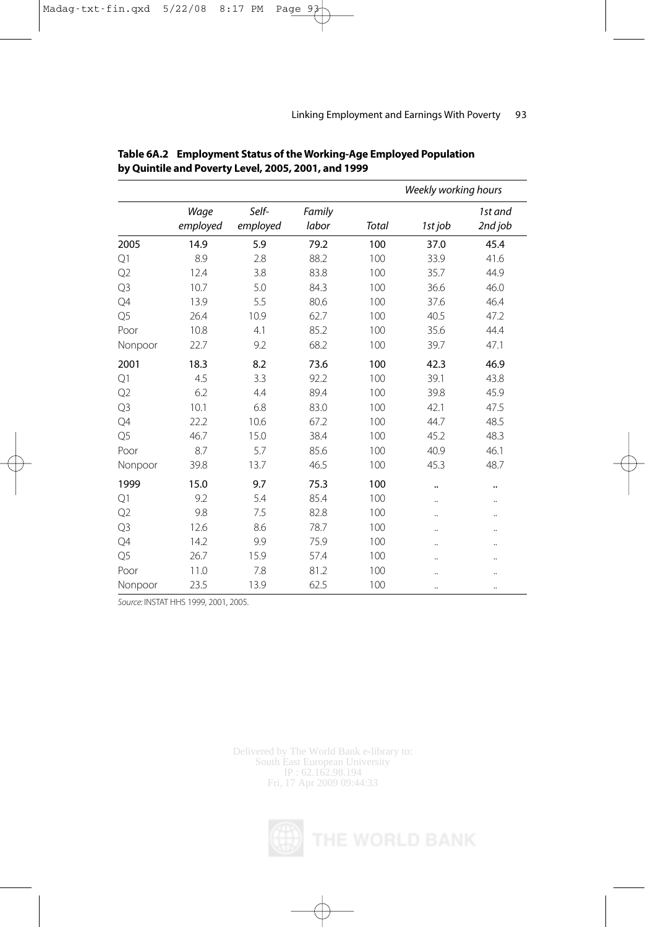|                |                  |                   |                 | Weekly working hours |                      |                      |  |
|----------------|------------------|-------------------|-----------------|----------------------|----------------------|----------------------|--|
|                | Wage<br>employed | Self-<br>employed | Family<br>labor | Total                | 1st job              | 1st and<br>2nd job   |  |
| 2005           | 14.9             | 5.9               | 79.2            | 100                  | 37.0                 | 45.4                 |  |
| Q1             | 8.9              | 2.8               | 88.2            | 100                  | 33.9                 | 41.6                 |  |
| Q2             | 12.4             | 3.8               | 83.8            | 100                  | 35.7                 | 44.9                 |  |
| Q3             | 10.7             | 5.0               | 84.3            | 100                  | 36.6                 | 46.0                 |  |
| Q4             | 13.9             | 5.5               | 80.6            | 100                  | 37.6                 | 46.4                 |  |
| Q <sub>5</sub> | 26.4             | 10.9              | 62.7            | 100                  | 40.5                 | 47.2                 |  |
| Poor           | 10.8             | 4.1               | 85.2            | 100                  | 35.6                 | 44.4                 |  |
| Nonpoor        | 22.7             | 9.2               | 68.2            | 100                  | 39.7                 | 47.1                 |  |
| 2001           | 18.3             | 8.2               | 73.6            | 100                  | 42.3                 | 46.9                 |  |
| Q1             | 4.5              | 3.3               | 92.2            | 100                  | 39.1                 | 43.8                 |  |
| Q2             | 6.2              | 4.4               | 89.4            | 100                  | 39.8                 | 45.9                 |  |
| Q3             | 10.1             | 6.8               | 83.0            | 100                  | 42.1                 | 47.5                 |  |
| Q4             | 22.2             | 10.6              | 67.2            | 100                  | 44.7                 | 48.5                 |  |
| Q <sub>5</sub> | 46.7             | 15.0              | 38.4            | 100                  | 45.2                 | 48.3                 |  |
| Poor           | 8.7              | 5.7               | 85.6            | 100                  | 40.9                 | 46.1                 |  |
| Nonpoor        | 39.8             | 13.7              | 46.5            | 100                  | 45.3                 | 48.7                 |  |
| 1999           | 15.0             | 9.7               | 75.3            | 100                  |                      | ٠.                   |  |
| Q1             | 9.2              | 5.4               | 85.4            | 100                  | $\ddotsc$            |                      |  |
| Q2             | 9.8              | 7.5               | 82.8            | 100                  | $\ddot{\phantom{a}}$ |                      |  |
| Q3             | 12.6             | 8.6               | 78.7            | 100                  | $\ddotsc$            |                      |  |
| Q4             | 14.2             | 9.9               | 75.9            | 100                  | $\ddot{\phantom{a}}$ |                      |  |
| Q <sub>5</sub> | 26.7             | 15.9              | 57.4            | 100                  | $\ldots$             |                      |  |
| Poor           | 11.0             | 7.8               | 81.2            | 100                  |                      | $\ddot{\phantom{a}}$ |  |
| Nonpoor        | 23.5             | 13.9              | 62.5            | 100                  | $\ldots$             | $\ddot{\phantom{a}}$ |  |

**Table 6A.2 Employment Status of the Working-Age Employed Population by Quintile and Poverty Level, 2005, 2001, and 1999**

Source: INSTAT HHS 1999, 2001, 2005.

Delivered by The World Bank e-library to: IP : 62.162.98.194

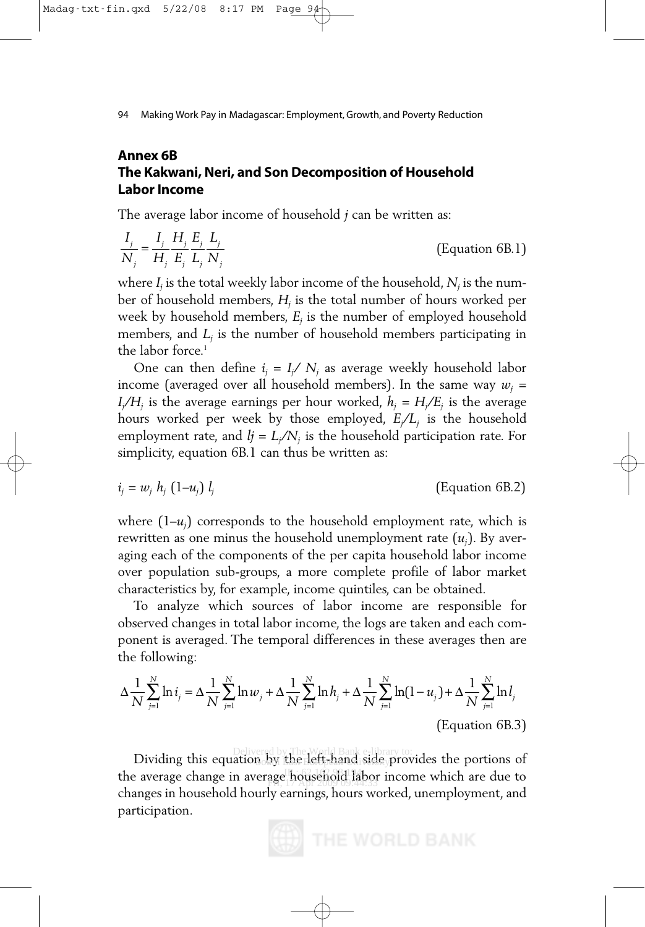## **Annex 6B The Kakwani, Neri, and Son Decomposition of Household Labor Income**

The average labor income of household *j* can be written as:

$$
\frac{I_j}{N_j} = \frac{I_j}{H_j} \frac{H_j}{E_j} \frac{E_j}{L_j} \frac{L_j}{N_j}
$$
 (Equation 6B.1)

where  $I_i$  is the total weekly labor income of the household,  $N_i$  is the number of household members, *Hj* is the total number of hours worked per week by household members, *Ej* is the number of employed household members, and *Lj* is the number of household members participating in the labor force. 1

One can then define  $i_j = I_j / N_j$  as average weekly household labor income (averaged over all household members). In the same way  $w_i =$ *I<sub>i</sub>*/*H<sub>i</sub>* is the average earnings per hour worked,  $h_i = H_i/E_i$  is the average hours worked per week by those employed,  $E_i/L_i$  is the household employment rate, and  $lj = L_i/N_j$  is the household participation rate. For simplicity, equation 6B.1 can thus be written as: income (averaged over all household members)<br>  $l_f/H_j$  is the average earnings per hour worke<br>
nours worked per week by those employer<br>
employment rate, and  $l_j = L_j/N_j$  is the house<br>
simplicity, equation 6B.1 can thus be writ me (averaged over all household members). In the same way *u* is the average earnings per hour worked,  $h_j = H_j/E_j$  is the aver<br>s worked per week by those employed,  $E_j/L_j$  is the housele oyment rate, and  $l_j = L_j/N_j$  is the hou s). In the same wa<br>  $h_j = H_j/E_j$  is the a<br>  $h_j = H_j/E_j$  is the bould participation ra<br>  $E_j/L_j$  is the hould participation ra<br>  $\therefore$ <br>  $(Equation$ <br>  $mployment rate, w$ <br>  $wyment rate (u_j). B$ <br>  $\therefore$  household labor  $\therefore$ <br>  $\therefore$  profile of labor  $\Rightarrow$ <br>  $\therefore$ 

$$
i_j = w_j h_j (1 - u_j) l_j
$$
 (Equation 6B.2)

where (1–*uj*) corresponds to the household employment rate, which is rewritten as one minus the household unemployment rate (*uj*). By averaging each of the components of the per capita household labor income over population sub-groups, a more complete profile of labor market characteristics by, for example, income quintiles, can be obtained. *H<sub>j</sub>* is the average earnings per hour worked<br>urs worked per week by those employe<br>uployment rate, and  $lj = L_j/N_j$  is the house<br>nplicity, equation 6B.1 can thus be written<br>=  $w_j h_j (1-u_j) l_j$ <br>are  $(1-u_j)$  *N<sub>j</sub>*<br>are  $(1-u_j)$  *N<sub>j*</sub> is the averaged over an notastin<br>s the average earnings per h<br>worked per week by thos<br>byment rate, and  $lj = L_j/N_j$  is<br>city, equation 6B.1 can thus<br> $h_j$  (1– $u_j$ )  $l_j$ <br>: (1– $u_j$ )  $l_j$ <br>: (1– $u_j$ ) corresponds to the ten<br>as one m Fractionally,  $h_j = H_j/E_j$  is the and<br>  $h_j = H_j/E_j$  is the and<br>  $h_j E_j/L_j$  is the house<br>  $h_j E_j/L_j$  is the house<br>  $h_j$ <br>  $h_j E_j/L_j$  is the house<br>  $h_j E_j/L_j$ <br>  $h_k E_j/L_j$ <br>  $\text{for } \mathbf{u}_k = \mathbf{u}_k$ <br>  $\text{for } \mathbf{u}_k = \mathbf{u}_k$ <br>  $\text{for } \mathbf{u}_k = \mathbf{u}_$ 

To analyze which sources of labor income are responsible for observed changes in total labor income, the logs are taken and each component is averaged. The temporal differences in these averages then are the following:

$$
\Delta \frac{1}{N} \sum_{j=1}^{N} \ln i_{j} = \Delta \frac{1}{N} \sum_{j=1}^{N} \ln w_{j} + \Delta \frac{1}{N} \sum_{j=1}^{N} \ln h_{j} + \Delta \frac{1}{N} \sum_{j=1}^{N} \ln(1 - u_{j}) + \Delta \frac{1}{N} \sum_{j=1}^{N} \ln l_{j}
$$
\n(Equation 6B.3)

Dividing this equation by The World Bank e-library of the portions of the average change in average household labor income which are due to changes in household hourly earnings, hours worked, unemployment, and participation.  ${\mathfrak a}_{{\rm o}}$ by the left-hand side $_{\rm y}$ Fri, 17 Apr 2009 09:44:33

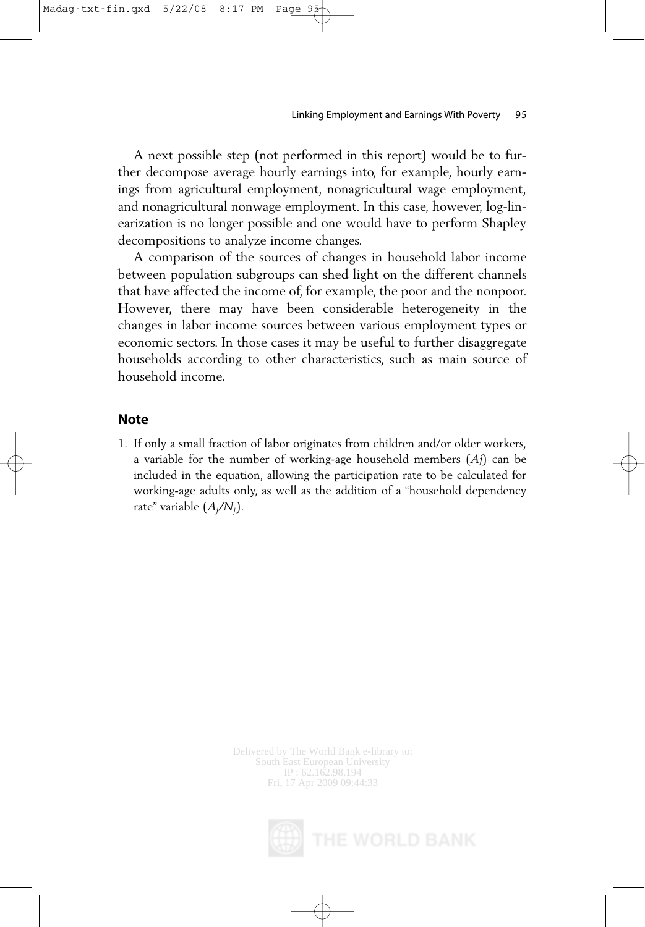A next possible step (not performed in this report) would be to further decompose average hourly earnings into, for example, hourly earnings from agricultural employment, nonagricultural wage employment, and nonagricultural nonwage employment. In this case, however, log-linearization is no longer possible and one would have to perform Shapley decompositions to analyze income changes.

A comparison of the sources of changes in household labor income between population subgroups can shed light on the different channels that have affected the income of, for example, the poor and the nonpoor. However, there may have been considerable heterogeneity in the changes in labor income sources between various employment types or economic sectors. In those cases it may be useful to further disaggregate households according to other characteristics, such as main source of household income.

## **Note**

1. If only a small fraction of labor originates from children and/or older workers, a variable for the number of working-age household members (*Aj*) can be included in the equation, allowing the participation rate to be calculated for working-age adults only, as well as the addition of a "household dependency rate" variable (*Aj/Nj*).

> IP : 62.162.98.194 Fri, 17 Apr 2009 09:44:33

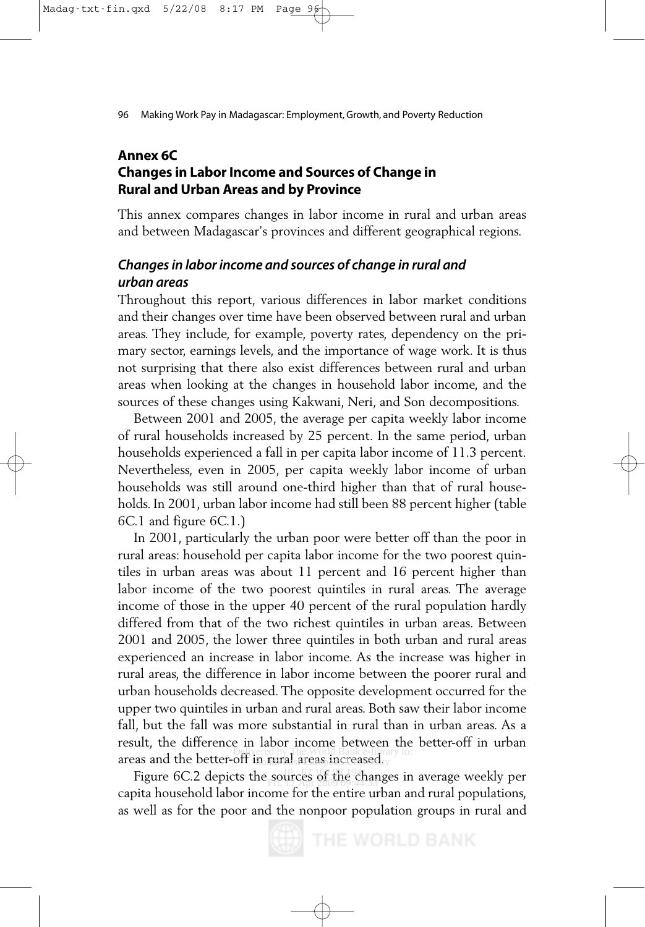# **Annex 6C Changes in Labor Income and Sources of Change in Rural and Urban Areas and by Province**

This annex compares changes in labor income in rural and urban areas and between Madagascar's provinces and different geographical regions.

# **Changes in labor income and sources of change in rural and urban areas**

Throughout this report, various differences in labor market conditions and their changes over time have been observed between rural and urban areas. They include, for example, poverty rates, dependency on the primary sector, earnings levels, and the importance of wage work. It is thus not surprising that there also exist differences between rural and urban areas when looking at the changes in household labor income, and the sources of these changes using Kakwani, Neri, and Son decompositions.

Between 2001 and 2005, the average per capita weekly labor income of rural households increased by 25 percent. In the same period, urban households experienced a fall in per capita labor income of 11.3 percent. Nevertheless, even in 2005, per capita weekly labor income of urban households was still around one-third higher than that of rural households. In 2001, urban labor income had still been 88 percent higher (table 6C.1 and figure 6C.1.)

In 2001, particularly the urban poor were better off than the poor in rural areas: household per capita labor income for the two poorest quintiles in urban areas was about 11 percent and 16 percent higher than labor income of the two poorest quintiles in rural areas. The average income of those in the upper 40 percent of the rural population hardly differed from that of the two richest quintiles in urban areas. Between 2001 and 2005, the lower three quintiles in both urban and rural areas experienced an increase in labor income. As the increase was higher in rural areas, the difference in labor income between the poorer rural and urban households decreased. The opposite development occurred for the upper two quintiles in urban and rural areas. Both saw their labor income fall, but the fall was more substantial in rural than in urban areas. As a result, the difference in labor income between the better-off in urban **Delivered by The World Bank e-library to:**<br>areas and the better-off in rural areas increased. in rural areas increased  $_{\rm{ty}}$ 

Figure 6C.2 depicts the sources of the changes in average weekly per capita household labor income for the entire urban and rural populations, as well as for the poor and the nonpoor population groups in rural and Fri, 17 Apr 2009 09:44:33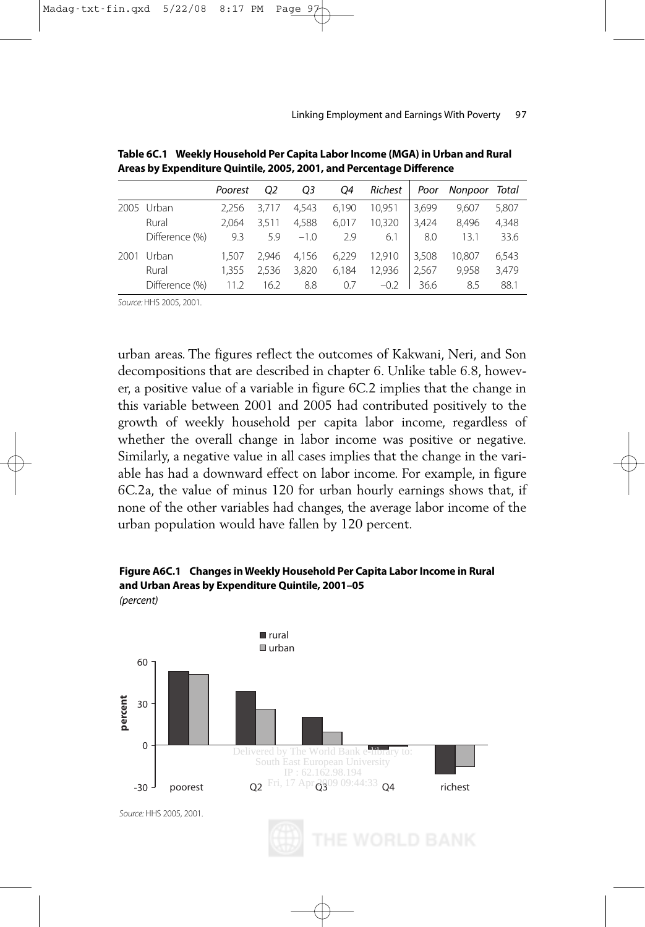|      |                | Poorest | Ο2    | O3     | Q4    | Richest | Poor  | Nonpoor | Total |
|------|----------------|---------|-------|--------|-------|---------|-------|---------|-------|
| 2005 | Urban          | 2.256   | 3.717 | 4.543  | 6.190 | 10.951  | 3.699 | 9.607   | 5,807 |
|      | Rural          | 2.064   | 3.511 | 4.588  | 6,017 | 10.320  | 3.424 | 8.496   | 4,348 |
|      | Difference (%) | 9.3     | 5.9   | $-1.0$ | 2.9   | 6.1     | 8.0   | 13.1    | 33.6  |
| 2001 | Urban          | 1.507   | 2.946 | 4.156  | 6,229 | 12.910  | 3.508 | 10.807  | 6,543 |
|      | Rural          | 1.355   | 2.536 | 3,820  | 6,184 | 12.936  | 2,567 | 9.958   | 3,479 |
|      | Difference (%) | 11.2    | 16.2  | 8.8    | 0.7   | $-0.2$  | 36.6  | 8.5     | 88.1  |

**Table 6C.1 Weekly Household Per Capita Labor Income (MGA) in Urban and Rural Areas by Expenditure Quintile, 2005, 2001, and Percentage Difference** 

Source: HHS 2005, 2001.

urban areas. The figures reflect the outcomes of Kakwani, Neri, and Son decompositions that are described in chapter 6. Unlike table 6.8, however, a positive value of a variable in figure 6C.2 implies that the change in this variable between 2001 and 2005 had contributed positively to the growth of weekly household per capita labor income, regardless of whether the overall change in labor income was positive or negative. Similarly, a negative value in all cases implies that the change in the variable has had a downward effect on labor income. For example, in figure 6C.2a, the value of minus 120 for urban hourly earnings shows that, if none of the other variables had changes, the average labor income of the urban population would have fallen by 120 percent.

#### **Figure A6C.1 Changes in Weekly Household Per Capita Labor Income in Rural and Urban Areas by Expenditure Quintile, 2001–05** (percent)



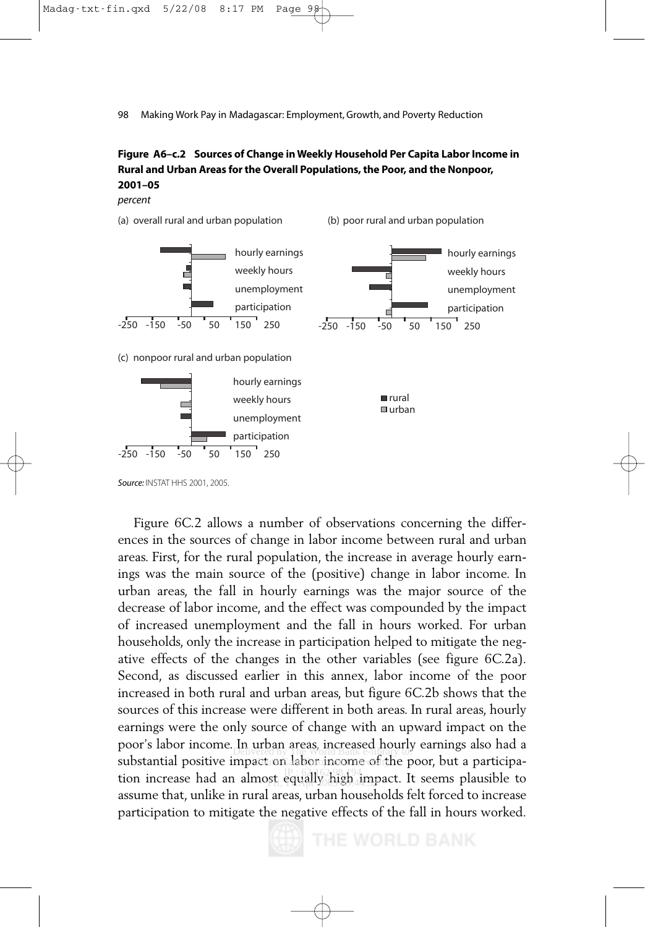98 Making Work Pay in Madagascar: Employment, Growth, and Poverty Reduction

## **Figure A6–c.2 Sources of Change in Weekly Household Per Capita Labor Income in Rural and Urban Areas for the Overall Populations, the Poor, and the Nonpoor, 2001–05**

percent



**Source: INSTAT HHS 2001, 2005.** 

Figure 6C.2 allows a number of observations concerning the differences in the sources of change in labor income between rural and urban areas. First, for the rural population, the increase in average hourly earnings was the main source of the (positive) change in labor income. In urban areas, the fall in hourly earnings was the major source of the decrease of labor income, and the effect was compounded by the impact of increased unemployment and the fall in hours worked. For urban households, only the increase in participation helped to mitigate the negative effects of the changes in the other variables (see figure 6C.2a). Second, as discussed earlier in this annex, labor income of the poor increased in both rural and urban areas, but figure 6C.2b shows that the sources of this increase were different in both areas. In rural areas, hourly earnings were the only source of change with an upward impact on the poor's labor income. In urban areas, increased hourly earnings also had a substantial positive impact on labor income of the poor, but a participation increase had an almost equally high impact. It seems plausible to assume that, unlike in rural areas, urban households felt forced to increase participation to mitigate the negative effects of the fall in hours worked. sctronelaboroincome ofit PF, 59 Apr 2009 89:44:53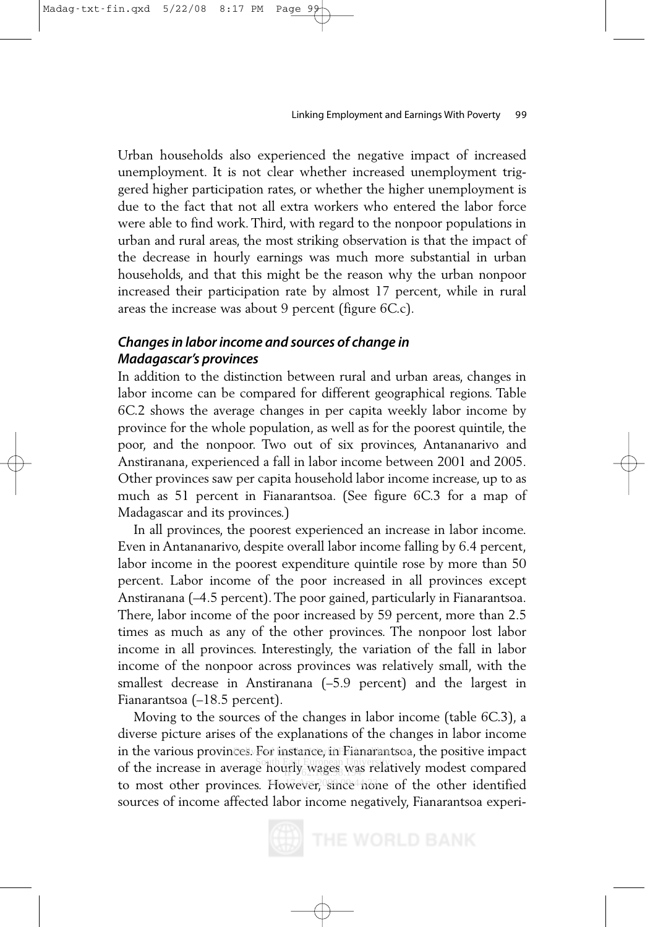Urban households also experienced the negative impact of increased unemployment. It is not clear whether increased unemployment triggered higher participation rates, or whether the higher unemployment is due to the fact that not all extra workers who entered the labor force were able to find work. Third, with regard to the nonpoor populations in urban and rural areas, the most striking observation is that the impact of the decrease in hourly earnings was much more substantial in urban households, and that this might be the reason why the urban nonpoor increased their participation rate by almost 17 percent, while in rural areas the increase was about 9 percent (figure 6C.c).

## **Changes in labor income and sources of change in Madagascar's provinces**

In addition to the distinction between rural and urban areas, changes in labor income can be compared for different geographical regions. Table 6C.2 shows the average changes in per capita weekly labor income by province for the whole population, as well as for the poorest quintile, the poor, and the nonpoor. Two out of six provinces, Antananarivo and Anstiranana, experienced a fall in labor income between 2001 and 2005. Other provinces saw per capita household labor income increase, up to as much as 51 percent in Fianarantsoa. (See figure 6C.3 for a map of Madagascar and its provinces.)

In all provinces, the poorest experienced an increase in labor income. Even in Antananarivo, despite overall labor income falling by 6.4 percent, labor income in the poorest expenditure quintile rose by more than 50 percent. Labor income of the poor increased in all provinces except Anstiranana (–4.5 percent). The poor gained, particularly in Fianarantsoa. There, labor income of the poor increased by 59 percent, more than 2.5 times as much as any of the other provinces. The nonpoor lost labor income in all provinces. Interestingly, the variation of the fall in labor income of the nonpoor across provinces was relatively small, with the smallest decrease in Anstiranana (–5.9 percent) and the largest in Fianarantsoa (–18.5 percent).

Moving to the sources of the changes in labor income (table 6C.3), a diverse picture arises of the explanations of the changes in labor income in the various provinces. For instance, in Fianarantsoa, the positive impact of the increase in average hourly wages was relatively modest compared to most other provinces. However, since none of the other identified sources of income affected labor income negatively, Fianarantsoa experi- $\mu$ iy $_\odot$ wages wa

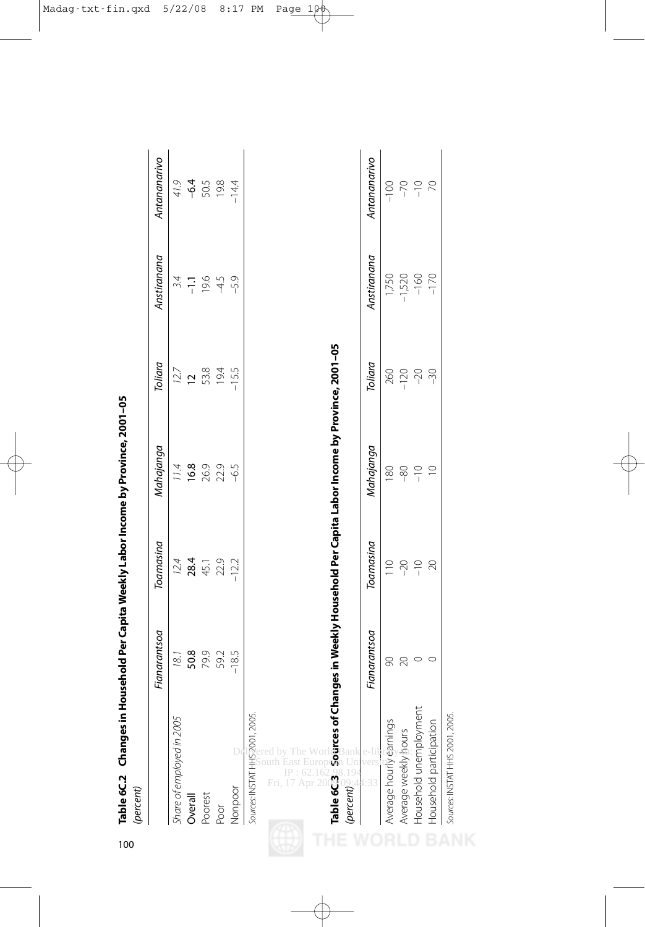| Ю | (percent)                                     |                |                                        |                                                                               |                   |                           |                                                                      |
|---|-----------------------------------------------|----------------|----------------------------------------|-------------------------------------------------------------------------------|-------------------|---------------------------|----------------------------------------------------------------------|
|   |                                               | Fianarantsoa   | Toamasina                              | Mahajanga                                                                     | Toliara           | Anstiranana               | Antananarivo                                                         |
|   | Share of employed in 2005                     | $18.1\,$       |                                        | 11.4                                                                          |                   | 3.4                       |                                                                      |
|   | Overall                                       |                | $724$<br><b>28.1</b><br>$45.1$<br>22.9 |                                                                               | $12.7$<br>$12.58$ |                           | $\begin{array}{c}\n41.9 \\ 7.9 \\ -6.9 \\ -1.5 \\ -1.8\n\end{array}$ |
|   | Poorest                                       | 50.8           |                                        | $16.8$<br>26.9                                                                |                   | $-1.1$<br>19.6            |                                                                      |
|   | Poor                                          | 59.2           |                                        | 22.9                                                                          | 19.4              | $-4.5$                    |                                                                      |
|   | Nonpoor                                       | $-18.5$        | $-12.2$                                | $-6.5$                                                                        | $-15.5$           | $-5.9$                    | $-14.4$                                                              |
|   | 2005.<br>Sources: INSTAT HHS 200              |                |                                        |                                                                               |                   |                           |                                                                      |
|   |                                               |                |                                        |                                                                               |                   |                           |                                                                      |
|   |                                               |                |                                        |                                                                               |                   |                           |                                                                      |
|   |                                               |                |                                        |                                                                               |                   |                           |                                                                      |
|   | 20 <sup>1</sup>                               |                |                                        |                                                                               |                   |                           |                                                                      |
|   | Table 6C3 Sources<br>$(percent)^{\odot}_{24}$ |                |                                        | s of Changes in Weekly Household Per Capita Labor Income by Province, 2001-05 |                   |                           |                                                                      |
|   |                                               |                |                                        |                                                                               |                   |                           |                                                                      |
|   | : 33                                          | Fianarantsoa   | Toamasina                              | Mahajanga                                                                     | Toliara           | Anstiranana               | Antananarivo                                                         |
|   | Average hourly earnings                       | $\infty$       | $\frac{1}{10}$                         | 180                                                                           |                   | $1,750$<br>-1,520<br>-160 |                                                                      |
|   | Average weekly bours                          | $\overline{C}$ | $-20$                                  | $-80$                                                                         | $\frac{260}{1}$   |                           | $700$<br>$-700$<br>$-700$                                            |
|   | Household unemployment                        | $\circ$        | $\frac{1}{1}$                          | $-10$                                                                         |                   |                           |                                                                      |
|   | mg<br>Household participati                   | $\circ$        | $\geqslant$                            | $\supseteq$                                                                   | $-30$             | $-170$                    |                                                                      |
|   | 2005.<br>Sources: INSTAT HHS 2001             |                |                                        |                                                                               |                   |                           |                                                                      |
|   |                                               |                |                                        |                                                                               |                   |                           |                                                                      |

Table 6C.2 Changes in Household Per Capita Weekly Labor Income by Province, 2001-05 **Table 6C.2 Changes in Household Per Capita Weekly LaborIncome by Province, 2001–05**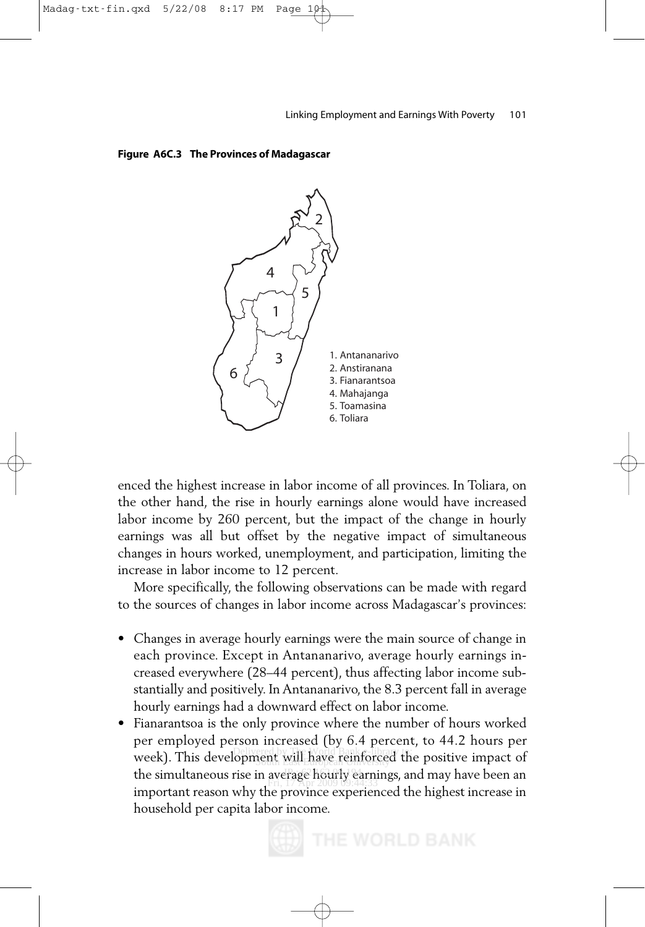

#### **Figure A6C.3 The Provinces of Madagascar**

enced the highest increase in labor income of all provinces. In Toliara, on the other hand, the rise in hourly earnings alone would have increased labor income by 260 percent, but the impact of the change in hourly earnings was all but offset by the negative impact of simultaneous changes in hours worked, unemployment, and participation, limiting the increase in labor income to 12 percent.

More specifically, the following observations can be made with regard to the sources of changes in labor income across Madagascar's provinces:

- Changes in average hourly earnings were the main source of change in each province. Except in Antananarivo, average hourly earnings increased everywhere (28–44 percent), thus affecting labor income substantially and positively. In Antananarivo, the 8.3 percent fall in average hourly earnings had a downward effect on labor income.
- Fianarantsoa is the only province where the number of hours worked per employed person increased (by 6.4 percent, to 44.2 hours per week). This development will have reinforced the positive impact of the simultaneous rise in average  $\operatorname{hourly}$  earnings, and may have been an important reason why the province experienced the highest increase in household per capita labor income. seur win nave rennoice

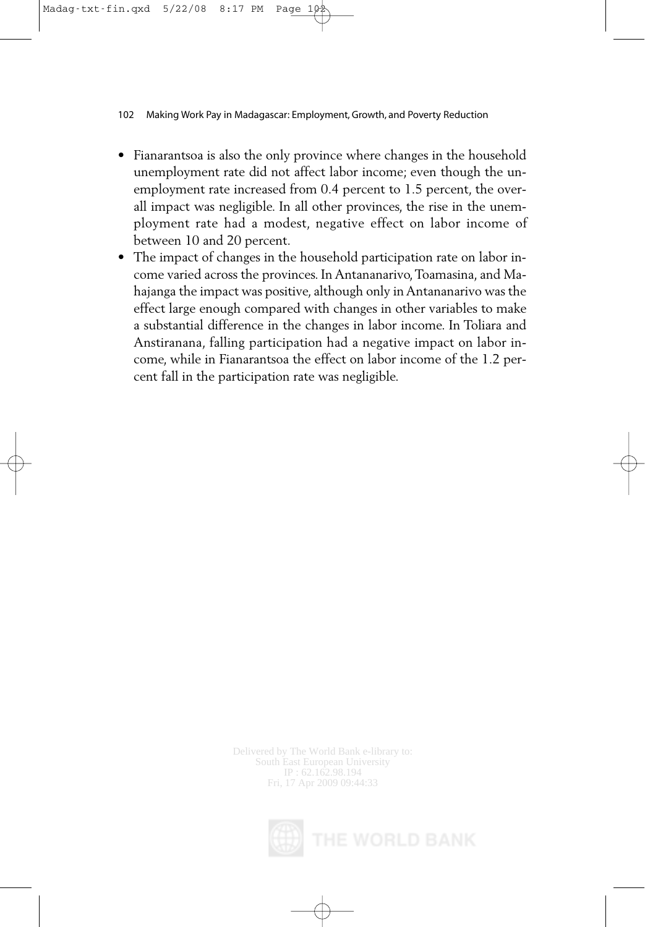#### 102 Making Work Pay in Madagascar: Employment, Growth, and Poverty Reduction

- Fianarantsoa is also the only province where changes in the household unemployment rate did not affect labor income; even though the unemployment rate increased from 0.4 percent to 1.5 percent, the overall impact was negligible. In all other provinces, the rise in the unemployment rate had a modest, negative effect on labor income of between 10 and 20 percent.
- The impact of changes in the household participation rate on labor income varied across the provinces. In Antananarivo, Toamasina, and Mahajanga the impact was positive, although only in Antananarivo was the effect large enough compared with changes in other variables to make a substantial difference in the changes in labor income. In Toliara and Anstiranana, falling participation had a negative impact on labor income, while in Fianarantsoa the effect on labor income of the 1.2 percent fall in the participation rate was negligible.

IP : 62.162.98.194 Fri, 17 Apr 2009 09:44:33

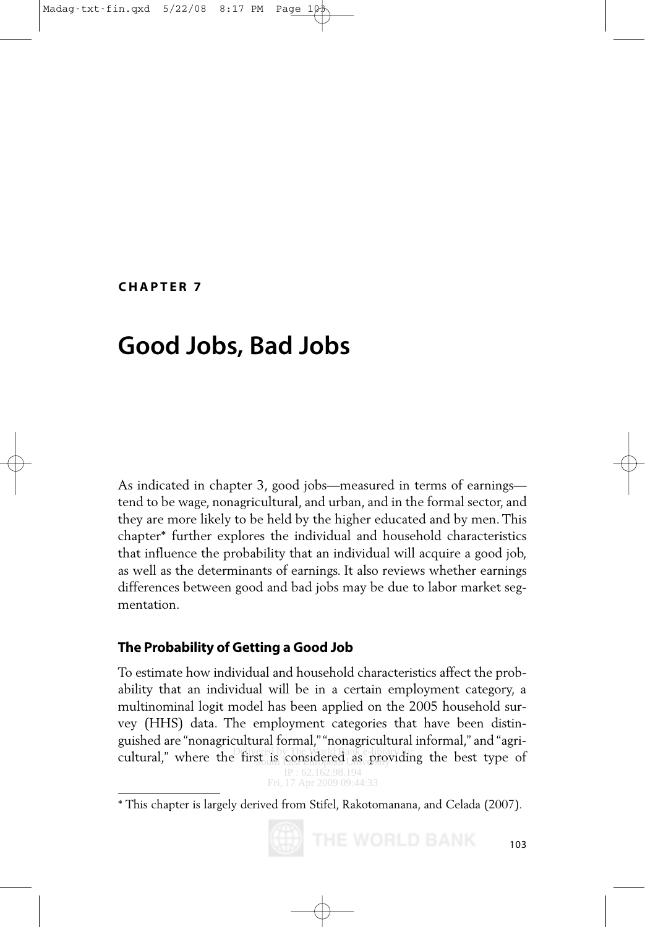## **CHAPTER 7**

# **Good Jobs, Bad Jobs**

As indicated in chapter 3, good jobs—measured in terms of earnings tend to be wage, nonagricultural, and urban, and in the formal sector, and they are more likely to be held by the higher educated and by men. This chapter\* further explores the individual and household characteristics that influence the probability that an individual will acquire a good job, as well as the determinants of earnings. It also reviews whether earnings differences between good and bad jobs may be due to labor market segmentation.

# **The Probability of Getting a Good Job**

To estimate how individual and household characteristics affect the probability that an individual will be in a certain employment category, a multinominal logit model has been applied on the 2005 household survey (HHS) data. The employment categories that have been distinguished are "nonagricultural formal,""nonagricultural informal," and "agricultural," where the first is considered as providing the best type of  $\mathbf{S}_{\text{CMB}}$  considered  $\mathbf{as}_{\forall}$  pro



<sup>\*</sup> This chapter is largely derived from Stifel, Rakotomanana, and Celada (2007).

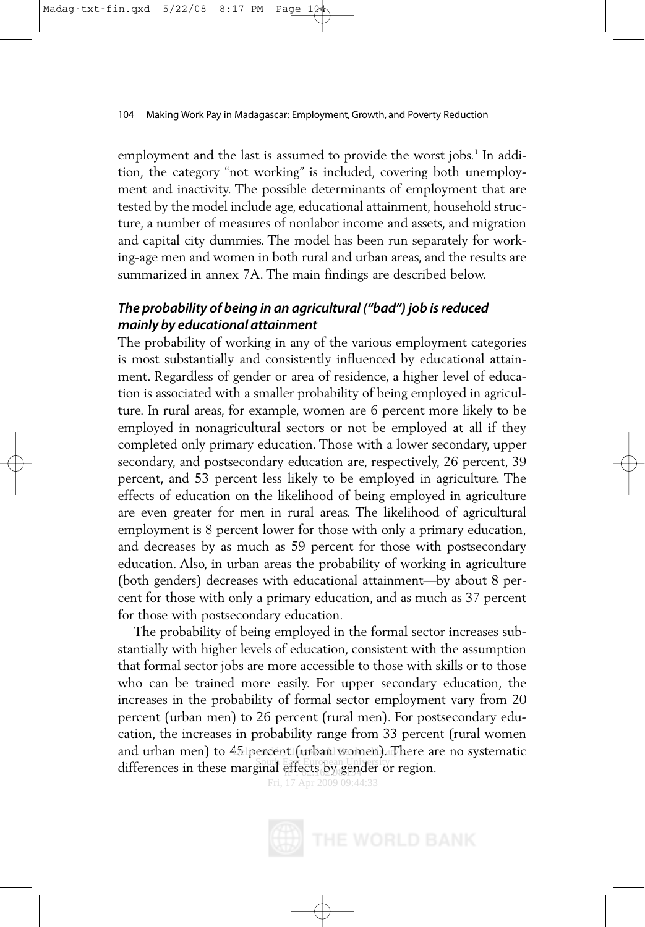employment and the last is assumed to provide the worst jobs.<sup>1</sup> In addition, the category "not working" is included, covering both unemployment and inactivity. The possible determinants of employment that are tested by the model include age, educational attainment, household structure, a number of measures of nonlabor income and assets, and migration and capital city dummies. The model has been run separately for working-age men and women in both rural and urban areas, and the results are summarized in annex 7A. The main findings are described below.

# **The probability of being in an agricultural ("bad") job is reduced mainly by educational attainment**

The probability of working in any of the various employment categories is most substantially and consistently influenced by educational attainment. Regardless of gender or area of residence, a higher level of education is associated with a smaller probability of being employed in agriculture. In rural areas, for example, women are 6 percent more likely to be employed in nonagricultural sectors or not be employed at all if they completed only primary education. Those with a lower secondary, upper secondary, and postsecondary education are, respectively, 26 percent, 39 percent, and 53 percent less likely to be employed in agriculture. The effects of education on the likelihood of being employed in agriculture are even greater for men in rural areas. The likelihood of agricultural employment is 8 percent lower for those with only a primary education, and decreases by as much as 59 percent for those with postsecondary education. Also, in urban areas the probability of working in agriculture (both genders) decreases with educational attainment—by about 8 percent for those with only a primary education, and as much as 37 percent for those with postsecondary education.

The probability of being employed in the formal sector increases substantially with higher levels of education, consistent with the assumption that formal sector jobs are more accessible to those with skills or to those who can be trained more easily. For upper secondary education, the increases in the probability of formal sector employment vary from 20 percent (urban men) to 26 percent (rural men). For postsecondary education, the increases in probability range from 33 percent (rural women and urban men) to 45 ipercent (urban women). There are no systematic differences in these marginal effects by gender or region. directs 50 Sen

Fri, 17 Apr 2009 09:44:33

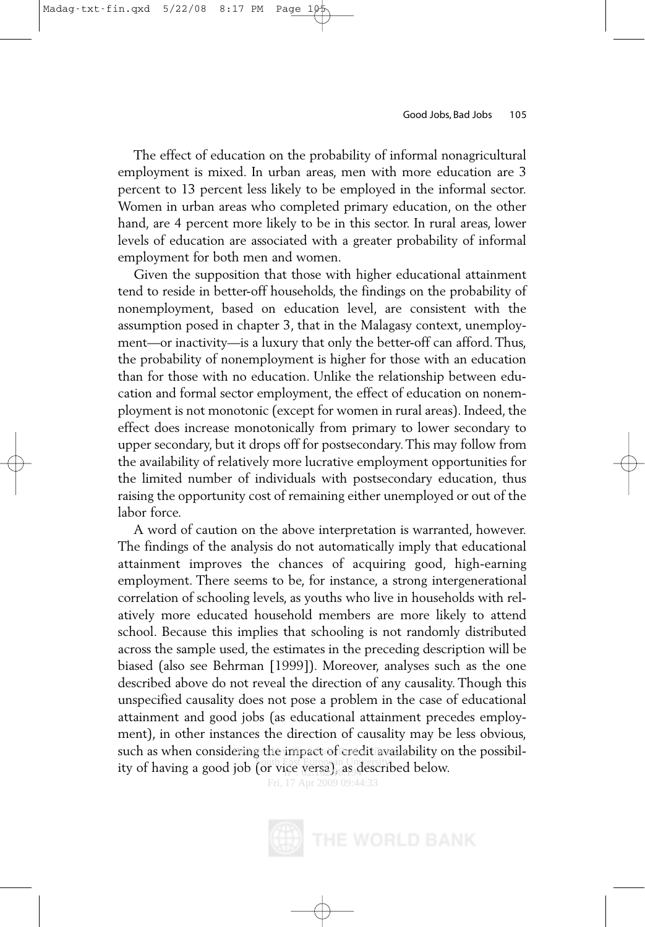The effect of education on the probability of informal nonagricultural employment is mixed. In urban areas, men with more education are 3 percent to 13 percent less likely to be employed in the informal sector. Women in urban areas who completed primary education, on the other hand, are 4 percent more likely to be in this sector. In rural areas, lower levels of education are associated with a greater probability of informal employment for both men and women.

Given the supposition that those with higher educational attainment tend to reside in better-off households, the findings on the probability of nonemployment, based on education level, are consistent with the assumption posed in chapter 3, that in the Malagasy context, unemployment—or inactivity—is a luxury that only the better-off can afford. Thus, the probability of nonemployment is higher for those with an education than for those with no education. Unlike the relationship between education and formal sector employment, the effect of education on nonemployment is not monotonic (except for women in rural areas). Indeed, the effect does increase monotonically from primary to lower secondary to upper secondary, but it drops off for postsecondary. This may follow from the availability of relatively more lucrative employment opportunities for the limited number of individuals with postsecondary education, thus raising the opportunity cost of remaining either unemployed or out of the labor force.

A word of caution on the above interpretation is warranted, however. The findings of the analysis do not automatically imply that educational attainment improves the chances of acquiring good, high-earning employment. There seems to be, for instance, a strong intergenerational correlation of schooling levels, as youths who live in households with relatively more educated household members are more likely to attend school. Because this implies that schooling is not randomly distributed across the sample used, the estimates in the preceding description will be biased (also see Behrman [1999]). Moreover, analyses such as the one described above do not reveal the direction of any causality. Though this unspecified causality does not pose a problem in the case of educational attainment and good jobs (as educational attainment precedes employment), in other instances the direction of causality may be less obvious, such as when considering the impact of credit availability on the possibility of having a good job (or vice versa), as described below.  $\text{Re}$   $\text{Re}$   $\text{Re}$ 

Fri, 17 Apr 2009 09:44:33

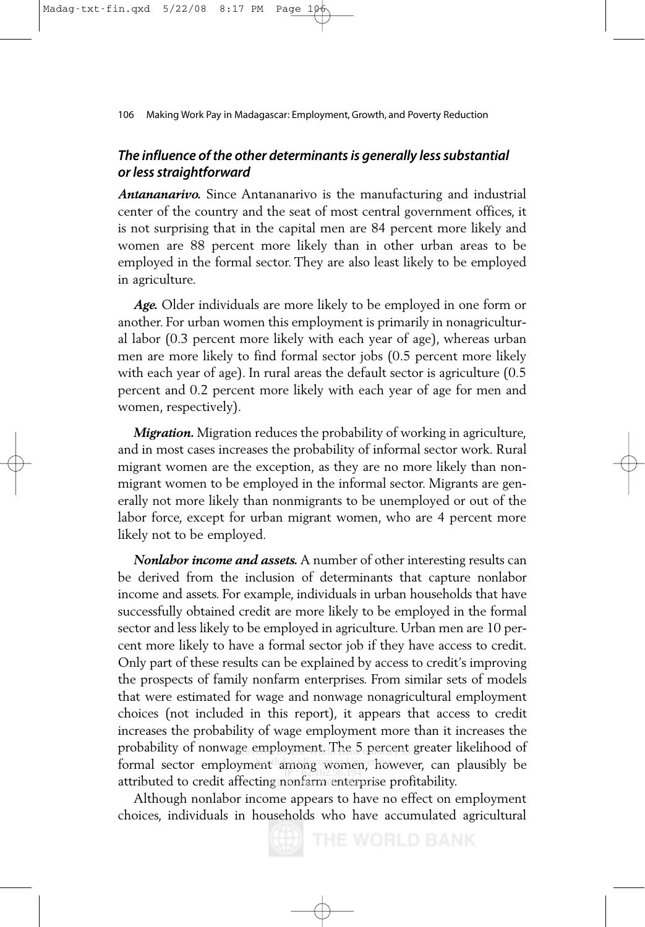## **The influence of the other determinants is generally less substantial or less straightforward**

*Antananarivo.* Since Antananarivo is the manufacturing and industrial center of the country and the seat of most central government offices, it is not surprising that in the capital men are 84 percent more likely and women are 88 percent more likely than in other urban areas to be employed in the formal sector. They are also least likely to be employed in agriculture.

*Age.* Older individuals are more likely to be employed in one form or another. For urban women this employment is primarily in nonagricultural labor (0.3 percent more likely with each year of age), whereas urban men are more likely to find formal sector jobs (0.5 percent more likely with each year of age). In rural areas the default sector is agriculture (0.5 percent and 0.2 percent more likely with each year of age for men and women, respectively).

*Migration.* Migration reduces the probability of working in agriculture, and in most cases increases the probability of informal sector work. Rural migrant women are the exception, as they are no more likely than nonmigrant women to be employed in the informal sector. Migrants are generally not more likely than nonmigrants to be unemployed or out of the labor force, except for urban migrant women, who are 4 percent more likely not to be employed.

*Nonlabor income and assets.* A number of other interesting results can be derived from the inclusion of determinants that capture nonlabor income and assets. For example, individuals in urban households that have successfully obtained credit are more likely to be employed in the formal sector and less likely to be employed in agriculture. Urban men are 10 percent more likely to have a formal sector job if they have access to credit. Only part of these results can be explained by access to credit's improving the prospects of family nonfarm enterprises. From similar sets of models that were estimated for wage and nonwage nonagricultural employment choices (not included in this report), it appears that access to credit increases the probability of wage employment more than it increases the probability of nonwage employment. The 5 percent greater likelihood of formal sector employment among women, however, can plausibly be attributed to credit affecting nonfarm enterprise profitability. ig nonfarm enterpris

Although nonlabor income appears to have no effect on employment choices, individuals in households who have accumulated agricultural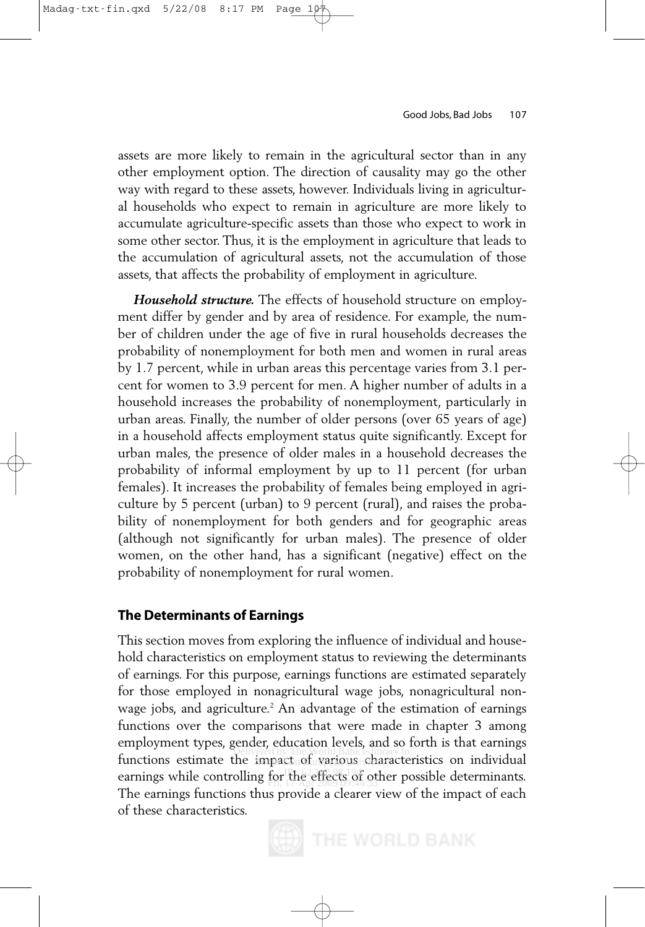assets are more likely to remain in the agricultural sector than in any other employment option. The direction of causality may go the other way with regard to these assets, however. Individuals living in agricultural households who expect to remain in agriculture are more likely to accumulate agriculture-specific assets than those who expect to work in some other sector. Thus, it is the employment in agriculture that leads to the accumulation of agricultural assets, not the accumulation of those assets, that affects the probability of employment in agriculture.

*Household structure.* The effects of household structure on employment differ by gender and by area of residence. For example, the number of children under the age of five in rural households decreases the probability of nonemployment for both men and women in rural areas by 1.7 percent, while in urban areas this percentage varies from 3.1 percent for women to 3.9 percent for men. A higher number of adults in a household increases the probability of nonemployment, particularly in urban areas. Finally, the number of older persons (over 65 years of age) in a household affects employment status quite significantly. Except for urban males, the presence of older males in a household decreases the probability of informal employment by up to 11 percent (for urban females). It increases the probability of females being employed in agriculture by 5 percent (urban) to 9 percent (rural), and raises the probability of nonemployment for both genders and for geographic areas (although not significantly for urban males). The presence of older women, on the other hand, has a significant (negative) effect on the probability of nonemployment for rural women.

# **The Determinants of Earnings**

This section moves from exploring the influence of individual and household characteristics on employment status to reviewing the determinants of earnings. For this purpose, earnings functions are estimated separately for those employed in nonagricultural wage jobs, nonagricultural nonwage jobs, and agriculture.<sup>2</sup> An advantage of the estimation of earnings functions over the comparisons that were made in chapter 3 among employment types, gender, education levels, and so forth is that earnings functions estimate the impact of various characteristics on individual earnings while controlling for the effects of other possible determinants. The earnings wine controlling for the impact of each possible determinants.<br>The earnings functions thus provide a clearer view of the impact of each of these characteristics.  $\mathrm{im} \mathrm{part}_\mathbb{S}$ ot $\mathrm{tr} \mathrm{var} \mathrm{ours}_\mathbb{S}$ char

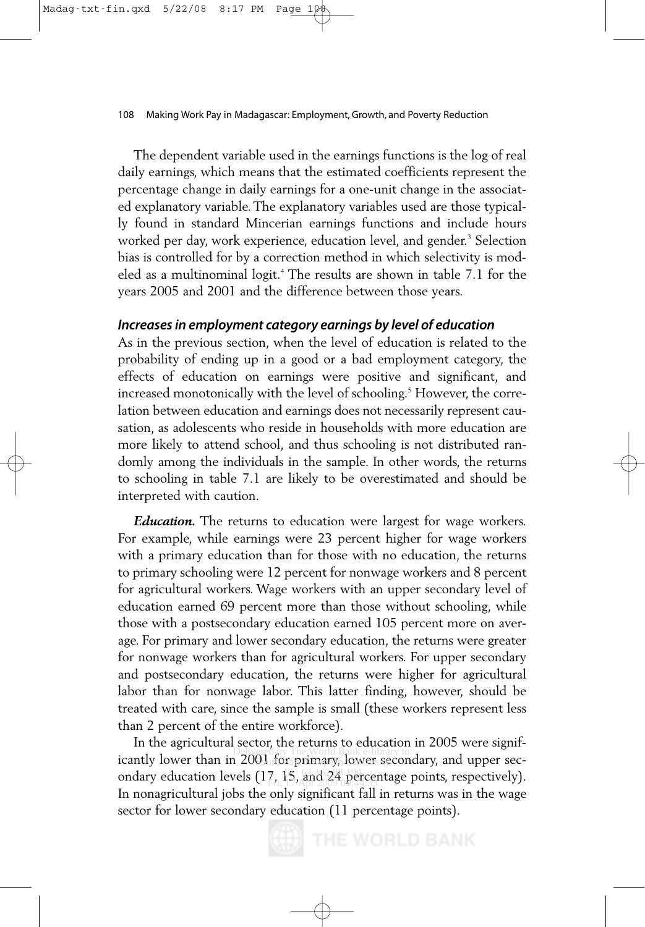The dependent variable used in the earnings functions is the log of real daily earnings, which means that the estimated coefficients represent the percentage change in daily earnings for a one-unit change in the associated explanatory variable. The explanatory variables used are those typically found in standard Mincerian earnings functions and include hours worked per day, work experience, education level, and gender.<sup>3</sup> Selection bias is controlled for by a correction method in which selectivity is modeled as a multinominal logit.4 The results are shown in table 7.1 for the years 2005 and 2001 and the difference between those years.

## **Increases in employment category earnings by level of education**

As in the previous section, when the level of education is related to the probability of ending up in a good or a bad employment category, the effects of education on earnings were positive and significant, and increased monotonically with the level of schooling.<sup>5</sup> However, the correlation between education and earnings does not necessarily represent causation, as adolescents who reside in households with more education are more likely to attend school, and thus schooling is not distributed randomly among the individuals in the sample. In other words, the returns to schooling in table 7.1 are likely to be overestimated and should be interpreted with caution.

*Education.* The returns to education were largest for wage workers. For example, while earnings were 23 percent higher for wage workers with a primary education than for those with no education, the returns to primary schooling were 12 percent for nonwage workers and 8 percent for agricultural workers. Wage workers with an upper secondary level of education earned 69 percent more than those without schooling, while those with a postsecondary education earned 105 percent more on average. For primary and lower secondary education, the returns were greater for nonwage workers than for agricultural workers. For upper secondary and postsecondary education, the returns were higher for agricultural labor than for nonwage labor. This latter finding, however, should be treated with care, since the sample is small (these workers represent less than 2 percent of the entire workforce).

In the agricultural sector, the returns to education in 2005 were significantly lower than in 2001 for primary, lower secondary, and upper secondary education levels (17, 15, and 24 percentage points, respectively). In nonagricultural jobs the only significant fall in returns was in the wage sector for lower secondary education (11 percentage points).  $\cup$ uitor $_{\rm a}$ primary $_{\rm n}$ iower $_{\rm s}$ se Fri, 17 Apr 2009 09:44:33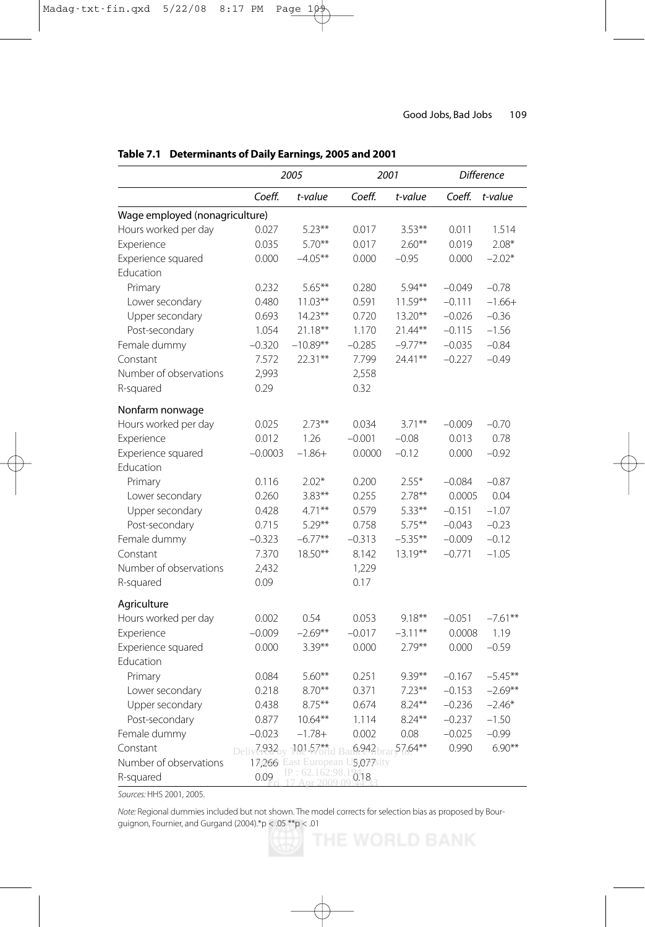|                                     |                          | 2005             | 2001                     |            |          | <b>Difference</b> |
|-------------------------------------|--------------------------|------------------|--------------------------|------------|----------|-------------------|
|                                     | Coeff.                   | t-value          | Coeff.                   | t-value    | Coeff.   | t-value           |
| Wage employed (nonagriculture)      |                          |                  |                          |            |          |                   |
| Hours worked per day                | 0.027                    | $5.23**$         | 0.017                    | $3.53**$   | 0.011    | 1.514             |
| Experience                          | 0.035                    | $5.70***$        | 0.017                    | $2.60**$   | 0.019    | $2.08*$           |
| Experience squared                  | 0.000                    | $-4.05***$       | 0.000                    | $-0.95$    | 0.000    | $-2.02*$          |
| Education                           |                          |                  |                          |            |          |                   |
| Primary                             | 0.232                    | $5.65***$        | 0.280                    | $5.94***$  | $-0.049$ | $-0.78$           |
| Lower secondary                     | 0.480                    | $11.03***$       | 0.591                    | $11.59***$ | $-0.111$ | $-1.66+$          |
| Upper secondary                     | 0.693                    | $14.23***$       | 0.720                    | $13.20***$ | $-0.026$ | $-0.36$           |
| Post-secondary                      | 1.054                    | 21.18**          | 1.170                    | $21.44***$ | $-0.115$ | $-1.56$           |
| Female dummy                        | $-0.320$                 | $-10.89**$       | $-0.285$                 | $-9.77**$  | $-0.035$ | $-0.84$           |
| Constant                            | 7.572                    | 22.31**          | 7.799                    | 24.41**    | $-0.227$ | $-0.49$           |
| Number of observations              | 2,993                    |                  | 2,558                    |            |          |                   |
| R-squared                           | 0.29                     |                  | 0.32                     |            |          |                   |
| Nonfarm nonwage                     |                          |                  |                          |            |          |                   |
| Hours worked per day                | 0.025                    | $2.73***$        | 0.034                    | $3.71***$  | $-0.009$ | $-0.70$           |
| Experience                          | 0.012                    | 1.26             | $-0.001$                 | $-0.08$    | 0.013    | 0.78              |
| Experience squared                  | $-0.0003$                | $-1.86+$         | 0.0000                   | $-0.12$    | 0.000    | $-0.92$           |
| Education                           |                          |                  |                          |            |          |                   |
| Primary                             | 0.116                    | $2.02*$          | 0.200                    | $2.55*$    | $-0.084$ | $-0.87$           |
| Lower secondary                     | 0.260                    | $3.83**$         | 0.255                    | $2.78**$   | 0.0005   | 0.04              |
| Upper secondary                     | 0.428                    | $4.71***$        | 0.579                    | $5.33***$  | $-0.151$ | $-1.07$           |
| Post-secondary                      | 0.715                    | $5.29***$        | 0.758                    | $5.75***$  | $-0.043$ | $-0.23$           |
| Female dummy                        | $-0.323$                 | $-6.77**$        | $-0.313$                 | $-5.35***$ | $-0.009$ | $-0.12$           |
| Constant                            | 7.370                    | $18.50***$       | 8.142                    | $13.19***$ | $-0.771$ | $-1.05$           |
| Number of observations              | 2,432                    |                  | 1,229                    |            |          |                   |
| R-squared                           | 0.09                     |                  | 0.17                     |            |          |                   |
|                                     |                          |                  |                          |            |          |                   |
| Agriculture<br>Hours worked per day | 0.002                    | 0.54             | 0.053                    | $9.18***$  | $-0.051$ | $-7.61***$        |
| Experience                          | $-0.009$                 | $-2.69***$       | $-0.017$                 | $-3.11***$ | 0.0008   | 1.19              |
|                                     | 0.000                    | $3.39***$        | 0.000                    | 2.79**     | 0.000    | $-0.59$           |
| Experience squared<br>Education     |                          |                  |                          |            |          |                   |
|                                     | 0.084                    | $5.60**$         | 0.251                    | $9.39**$   | $-0.167$ | $-5.45***$        |
| Primary                             |                          |                  |                          | $7.23**$   |          |                   |
| Lower secondary                     | 0.218                    | $8.70***$        | 0.371                    |            | $-0.153$ | $-2.69***$        |
| Upper secondary                     | 0.438                    | $8.75***$        | 0.674                    | $8.24***$  | $-0.236$ | $-2.46*$          |
| Post-secondary                      | 0.877                    | $10.64***$       | 1.114                    | $8.24***$  | $-0.237$ | $-1.50$           |
| Female dummy                        | $-0.023$                 | $-1.78+$         | 0.002                    | 0.08       | $-0.025$ | $-0.99$           |
| Constant                            | Deliv <sub>er</sub> 2932 | $101.57**$       | 6.942                    | 57.64**    | 0.990    | $6.90**$          |
| Number of observations              | 17,266                   | IP : 62.162.98.1 | East European U5,077sity |            |          |                   |
| R-squared                           | 0.09                     | nr 2009 09       | 0.18                     |            |          |                   |

#### **Table 7.1 Determinants of Daily Earnings, 2005 and 2001**

Sources: HHS 2001, 2005.

Note: Regional dummies included but not shown. The model corrects for selection bias as proposed by Bourguignon, Fournier, and Gurgand (2004).\*p < .05 \*\*p < .01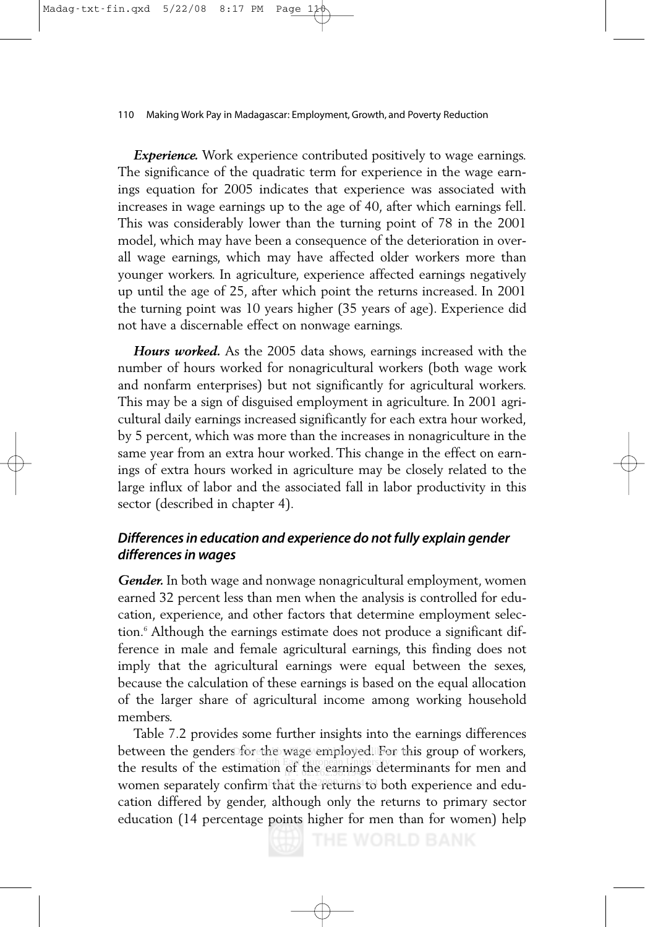#### 110 Making Work Pay in Madagascar: Employment, Growth, and Poverty Reduction

*Experience*. Work experience contributed positively to wage earnings. The significance of the quadratic term for experience in the wage earnings equation for 2005 indicates that experience was associated with increases in wage earnings up to the age of 40, after which earnings fell. This was considerably lower than the turning point of 78 in the 2001 model, which may have been a consequence of the deterioration in overall wage earnings, which may have affected older workers more than younger workers. In agriculture, experience affected earnings negatively up until the age of 25, after which point the returns increased. In 2001 the turning point was 10 years higher (35 years of age). Experience did not have a discernable effect on nonwage earnings.

*Hours worked.* As the 2005 data shows, earnings increased with the number of hours worked for nonagricultural workers (both wage work and nonfarm enterprises) but not significantly for agricultural workers. This may be a sign of disguised employment in agriculture. In 2001 agricultural daily earnings increased significantly for each extra hour worked, by 5 percent, which was more than the increases in nonagriculture in the same year from an extra hour worked. This change in the effect on earnings of extra hours worked in agriculture may be closely related to the large influx of labor and the associated fall in labor productivity in this sector (described in chapter 4).

## **Differences in education and experience do not fully explain gender differences in wages**

*Gender.* In both wage and nonwage nonagricultural employment, women earned 32 percent less than men when the analysis is controlled for education, experience, and other factors that determine employment selection.6 Although the earnings estimate does not produce a significant difference in male and female agricultural earnings, this finding does not imply that the agricultural earnings were equal between the sexes, because the calculation of these earnings is based on the equal allocation of the larger share of agricultural income among working household members.

Table 7.2 provides some further insights into the earnings differences between the genders for the wage employed. For this group of workers, the results of the estimation of the earnings determinants for men and women separately confirm that the returns to both experience and education differed by gender, although only the returns to primary sector education (14 percentage points higher for men than for women) help IP : 62.162.98.194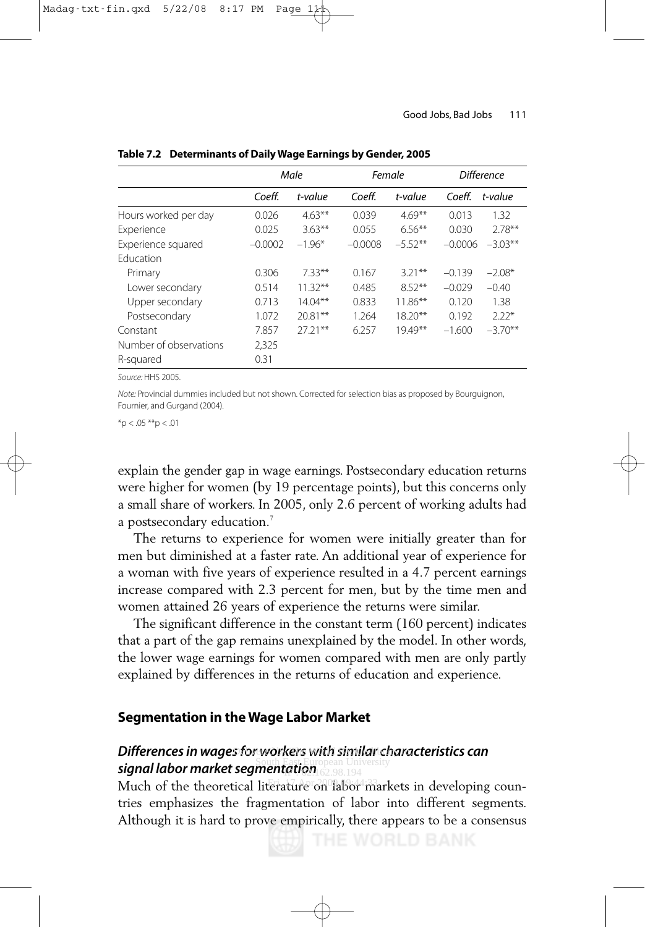|                        |           | Male       |           | Female    |           | <b>Difference</b> |
|------------------------|-----------|------------|-----------|-----------|-----------|-------------------|
|                        | Coeff.    | t-value    | Coeff.    | t-value   | Coeff.    | t-value           |
| Hours worked per day   | 0.026     | $4.63**$   | 0.039     | $4.69***$ | 0.013     | 1.32              |
| Experience             | 0.025     | $3.63**$   | 0.055     | $6.56***$ | 0.030     | $2.78***$         |
| Experience squared     | $-0.0002$ | $-1.96*$   | $-0.0008$ | $-5.52**$ | $-0.0006$ | $-3.03**$         |
| <b>Education</b>       |           |            |           |           |           |                   |
| Primary                | 0.306     | 7.33**     | 0.167     | $3.21***$ | $-0.139$  | $-2.08*$          |
| Lower secondary        | 0.514     | $11.32**$  | 0.485     | $8.52**$  | $-0.029$  | $-0.40$           |
| Upper secondary        | 0.713     | $14.04***$ | 0.833     | $11.86**$ | 0.120     | 1.38              |
| Postsecondary          | 1.072     | $20.81**$  | 1.264     | $18.20**$ | 0.192     | $2.22*$           |
| Constant               | 7.857     | $2721**$   | 6.257     | $19.49**$ | $-1.600$  | $-3.70**$         |
| Number of observations | 2,325     |            |           |           |           |                   |
| R-squared              | 0.31      |            |           |           |           |                   |
|                        |           |            |           |           |           |                   |

**Table 7.2 Determinants of Daily Wage Earnings by Gender, 2005**

Source: HHS 2005.

Note: Provincial dummies included but not shown. Corrected for selection bias as proposed by Bourguignon, Fournier, and Gurgand (2004).

 $*$ p < .05  $*$  $*$ p < .01

explain the gender gap in wage earnings. Postsecondary education returns were higher for women (by 19 percentage points), but this concerns only a small share of workers. In 2005, only 2.6 percent of working adults had a postsecondary education.<sup>7</sup>

The returns to experience for women were initially greater than for men but diminished at a faster rate. An additional year of experience for a woman with five years of experience resulted in a 4.7 percent earnings increase compared with 2.3 percent for men, but by the time men and women attained 26 years of experience the returns were similar.

The significant difference in the constant term (160 percent) indicates that a part of the gap remains unexplained by the model. In other words, the lower wage earnings for women compared with men are only partly explained by differences in the returns of education and experience.

### **Segmentation in the Wage Labor Market**

#### **Differences in wages for workers with similar characteristics can signal labor market segmentation** 62.98.194 [AUO]] 62.98.194

Much of the theoretical literature on labor markets in developing countries emphasizes the fragmentation of labor into different segments. Although it is hard to prove empirically, there appears to be a consensus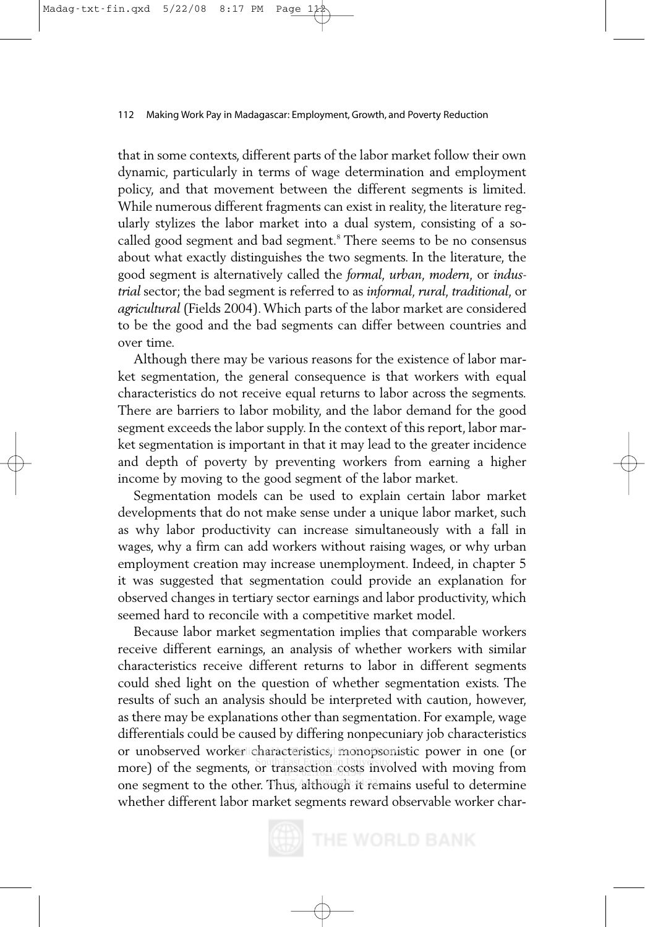that in some contexts, different parts of the labor market follow their own dynamic, particularly in terms of wage determination and employment policy, and that movement between the different segments is limited. While numerous different fragments can exist in reality, the literature regularly stylizes the labor market into a dual system, consisting of a socalled good segment and bad segment.<sup>8</sup> There seems to be no consensus about what exactly distinguishes the two segments. In the literature, the good segment is alternatively called the *formal, urban, modern,* or *industrial* sector; the bad segment is referred to as *informal, rural, traditional,* or *agricultural* (Fields 2004).Which parts of the labor market are considered to be the good and the bad segments can differ between countries and over time.

Although there may be various reasons for the existence of labor market segmentation, the general consequence is that workers with equal characteristics do not receive equal returns to labor across the segments. There are barriers to labor mobility, and the labor demand for the good segment exceeds the labor supply. In the context of this report, labor market segmentation is important in that it may lead to the greater incidence and depth of poverty by preventing workers from earning a higher income by moving to the good segment of the labor market.

Segmentation models can be used to explain certain labor market developments that do not make sense under a unique labor market, such as why labor productivity can increase simultaneously with a fall in wages, why a firm can add workers without raising wages, or why urban employment creation may increase unemployment. Indeed, in chapter 5 it was suggested that segmentation could provide an explanation for observed changes in tertiary sector earnings and labor productivity, which seemed hard to reconcile with a competitive market model.

Because labor market segmentation implies that comparable workers receive different earnings, an analysis of whether workers with similar characteristics receive different returns to labor in different segments could shed light on the question of whether segmentation exists. The results of such an analysis should be interpreted with caution, however, as there may be explanations other than segmentation. For example, wage differentials could be caused by differing nonpecuniary job characteristics or unobserved worker characteristics, monopsonistic power in one (or more) of the segments, or transaction costs involved with moving from one segment to the other. Thus, although it remains useful to determine whether different labor market segments reward observable worker char-IP : 62.162.98.194

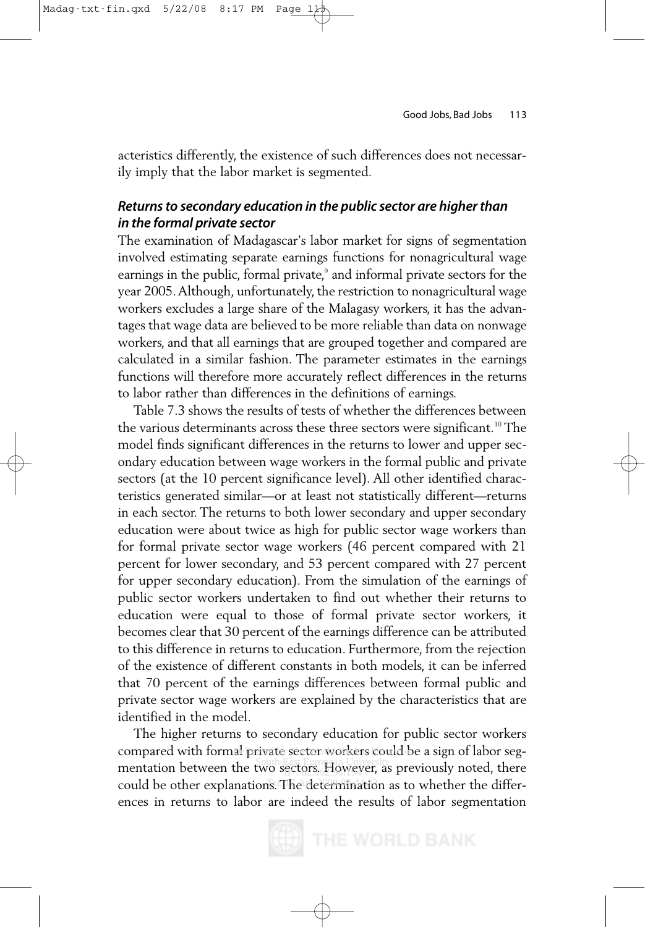acteristics differently, the existence of such differences does not necessarily imply that the labor market is segmented.

## **Returns to secondary education in the public sector are higher than in the formal private sector**

The examination of Madagascar's labor market for signs of segmentation involved estimating separate earnings functions for nonagricultural wage earnings in the public, formal private,<sup>9</sup> and informal private sectors for the year 2005.Although, unfortunately, the restriction to nonagricultural wage workers excludes a large share of the Malagasy workers, it has the advantages that wage data are believed to be more reliable than data on nonwage workers, and that all earnings that are grouped together and compared are calculated in a similar fashion. The parameter estimates in the earnings functions will therefore more accurately reflect differences in the returns to labor rather than differences in the definitions of earnings.

Table 7.3 shows the results of tests of whether the differences between the various determinants across these three sectors were significant.<sup>10</sup> The model finds significant differences in the returns to lower and upper secondary education between wage workers in the formal public and private sectors (at the 10 percent significance level). All other identified characteristics generated similar—or at least not statistically different—returns in each sector. The returns to both lower secondary and upper secondary education were about twice as high for public sector wage workers than for formal private sector wage workers (46 percent compared with 21 percent for lower secondary, and 53 percent compared with 27 percent for upper secondary education). From the simulation of the earnings of public sector workers undertaken to find out whether their returns to education were equal to those of formal private sector workers, it becomes clear that 30 percent of the earnings difference can be attributed to this difference in returns to education. Furthermore, from the rejection of the existence of different constants in both models, it can be inferred that 70 percent of the earnings differences between formal public and private sector wage workers are explained by the characteristics that are identified in the model.

The higher returns to secondary education for public sector workers compared with formal private sector workers could be a sign of labor segmentation between the two sectors. However, as previously noted, there could be other explanations. The determination as to whether the differences in returns to labor are indeed the results of labor segmentation  $E$  :  $E$  :  $E$  :  $W$   $E$  :

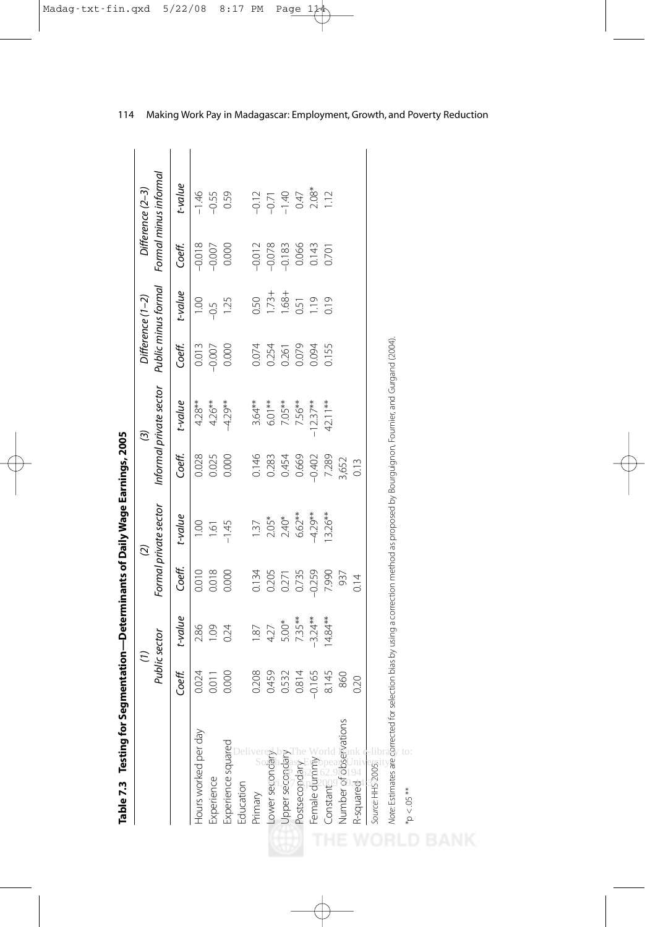|                                                                                                                                         | $\binom{1}{2}$ |                 |                | $\overline{Q}$               |          | $\overline{3}$          |          | Difference (1-2)    |                | Difference (2-3)      |
|-----------------------------------------------------------------------------------------------------------------------------------------|----------------|-----------------|----------------|------------------------------|----------|-------------------------|----------|---------------------|----------------|-----------------------|
|                                                                                                                                         |                | Public sector   |                | Formal private sector        |          | Informal private sector |          | Public minus formal |                | Formal minus informal |
|                                                                                                                                         | Coeff.         | t-value         | Coeff.         | t-value                      | Coeff.   | t-value                 | Coeff.   | t-value             | Coeff.         | t-value               |
| Hours worked per day                                                                                                                    | 0.024          | 2.86            | 0.010          | 001                          | 0.028    | $4.28**$                | 0.013    | 1.00                | $-0.018$       | $-1.46$               |
| Experience                                                                                                                              | 0.011          | 09              | 0.018          | 1.61                         | 0.025    | $4.26**$                | $-0.007$ | $-0.5$              | $-0.007$       | $-0.55$               |
| Experience squared                                                                                                                      | 0.000          | 0.24            | 0.000          | $-1.45$                      | 0.000    | $-4.29**$               | 0.000    | 1.25                | 0.000          | 0.59                  |
| Education                                                                                                                               |                |                 |                |                              |          |                         |          |                     |                |                       |
| Primary                                                                                                                                 | 0.208          | $\overline{81}$ |                | 1.37                         | 0.146    | $3.64***$               | 0.074    | 0.50                | $-0.012$       |                       |
| Lower secondary                                                                                                                         | 0.459          | 427             | 0.134<br>0.205 |                              | 0.283    | 6.01**                  | 0.254    | $1.73 +$            | $-0.078$       | $-0.12$               |
| Upper secondary                                                                                                                         | 0.532          | 5.00*           | 0.271          | $2.05*$<br>$2.40*$<br>6.62** | 0.454    | 7.05**                  | 0.261    | $-88$               | $-0.183$       | $-1.40$<br>0.47       |
| Postsecondary                                                                                                                           | 0.814          | 7.35**          | 0.735          |                              | 0.669    | 7.56**                  | 0.079    | 0.51                |                |                       |
| Female durnmy                                                                                                                           | $-0.165$       | $-3.24**$       | 0.259          | $-4.29**$                    | $-0.402$ | $-12.37**$              | 0.094    | $\frac{9}{2}$       | 0.066<br>0.143 | $2.08*$               |
| Constant                                                                                                                                | 8.145          | $4.84**$        | 7.990          | $13.26***$                   | 7.289    | 42.11**                 | 0.155    | 0.19                | 0.701          |                       |
| Number of observations                                                                                                                  | 860            |                 | 937            |                              | 3,652    |                         |          |                     |                |                       |
| R-squared                                                                                                                               | 0.20           |                 | 0.14           |                              | 0.13     |                         |          |                     |                |                       |
| Source: HHS 2005.                                                                                                                       |                |                 |                |                              |          |                         |          |                     |                |                       |
| Note: Estimates are corrected for selection bias by using a correction method as proposed by Bourguignon, Fournier, and Gurgand (2004). |                |                 |                |                              |          |                         |          |                     |                |                       |
| $*_{\text{D}} < 0.5**$                                                                                                                  |                |                 |                |                              |          |                         |          |                     |                |                       |

Table 7.3 Testing for Segmentation-Determinants of Daily Wage Earnings, 2005 **Determinants of Daily Wage Earnings, 2005 Table 7.3 Testing for Segmentation—**

 $*_{\text{p}} < 0.5$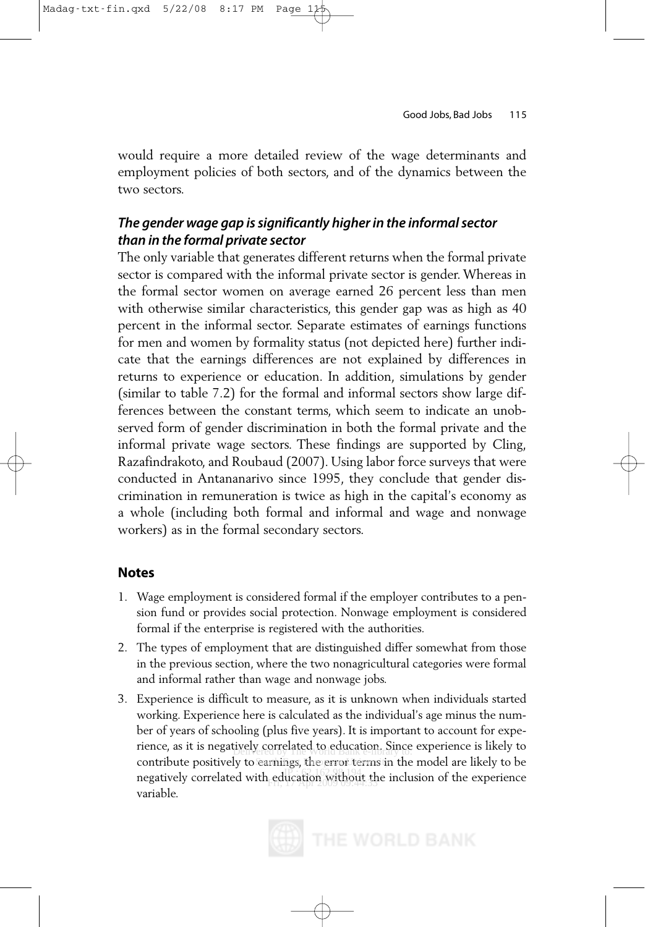would require a more detailed review of the wage determinants and employment policies of both sectors, and of the dynamics between the two sectors.

# **The gender wage gap is significantly higher in the informal sector than in the formal private sector**

The only variable that generates different returns when the formal private sector is compared with the informal private sector is gender. Whereas in the formal sector women on average earned 26 percent less than men with otherwise similar characteristics, this gender gap was as high as 40 percent in the informal sector. Separate estimates of earnings functions for men and women by formality status (not depicted here) further indicate that the earnings differences are not explained by differences in returns to experience or education. In addition, simulations by gender (similar to table 7.2) for the formal and informal sectors show large differences between the constant terms, which seem to indicate an unobserved form of gender discrimination in both the formal private and the informal private wage sectors. These findings are supported by Cling, Razafindrakoto, and Roubaud (2007). Using labor force surveys that were conducted in Antananarivo since 1995, they conclude that gender discrimination in remuneration is twice as high in the capital's economy as a whole (including both formal and informal and wage and nonwage workers) as in the formal secondary sectors.

## **Notes**

- 1. Wage employment is considered formal if the employer contributes to a pension fund or provides social protection. Nonwage employment is considered formal if the enterprise is registered with the authorities.
- 2. The types of employment that are distinguished differ somewhat from those in the previous section, where the two nonagricultural categories were formal and informal rather than wage and nonwage jobs.
- 3. Experience is difficult to measure, as it is unknown when individuals started working. Experience here is calculated as the individual's age minus the number of years of schooling (plus five years). It is important to account for experience, as it is negatively correlated to education. Since experience is likely to Delivered by The World Bank e-library to: contribute positively to earnings, the error terms in the model are likely to be negatively correlated with education without the inclusion of the experience variable. Fri, 17 Apr 2009 09:44:33

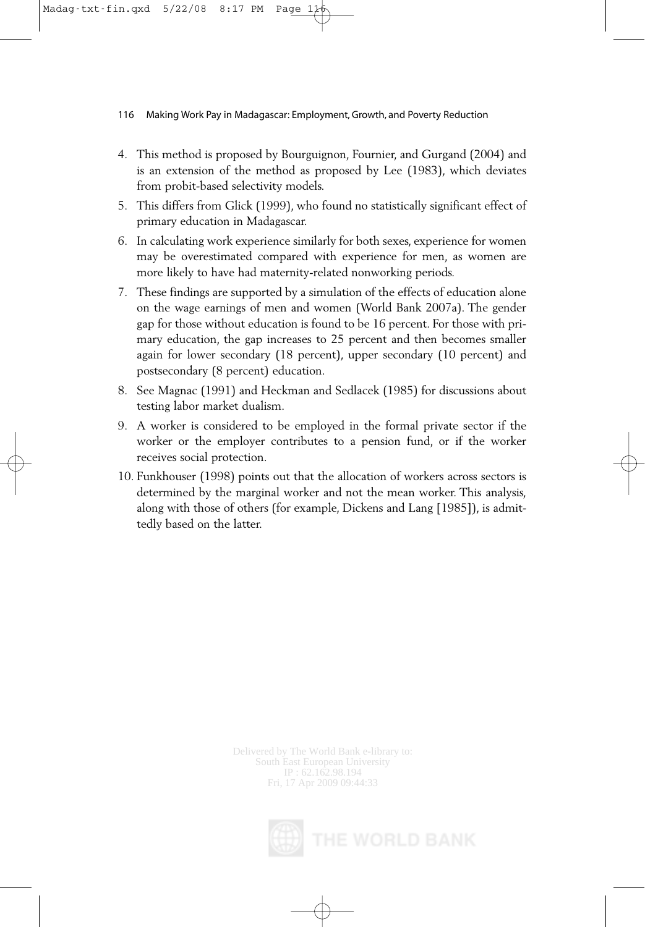#### 116 Making Work Pay in Madagascar: Employment, Growth, and Poverty Reduction

- 4. This method is proposed by Bourguignon, Fournier, and Gurgand (2004) and is an extension of the method as proposed by Lee (1983), which deviates from probit-based selectivity models.
- 5. This differs from Glick (1999), who found no statistically significant effect of primary education in Madagascar.
- 6. In calculating work experience similarly for both sexes, experience for women may be overestimated compared with experience for men, as women are more likely to have had maternity-related nonworking periods.
- 7. These findings are supported by a simulation of the effects of education alone on the wage earnings of men and women (World Bank 2007a). The gender gap for those without education is found to be 16 percent. For those with primary education, the gap increases to 25 percent and then becomes smaller again for lower secondary (18 percent), upper secondary (10 percent) and postsecondary (8 percent) education.
- 8. See Magnac (1991) and Heckman and Sedlacek (1985) for discussions about testing labor market dualism.
- 9. A worker is considered to be employed in the formal private sector if the worker or the employer contributes to a pension fund, or if the worker receives social protection.
- 10. Funkhouser (1998) points out that the allocation of workers across sectors is determined by the marginal worker and not the mean worker. This analysis, along with those of others (for example, Dickens and Lang [1985]), is admittedly based on the latter.

IP : 62.162.98.194 Fri, 17 Apr 2009 09:44:33

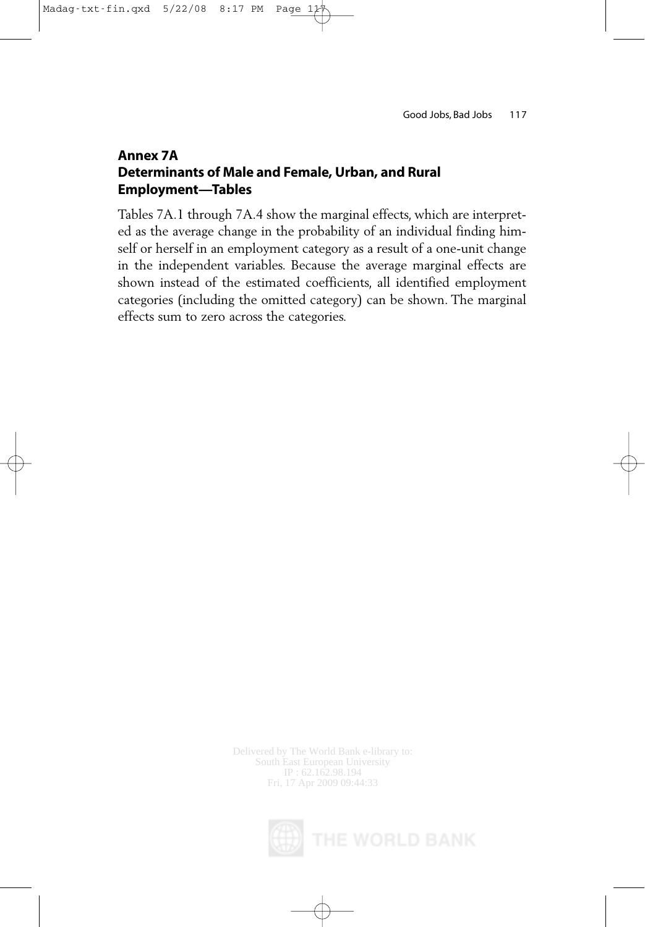# **Annex 7A Determinants of Male and Female, Urban, and Rural Employment—Tables**

Tables 7A.1 through 7A.4 show the marginal effects, which are interpreted as the average change in the probability of an individual finding himself or herself in an employment category as a result of a one-unit change in the independent variables. Because the average marginal effects are shown instead of the estimated coefficients, all identified employment categories (including the omitted category) can be shown. The marginal effects sum to zero across the categories.

IP : 62.162.98.194

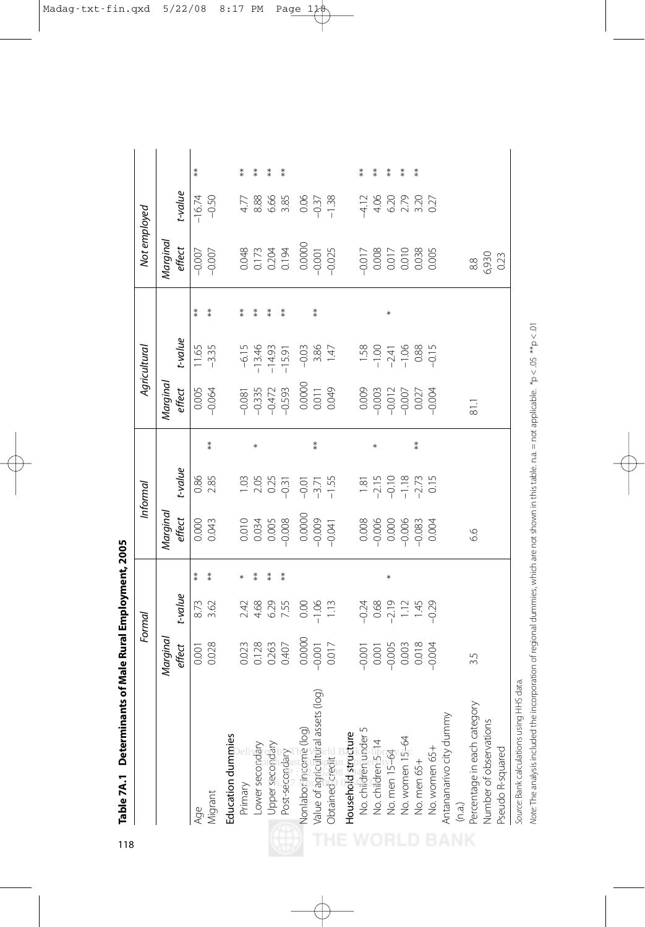|                                         |                       | Formal                                     |        |                  | Informal                                                                           |      |                                                                                                                                                                                                                                                                                                                                                                                                                                        | Agricultural                                                                    |        | Not employed                                          |                              |            |
|-----------------------------------------|-----------------------|--------------------------------------------|--------|------------------|------------------------------------------------------------------------------------|------|----------------------------------------------------------------------------------------------------------------------------------------------------------------------------------------------------------------------------------------------------------------------------------------------------------------------------------------------------------------------------------------------------------------------------------------|---------------------------------------------------------------------------------|--------|-------------------------------------------------------|------------------------------|------------|
|                                         | Marginal              |                                            |        | Marginal         |                                                                                    |      | Marginal                                                                                                                                                                                                                                                                                                                                                                                                                               |                                                                                 |        |                                                       |                              |            |
|                                         | effect                | t-value                                    |        | effect           | t-value                                                                            |      | effect                                                                                                                                                                                                                                                                                                                                                                                                                                 | t-value                                                                         |        | Marginal<br>effect                                    | t-value                      |            |
| Age                                     |                       |                                            | $^{*}$ |                  |                                                                                    |      |                                                                                                                                                                                                                                                                                                                                                                                                                                        |                                                                                 | $**$   |                                                       |                              | $**$       |
| Migrant                                 | $\frac{0.001}{0.028}$ | 8.73<br>3.62                               | $\ast$ | $0.000$<br>0.043 | 0.86<br>2.85                                                                       | $**$ | $0.005$<br>$-0.064$                                                                                                                                                                                                                                                                                                                                                                                                                    | $11.65$<br>-3.35                                                                | $**$   | $-0.007$                                              | $-16.74$<br>$-0.50$          |            |
| Education dummies                       |                       |                                            |        |                  |                                                                                    |      |                                                                                                                                                                                                                                                                                                                                                                                                                                        |                                                                                 |        |                                                       |                              |            |
| Primary                                 |                       |                                            |        |                  |                                                                                    |      |                                                                                                                                                                                                                                                                                                                                                                                                                                        |                                                                                 |        |                                                       |                              |            |
| Lower secondary                         |                       | $2.42$<br>4.68<br>6.29<br>7.55             |        |                  |                                                                                    |      |                                                                                                                                                                                                                                                                                                                                                                                                                                        |                                                                                 |        |                                                       |                              | $**$       |
| Jpper secondary                         |                       |                                            |        |                  |                                                                                    |      |                                                                                                                                                                                                                                                                                                                                                                                                                                        |                                                                                 |        |                                                       |                              | $^{*}_{*}$ |
| Post-secondary                          |                       |                                            | ≸      |                  | $1.03$<br>$2.05$<br>$0.25$<br>$-0.31$                                              |      |                                                                                                                                                                                                                                                                                                                                                                                                                                        | $-6.15$<br>$-13.46$<br>$-14.93$<br>$-15.91$                                     | $^{*}$ | 0.048<br>0.173<br>0.204<br>0.0000<br>0.0001<br>0.0001 | $7,8888$<br>$48868$          | $**$       |
| Nonlaborincome (log)                    |                       |                                            |        |                  |                                                                                    |      |                                                                                                                                                                                                                                                                                                                                                                                                                                        | $-0.03$<br>3.86<br>1.47                                                         |        |                                                       |                              |            |
| Value of agricultural assets (log)      |                       |                                            |        |                  |                                                                                    | $**$ |                                                                                                                                                                                                                                                                                                                                                                                                                                        |                                                                                 | $**$   |                                                       |                              |            |
| Obtained credit                         |                       | $0.06$<br>$-1.13$                          |        |                  | $-0.01$<br>$-3.71$<br>$-1.55$                                                      |      |                                                                                                                                                                                                                                                                                                                                                                                                                                        |                                                                                 |        |                                                       | $0.06$<br>$-0.37$<br>$-1.38$ |            |
| Household structure                     |                       |                                            |        |                  |                                                                                    |      | $\begin{array}{cccc} \mathbb{Z} & \mathbb{S} & \mathbb{S} & \mathbb{S} & \mathbb{S} & \mathbb{S} & \mathbb{S} \\ \mathbb{S} & \mathbb{S} & \mathbb{S} & \mathbb{S} & \mathbb{S} & \mathbb{S} & \mathbb{S} & \mathbb{S} \\ \mathbb{S} & \mathbb{S} & \mathbb{S} & \mathbb{S} & \mathbb{S} & \mathbb{S} & \mathbb{S} & \mathbb{S} & \mathbb{S} \\ \mathbb{S} & \mathbb{S} & \mathbb{S} & \mathbb{S} & \mathbb{S} & \mathbb{S} & \mathbb$ |                                                                                 |        |                                                       |                              |            |
| 5                                       |                       | $724$ $0.68$ $0.714$ $0.29$ $0.714$ $0.29$ |        |                  | $\begin{array}{c} 1.81 \\ -2.15 \\ -1.18 \\ -1.18 \\ -2.73 \\ 0.15 \\ \end{array}$ |      |                                                                                                                                                                                                                                                                                                                                                                                                                                        | $\begin{array}{c} 1.58 \\ -1.00 \\ -2.41 \\ -1.06 \\ 0.88 \\ -0.15 \end{array}$ |        | -0.017<br>0.008<br>0.017<br>0.038<br>0.005            |                              |            |
| No. children under<br>No. children 5514 |                       |                                            |        |                  |                                                                                    |      |                                                                                                                                                                                                                                                                                                                                                                                                                                        |                                                                                 |        |                                                       |                              |            |
| No. men 15 <sup>5</sup>                 |                       |                                            |        |                  |                                                                                    |      |                                                                                                                                                                                                                                                                                                                                                                                                                                        |                                                                                 |        |                                                       |                              | $^{*}$     |
| No. women 15-64                         |                       |                                            |        |                  |                                                                                    |      |                                                                                                                                                                                                                                                                                                                                                                                                                                        |                                                                                 |        |                                                       |                              | $^{*}$     |
| No. men 65+                             |                       |                                            |        |                  |                                                                                    | $**$ |                                                                                                                                                                                                                                                                                                                                                                                                                                        |                                                                                 |        |                                                       |                              | $**$       |
| No. women 65+                           |                       |                                            |        |                  |                                                                                    |      |                                                                                                                                                                                                                                                                                                                                                                                                                                        |                                                                                 |        |                                                       |                              |            |
| Antananarivo city dummy                 |                       |                                            |        |                  |                                                                                    |      |                                                                                                                                                                                                                                                                                                                                                                                                                                        |                                                                                 |        |                                                       |                              |            |
| (n.a.)                                  |                       |                                            |        |                  |                                                                                    |      |                                                                                                                                                                                                                                                                                                                                                                                                                                        |                                                                                 |        |                                                       |                              |            |
| Percentage in each category             | 3.5                   |                                            |        | 6.6              |                                                                                    |      | $\overline{8}$ 1.1                                                                                                                                                                                                                                                                                                                                                                                                                     |                                                                                 |        |                                                       |                              |            |
| Number of observations                  |                       |                                            |        |                  |                                                                                    |      |                                                                                                                                                                                                                                                                                                                                                                                                                                        |                                                                                 |        | 8.8<br>6,930<br>0.23                                  |                              |            |
| Pseudo R-squared                        |                       |                                            |        |                  |                                                                                    |      |                                                                                                                                                                                                                                                                                                                                                                                                                                        |                                                                                 |        |                                                       |                              |            |
|                                         |                       |                                            |        |                  |                                                                                    |      |                                                                                                                                                                                                                                                                                                                                                                                                                                        |                                                                                 |        |                                                       |                              |            |

Table 7A.1 Determinants of Male Rural Employment, 2005 **Table 7A.1 Determinants of Male Rural Employment, 2005**

Source: Bank calculations using HHS data. Source: Bank calculations using HHS data.

Mote: The analysis included the incorporation of regional dummies, which are not shown in this table. na. = not applicable. \*p < .05 \*\*p < .01 mies, which are not shown in this table. n.a. = not applicable.  $*p < 05 * p < 0$ Note: The analysis included the incorporation of regional dum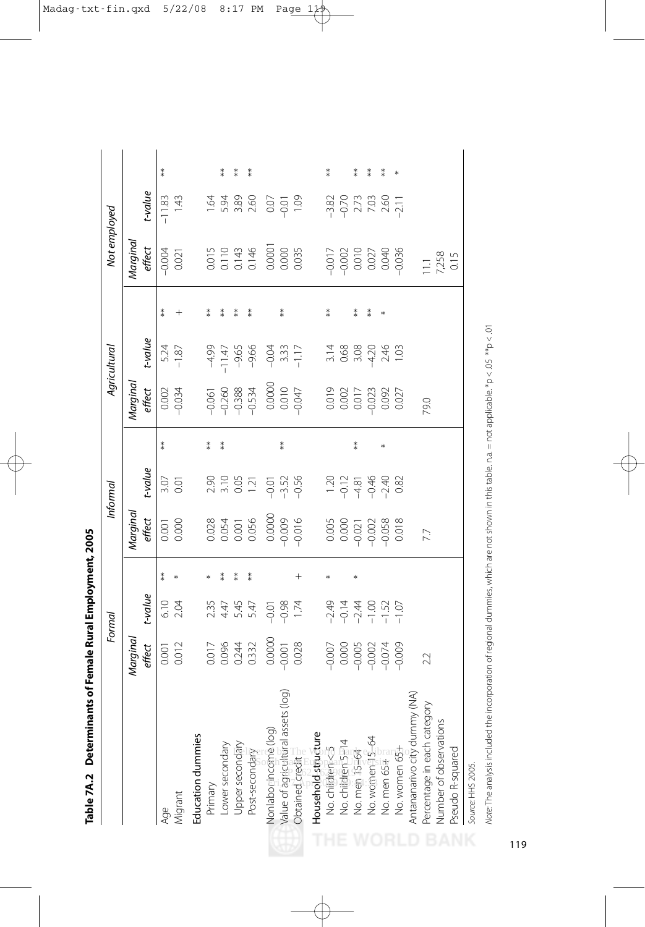|                                                                    |                                                          | Formal                                                                        |   |                                                                                                                                                                                                                                                                                                               | Informal                                                              |       |                 | Agricultural                                                      |            | Not employed                                        |                      |            |
|--------------------------------------------------------------------|----------------------------------------------------------|-------------------------------------------------------------------------------|---|---------------------------------------------------------------------------------------------------------------------------------------------------------------------------------------------------------------------------------------------------------------------------------------------------------------|-----------------------------------------------------------------------|-------|-----------------|-------------------------------------------------------------------|------------|-----------------------------------------------------|----------------------|------------|
|                                                                    | Margina                                                  |                                                                               |   | Margina                                                                                                                                                                                                                                                                                                       |                                                                       |       | Margina         |                                                                   |            | Marginal                                            |                      |            |
|                                                                    | effect                                                   | t-value                                                                       |   | effect                                                                                                                                                                                                                                                                                                        | t-value                                                               |       | effect          | t-value                                                           |            | effect                                              | t-value              |            |
| Age                                                                |                                                          |                                                                               | ≸ |                                                                                                                                                                                                                                                                                                               |                                                                       | $* *$ | 0.002<br>-0.034 | 5.24                                                              | $\ddot{*}$ |                                                     | $-11.83$<br>1.43     | $* *$      |
| Viigrant                                                           | 0.001                                                    | $6.10$<br>2.04                                                                |   | 0.001                                                                                                                                                                                                                                                                                                         | $3.07$<br>0.01                                                        |       |                 |                                                                   |            | $-0.004$<br>0.021                                   |                      |            |
| Education dummies                                                  |                                                          |                                                                               |   |                                                                                                                                                                                                                                                                                                               |                                                                       |       |                 |                                                                   |            |                                                     |                      |            |
| Primary                                                            |                                                          |                                                                               |   |                                                                                                                                                                                                                                                                                                               |                                                                       | $**$  |                 |                                                                   | $* *$      |                                                     |                      |            |
| ower secondary                                                     |                                                          | 2.35<br>4.45<br>5.47                                                          |   |                                                                                                                                                                                                                                                                                                               |                                                                       | $* *$ |                 |                                                                   | ∗∗         |                                                     | $-2888$<br>$-2888$   | $**$       |
| Upper secondary                                                    |                                                          |                                                                               |   |                                                                                                                                                                                                                                                                                                               |                                                                       |       |                 |                                                                   | ∗∗         |                                                     |                      | $* *$      |
| Post-secondary                                                     | 0.017<br>0.034<br>0.024<br>0.033                         |                                                                               | ≸ | 0.028<br>0.054<br>0.001<br>0.056                                                                                                                                                                                                                                                                              | $2.90$<br>$3.10$<br>$0.05$<br>$1.21$                                  |       |                 | $4799$<br>$-14799$<br>$-996$                                      | $* *$      | 0.015<br>0.110<br>0.143<br>0.000<br>0.000<br>0.0035 |                      | $**$       |
| Nonlaborincome (log)                                               | $\begin{array}{c} 0.0000 \\ -0.001 \\ 0.028 \end{array}$ |                                                                               |   | $0.0000$<br>$-0.009$<br>$-0.016$                                                                                                                                                                                                                                                                              | $-0.01$<br>$-3.52$<br>$-0.56$                                         |       |                 | $-0.04$<br>3.33<br>$-1.17$                                        |            |                                                     | 0.07<br>0.07<br>0.09 |            |
|                                                                    |                                                          | $-0.98$<br>$-0.98$<br>$1.74$                                                  |   |                                                                                                                                                                                                                                                                                                               |                                                                       | $**$  |                 |                                                                   | $**$       |                                                     |                      |            |
| Value of agricultural assets (log)<br>Obtained credit <del>,</del> |                                                          |                                                                               |   |                                                                                                                                                                                                                                                                                                               |                                                                       |       |                 |                                                                   |            |                                                     |                      |            |
| Household structure                                                |                                                          |                                                                               |   |                                                                                                                                                                                                                                                                                                               |                                                                       |       |                 |                                                                   |            |                                                     |                      |            |
|                                                                    |                                                          | $\begin{array}{cccc}\n-2.49 \\ -0.14 \\ -1.52 \\ -1.52 \\ -1.57\n\end{array}$ |   |                                                                                                                                                                                                                                                                                                               | $\begin{array}{c} 1.20 \\ -0.12 \\ 4.64 \\ -0.82 \\ 0.82 \end{array}$ |       |                 |                                                                   | $^{*}_{*}$ |                                                     |                      | $**$       |
| No. children < 5<br>No. children 5514<br>No. men 15564             |                                                          |                                                                               |   |                                                                                                                                                                                                                                                                                                               |                                                                       |       |                 |                                                                   |            |                                                     |                      |            |
|                                                                    |                                                          |                                                                               |   |                                                                                                                                                                                                                                                                                                               |                                                                       | $**$  |                 |                                                                   | $* *$      |                                                     |                      | $^{*}_{*}$ |
| No. women 5-64                                                     |                                                          |                                                                               |   |                                                                                                                                                                                                                                                                                                               |                                                                       |       |                 | $\begin{array}{c}\n 1.688046 \\  2.68846 \\  1.768\n \end{array}$ |            |                                                     |                      | $^{*}_{*}$ |
| No. men 657                                                        |                                                          |                                                                               |   |                                                                                                                                                                                                                                                                                                               |                                                                       |       |                 |                                                                   |            |                                                     |                      | $* *$      |
| No. women 65+                                                      |                                                          |                                                                               |   | $\begin{array}{l} 0.005 \\ 0.000 \\ 0.01 \\ 0.01 \\ 0.03 \\ 0.03 \\ 0.01 \\ 0.01 \\ 0.01 \\ 0.01 \\ 0.01 \\ 0.01 \\ 0.01 \\ 0.01 \\ 0.01 \\ 0.01 \\ 0.01 \\ 0.01 \\ 0.01 \\ 0.01 \\ 0.01 \\ 0.01 \\ 0.01 \\ 0.01 \\ 0.01 \\ 0.01 \\ 0.01 \\ 0.01 \\ 0.01 \\ 0.01 \\ 0.01 \\ 0.01 \\ 0.01 \\ 0.01 \\ 0.01 \\ $ |                                                                       |       |                 |                                                                   |            |                                                     |                      |            |
| Antananarivo city dummy (NA)                                       |                                                          |                                                                               |   |                                                                                                                                                                                                                                                                                                               |                                                                       |       |                 |                                                                   |            |                                                     |                      |            |
| Percentage in each category                                        |                                                          |                                                                               |   | 7.7                                                                                                                                                                                                                                                                                                           |                                                                       |       | 79.0            |                                                                   |            | $11.1$<br>$7,258$<br>0.15                           |                      |            |
| Number of observations                                             |                                                          |                                                                               |   |                                                                                                                                                                                                                                                                                                               |                                                                       |       |                 |                                                                   |            |                                                     |                      |            |
| Pseudo R-squared                                                   |                                                          |                                                                               |   |                                                                                                                                                                                                                                                                                                               |                                                                       |       |                 |                                                                   |            |                                                     |                      |            |
|                                                                    |                                                          |                                                                               |   |                                                                                                                                                                                                                                                                                                               |                                                                       |       |                 |                                                                   |            |                                                     |                      |            |

Table 7A.2 Determinants of Female Rural Employment, 2005 **Table 7A.2 Determinants of Female Rural Employment, 2005**

Source: HHS 2005. Source: HHS 2005.

Note: The analysis included the incorporation of regional dummies, which are not shown in this table. n.a. = not applicable. \*p < .05 \*\*p < .01 mies, which are not shown in this table. n.a. = not applicable. \*p < .05  $**p < 0$ 1 Note: The analysis included the incorporation of regional dum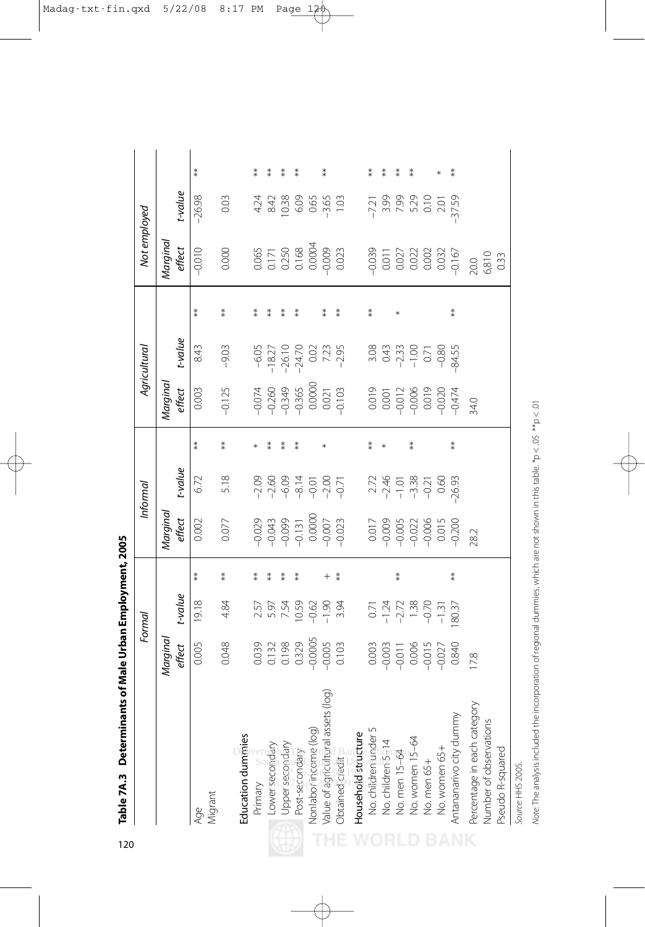|              |          |         | $**$           |          |                   | $^{*}_{*}$ | $^{*}_{*}$          | $^{*}$          | $^{*}_{*}$                                                        |                                                          | $**$                               |                 |                     | $^{*}_{*}$           | $* *$                   | $* *$              | $* *$                                                                                      |                      |                         | $* *$                   |                             |                        |
|--------------|----------|---------|----------------|----------|-------------------|------------|---------------------|-----------------|-------------------------------------------------------------------|----------------------------------------------------------|------------------------------------|-----------------|---------------------|----------------------|-------------------------|--------------------|--------------------------------------------------------------------------------------------|----------------------|-------------------------|-------------------------|-----------------------------|------------------------|
|              |          | t-value | $-26.98$       | 0.03     |                   | 4.24       | 8.42                | 10.38           | 6.09                                                              | 0.65                                                     | $-3.65$                            | 1,03            |                     |                      | $-7.21$<br>3.99<br>7.99 |                    | 5.29                                                                                       | 0.10                 | 2.01                    | -37.59                  |                             |                        |
| Not employed | Marginal | effect  | $-0.010$       | 0.000    |                   |            |                     |                 | 0.065<br>0.171<br>0.250<br>0.0004<br>0.0004                       |                                                          |                                    | 0.023           |                     | $-0.039$             |                         |                    | $\begin{array}{l} 0.011 \\ 0.027 \\ 0.022 \\ 0.002 \\ 0.003 \\ 0.032 \\ 0.167 \end{array}$ |                      |                         |                         | 20.0                        | 6,810<br>0.33          |
|              |          |         | $**$           | $**$     |                   | $**$       | $**$                | **              | $**$                                                              |                                                          | $**$                               | $**$            |                     | $**$                 |                         |                    |                                                                                            |                      |                         | $**$                    |                             |                        |
| Agricultural |          | t-value | 8.43           | $-9.03$  |                   |            | $-6.05$<br>$-18.27$ | $-26.10$        | $-24.70$                                                          | 0.02                                                     | 7.23                               | $-2.95$         |                     | 3.08                 | 0.43                    | $-2.33$            | $-1.00$                                                                                    | 0.71                 | $-0.80$                 | -84.55                  |                             |                        |
|              | Marginal | effect  | 0.003          | $-0.125$ |                   |            | -0.074<br>-0.260    |                 | $-0.349$<br>$-0.365$                                              | $\begin{array}{c} 0.0000 \\ 0.021 \\ -0.103 \end{array}$ |                                    |                 |                     | 0.019                | 0.001                   | $-0.012$           | $-0.006$                                                                                   | 0.019                | $-0.020$<br>$-0.474$    |                         | 34.0                        |                        |
|              |          |         | $**$           | $**$     |                   |            |                     |                 | $^{*}_{*}$                                                        |                                                          |                                    |                 |                     |                      |                         |                    | $**$                                                                                       |                      |                         | $**$                    |                             |                        |
| Informal     |          | t-value | 6.72           | 5.18     |                   | $-2.09$    | $-2.60$             | $-6.09$         |                                                                   | $-8.14$<br>$-0.01$                                       | $-2.00$                            | $-0.71$         |                     |                      | $2.72$<br>$-2.46$       | $-1.01$            | $-3.38$                                                                                    | $-0.21$              | 0.60                    | 26.93                   |                             |                        |
|              | Marginal | effect  | 0.002          | 0.077    |                   |            |                     |                 | $0.029$<br>$0.043$<br>$0.099$<br>$0.0000$<br>$0.0000$<br>$0.0023$ |                                                          |                                    |                 |                     | 0.017                |                         |                    | $-0.005$<br>$-0.005$<br>$-0.022$                                                           |                      | 0.006<br>0.015<br>0.200 |                         | 28.2                        |                        |
|              |          |         | $*$            | $*$      |                   |            |                     | $^{*}$          | $*$                                                               |                                                          |                                    | $*$             |                     |                      |                         | $**$               |                                                                                            |                      |                         | $*$                     |                             |                        |
| Formal       |          | t-value | 19.18          | 4.84     |                   | 2.57       | 5.97                | 7.54            | 10.59                                                             | $-0.62$                                                  | $-1.90$                            | 3.94            |                     | 0.71                 |                         | $-1.24$<br>$-2.72$ | 1.38                                                                                       | $-0.70$              | $-1.31$                 | 80.37                   |                             |                        |
|              | Marginal | effect  | 0.005          | 0.048    |                   | 0.039      | 0.132               | 0.198           | 0.329                                                             | $-0.0005$                                                | $-0.005$                           | 0.103           |                     | 0.003                | $-0.003$                |                    | $-0.011$<br>0.006                                                                          | $-0.015$<br>$-0.027$ |                         | 0.840                   | 17.8                        |                        |
|              |          |         | Migrant<br>Age |          | Education dummies | Primary    | Lower secondary     | Upper secondary | Post-secondary                                                    | Nonlaborincome (log)                                     | Value of agricultural assets (log) | Obtained credit | Household structure | No. children under 5 | No. children 5=14       | No. men 15-64      | No. women 15-64                                                                            | No. men 65+          | No. women 65+           | Antananarivo city dummy | Percentage in each category | Number of observations |

Table 7A.3 Determinants of Male Urban Employment, 2005 **Table 7A.3 Determinants of Male Urban Employment, 2005**

Source: HHS 2005.

Note: The analysis included the incorporation of regional dummies, which are not shown in this table. \*p < .05 \*\*p < .01 mies, which are not shown in this table.  $*$  p < .05  $*$  $*$  p < .01 Note: The analysis included the incorporation of regional dum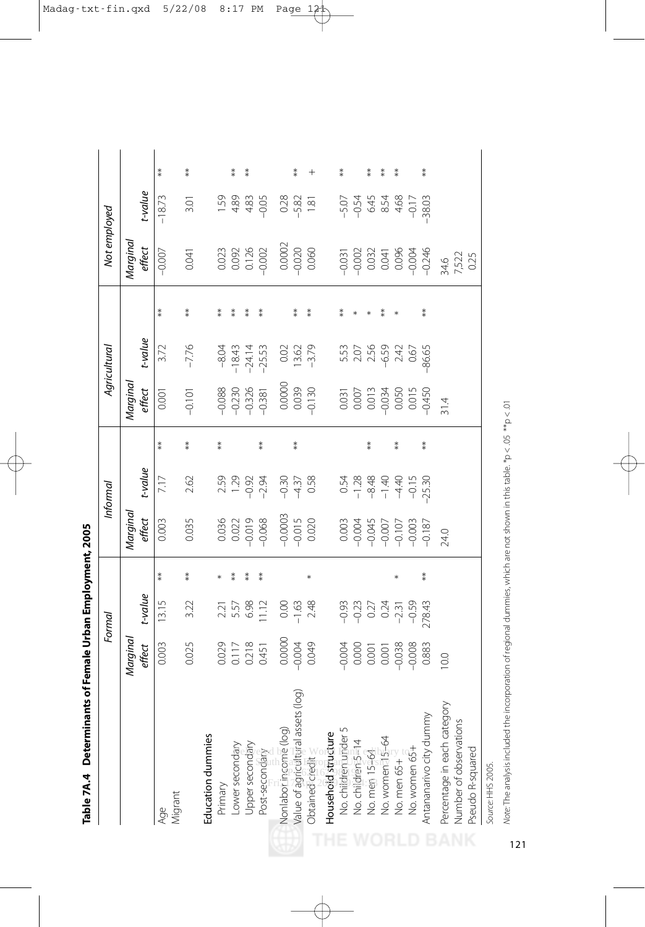|                                                             |                                                                                                                                                                                                                                                                   | Formal                        |            |                                                                                                     | Informal                                                               |       |                                                             | Agricultural                                |       | Not employed                                             |                                                   |            |
|-------------------------------------------------------------|-------------------------------------------------------------------------------------------------------------------------------------------------------------------------------------------------------------------------------------------------------------------|-------------------------------|------------|-----------------------------------------------------------------------------------------------------|------------------------------------------------------------------------|-------|-------------------------------------------------------------|---------------------------------------------|-------|----------------------------------------------------------|---------------------------------------------------|------------|
|                                                             | Nargina                                                                                                                                                                                                                                                           |                               |            | Nargina                                                                                             |                                                                        |       | Marginal                                                    |                                             |       | Marginal                                                 |                                                   |            |
|                                                             | effect                                                                                                                                                                                                                                                            | t-value                       |            | effect                                                                                              | t-value                                                                |       | effect                                                      | t-value                                     |       | effect                                                   | t-value                                           |            |
| Migrant<br>Age                                              | 0.003                                                                                                                                                                                                                                                             | 13.15                         | $\ddagger$ | 0.003                                                                                               | 7.17                                                                   | $* *$ | 0.001                                                       | 3.72                                        | $* *$ | $-0.007$                                                 | $-18.73$                                          | $**$       |
|                                                             | 0.025                                                                                                                                                                                                                                                             | 3.22                          | $*$        | 0.035                                                                                               | 2.62                                                                   | $* *$ | $-0.101$                                                    | $-7.76$                                     | $**$  | 0.041                                                    | 3.01                                              | $* *$      |
| Education dummies                                           |                                                                                                                                                                                                                                                                   |                               |            |                                                                                                     |                                                                        |       |                                                             |                                             |       |                                                          |                                                   |            |
| Primary                                                     |                                                                                                                                                                                                                                                                   |                               |            |                                                                                                     |                                                                        | $**$  |                                                             |                                             |       |                                                          |                                                   |            |
| Lower secondary                                             |                                                                                                                                                                                                                                                                   |                               |            |                                                                                                     |                                                                        |       |                                                             |                                             |       |                                                          |                                                   | $**$       |
| Upper secondary                                             |                                                                                                                                                                                                                                                                   | 2.21<br>5.57<br>6.98<br>11.12 |            |                                                                                                     | 2.59<br>1.29<br>-0.92                                                  |       |                                                             | $-8.04$<br>$-18.43$<br>$-24.14$<br>$-25.53$ |       |                                                          | $1.59$<br>$4.83$<br>$4.83$                        | $**$       |
| Post-secondary                                              | 0.029<br>0.117<br>0.218<br>0.451                                                                                                                                                                                                                                  |                               | ≸          | 0.036<br>0.022<br>0.019<br>0.068                                                                    | $-2.94$                                                                | $**$  | 0.088<br>0.230<br>0.326<br>0.381                            |                                             | $*$   | 0.023<br>0.092<br>0.126<br>0.002                         | $-0.05$                                           |            |
| Nonlabor income (log)<br>Value of agricultural assets (log) |                                                                                                                                                                                                                                                                   |                               |            |                                                                                                     |                                                                        |       |                                                             |                                             |       |                                                          |                                                   |            |
|                                                             |                                                                                                                                                                                                                                                                   | $0.00$<br>$-1.63$<br>$-2.48$  |            |                                                                                                     | $-0.30$<br>$-4.37$<br>0.58                                             | $**$  |                                                             | $0.02$<br>13.62                             |       |                                                          | $0.28$<br>$-5.82$                                 | $**$       |
| Obtained credit                                             | 0.0000<br>0.004<br>0.049                                                                                                                                                                                                                                          |                               |            | $-0.0003$<br>$-0.015$<br>0.020                                                                      |                                                                        |       | 0.0000<br>0.039<br>-0.130                                   | $-3.79$                                     | ∗∗    | $\begin{array}{c} 0.0002 \\ -0.020 \\ 0.060 \end{array}$ | 1.81                                              |            |
| Househodd structure                                         |                                                                                                                                                                                                                                                                   |                               |            |                                                                                                     |                                                                        |       |                                                             |                                             |       |                                                          |                                                   |            |
| 5<br>No. children under                                     |                                                                                                                                                                                                                                                                   |                               |            |                                                                                                     |                                                                        |       | 0.031<br>0.007<br>0.007<br>0.005<br>0.005<br>0.005<br>0.005 |                                             | ∗∗    |                                                          |                                                   | $**$       |
| No. childrens5=14<br>No. men 15564<br>No. women 15564       | $\begin{array}{l} 0.0000\\ 0.0000\\ 0.0000\\ 0.0000\\ 0.0000\\ 0.0000\\ 0.0000\\ 0.0000\\ 0.0000\\ 0.0000\\ 0.0000\\ 0.0000\\ 0.0000\\ 0.0000\\ 0.0000\\ 0.0000\\ 0.0000\\ 0.0000\\ 0.0000\\ 0.0000\\ 0.0000\\ 0.0000\\ 0.0000\\ 0.0000\\ 0.0000\\ 0.0000\\ 0.00$ |                               |            |                                                                                                     | $0.54$ $-1.28$ $-8.49$ $-1.49$ $-1.49$ $-1.59$ $-1.59$ $-1.59$ $-1.59$ |       |                                                             |                                             |       |                                                          | $57448278$<br>$-79448678$<br>$-794687$<br>$-7948$ |            |
|                                                             |                                                                                                                                                                                                                                                                   |                               |            |                                                                                                     |                                                                        | $**$  |                                                             |                                             |       |                                                          |                                                   | $**$       |
|                                                             |                                                                                                                                                                                                                                                                   |                               |            |                                                                                                     |                                                                        |       |                                                             |                                             |       |                                                          |                                                   | $**$       |
| No. men 65+<br>No. women 65+<br>No. women 65+               |                                                                                                                                                                                                                                                                   |                               |            |                                                                                                     |                                                                        | $**$  |                                                             |                                             |       |                                                          |                                                   | $^{*}_{*}$ |
|                                                             |                                                                                                                                                                                                                                                                   |                               |            |                                                                                                     |                                                                        |       |                                                             |                                             |       |                                                          |                                                   |            |
| Antananarivo city dummy                                     |                                                                                                                                                                                                                                                                   |                               | $*$        | $\begin{array}{c} 0.003 \\ -0.004 \\ -0.045 \\ -0.007 \\ -0.007 \\ -0.003 \\ -0.003 \\ \end{array}$ |                                                                        | $**$  |                                                             | 86.65                                       | $**$  | 031<br>0002<br>00031<br>000000000<br>000000000           |                                                   | $**$       |
| Percentage in each category                                 | 10.0                                                                                                                                                                                                                                                              |                               |            | 24.0                                                                                                |                                                                        |       | 31.4                                                        |                                             |       | 34,6<br>7,522<br>0.25                                    |                                                   |            |
| Number of observations                                      |                                                                                                                                                                                                                                                                   |                               |            |                                                                                                     |                                                                        |       |                                                             |                                             |       |                                                          |                                                   |            |
| Pseudo R-squared                                            |                                                                                                                                                                                                                                                                   |                               |            |                                                                                                     |                                                                        |       |                                                             |                                             |       |                                                          |                                                   |            |

Table 7A.4 Determinants of Female Urban Employment, 2005 **Table 7A.4 Determinants of Female Urban Employment, 2005**

Source: HHS 2005. Source: HHS 2005.

Note: The analysis included the incorporation of regional dummies, which are not shown in this table. \*p < 05 \*\*p < 01 mies, which are not shown in this table.  $*$ p < .05  $*$  $*$ p < .01 Note: The analysis included the incorporation of regional dum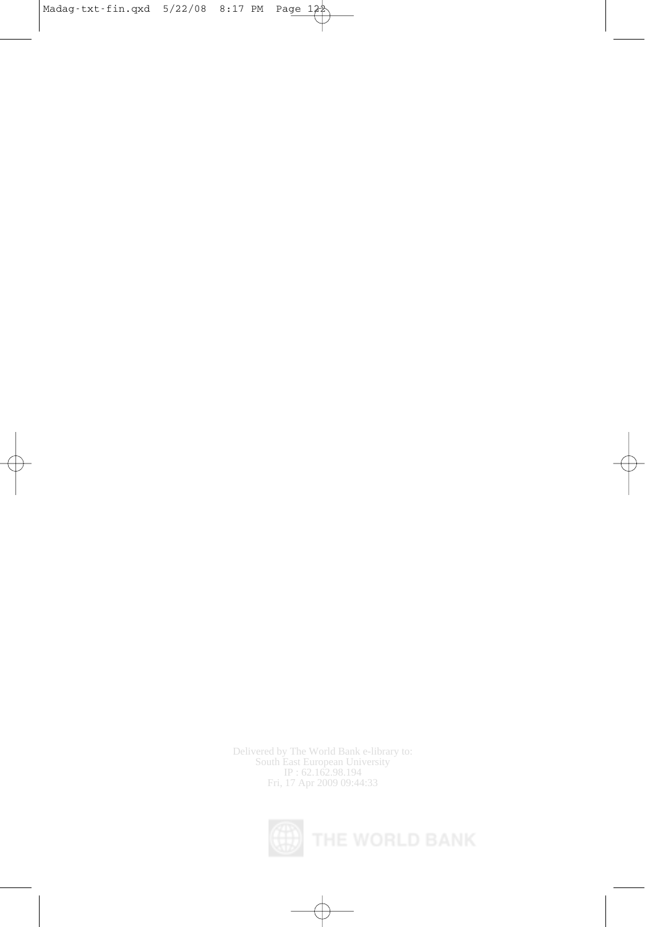Delivered by The World Bank e-library to: IP : 62.162.98.194

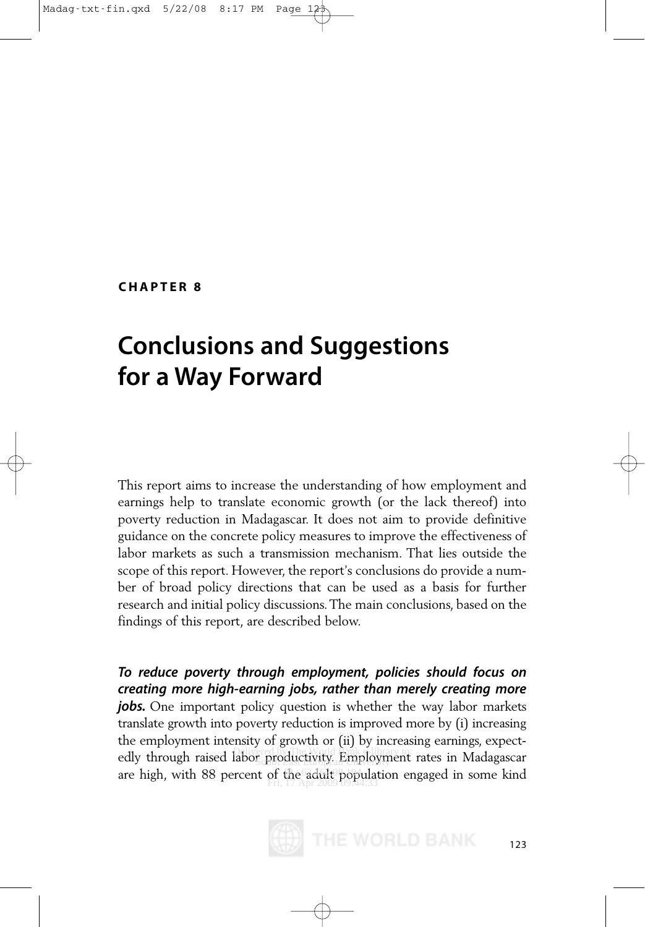## **CHAPTER 8**

# **Conclusions and Suggestions for a Way Forward**

This report aims to increase the understanding of how employment and earnings help to translate economic growth (or the lack thereof) into poverty reduction in Madagascar. It does not aim to provide definitive guidance on the concrete policy measures to improve the effectiveness of labor markets as such a transmission mechanism. That lies outside the scope of this report. However, the report's conclusions do provide a number of broad policy directions that can be used as a basis for further research and initial policy discussions.The main conclusions, based on the findings of this report, are described below.

**To reduce poverty through employment, policies should focus on creating more high-earning jobs, rather than merely creating more jobs.** One important policy question is whether the way labor markets translate growth into poverty reduction is improved more by (i) increasing the employment intensity of growth or (ii) by increasing earnings, expectedly through raised labor productivity. Employment rates in Madagascar are high, with 88 percent of the adult population engaged in some kind s productivity, Employit Fri, 17 Apr 2009 09:44:33

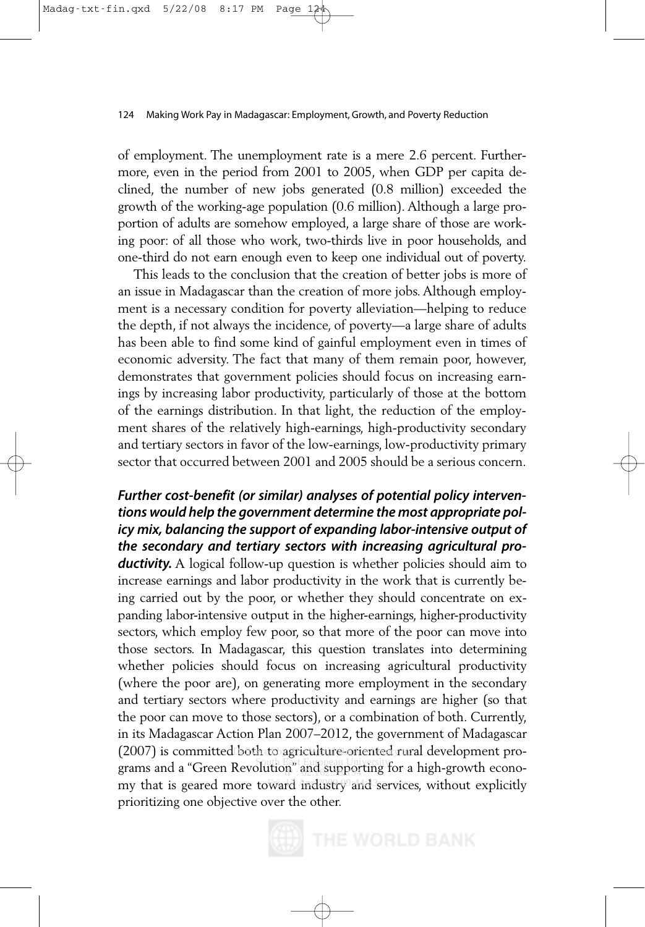of employment. The unemployment rate is a mere 2.6 percent. Furthermore, even in the period from 2001 to 2005, when GDP per capita declined, the number of new jobs generated (0.8 million) exceeded the growth of the working-age population (0.6 million). Although a large proportion of adults are somehow employed, a large share of those are working poor: of all those who work, two-thirds live in poor households, and one-third do not earn enough even to keep one individual out of poverty.

This leads to the conclusion that the creation of better jobs is more of an issue in Madagascar than the creation of more jobs. Although employment is a necessary condition for poverty alleviation—helping to reduce the depth, if not always the incidence, of poverty—a large share of adults has been able to find some kind of gainful employment even in times of economic adversity. The fact that many of them remain poor, however, demonstrates that government policies should focus on increasing earnings by increasing labor productivity, particularly of those at the bottom of the earnings distribution. In that light, the reduction of the employment shares of the relatively high-earnings, high-productivity secondary and tertiary sectors in favor of the low-earnings, low-productivity primary sector that occurred between 2001 and 2005 should be a serious concern.

## **Further cost-benefit (or similar) analyses of potential policy interventions would help the government determine the most appropriate policy mix, balancing the support of expanding labor-intensive output of the secondary and tertiary sectors with increasing agricultural productivity.** A logical follow-up question is whether policies should aim to increase earnings and labor productivity in the work that is currently being carried out by the poor, or whether they should concentrate on expanding labor-intensive output in the higher-earnings, higher-productivity sectors, which employ few poor, so that more of the poor can move into those sectors. In Madagascar, this question translates into determining whether policies should focus on increasing agricultural productivity (where the poor are), on generating more employment in the secondary and tertiary sectors where productivity and earnings are higher (so that the poor can move to those sectors), or a combination of both. Currently, in its Madagascar Action Plan 2007–2012, the government of Madagascar (2007) is committed both to agriculture-oriented rural development programs and a "Green Revolution" and supporting for a high-growth economy that is geared more toward industry and services, without explicitly prioritizing one objective over the other. IP : 8110 Suppor

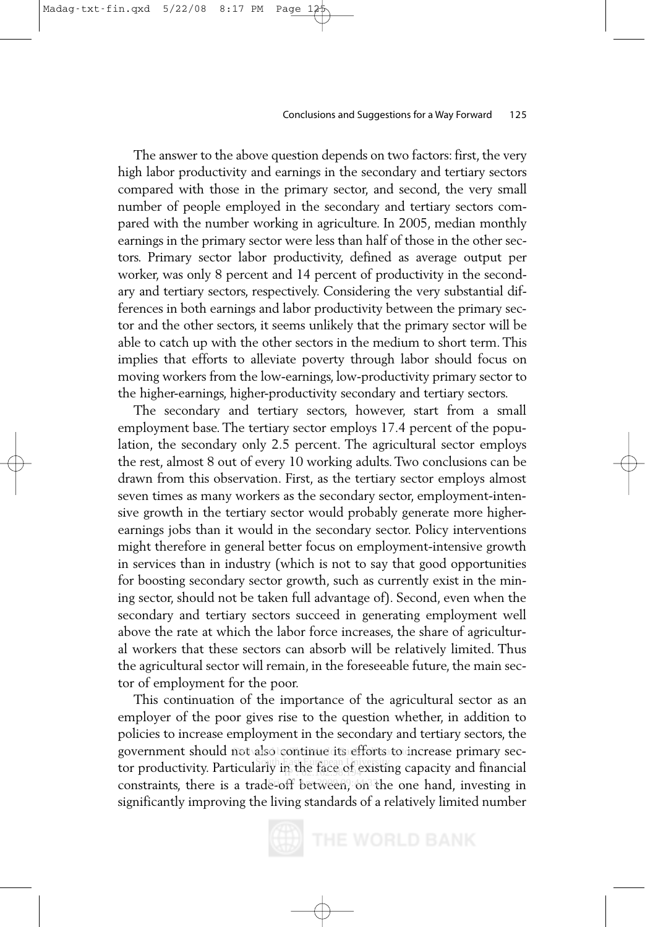The answer to the above question depends on two factors: first, the very high labor productivity and earnings in the secondary and tertiary sectors compared with those in the primary sector, and second, the very small number of people employed in the secondary and tertiary sectors compared with the number working in agriculture. In 2005, median monthly earnings in the primary sector were less than half of those in the other sectors. Primary sector labor productivity, defined as average output per worker, was only 8 percent and 14 percent of productivity in the secondary and tertiary sectors, respectively. Considering the very substantial differences in both earnings and labor productivity between the primary sector and the other sectors, it seems unlikely that the primary sector will be able to catch up with the other sectors in the medium to short term. This implies that efforts to alleviate poverty through labor should focus on moving workers from the low-earnings, low-productivity primary sector to the higher-earnings, higher-productivity secondary and tertiary sectors.

The secondary and tertiary sectors, however, start from a small employment base. The tertiary sector employs 17.4 percent of the population, the secondary only 2.5 percent. The agricultural sector employs the rest, almost 8 out of every 10 working adults.Two conclusions can be drawn from this observation. First, as the tertiary sector employs almost seven times as many workers as the secondary sector, employment-intensive growth in the tertiary sector would probably generate more higherearnings jobs than it would in the secondary sector. Policy interventions might therefore in general better focus on employment-intensive growth in services than in industry (which is not to say that good opportunities for boosting secondary sector growth, such as currently exist in the mining sector, should not be taken full advantage of). Second, even when the secondary and tertiary sectors succeed in generating employment well above the rate at which the labor force increases, the share of agricultural workers that these sectors can absorb will be relatively limited. Thus the agricultural sector will remain, in the foreseeable future, the main sector of employment for the poor.

This continuation of the importance of the agricultural sector as an employer of the poor gives rise to the question whether, in addition to policies to increase employment in the secondary and tertiary sectors, the government should not also continue its efforts to increase primary sector productivity. Particularly in the face of existing capacity and financial constraints, there is a trade-off between, on the one hand, investing in significantly improving the living standards of a relatively limited number IP UIE 182.58.954

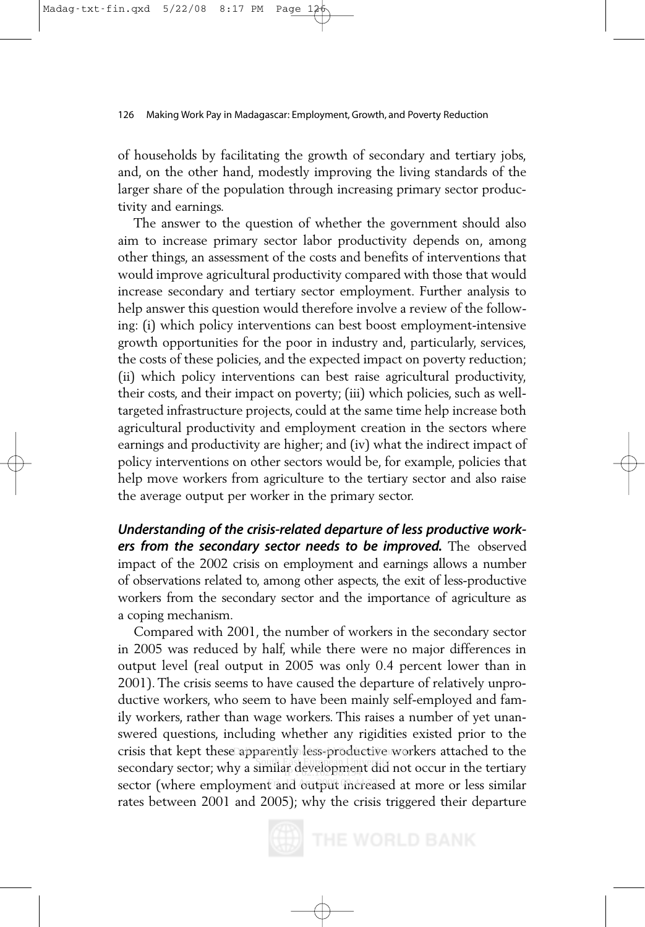of households by facilitating the growth of secondary and tertiary jobs, and, on the other hand, modestly improving the living standards of the larger share of the population through increasing primary sector productivity and earnings.

The answer to the question of whether the government should also aim to increase primary sector labor productivity depends on, among other things, an assessment of the costs and benefits of interventions that would improve agricultural productivity compared with those that would increase secondary and tertiary sector employment. Further analysis to help answer this question would therefore involve a review of the following: (i) which policy interventions can best boost employment-intensive growth opportunities for the poor in industry and, particularly, services, the costs of these policies, and the expected impact on poverty reduction; (ii) which policy interventions can best raise agricultural productivity, their costs, and their impact on poverty; (iii) which policies, such as welltargeted infrastructure projects, could at the same time help increase both agricultural productivity and employment creation in the sectors where earnings and productivity are higher; and (iv) what the indirect impact of policy interventions on other sectors would be, for example, policies that help move workers from agriculture to the tertiary sector and also raise the average output per worker in the primary sector.

**Understanding of the crisis-related departure of less productive workers from the secondary sector needs to be improved.** The observed impact of the 2002 crisis on employment and earnings allows a number of observations related to, among other aspects, the exit of less-productive workers from the secondary sector and the importance of agriculture as a coping mechanism.

Compared with 2001, the number of workers in the secondary sector in 2005 was reduced by half, while there were no major differences in output level (real output in 2005 was only 0.4 percent lower than in 2001). The crisis seems to have caused the departure of relatively unproductive workers, who seem to have been mainly self-employed and family workers, rather than wage workers. This raises a number of yet unanswered questions, including whether any rigidities existed prior to the crisis that kept these apparently less-productive workers attached to the secondary sector; why a similar development did not occur in the tertiary sector (where employment and output increased at more or less similar rates between 2001 and 2005); why the crisis triggered their departure IP developmer

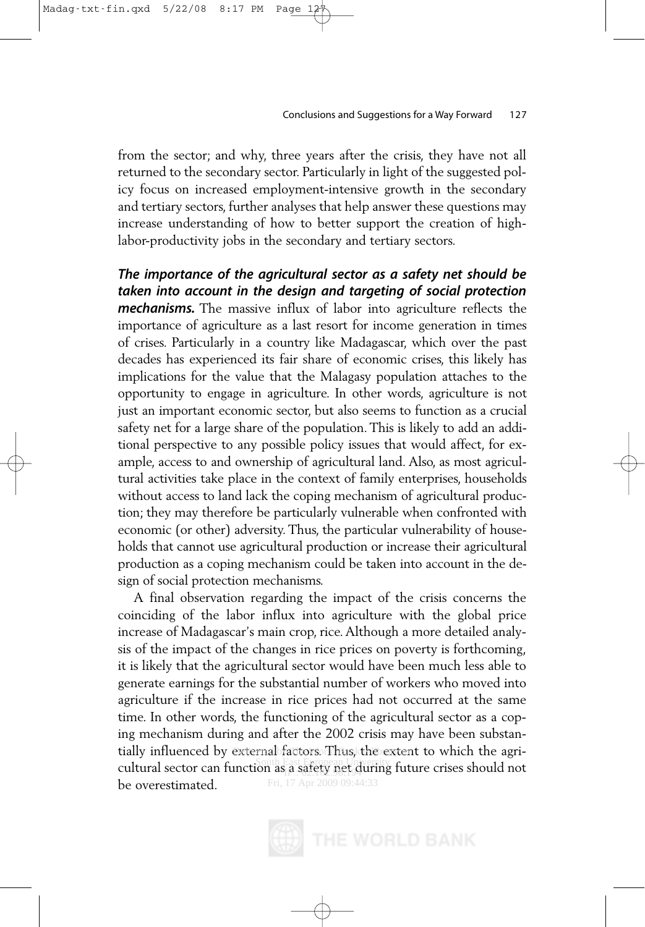from the sector; and why, three years after the crisis, they have not all returned to the secondary sector. Particularly in light of the suggested policy focus on increased employment-intensive growth in the secondary and tertiary sectors, further analyses that help answer these questions may increase understanding of how to better support the creation of highlabor-productivity jobs in the secondary and tertiary sectors.

**The importance of the agricultural sector as a safety net should be taken into account in the design and targeting of social protection mechanisms.** The massive influx of labor into agriculture reflects the importance of agriculture as a last resort for income generation in times of crises. Particularly in a country like Madagascar, which over the past decades has experienced its fair share of economic crises, this likely has implications for the value that the Malagasy population attaches to the opportunity to engage in agriculture. In other words, agriculture is not just an important economic sector, but also seems to function as a crucial safety net for a large share of the population. This is likely to add an additional perspective to any possible policy issues that would affect, for example, access to and ownership of agricultural land. Also, as most agricultural activities take place in the context of family enterprises, households without access to land lack the coping mechanism of agricultural production; they may therefore be particularly vulnerable when confronted with economic (or other) adversity. Thus, the particular vulnerability of households that cannot use agricultural production or increase their agricultural production as a coping mechanism could be taken into account in the design of social protection mechanisms.

A final observation regarding the impact of the crisis concerns the coinciding of the labor influx into agriculture with the global price increase of Madagascar's main crop, rice. Although a more detailed analysis of the impact of the changes in rice prices on poverty is forthcoming, it is likely that the agricultural sector would have been much less able to generate earnings for the substantial number of workers who moved into agriculture if the increase in rice prices had not occurred at the same time. In other words, the functioning of the agricultural sector as a coping mechanism during and after the 2002 crisis may have been substantially influenced by external factors. Thus, the extent to which the agricultural sector can function as a safety net during future crises should not be overestimated. ia safety neto Fri, 17 Apr 2009 09:44:33

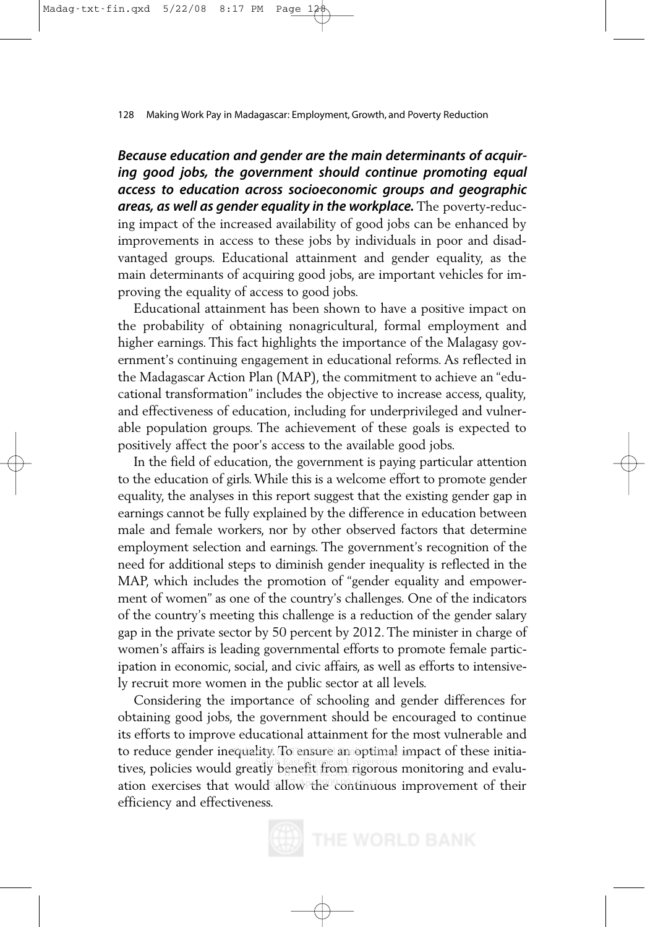**Because education and gender are the main determinants of acquiring good jobs, the government should continue promoting equal access to education across socioeconomic groups and geographic areas, as well as gender equality in the workplace.** The poverty-reducing impact of the increased availability of good jobs can be enhanced by improvements in access to these jobs by individuals in poor and disadvantaged groups. Educational attainment and gender equality, as the main determinants of acquiring good jobs, are important vehicles for improving the equality of access to good jobs.

Educational attainment has been shown to have a positive impact on the probability of obtaining nonagricultural, formal employment and higher earnings. This fact highlights the importance of the Malagasy government's continuing engagement in educational reforms. As reflected in the Madagascar Action Plan (MAP), the commitment to achieve an "educational transformation" includes the objective to increase access, quality, and effectiveness of education, including for underprivileged and vulnerable population groups. The achievement of these goals is expected to positively affect the poor's access to the available good jobs.

In the field of education, the government is paying particular attention to the education of girls. While this is a welcome effort to promote gender equality, the analyses in this report suggest that the existing gender gap in earnings cannot be fully explained by the difference in education between male and female workers, nor by other observed factors that determine employment selection and earnings. The government's recognition of the need for additional steps to diminish gender inequality is reflected in the MAP, which includes the promotion of "gender equality and empowerment of women" as one of the country's challenges. One of the indicators of the country's meeting this challenge is a reduction of the gender salary gap in the private sector by 50 percent by 2012. The minister in charge of women's affairs is leading governmental efforts to promote female participation in economic, social, and civic affairs, as well as efforts to intensively recruit more women in the public sector at all levels.

Considering the importance of schooling and gender differences for obtaining good jobs, the government should be encouraged to continue its efforts to improve educational attainment for the most vulnerable and to reduce gender inequality. To ensure an optimal impact of these initiatives, policies would greatly benefit from rigorous monitoring and evaluation exercises that would allow the continuous improvement of their efficiency and effectiveness. enent from n

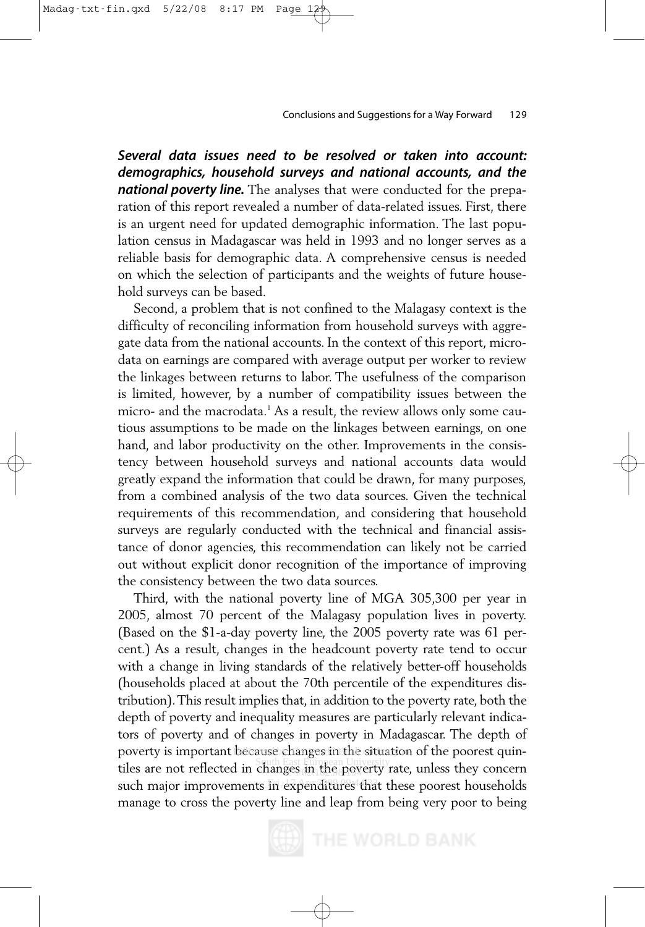**Several data issues need to be resolved or taken into account: demographics, household surveys and national accounts, and the national poverty line.** The analyses that were conducted for the preparation of this report revealed a number of data-related issues. First, there is an urgent need for updated demographic information. The last population census in Madagascar was held in 1993 and no longer serves as a reliable basis for demographic data. A comprehensive census is needed on which the selection of participants and the weights of future household surveys can be based.

Second, a problem that is not confined to the Malagasy context is the difficulty of reconciling information from household surveys with aggregate data from the national accounts. In the context of this report, microdata on earnings are compared with average output per worker to review the linkages between returns to labor. The usefulness of the comparison is limited, however, by a number of compatibility issues between the micro- and the macrodata.<sup>1</sup> As a result, the review allows only some cautious assumptions to be made on the linkages between earnings, on one hand, and labor productivity on the other. Improvements in the consistency between household surveys and national accounts data would greatly expand the information that could be drawn, for many purposes, from a combined analysis of the two data sources. Given the technical requirements of this recommendation, and considering that household surveys are regularly conducted with the technical and financial assistance of donor agencies, this recommendation can likely not be carried out without explicit donor recognition of the importance of improving the consistency between the two data sources.

Third, with the national poverty line of MGA 305,300 per year in 2005, almost 70 percent of the Malagasy population lives in poverty. (Based on the \$1-a-day poverty line, the 2005 poverty rate was 61 percent.) As a result, changes in the headcount poverty rate tend to occur with a change in living standards of the relatively better-off households (households placed at about the 70th percentile of the expenditures distribution).This result implies that, in addition to the poverty rate, both the depth of poverty and inequality measures are particularly relevant indicators of poverty and of changes in poverty in Madagascar. The depth of poverty is important because changes in the situation of the poorest quintiles are not reflected in changes in the poverty rate, unless they concern such major improvements in expenditures that these poorest households manage to cross the poverty line and leap from being very poor to being  ${\rm ges}\,\mathrm{an}_1{\rm true}$  pov

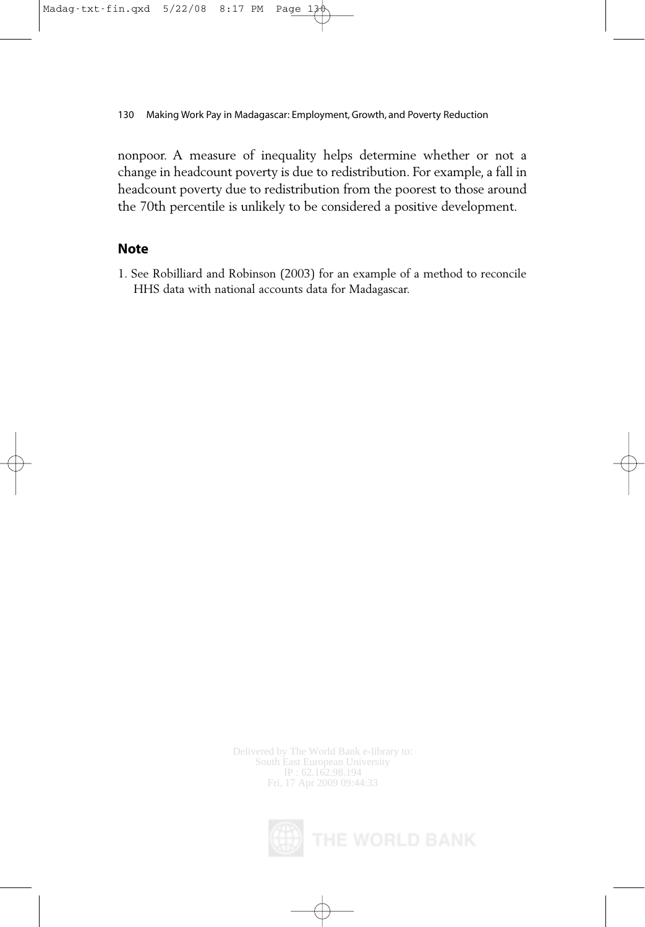nonpoor. A measure of inequality helps determine whether or not a change in headcount poverty is due to redistribution. For example, a fall in headcount poverty due to redistribution from the poorest to those around the 70th percentile is unlikely to be considered a positive development.

## **Note**

1. See Robilliard and Robinson (2003) for an example of a method to reconcile HHS data with national accounts data for Madagascar.

IP : 62.162.98.194

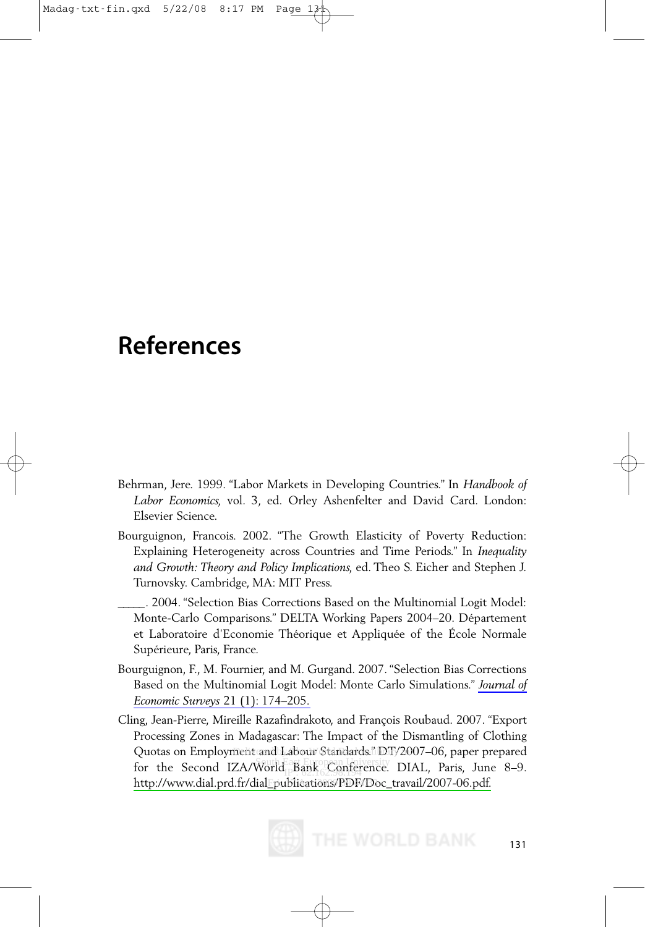# **References**

- Behrman, Jere. 1999. "Labor Markets in Developing Countries." In *Handbook of Labor Economics,* vol. 3, ed. Orley Ashenfelter and David Card. London: Elsevier Science.
- Bourguignon, Francois. 2002. "The Growth Elasticity of Poverty Reduction: Explaining Heterogeneity across Countries and Time Periods." In *Inequality and Growth: Theory and Policy Implications,* ed. Theo S. Eicher and Stephen J. Turnovsky. Cambridge, MA: MIT Press.
- \_\_\_\_\_. 2004. "Selection Bias Corrections Based on the Multinomial Logit Model: Monte-Carlo Comparisons." DELTA Working Papers 2004–20. Département et Laboratoire d'Economie Théorique et Appliquée of the École Normale Supérieure, Paris, France.
- Bourguignon, F., M. Fournier, and M. Gurgand. 2007. "Selection Bias Corrections Based on the Multinomial Logit Model: Monte Carlo Simulations." *[Journal of](http://www.worldbank.icebox.ingenta.com/content/external-references?article=0950-0804()21:1L.174[aid=8422489]) [Economic Surveys](http://www.worldbank.icebox.ingenta.com/content/external-references?article=0950-0804()21:1L.174[aid=8422489])* 21 (1): 174–205.
- Cling, Jean-Pierre, Mireille Razafindrakoto, and François Roubaud. 2007. "Export Processing Zones in Madagascar: The Impact of the Dismantling of Clothing Quotas on Employment and Labour Standards." DT/2007–06, paper prepared for the Second IZA/World Bank Conference. DIAL, Paris, June 8-9. http://www.dial.prd.fr/dialEpublications/PDF/Doc\_travail/2007-06.pdf. IP : 62.162.98.194

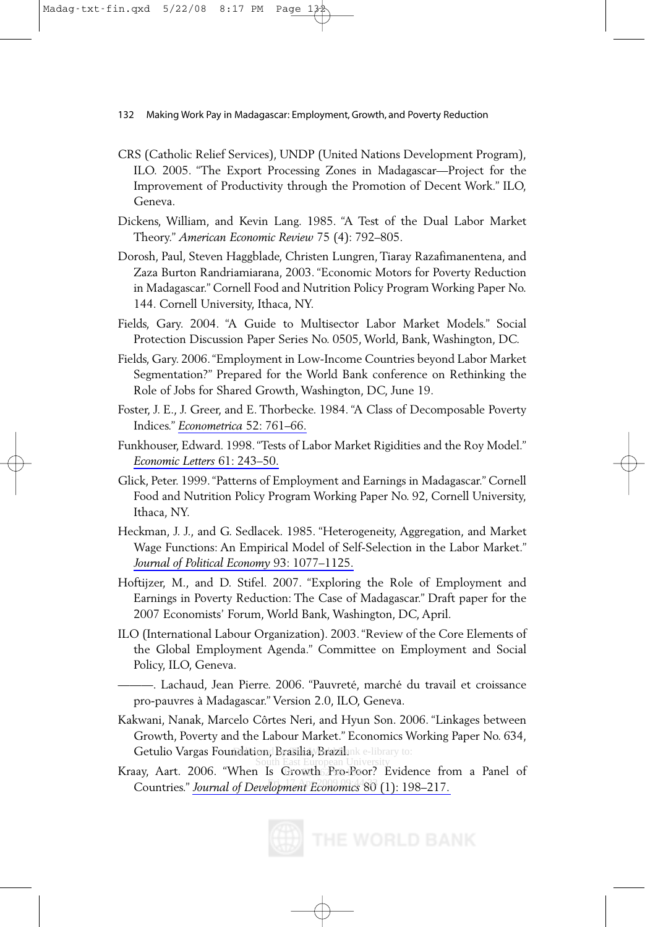- 132 Making Work Pay in Madagascar: Employment, Growth, and Poverty Reduction
- CRS (Catholic Relief Services), UNDP (United Nations Development Program), ILO. 2005. "The Export Processing Zones in Madagascar—Project for the Improvement of Productivity through the Promotion of Decent Work." ILO, Geneva.
- Dickens, William, and Kevin Lang. 1985. "A Test of the Dual Labor Market Theory." *American Economic Review* 75 (4): 792–805.
- Dorosh, Paul, Steven Haggblade, Christen Lungren, Tiaray Razafimanentena, and Zaza Burton Randriamiarana, 2003. "Economic Motors for Poverty Reduction in Madagascar." Cornell Food and Nutrition Policy Program Working Paper No. 144. Cornell University, Ithaca, NY.
- Fields, Gary. 2004. "A Guide to Multisector Labor Market Models." Social Protection Discussion Paper Series No. 0505, World, Bank, Washington, DC.
- Fields, Gary. 2006."Employment in Low-Income Countries beyond Labor Market Segmentation?" Prepared for the World Bank conference on Rethinking the Role of Jobs for Shared Growth, Washington, DC, June 19.
- Foster, J. E., J. Greer, and E. Thorbecke. 1984. "A Class of Decomposable Poverty Indices." *[Econometrica](http://www.worldbank.icebox.ingenta.com/content/external-references?article=0012-9682()52L.761[aid=92137])* 52: 761–66.
- Funkhouser, Edward. 1998."Tests of Labor Market Rigidities and the Roy Model." *[Economic Letters](http://www.worldbank.icebox.ingenta.com/content/external-references?article=0165-1765()61L.243[aid=8422491])* 61: 243–50.
- Glick, Peter. 1999. "Patterns of Employment and Earnings in Madagascar." Cornell Food and Nutrition Policy Program Working Paper No. 92, Cornell University, Ithaca, NY.
- Heckman, J. J., and G. Sedlacek. 1985. "Heterogeneity, Aggregation, and Market Wage Functions: An Empirical Model of Self-Selection in the Labor Market." *[Journal of Political Economy](http://www.worldbank.icebox.ingenta.com/content/external-references?article=0022-3808()93L.1077[aid=1886036])* 93: 1077–1125.
- Hoftijzer, M., and D. Stifel. 2007. "Exploring the Role of Employment and Earnings in Poverty Reduction: The Case of Madagascar." Draft paper for the 2007 Economists' Forum, World Bank, Washington, DC, April.
- ILO (International Labour Organization). 2003. "Review of the Core Elements of the Global Employment Agenda." Committee on Employment and Social Policy, ILO, Geneva.
	- ———. Lachaud, Jean Pierre. 2006. "Pauvreté, marché du travail et croissance pro-pauvres à Madagascar." Version 2.0, ILO, Geneva.
- Kakwani, Nanak, Marcelo Côrtes Neri, and Hyun Son. 2006. "Linkages between Growth, Poverty and the Labour Market." Economics Working Paper No. 634, Getulio Vargas Foundation, Brasilia, Brazilank e-library to:
- South East European University<br>Kraay, Aart. 2006. "When Is Growth Pro-Poor? Evidence from a Panel of Countries." [Journal of Development Economics](http://www.worldbank.icebox.ingenta.com/content/external-references?article=0304-3878()80:1L.198[aid=7619116]) 80 (1): 198-217.  $\rm{I}$ rowth $\rm{I}$ ro-Po

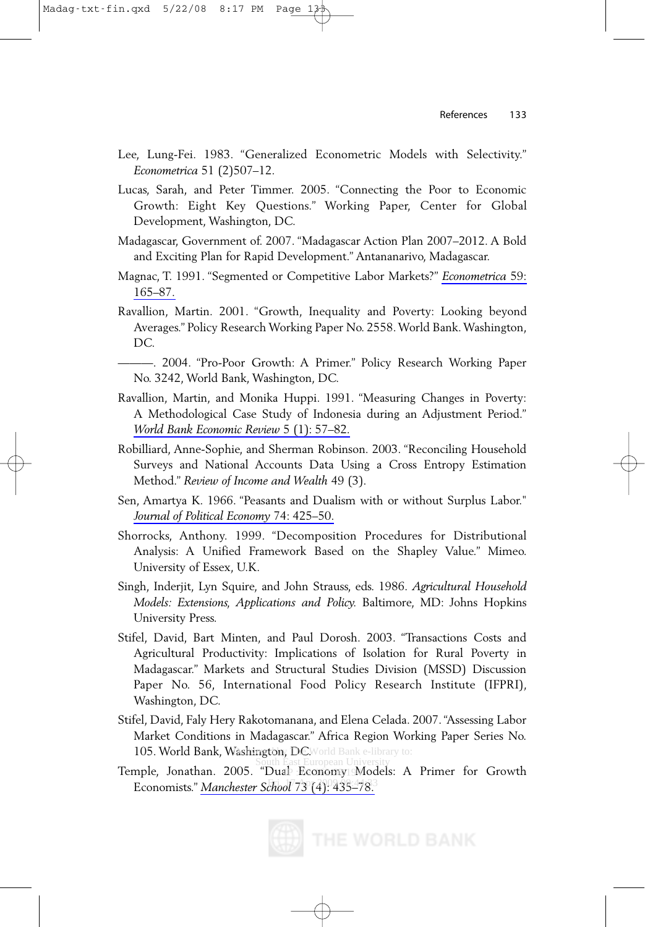- Lee, Lung-Fei. 1983. "Generalized Econometric Models with Selectivity." *Econometrica* 51 (2)507–12.
- Lucas, Sarah, and Peter Timmer. 2005. "Connecting the Poor to Economic Growth: Eight Key Questions." Working Paper, Center for Global Development, Washington, DC.
- Madagascar, Government of. 2007. "Madagascar Action Plan 2007–2012. A Bold and Exciting Plan for Rapid Development." Antananarivo, Madagascar.
- Magnac, T. 1991. "Segmented or Competitive Labor Markets?" *[Econometrica](http://www.worldbank.icebox.ingenta.com/content/external-references?article=0012-9682()59L.165[aid=2765121])* 59: [165–87.](http://www.worldbank.icebox.ingenta.com/content/external-references?article=0012-9682()59L.165[aid=2765121])
- Ravallion, Martin. 2001. "Growth, Inequality and Poverty: Looking beyond Averages." Policy Research Working Paper No. 2558.World Bank.Washington, DC.
- ———. 2004. "Pro-Poor Growth: A Primer." Policy Research Working Paper No. 3242, World Bank, Washington, DC.
- Ravallion, Martin, and Monika Huppi. 1991. "Measuring Changes in Poverty: A Methodological Case Study of Indonesia during an Adjustment Period." *[World Bank Economic Review](http://www.worldbank.icebox.ingenta.com/content/external-references?article=0258-6770()5:1L.57[aid=6998717])* 5 (1): 57–82.
- Robilliard, Anne-Sophie, and Sherman Robinson. 2003. "Reconciling Household Surveys and National Accounts Data Using a Cross Entropy Estimation Method." *Review of Income and Wealth* 49 (3).
- Sen, Amartya K. 1966. "Peasants and Dualism with or without Surplus Labor." *[Journal of Political Economy](http://www.worldbank.icebox.ingenta.com/content/external-references?article=0022-3808()74L.425[aid=324075])* 74: 425–50.
- Shorrocks, Anthony. 1999. "Decomposition Procedures for Distributional Analysis: A Unified Framework Based on the Shapley Value." Mimeo. University of Essex, U.K.
- Singh, Inderjit, Lyn Squire, and John Strauss, eds. 1986. *Agricultural Household Models: Extensions, Applications and Policy.* Baltimore, MD: Johns Hopkins University Press.
- Stifel, David, Bart Minten, and Paul Dorosh. 2003. "Transactions Costs and Agricultural Productivity: Implications of Isolation for Rural Poverty in Madagascar." Markets and Structural Studies Division (MSSD) Discussion Paper No. 56, International Food Policy Research Institute (IFPRI), Washington, DC.
- Stifel, David, Faly Hery Rakotomanana, and Elena Celada. 2007. "Assessing Labor Market Conditions in Madagascar." Africa Region Working Paper Series No. 105. World Bank, Washington, DCWorld Bank e-library to:
- Temple, Jonathan. 2005. "Dual Economy Models: A Primer for Growth South East European University Economists." *Manchester School* 73<sup>°</sup>(4): 435–78. 1P :Economy19A

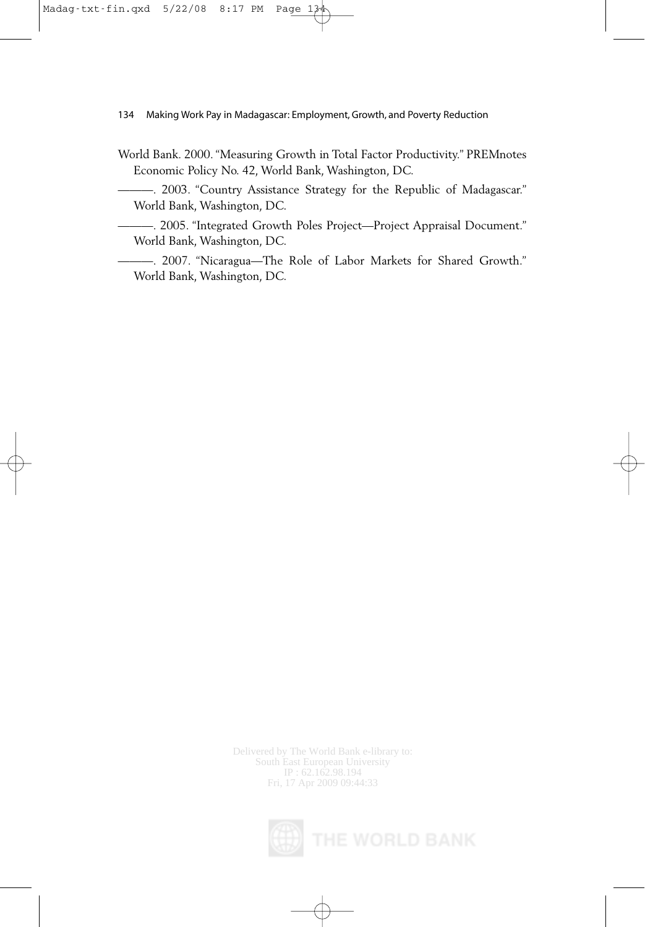134 Making Work Pay in Madagascar: Employment, Growth, and Poverty Reduction

World Bank. 2000. "Measuring Growth in Total Factor Productivity." PREMnotes Economic Policy No. 42, World Bank, Washington, DC.

———. 2003. "Country Assistance Strategy for the Republic of Madagascar." World Bank, Washington, DC.

———. 2005. "Integrated Growth Poles Project—Project Appraisal Document." World Bank, Washington, DC.

———. 2007. "Nicaragua—The Role of Labor Markets for Shared Growth." World Bank, Washington, DC.

> IP : 62.162.98.194 Fri, 17 Apr 2009 09:44:33

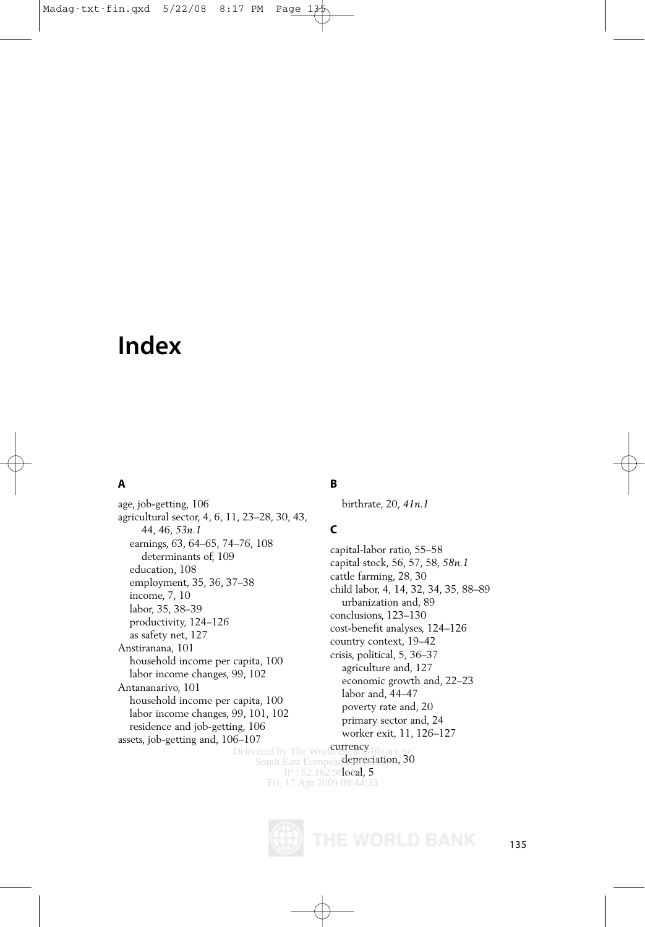# **Index**

# **A**

age, job-getting, 106 agricultural sector, 4, 6, 11, 23–28, 30, 43, 44, 46, *53n.1* earnings, 63, 64–65, 74–76, 108 determinants of, 109 education, 108 employment, 35, 36, 37–38 income, 7, 10 labor, 35, 38–39 productivity, 124–126 as safety net, 127 Anstiranana, 101 household income per capita, 100 labor income changes, 99, 102 Antananarivo, 101 household income per capita, 100 labor income changes, 99, 101, 102 residence and job-getting, 106 assets, job-getting and, 106–107

# **B**

birthrate, 20, *41n.1*

# **C**

capital-labor ratio, 55–58 capital stock, 56, 57, 58, *58n.1* cattle farming, 28, 30 child labor, 4, 14, 32, 34, 35, 88–89 urbanization and, 89 conclusions, 123–130 cost-benefit analyses, 124–126 country context, 19–42 crisis, political, 5, 36–37 agriculture and, 127 economic growth and, 22–23 labor and, 44–47 poverty rate and, 20 primary sector and, 24 worker exit, 11, 126–127

**Delivered by The World Bank e-library to:** South East Europeandepreciation, 30  $IP: 62.162.98$ **deal, 5** Fri, 17 Apr 2009 09:44:33

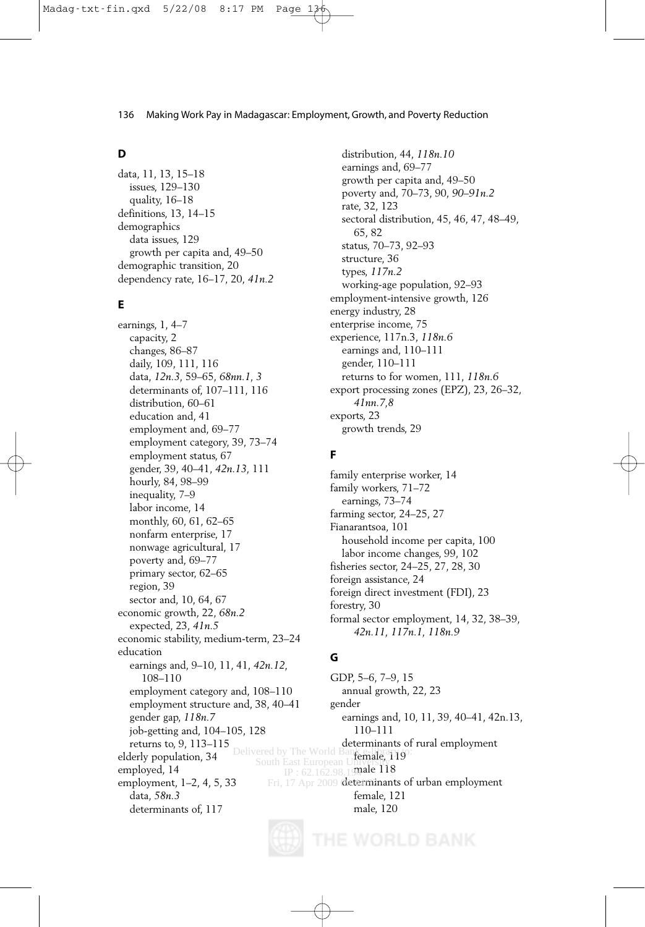## **D**

```
data, 11, 13, 15–18
  issues, 129–130
  quality, 16–18
definitions, 13, 14–15
demographics
  data issues, 129
  growth per capita and, 49–50
demographic transition, 20
dependency rate, 16–17, 20, 41n.2
```
#### **E**

earnings, 1, 4–7 capacity, 2 changes, 86–87 daily, 109, 111, 116 data, *12n.3,* 59–65, *68nn.1, 3* determinants of, 107–111, 116 distribution, 60–61 education and, 41 employment and, 69–77 employment category, 39, 73–74 employment status, 67 gender, 39, 40–41, *42n.13,* 111 hourly, 84, 98–99 inequality, 7–9 labor income, 14 monthly, 60, 61, 62–65 nonfarm enterprise, 17 nonwage agricultural, 17 poverty and, 69–77 primary sector, 62–65 region, 39 sector and, 10, 64, 67 economic growth, 22, *68n.2* expected, 23, *41n.5* economic stability, medium-term, 23–24 education earnings and, 9–10, 11, 41, *42n.12,* 108–110 employment category and, 108–110 employment structure and, 38, 40–41 gender gap, *118n.7* job-getting and, 104–105, 128 returns to, 9, 113–115 elderly population, 34 employed, 14 employment, 1–2, 4, 5, 33 data, *58n.3* determinants of, 117 South East European U

distribution, 44, *118n.10* earnings and, 69–77 growth per capita and, 49–50 poverty and, 70–73, 90, *90–91n.2* rate, 32, 123 sectoral distribution, 45, 46, 47, 48–49, 65, 82 status, 70–73, 92–93 structure, 36 types, *117n.2* working-age population, 92–93 employment-intensive growth, 126 energy industry, 28 enterprise income, 75 experience, 117n.3, *118n.6* earnings and, 110–111 gender, 110–111 returns to for women, 111, *118n.6* export processing zones (EPZ), 23, 26–32, *41nn.7,8* exports, 23 growth trends, 29

## **F**

family enterprise worker, 14 family workers, 71–72 earnings, 73–74 farming sector, 24–25, 27 Fianarantsoa, 101 household income per capita, 100 labor income changes, 99, 102 fisheries sector, 24–25, 27, 28, 30 foreign assistance, 24 foreign direct investment (FDI), 23 forestry, 30 formal sector employment, 14, 32, 38–39, *42n.11, 117n.1, 118n.9*

#### **G**

GDP, 5–6, 7–9, 15 annual growth, 22, 23 gender earnings and, 10, 11, 39, 40–41, 42n.13, 110–111 determinants of rural employment Delivered by The World Bank enligter 190 IP: 62.162.98.19 male 118 Fri, 17 Apr 2009 determinants of urban employment female, 121 male, 120

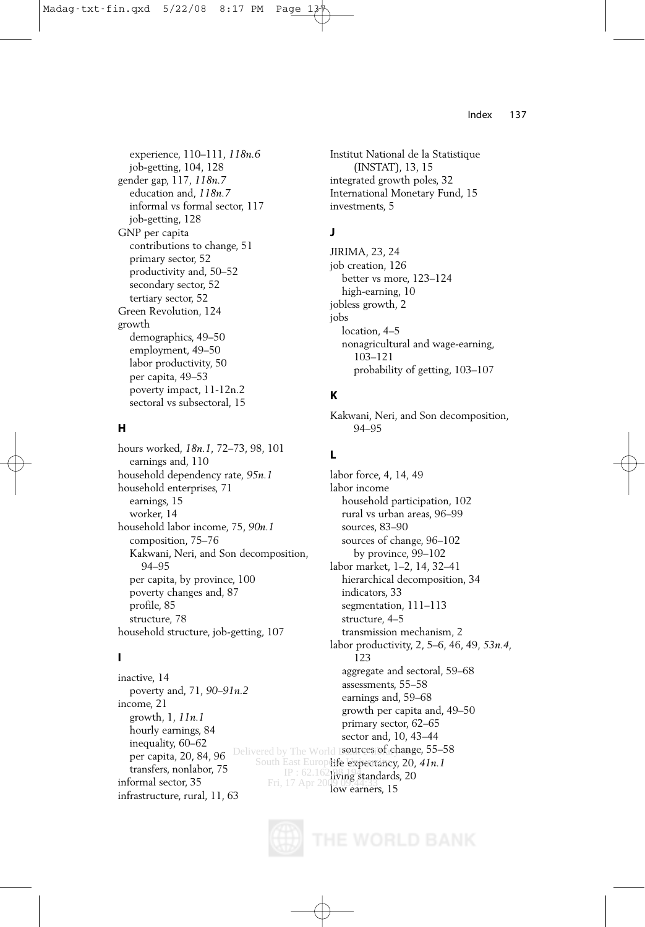experience, 110–111, *118n.6* job-getting, 104, 128 gender gap, 117, *118n.7* education and, *118n.7* informal vs formal sector, 117 job-getting, 128 GNP per capita contributions to change, 51 primary sector, 52 productivity and, 50–52 secondary sector, 52 tertiary sector, 52 Green Revolution, 124 growth demographics, 49–50 employment, 49–50 labor productivity, 50 per capita, 49–53 poverty impact, 11-12n.2 sectoral vs subsectoral, 15

## **H**

hours worked, *18n.1,* 72–73, 98, 101 earnings and, 110 household dependency rate, *95n.1* household enterprises, 71 earnings, 15 worker, 14 household labor income, 75, *90n.1* composition, 75–76 Kakwani, Neri, and Son decomposition, 94–95 per capita, by province, 100 poverty changes and, 87 profile, 85 structure, 78 household structure, job-getting, 107

# **I**

inactive, 14 poverty and, 71, *90–91n.2* income, 21 growth, 1, *11n.1* hourly earnings, 84 inequality, 60–62 per capita, 20, 84, 96 transfers, nonlabor, 75 informal sector, 35 infrastructure, rural, 11, 63 assessments, 55–58 earnings and, 59–68 primary sector, 62–65 sector and, 10, 43–44 Delivered by The World **Bources of change, 55–58** South East Europdife expectancy, 20, 41n.1 IP: 62.1621. Ving standards, 20 Fri, 17 Apr 2009 09:44:33<br>**low earners, 15** 



# **J**

JIRIMA, 23, 24 job creation, 126 better vs more, 123–124 high-earning, 10 jobless growth, 2 jobs location, 4–5 nonagricultural and wage-earning, 103–121 probability of getting, 103–107

# **K**

Kakwani, Neri, and Son decomposition, 94–95

# **L**

labor force, 4, 14, 49 labor income household participation, 102 rural vs urban areas, 96–99 sources, 83–90 sources of change, 96–102 by province, 99–102 labor market, 1–2, 14, 32–41 hierarchical decomposition, 34 indicators, 33 segmentation, 111–113 structure, 4–5 transmission mechanism, 2 labor productivity, 2, 5–6, 46, 49, *53n.4,* 123 aggregate and sectoral, 59–68 growth per capita and, 49–50

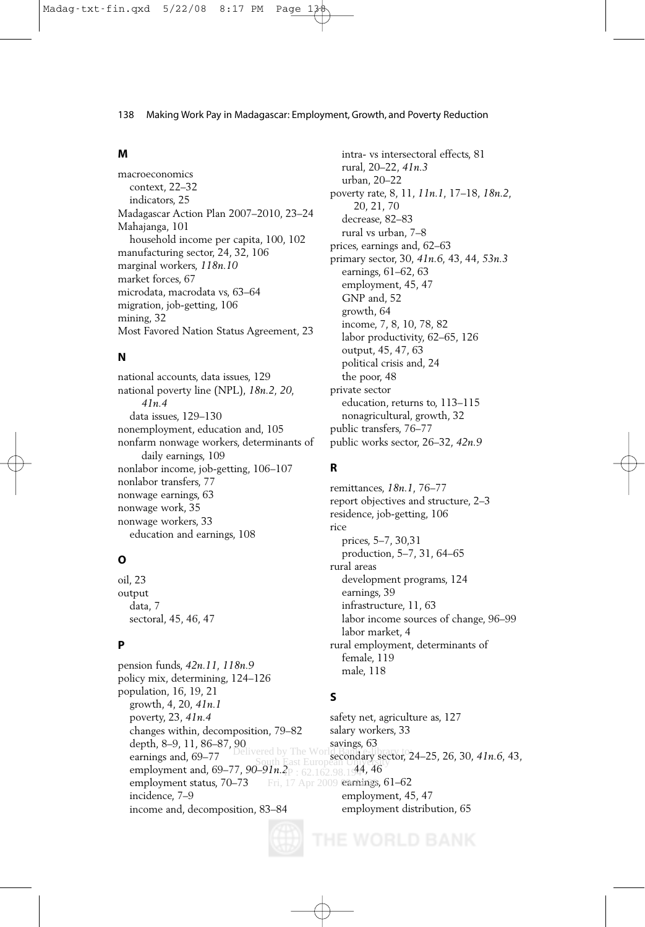#### **M**

macroeconomics context, 22–32 indicators, 25 Madagascar Action Plan 2007–2010, 23–24 Mahajanga, 101 household income per capita, 100, 102 manufacturing sector, 24, 32, 106 marginal workers, *118n.10* market forces, 67 microdata, macrodata vs, 63–64 migration, job-getting, 106 mining, 32 Most Favored Nation Status Agreement, 23

#### **N**

national accounts, data issues, 129 national poverty line (NPL), *18n.2, 20, 41n.4* data issues, 129–130 nonemployment, education and, 105 nonfarm nonwage workers, determinants of daily earnings, 109 nonlabor income, job-getting, 106–107 nonlabor transfers, 77 nonwage earnings, 63 nonwage work, 35 nonwage workers, 33 education and earnings, 108

# **O**

oil, 23 output data, 7 sectoral, 45, 46, 47

## **P**

pension funds, *42n.11, 118n.9* policy mix, determining, 124–126 population, 16, 19, 21 growth, 4, 20, *41n.1* poverty, 23, *41n.4* changes within, decomposition, 79–82 depth, 8–9, 11, 86–87, 90 earnings and, 69–77 employment and, 69–77, 90–91*n*.2<sub>P: 62, 162, 98, 1944, 46</sub> employment status, 70–73 incidence, 7–9 income and, decomposition, 83–84 **S** Fri, 17 Apr 2009 **@arnings, 61–62** Delivered by The World  $\text{IP}: 62.162.98.194$ 

intra- vs intersectoral effects, 81 rural, 20–22, *41n.3* urban, 20–22 poverty rate, 8, 11, *11n.1,* 17–18, *18n.2,* 20, 21, 70 decrease, 82–83 rural vs urban, 7–8 prices, earnings and, 62–63 primary sector, 30, *41n.6,* 43, 44, *53n.3* earnings, 61–62, 63 employment, 45, 47 GNP and, 52 growth, 64 income, 7, 8, 10, 78, 82 labor productivity, 62–65, 126 output, 45, 47, 63 political crisis and, 24 the poor, 48 private sector education, returns to, 113–115 nonagricultural, growth, 32 public transfers, 76–77 public works sector, 26–32, *42n.9*

#### **R**

remittances, *18n.1,* 76–77 report objectives and structure, 2–3 residence, job-getting, 106 rice prices, 5–7, 30,31 production, 5–7, 31, 64–65 rural areas development programs, 124 earnings, 39 infrastructure, 11, 63 labor income sources of change, 96–99 labor market, 4 rural employment, determinants of female, 119 male, 118

safety net, agriculture as, 127 salary workers, 33 savings, 63 secondary sector, 24–25, 26, 30, *41n.6,* 43, employment, 45, 47 employment distribution, 65

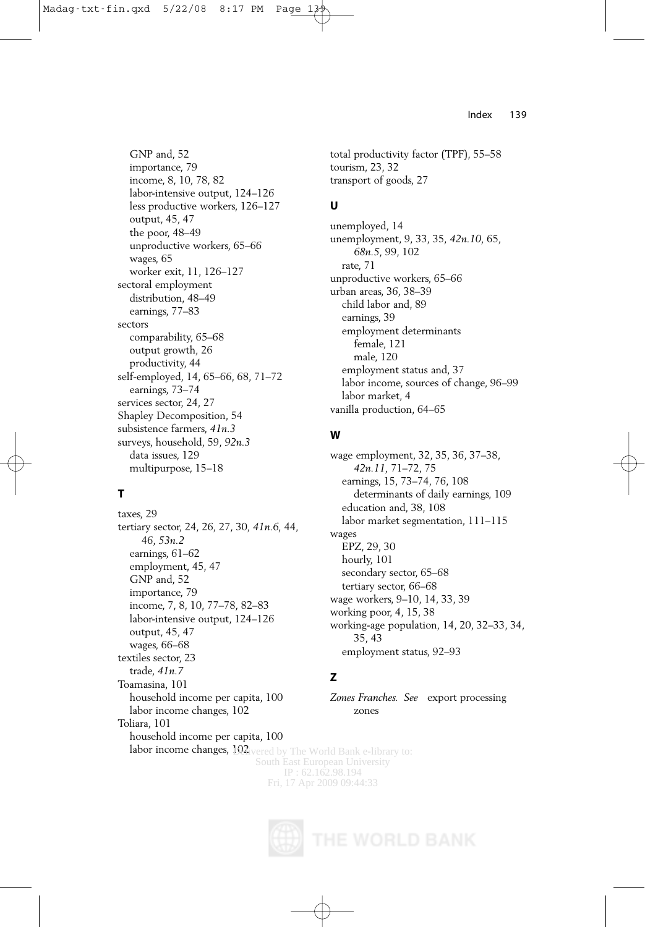GNP and, 52 importance, 79 income, 8, 10, 78, 82 labor-intensive output, 124–126 less productive workers, 126–127 output, 45, 47 the poor, 48–49 unproductive workers, 65–66 wages, 65 worker exit, 11, 126–127 sectoral employment distribution, 48–49 earnings, 77–83 sectors comparability, 65–68 output growth, 26 productivity, 44 self-employed, 14, 65–66, 68, 71–72 earnings, 73–74 services sector, 24, 27 Shapley Decomposition, 54 subsistence farmers, *41n.3* surveys, household, 59, *92n.3* data issues, 129 multipurpose, 15–18

# **T**

taxes, 29 tertiary sector, 24, 26, 27, 30, *41n.6,* 44, 46, *53n.2* earnings, 61–62 employment, 45, 47 GNP and, 52 importance, 79 income, 7, 8, 10, 77–78, 82–83 labor-intensive output, 124–126 output, 45, 47 wages, 66–68 textiles sector, 23 trade, *41n.7* Toamasina, 101 household income per capita, 100 labor income changes, 102 Toliara, 101 household income per capita, 100

total productivity factor (TPF), 55–58 tourism, 23, 32 transport of goods, 27

## **U**

unemployed, 14 unemployment, 9, 33, 35, *42n.10,* 65, *68n.5,* 99, 102 rate, 71 unproductive workers, 65–66 urban areas, 36, 38–39 child labor and, 89 earnings, 39 employment determinants female, 121 male, 120 employment status and, 37 labor income, sources of change, 96–99 labor market, 4 vanilla production, 64–65

## **W**

wage employment, 32, 35, 36, 37–38, *42n.11,* 71–72, 75 earnings, 15, 73–74, 76, 108 determinants of daily earnings, 109 education and, 38, 108 labor market segmentation, 111–115 wages EPZ, 29, 30 hourly, 101 secondary sector, 65–68 tertiary sector, 66–68 wage workers, 9–10, 14, 33, 39 working poor, 4, 15, 38 working-age population, 14, 20, 32–33, 34, 35, 43 employment status, 92–93

# **Z**

*Zones Franches. See* export processing zones

**labor income changes, 102** ivered by The World Bank e-library to: IP : 62.162.98.194